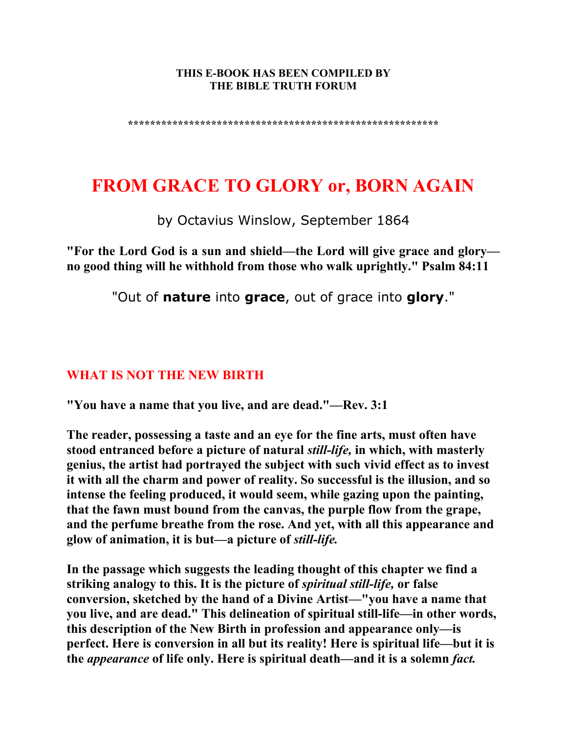#### **THIS E-BOOK HAS BEEN COMPILED BY THE BIBLE TRUTH FORUM**

**\*\*\*\*\*\*\*\*\*\*\*\*\*\*\*\*\*\*\*\*\*\*\*\*\*\*\*\*\*\*\*\*\*\*\*\*\*\*\*\*\*\*\*\*\*\*\*\*\*\*\*\*\*\*\*\*** 

# **FROM GRACE TO GLORY or, BORN AGAIN**

by Octavius Winslow, September 1864

**"For the Lord God is a sun and shield—the Lord will give grace and glory no good thing will he withhold from those who walk uprightly." Psalm 84:11** 

"Out of **nature** into **grace**, out of grace into **glory**."

# **WHAT IS NOT THE NEW BIRTH**

**"You have a name that you live, and are dead."—Rev. 3:1** 

**The reader, possessing a taste and an eye for the fine arts, must often have stood entranced before a picture of natural** *still-life,* **in which, with masterly genius, the artist had portrayed the subject with such vivid effect as to invest it with all the charm and power of reality. So successful is the illusion, and so intense the feeling produced, it would seem, while gazing upon the painting, that the fawn must bound from the canvas, the purple flow from the grape, and the perfume breathe from the rose. And yet, with all this appearance and glow of animation, it is but—a picture of** *still-life.* 

**In the passage which suggests the leading thought of this chapter we find a striking analogy to this. It is the picture of** *spiritual still-life,* **or false conversion, sketched by the hand of a Divine Artist—"you have a name that you live, and are dead." This delineation of spiritual still-life—in other words, this description of the New Birth in profession and appearance only—is perfect. Here is conversion in all but its reality! Here is spiritual life—but it is the** *appearance* **of life only. Here is spiritual death—and it is a solemn** *fact.*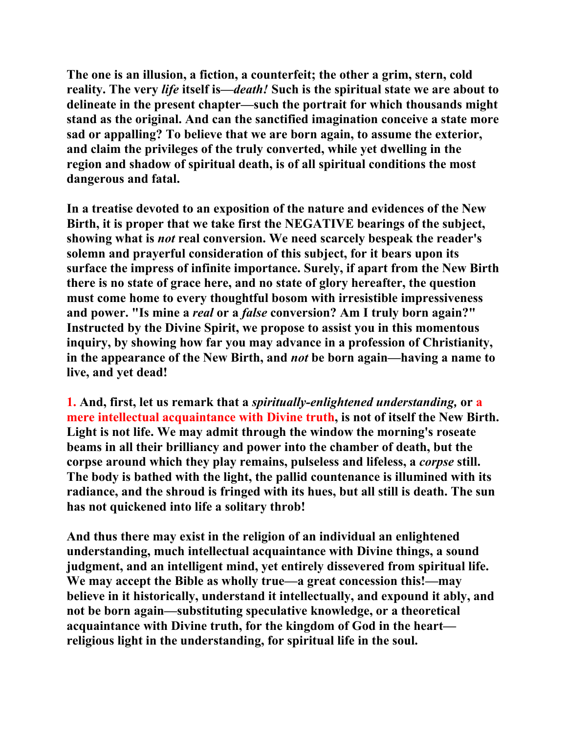**The one is an illusion, a fiction, a counterfeit; the other a grim, stern, cold reality. The very** *life* **itself is—***death!* **Such is the spiritual state we are about to delineate in the present chapter—such the portrait for which thousands might stand as the original. And can the sanctified imagination conceive a state more sad or appalling? To believe that we are born again, to assume the exterior, and claim the privileges of the truly converted, while yet dwelling in the region and shadow of spiritual death, is of all spiritual conditions the most dangerous and fatal.** 

**In a treatise devoted to an exposition of the nature and evidences of the New Birth, it is proper that we take first the NEGATIVE bearings of the subject, showing what is** *not* **real conversion. We need scarcely bespeak the reader's solemn and prayerful consideration of this subject, for it bears upon its surface the impress of infinite importance. Surely, if apart from the New Birth there is no state of grace here, and no state of glory hereafter, the question must come home to every thoughtful bosom with irresistible impressiveness and power. "Is mine a** *real* **or a** *false* **conversion? Am I truly born again?" Instructed by the Divine Spirit, we propose to assist you in this momentous inquiry, by showing how far you may advance in a profession of Christianity, in the appearance of the New Birth, and** *not* **be born again—having a name to live, and yet dead!** 

**1. And, first, let us remark that a** *spiritually-enlightened understanding,* **or a mere intellectual acquaintance with Divine truth, is not of itself the New Birth. Light is not life. We may admit through the window the morning's roseate beams in all their brilliancy and power into the chamber of death, but the corpse around which they play remains, pulseless and lifeless, a** *corpse* **still. The body is bathed with the light, the pallid countenance is illumined with its radiance, and the shroud is fringed with its hues, but all still is death. The sun has not quickened into life a solitary throb!** 

**And thus there may exist in the religion of an individual an enlightened understanding, much intellectual acquaintance with Divine things, a sound judgment, and an intelligent mind, yet entirely dissevered from spiritual life. We may accept the Bible as wholly true—a great concession this!—may believe in it historically, understand it intellectually, and expound it ably, and not be born again—substituting speculative knowledge, or a theoretical acquaintance with Divine truth, for the kingdom of God in the heart religious light in the understanding, for spiritual life in the soul.**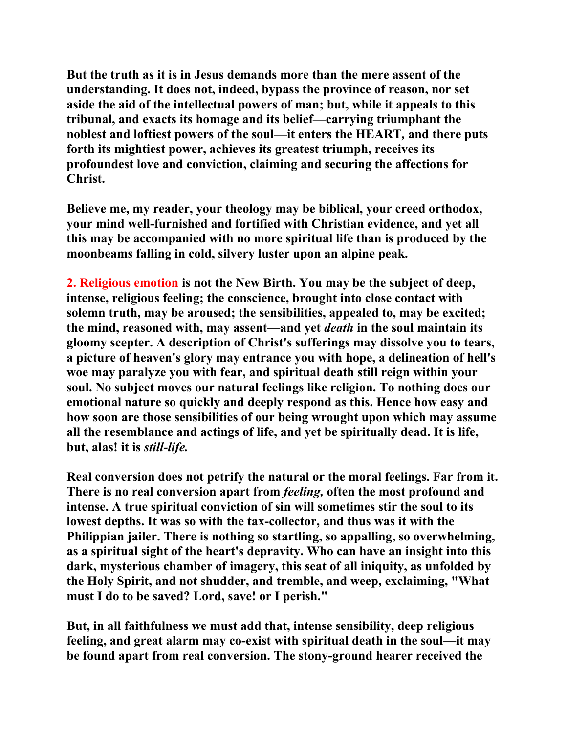**But the truth as it is in Jesus demands more than the mere assent of the understanding. It does not, indeed, bypass the province of reason, nor set aside the aid of the intellectual powers of man; but, while it appeals to this tribunal, and exacts its homage and its belief—carrying triumphant the noblest and loftiest powers of the soul—it enters the HEART***,* **and there puts forth its mightiest power, achieves its greatest triumph, receives its profoundest love and conviction, claiming and securing the affections for Christ.** 

**Believe me, my reader, your theology may be biblical, your creed orthodox, your mind well-furnished and fortified with Christian evidence, and yet all this may be accompanied with no more spiritual life than is produced by the moonbeams falling in cold, silvery luster upon an alpine peak.** 

**2. Religious emotion is not the New Birth. You may be the subject of deep, intense, religious feeling; the conscience, brought into close contact with solemn truth, may be aroused; the sensibilities, appealed to, may be excited; the mind, reasoned with, may assent—and yet** *death* **in the soul maintain its gloomy scepter. A description of Christ's sufferings may dissolve you to tears, a picture of heaven's glory may entrance you with hope, a delineation of hell's woe may paralyze you with fear, and spiritual death still reign within your soul. No subject moves our natural feelings like religion. To nothing does our emotional nature so quickly and deeply respond as this. Hence how easy and how soon are those sensibilities of our being wrought upon which may assume all the resemblance and actings of life, and yet be spiritually dead. It is life, but, alas! it is** *still-life.* 

**Real conversion does not petrify the natural or the moral feelings. Far from it. There is no real conversion apart from** *feeling,* **often the most profound and intense. A true spiritual conviction of sin will sometimes stir the soul to its lowest depths. It was so with the tax-collector, and thus was it with the Philippian jailer. There is nothing so startling, so appalling, so overwhelming, as a spiritual sight of the heart's depravity. Who can have an insight into this dark, mysterious chamber of imagery, this seat of all iniquity, as unfolded by the Holy Spirit, and not shudder, and tremble, and weep, exclaiming, "What must I do to be saved? Lord, save! or I perish."** 

**But, in all faithfulness we must add that, intense sensibility, deep religious feeling, and great alarm may co-exist with spiritual death in the soul—it may be found apart from real conversion. The stony-ground hearer received the**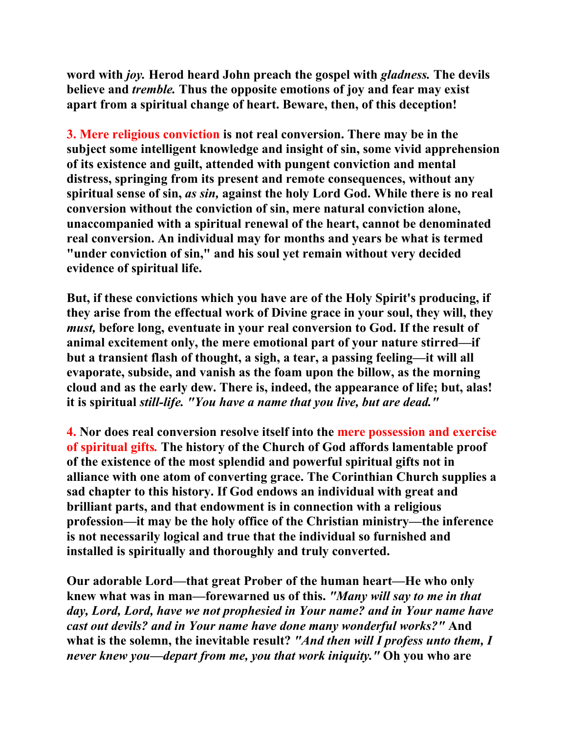**word with** *joy.* **Herod heard John preach the gospel with** *gladness.* **The devils believe and** *tremble.* **Thus the opposite emotions of joy and fear may exist apart from a spiritual change of heart. Beware, then, of this deception!** 

**3. Mere religious conviction is not real conversion. There may be in the subject some intelligent knowledge and insight of sin, some vivid apprehension of its existence and guilt, attended with pungent conviction and mental distress, springing from its present and remote consequences, without any spiritual sense of sin,** *as sin,* **against the holy Lord God. While there is no real conversion without the conviction of sin, mere natural conviction alone, unaccompanied with a spiritual renewal of the heart, cannot be denominated real conversion. An individual may for months and years be what is termed "under conviction of sin," and his soul yet remain without very decided evidence of spiritual life.** 

**But, if these convictions which you have are of the Holy Spirit's producing, if they arise from the effectual work of Divine grace in your soul, they will, they** *must,* **before long, eventuate in your real conversion to God. If the result of animal excitement only, the mere emotional part of your nature stirred—if but a transient flash of thought, a sigh, a tear, a passing feeling—it will all evaporate, subside, and vanish as the foam upon the billow, as the morning cloud and as the early dew. There is, indeed, the appearance of life; but, alas! it is spiritual** *still-life. "You have a name that you live, but are dead."* 

**4. Nor does real conversion resolve itself into the mere possession and exercise of spiritual gifts***.* **The history of the Church of God affords lamentable proof of the existence of the most splendid and powerful spiritual gifts not in alliance with one atom of converting grace. The Corinthian Church supplies a sad chapter to this history. If God endows an individual with great and brilliant parts, and that endowment is in connection with a religious profession—it may be the holy office of the Christian ministry—the inference is not necessarily logical and true that the individual so furnished and installed is spiritually and thoroughly and truly converted.** 

**Our adorable Lord—that great Prober of the human heart—He who only knew what was in man—forewarned us of this.** *"Many will say to me in that day, Lord, Lord, have we not prophesied in Your name? and in Your name have cast out devils? and in Your name have done many wonderful works?"* **And what is the solemn, the inevitable result?** *"And then will I profess unto them, I never knew you—depart from me, you that work iniquity."* **Oh you who are**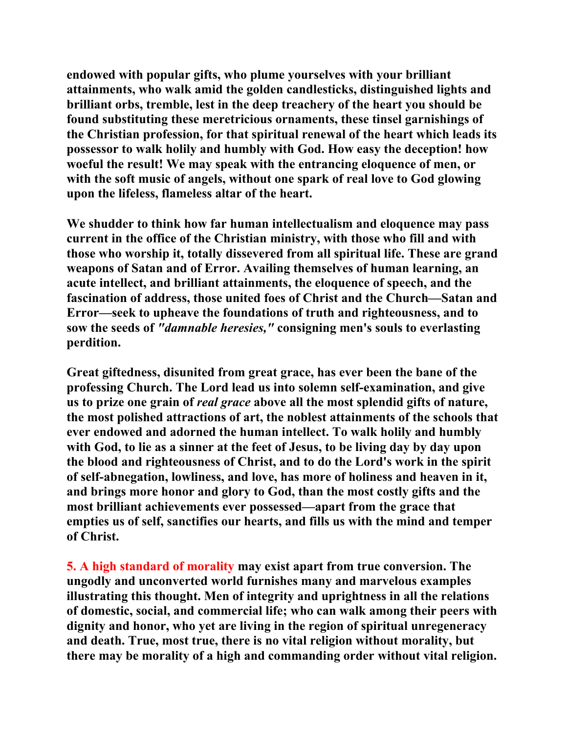**endowed with popular gifts, who plume yourselves with your brilliant attainments, who walk amid the golden candlesticks, distinguished lights and brilliant orbs, tremble, lest in the deep treachery of the heart you should be found substituting these meretricious ornaments, these tinsel garnishings of the Christian profession, for that spiritual renewal of the heart which leads its possessor to walk holily and humbly with God. How easy the deception! how woeful the result! We may speak with the entrancing eloquence of men, or with the soft music of angels, without one spark of real love to God glowing upon the lifeless, flameless altar of the heart.** 

**We shudder to think how far human intellectualism and eloquence may pass current in the office of the Christian ministry, with those who fill and with those who worship it, totally dissevered from all spiritual life. These are grand weapons of Satan and of Error. Availing themselves of human learning, an acute intellect, and brilliant attainments, the eloquence of speech, and the fascination of address, those united foes of Christ and the Church—Satan and Error—seek to upheave the foundations of truth and righteousness, and to sow the seeds of** *"damnable heresies,"* **consigning men's souls to everlasting perdition.** 

**Great giftedness, disunited from great grace, has ever been the bane of the professing Church. The Lord lead us into solemn self-examination, and give us to prize one grain of** *real grace* **above all the most splendid gifts of nature, the most polished attractions of art, the noblest attainments of the schools that ever endowed and adorned the human intellect. To walk holily and humbly with God, to lie as a sinner at the feet of Jesus, to be living day by day upon the blood and righteousness of Christ, and to do the Lord's work in the spirit of self-abnegation, lowliness, and love, has more of holiness and heaven in it, and brings more honor and glory to God, than the most costly gifts and the most brilliant achievements ever possessed—apart from the grace that empties us of self, sanctifies our hearts, and fills us with the mind and temper of Christ.** 

**5. A high standard of morality may exist apart from true conversion. The ungodly and unconverted world furnishes many and marvelous examples illustrating this thought. Men of integrity and uprightness in all the relations of domestic, social, and commercial life; who can walk among their peers with dignity and honor, who yet are living in the region of spiritual unregeneracy and death. True, most true, there is no vital religion without morality, but there may be morality of a high and commanding order without vital religion.**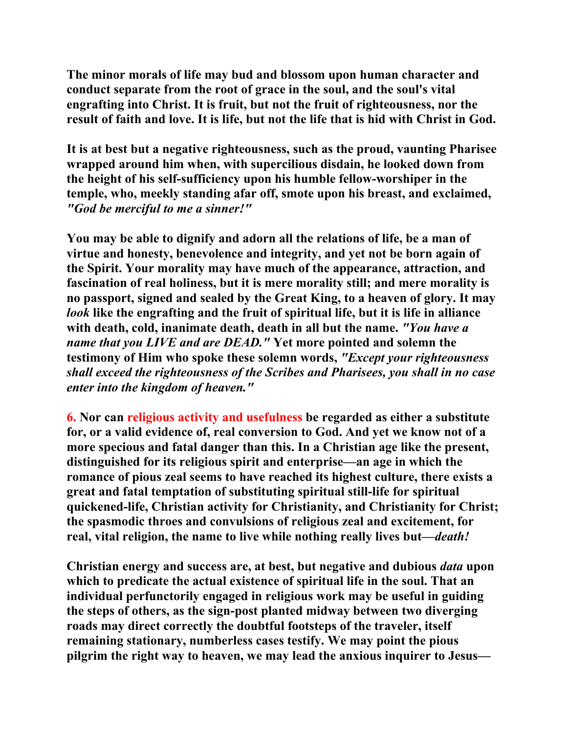**The minor morals of life may bud and blossom upon human character and conduct separate from the root of grace in the soul, and the soul's vital engrafting into Christ. It is fruit, but not the fruit of righteousness, nor the result of faith and love. It is life, but not the life that is hid with Christ in God.** 

**It is at best but a negative righteousness, such as the proud, vaunting Pharisee wrapped around him when, with supercilious disdain, he looked down from the height of his self-sufficiency upon his humble fellow-worshiper in the temple, who, meekly standing afar off, smote upon his breast, and exclaimed,**  *"God be merciful to me a sinner!"* 

**You may be able to dignify and adorn all the relations of life, be a man of virtue and honesty, benevolence and integrity, and yet not be born again of the Spirit. Your morality may have much of the appearance, attraction, and fascination of real holiness, but it is mere morality still; and mere morality is no passport, signed and sealed by the Great King, to a heaven of glory. It may**  *look* **like the engrafting and the fruit of spiritual life, but it is life in alliance with death, cold, inanimate death, death in all but the name.** *"You have a name that you LIVE and are DEAD."* **Yet more pointed and solemn the testimony of Him who spoke these solemn words,** *"Except your righteousness shall exceed the righteousness of the Scribes and Pharisees, you shall in no case enter into the kingdom of heaven."* 

**6. Nor can religious activity and usefulness be regarded as either a substitute for, or a valid evidence of, real conversion to God. And yet we know not of a more specious and fatal danger than this. In a Christian age like the present, distinguished for its religious spirit and enterprise—an age in which the romance of pious zeal seems to have reached its highest culture, there exists a great and fatal temptation of substituting spiritual still-life for spiritual quickened-life, Christian activity for Christianity, and Christianity for Christ; the spasmodic throes and convulsions of religious zeal and excitement, for real, vital religion, the name to live while nothing really lives but—***death!* 

**Christian energy and success are, at best, but negative and dubious** *data* **upon which to predicate the actual existence of spiritual life in the soul. That an individual perfunctorily engaged in religious work may be useful in guiding the steps of others, as the sign-post planted midway between two diverging roads may direct correctly the doubtful footsteps of the traveler, itself remaining stationary, numberless cases testify. We may point the pious pilgrim the right way to heaven, we may lead the anxious inquirer to Jesus—**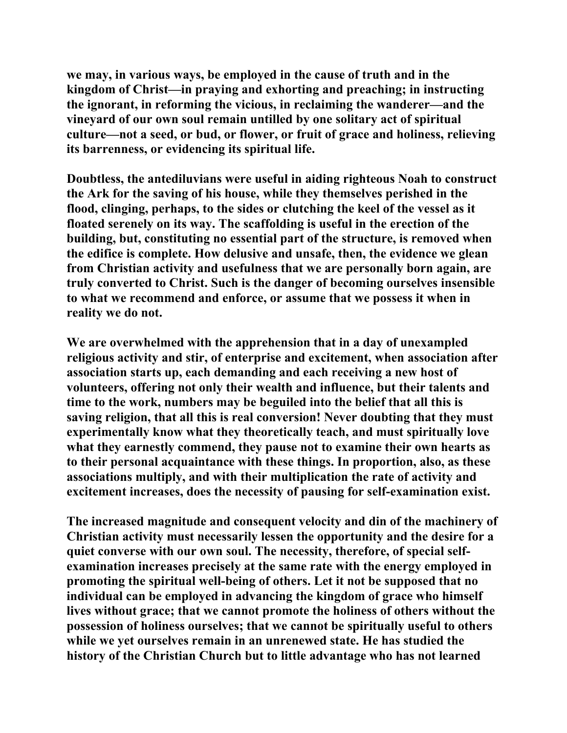**we may, in various ways, be employed in the cause of truth and in the kingdom of Christ—in praying and exhorting and preaching; in instructing the ignorant, in reforming the vicious, in reclaiming the wanderer—and the vineyard of our own soul remain untilled by one solitary act of spiritual culture—not a seed, or bud, or flower, or fruit of grace and holiness, relieving its barrenness, or evidencing its spiritual life.** 

**Doubtless, the antediluvians were useful in aiding righteous Noah to construct the Ark for the saving of his house, while they themselves perished in the flood, clinging, perhaps, to the sides or clutching the keel of the vessel as it floated serenely on its way. The scaffolding is useful in the erection of the building, but, constituting no essential part of the structure, is removed when the edifice is complete. How delusive and unsafe, then, the evidence we glean from Christian activity and usefulness that we are personally born again, are truly converted to Christ. Such is the danger of becoming ourselves insensible to what we recommend and enforce, or assume that we possess it when in reality we do not.** 

**We are overwhelmed with the apprehension that in a day of unexampled religious activity and stir, of enterprise and excitement, when association after association starts up, each demanding and each receiving a new host of volunteers, offering not only their wealth and influence, but their talents and time to the work, numbers may be beguiled into the belief that all this is saving religion, that all this is real conversion! Never doubting that they must experimentally know what they theoretically teach, and must spiritually love what they earnestly commend, they pause not to examine their own hearts as to their personal acquaintance with these things. In proportion, also, as these associations multiply, and with their multiplication the rate of activity and excitement increases, does the necessity of pausing for self-examination exist.** 

**The increased magnitude and consequent velocity and din of the machinery of Christian activity must necessarily lessen the opportunity and the desire for a quiet converse with our own soul. The necessity, therefore, of special selfexamination increases precisely at the same rate with the energy employed in promoting the spiritual well-being of others. Let it not be supposed that no individual can be employed in advancing the kingdom of grace who himself lives without grace; that we cannot promote the holiness of others without the possession of holiness ourselves; that we cannot be spiritually useful to others while we yet ourselves remain in an unrenewed state. He has studied the history of the Christian Church but to little advantage who has not learned**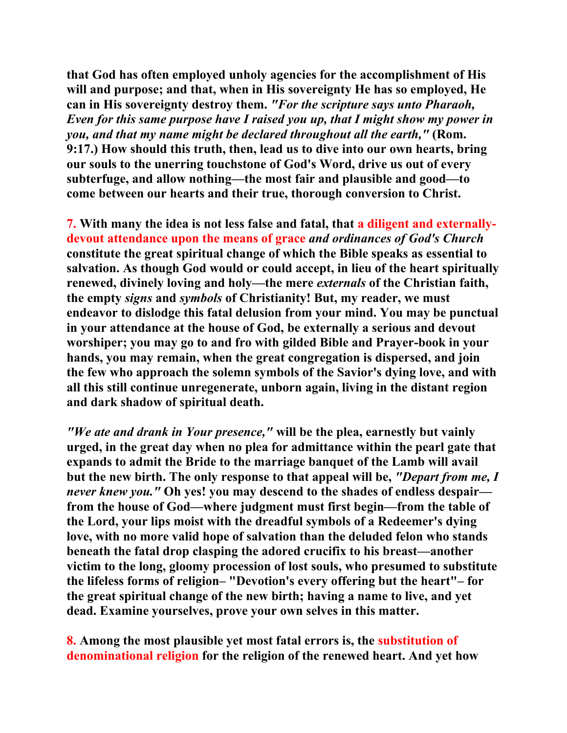**that God has often employed unholy agencies for the accomplishment of His will and purpose; and that, when in His sovereignty He has so employed, He can in His sovereignty destroy them.** *"For the scripture says unto Pharaoh, Even for this same purpose have I raised you up, that I might show my power in you, and that my name might be declared throughout all the earth,"* **(Rom. 9:17.) How should this truth, then, lead us to dive into our own hearts, bring our souls to the unerring touchstone of God's Word, drive us out of every subterfuge, and allow nothing—the most fair and plausible and good—to come between our hearts and their true, thorough conversion to Christ.** 

**7. With many the idea is not less false and fatal, that a diligent and externallydevout attendance upon the means of grace** *and ordinances of God's Church*  **constitute the great spiritual change of which the Bible speaks as essential to salvation. As though God would or could accept, in lieu of the heart spiritually renewed, divinely loving and holy—the mere** *externals* **of the Christian faith, the empty** *signs* **and** *symbols* **of Christianity! But, my reader, we must endeavor to dislodge this fatal delusion from your mind. You may be punctual in your attendance at the house of God, be externally a serious and devout worshiper; you may go to and fro with gilded Bible and Prayer-book in your hands, you may remain, when the great congregation is dispersed, and join the few who approach the solemn symbols of the Savior's dying love, and with all this still continue unregenerate, unborn again, living in the distant region and dark shadow of spiritual death.** 

*"We ate and drank in Your presence,"* **will be the plea, earnestly but vainly urged, in the great day when no plea for admittance within the pearl gate that expands to admit the Bride to the marriage banquet of the Lamb will avail but the new birth. The only response to that appeal will be,** *"Depart from me, I never knew you."* **Oh yes! you may descend to the shades of endless despair from the house of God—where judgment must first begin—from the table of the Lord, your lips moist with the dreadful symbols of a Redeemer's dying love, with no more valid hope of salvation than the deluded felon who stands beneath the fatal drop clasping the adored crucifix to his breast—another victim to the long, gloomy procession of lost souls, who presumed to substitute the lifeless forms of religion– "Devotion's every offering but the heart"– for the great spiritual change of the new birth; having a name to live, and yet dead. Examine yourselves, prove your own selves in this matter.** 

**8. Among the most plausible yet most fatal errors is, the substitution of denominational religion for the religion of the renewed heart. And yet how**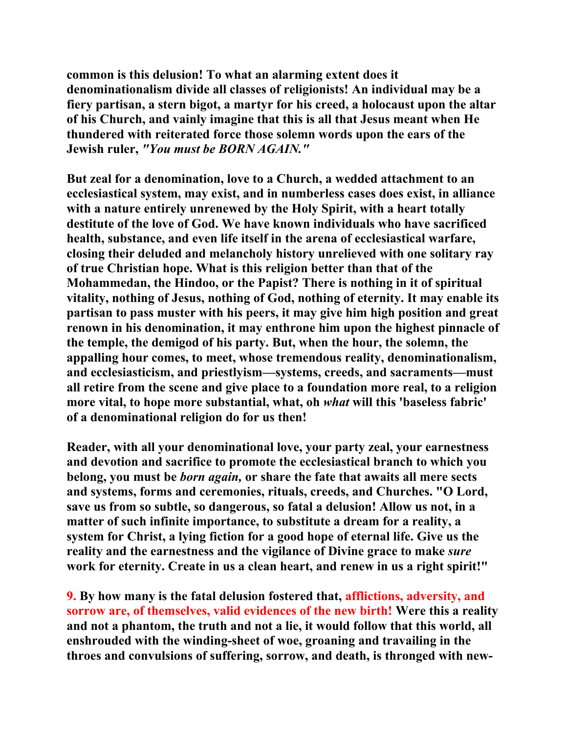**common is this delusion! To what an alarming extent does it denominationalism divide all classes of religionists! An individual may be a fiery partisan, a stern bigot, a martyr for his creed, a holocaust upon the altar of his Church, and vainly imagine that this is all that Jesus meant when He thundered with reiterated force those solemn words upon the ears of the Jewish ruler,** *"You must be BORN AGAIN."* 

**But zeal for a denomination, love to a Church, a wedded attachment to an ecclesiastical system, may exist, and in numberless cases does exist, in alliance with a nature entirely unrenewed by the Holy Spirit, with a heart totally destitute of the love of God. We have known individuals who have sacrificed health, substance, and even life itself in the arena of ecclesiastical warfare, closing their deluded and melancholy history unrelieved with one solitary ray of true Christian hope. What is this religion better than that of the Mohammedan, the Hindoo, or the Papist? There is nothing in it of spiritual vitality, nothing of Jesus, nothing of God, nothing of eternity. It may enable its partisan to pass muster with his peers, it may give him high position and great renown in his denomination, it may enthrone him upon the highest pinnacle of the temple, the demigod of his party. But, when the hour, the solemn, the appalling hour comes, to meet, whose tremendous reality, denominationalism, and ecclesiasticism, and priestlyism—systems, creeds, and sacraments—must all retire from the scene and give place to a foundation more real, to a religion more vital, to hope more substantial, what, oh** *what* **will this 'baseless fabric' of a denominational religion do for us then!** 

**Reader, with all your denominational love, your party zeal, your earnestness and devotion and sacrifice to promote the ecclesiastical branch to which you belong, you must be** *born again,* **or share the fate that awaits all mere sects and systems, forms and ceremonies, rituals, creeds, and Churches. "O Lord, save us from so subtle, so dangerous, so fatal a delusion! Allow us not, in a matter of such infinite importance, to substitute a dream for a reality, a system for Christ, a lying fiction for a good hope of eternal life. Give us the reality and the earnestness and the vigilance of Divine grace to make** *sure*  **work for eternity. Create in us a clean heart, and renew in us a right spirit!"** 

**9. By how many is the fatal delusion fostered that, afflictions, adversity, and sorrow are, of themselves, valid evidences of the new birth! Were this a reality and not a phantom, the truth and not a lie, it would follow that this world, all enshrouded with the winding-sheet of woe, groaning and travailing in the throes and convulsions of suffering, sorrow, and death, is thronged with new-**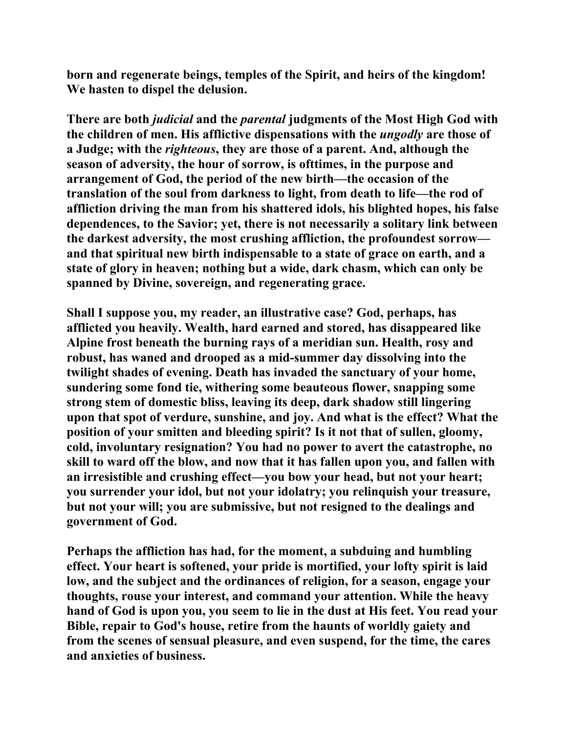**born and regenerate beings, temples of the Spirit, and heirs of the kingdom! We hasten to dispel the delusion.** 

**There are both** *judicial* **and the** *parental* **judgments of the Most High God with the children of men. His afflictive dispensations with the** *ungodly* **are those of a Judge; with the** *righteous***, they are those of a parent. And, although the season of adversity, the hour of sorrow, is ofttimes, in the purpose and arrangement of God, the period of the new birth—the occasion of the translation of the soul from darkness to light, from death to life—the rod of affliction driving the man from his shattered idols, his blighted hopes, his false dependences, to the Savior; yet, there is not necessarily a solitary link between the darkest adversity, the most crushing affliction, the profoundest sorrow and that spiritual new birth indispensable to a state of grace on earth, and a state of glory in heaven; nothing but a wide, dark chasm, which can only be spanned by Divine, sovereign, and regenerating grace.** 

**Shall I suppose you, my reader, an illustrative case? God, perhaps, has afflicted you heavily. Wealth, hard earned and stored, has disappeared like Alpine frost beneath the burning rays of a meridian sun. Health, rosy and robust, has waned and drooped as a mid-summer day dissolving into the twilight shades of evening. Death has invaded the sanctuary of your home, sundering some fond tie, withering some beauteous flower, snapping some strong stem of domestic bliss, leaving its deep, dark shadow still lingering upon that spot of verdure, sunshine, and joy. And what is the effect? What the position of your smitten and bleeding spirit? Is it not that of sullen, gloomy, cold, involuntary resignation? You had no power to avert the catastrophe, no skill to ward off the blow, and now that it has fallen upon you, and fallen with an irresistible and crushing effect—you bow your head, but not your heart; you surrender your idol, but not your idolatry; you relinquish your treasure, but not your will; you are submissive, but not resigned to the dealings and government of God.** 

**Perhaps the affliction has had, for the moment, a subduing and humbling effect. Your heart is softened, your pride is mortified, your lofty spirit is laid low, and the subject and the ordinances of religion, for a season, engage your thoughts, rouse your interest, and command your attention. While the heavy hand of God is upon you, you seem to lie in the dust at His feet. You read your Bible, repair to God's house, retire from the haunts of worldly gaiety and from the scenes of sensual pleasure, and even suspend, for the time, the cares and anxieties of business.**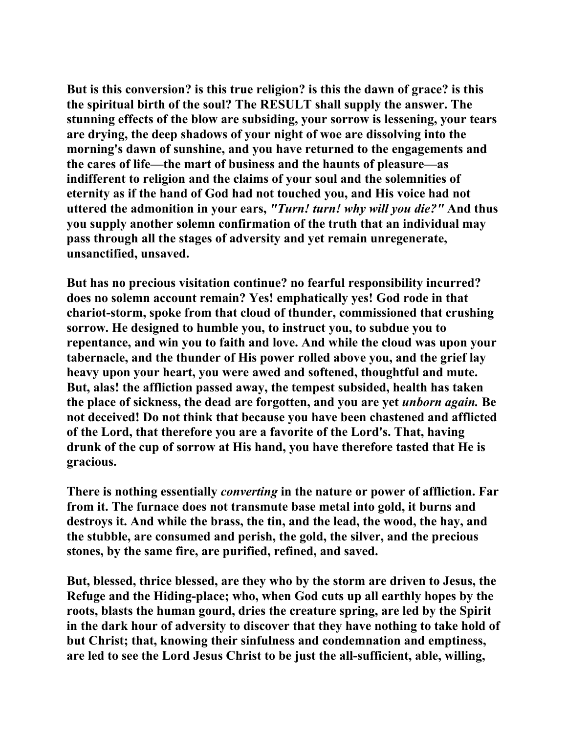**But is this conversion? is this true religion? is this the dawn of grace? is this the spiritual birth of the soul? The RESULT shall supply the answer. The stunning effects of the blow are subsiding, your sorrow is lessening, your tears are drying, the deep shadows of your night of woe are dissolving into the morning's dawn of sunshine, and you have returned to the engagements and the cares of life—the mart of business and the haunts of pleasure—as indifferent to religion and the claims of your soul and the solemnities of eternity as if the hand of God had not touched you, and His voice had not uttered the admonition in your ears,** *"Turn! turn! why will you die?"* **And thus you supply another solemn confirmation of the truth that an individual may pass through all the stages of adversity and yet remain unregenerate, unsanctified, unsaved.** 

**But has no precious visitation continue? no fearful responsibility incurred? does no solemn account remain? Yes! emphatically yes! God rode in that chariot-storm, spoke from that cloud of thunder, commissioned that crushing sorrow. He designed to humble you, to instruct you, to subdue you to repentance, and win you to faith and love. And while the cloud was upon your tabernacle, and the thunder of His power rolled above you, and the grief lay heavy upon your heart, you were awed and softened, thoughtful and mute. But, alas! the affliction passed away, the tempest subsided, health has taken the place of sickness, the dead are forgotten, and you are yet** *unborn again.* **Be not deceived! Do not think that because you have been chastened and afflicted of the Lord, that therefore you are a favorite of the Lord's. That, having drunk of the cup of sorrow at His hand, you have therefore tasted that He is gracious.** 

**There is nothing essentially** *converting* **in the nature or power of affliction. Far from it. The furnace does not transmute base metal into gold, it burns and destroys it. And while the brass, the tin, and the lead, the wood, the hay, and the stubble, are consumed and perish, the gold, the silver, and the precious stones, by the same fire, are purified, refined, and saved.** 

**But, blessed, thrice blessed, are they who by the storm are driven to Jesus, the Refuge and the Hiding-place; who, when God cuts up all earthly hopes by the roots, blasts the human gourd, dries the creature spring, are led by the Spirit in the dark hour of adversity to discover that they have nothing to take hold of but Christ; that, knowing their sinfulness and condemnation and emptiness, are led to see the Lord Jesus Christ to be just the all-sufficient, able, willing,**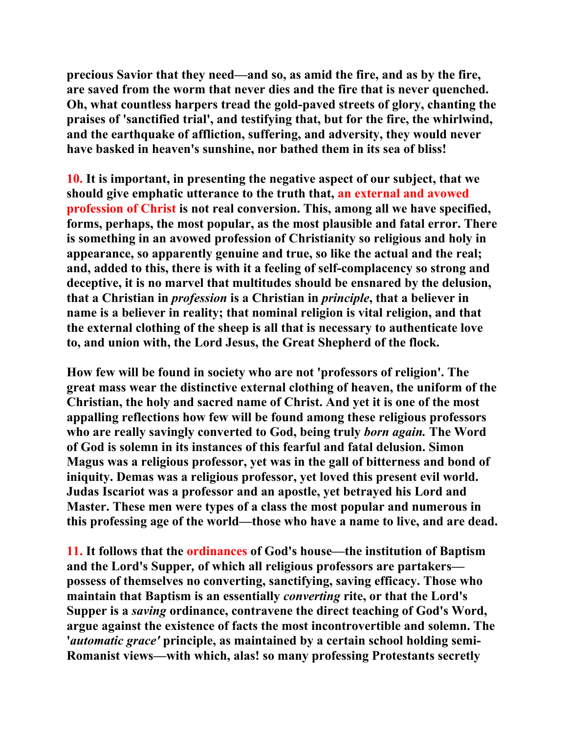**precious Savior that they need—and so, as amid the fire, and as by the fire, are saved from the worm that never dies and the fire that is never quenched. Oh, what countless harpers tread the gold-paved streets of glory, chanting the praises of 'sanctified trial', and testifying that, but for the fire, the whirlwind, and the earthquake of affliction, suffering, and adversity, they would never have basked in heaven's sunshine, nor bathed them in its sea of bliss!** 

**10. It is important, in presenting the negative aspect of our subject, that we should give emphatic utterance to the truth that, an external and avowed profession of Christ is not real conversion. This, among all we have specified, forms, perhaps, the most popular, as the most plausible and fatal error. There is something in an avowed profession of Christianity so religious and holy in appearance, so apparently genuine and true, so like the actual and the real; and, added to this, there is with it a feeling of self-complacency so strong and deceptive, it is no marvel that multitudes should be ensnared by the delusion, that a Christian in** *profession* **is a Christian in** *principle***, that a believer in name is a believer in reality; that nominal religion is vital religion, and that the external clothing of the sheep is all that is necessary to authenticate love to, and union with, the Lord Jesus, the Great Shepherd of the flock.** 

**How few will be found in society who are not 'professors of religion'. The great mass wear the distinctive external clothing of heaven, the uniform of the Christian, the holy and sacred name of Christ. And yet it is one of the most appalling reflections how few will be found among these religious professors who are really savingly converted to God, being truly** *born again.* **The Word of God is solemn in its instances of this fearful and fatal delusion. Simon Magus was a religious professor, yet was in the gall of bitterness and bond of iniquity. Demas was a religious professor, yet loved this present evil world. Judas Iscariot was a professor and an apostle, yet betrayed his Lord and Master. These men were types of a class the most popular and numerous in this professing age of the world—those who have a name to live, and are dead.** 

**11. It follows that the ordinances of God's house—the institution of Baptism and the Lord's Supper***,* **of which all religious professors are partakers possess of themselves no converting, sanctifying, saving efficacy. Those who maintain that Baptism is an essentially** *converting* **rite, or that the Lord's Supper is a** *saving* **ordinance, contravene the direct teaching of God's Word, argue against the existence of facts the most incontrovertible and solemn. The '***automatic grace'* **principle, as maintained by a certain school holding semi-Romanist views—with which, alas! so many professing Protestants secretly**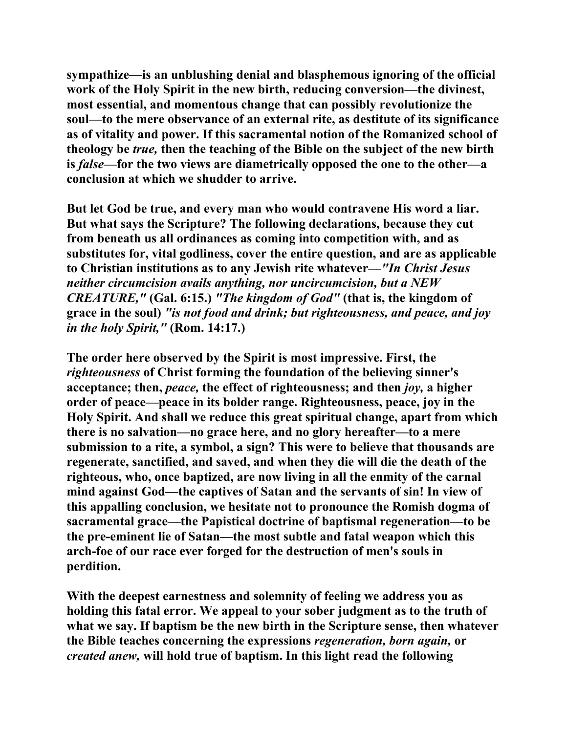**sympathize—is an unblushing denial and blasphemous ignoring of the official work of the Holy Spirit in the new birth, reducing conversion—the divinest, most essential, and momentous change that can possibly revolutionize the soul—to the mere observance of an external rite, as destitute of its significance as of vitality and power. If this sacramental notion of the Romanized school of theology be** *true,* **then the teaching of the Bible on the subject of the new birth is** *false***—for the two views are diametrically opposed the one to the other—a conclusion at which we shudder to arrive.** 

**But let God be true, and every man who would contravene His word a liar. But what says the Scripture? The following declarations, because they cut from beneath us all ordinances as coming into competition with, and as substitutes for, vital godliness, cover the entire question, and are as applicable to Christian institutions as to any Jewish rite whatever—***"In Christ Jesus neither circumcision avails anything, nor uncircumcision, but a NEW CREATURE,"* **(Gal. 6:15.)** *"The kingdom of God"* **(that is, the kingdom of grace in the soul)** *"is not food and drink; but righteousness, and peace, and joy in the holy Spirit,"* **(Rom. 14:17.)** 

**The order here observed by the Spirit is most impressive. First, the**  *righteousness* **of Christ forming the foundation of the believing sinner's acceptance; then,** *peace,* **the effect of righteousness; and then** *joy,* **a higher order of peace—peace in its bolder range. Righteousness, peace, joy in the Holy Spirit. And shall we reduce this great spiritual change, apart from which there is no salvation—no grace here, and no glory hereafter—to a mere submission to a rite, a symbol, a sign? This were to believe that thousands are regenerate, sanctified, and saved, and when they die will die the death of the righteous, who, once baptized, are now living in all the enmity of the carnal mind against God—the captives of Satan and the servants of sin! In view of this appalling conclusion, we hesitate not to pronounce the Romish dogma of sacramental grace—the Papistical doctrine of baptismal regeneration—to be the pre-eminent lie of Satan—the most subtle and fatal weapon which this arch-foe of our race ever forged for the destruction of men's souls in perdition.** 

**With the deepest earnestness and solemnity of feeling we address you as holding this fatal error. We appeal to your sober judgment as to the truth of what we say. If baptism be the new birth in the Scripture sense, then whatever the Bible teaches concerning the expressions** *regeneration, born again,* **or**  *created anew,* **will hold true of baptism. In this light read the following**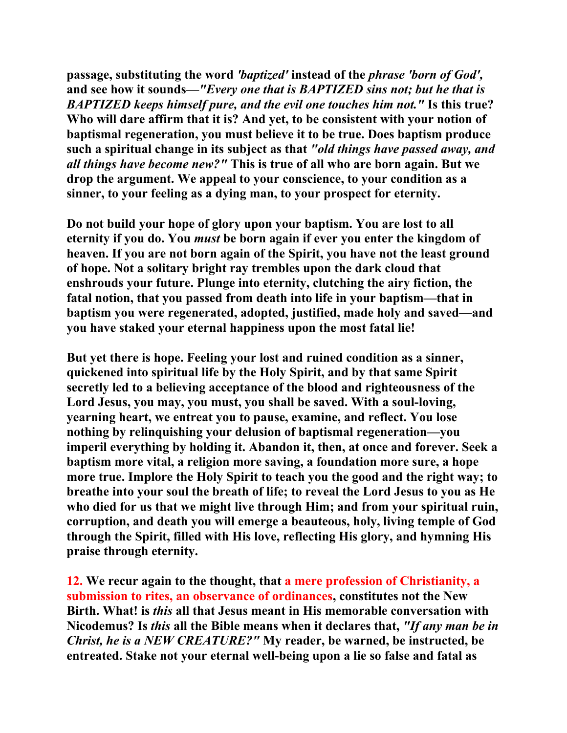**passage, substituting the word** *'baptized'* **instead of the** *phrase 'born of God',*  **and see how it sounds—***"Every one that is BAPTIZED sins not; but he that is BAPTIZED keeps himself pure, and the evil one touches him not."* **Is this true? Who will dare affirm that it is? And yet, to be consistent with your notion of baptismal regeneration, you must believe it to be true. Does baptism produce such a spiritual change in its subject as that** *"old things have passed away, and all things have become new?"* **This is true of all who are born again. But we drop the argument. We appeal to your conscience, to your condition as a sinner, to your feeling as a dying man, to your prospect for eternity.** 

**Do not build your hope of glory upon your baptism. You are lost to all eternity if you do. You** *must* **be born again if ever you enter the kingdom of heaven. If you are not born again of the Spirit, you have not the least ground of hope. Not a solitary bright ray trembles upon the dark cloud that enshrouds your future. Plunge into eternity, clutching the airy fiction, the fatal notion, that you passed from death into life in your baptism—that in baptism you were regenerated, adopted, justified, made holy and saved—and you have staked your eternal happiness upon the most fatal lie!** 

**But yet there is hope. Feeling your lost and ruined condition as a sinner, quickened into spiritual life by the Holy Spirit, and by that same Spirit secretly led to a believing acceptance of the blood and righteousness of the Lord Jesus, you may, you must, you shall be saved. With a soul-loving, yearning heart, we entreat you to pause, examine, and reflect. You lose nothing by relinquishing your delusion of baptismal regeneration—you imperil everything by holding it. Abandon it, then, at once and forever. Seek a baptism more vital, a religion more saving, a foundation more sure, a hope more true. Implore the Holy Spirit to teach you the good and the right way; to breathe into your soul the breath of life; to reveal the Lord Jesus to you as He who died for us that we might live through Him; and from your spiritual ruin, corruption, and death you will emerge a beauteous, holy, living temple of God through the Spirit, filled with His love, reflecting His glory, and hymning His praise through eternity.** 

**12. We recur again to the thought, that a mere profession of Christianity, a submission to rites, an observance of ordinances, constitutes not the New Birth. What! is** *this* **all that Jesus meant in His memorable conversation with Nicodemus? Is** *this* **all the Bible means when it declares that,** *"If any man be in Christ, he is a NEW CREATURE?"* **My reader, be warned, be instructed, be entreated. Stake not your eternal well-being upon a lie so false and fatal as**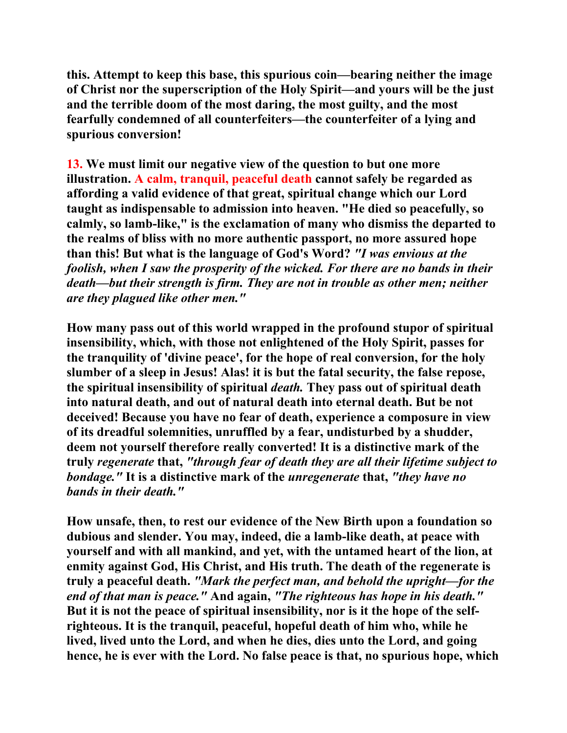**this. Attempt to keep this base, this spurious coin—bearing neither the image of Christ nor the superscription of the Holy Spirit—and yours will be the just and the terrible doom of the most daring, the most guilty, and the most fearfully condemned of all counterfeiters—the counterfeiter of a lying and spurious conversion!** 

**13. We must limit our negative view of the question to but one more illustration. A calm, tranquil, peaceful death cannot safely be regarded as affording a valid evidence of that great, spiritual change which our Lord taught as indispensable to admission into heaven. "He died so peacefully, so calmly, so lamb-like," is the exclamation of many who dismiss the departed to the realms of bliss with no more authentic passport, no more assured hope than this! But what is the language of God's Word?** *"I was envious at the foolish, when I saw the prosperity of the wicked. For there are no bands in their death—but their strength is firm. They are not in trouble as other men; neither are they plagued like other men."* 

**How many pass out of this world wrapped in the profound stupor of spiritual insensibility, which, with those not enlightened of the Holy Spirit, passes for the tranquility of 'divine peace', for the hope of real conversion, for the holy slumber of a sleep in Jesus! Alas! it is but the fatal security, the false repose, the spiritual insensibility of spiritual** *death.* **They pass out of spiritual death into natural death, and out of natural death into eternal death. But be not deceived! Because you have no fear of death, experience a composure in view of its dreadful solemnities, unruffled by a fear, undisturbed by a shudder, deem not yourself therefore really converted! It is a distinctive mark of the truly** *regenerate* **that,** *"through fear of death they are all their lifetime subject to bondage."* **It is a distinctive mark of the** *unregenerate* **that,** *"they have no bands in their death."* 

**How unsafe, then, to rest our evidence of the New Birth upon a foundation so dubious and slender. You may, indeed, die a lamb-like death, at peace with yourself and with all mankind, and yet, with the untamed heart of the lion, at enmity against God, His Christ, and His truth. The death of the regenerate is truly a peaceful death.** *"Mark the perfect man, and behold the upright—for the end of that man is peace."* **And again,** *"The righteous has hope in his death."*  **But it is not the peace of spiritual insensibility, nor is it the hope of the selfrighteous. It is the tranquil, peaceful, hopeful death of him who, while he lived, lived unto the Lord, and when he dies, dies unto the Lord, and going hence, he is ever with the Lord. No false peace is that, no spurious hope, which**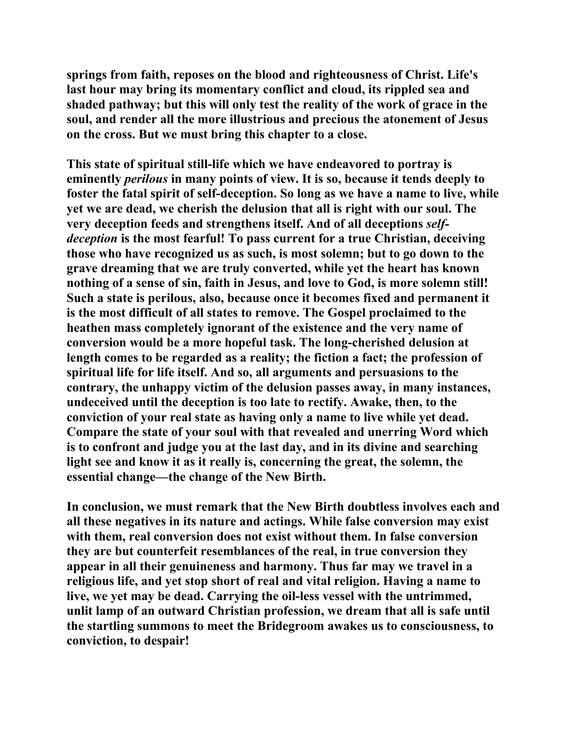**springs from faith, reposes on the blood and righteousness of Christ. Life's last hour may bring its momentary conflict and cloud, its rippled sea and shaded pathway; but this will only test the reality of the work of grace in the soul, and render all the more illustrious and precious the atonement of Jesus on the cross. But we must bring this chapter to a close.** 

**This state of spiritual still-life which we have endeavored to portray is eminently** *perilous* **in many points of view. It is so, because it tends deeply to foster the fatal spirit of self-deception. So long as we have a name to live, while yet we are dead, we cherish the delusion that all is right with our soul. The very deception feeds and strengthens itself. And of all deceptions** *selfdeception* **is the most fearful! To pass current for a true Christian, deceiving those who have recognized us as such, is most solemn; but to go down to the grave dreaming that we are truly converted, while yet the heart has known nothing of a sense of sin, faith in Jesus, and love to God, is more solemn still! Such a state is perilous, also, because once it becomes fixed and permanent it is the most difficult of all states to remove. The Gospel proclaimed to the heathen mass completely ignorant of the existence and the very name of conversion would be a more hopeful task. The long-cherished delusion at length comes to be regarded as a reality; the fiction a fact; the profession of spiritual life for life itself. And so, all arguments and persuasions to the contrary, the unhappy victim of the delusion passes away, in many instances, undeceived until the deception is too late to rectify. Awake, then, to the conviction of your real state as having only a name to live while yet dead. Compare the state of your soul with that revealed and unerring Word which is to confront and judge you at the last day, and in its divine and searching light see and know it as it really is, concerning the great, the solemn, the essential change—the change of the New Birth.** 

**In conclusion, we must remark that the New Birth doubtless involves each and all these negatives in its nature and actings. While false conversion may exist with them, real conversion does not exist without them. In false conversion they are but counterfeit resemblances of the real, in true conversion they appear in all their genuineness and harmony. Thus far may we travel in a religious life, and yet stop short of real and vital religion. Having a name to live, we yet may be dead. Carrying the oil-less vessel with the untrimmed, unlit lamp of an outward Christian profession, we dream that all is safe until the startling summons to meet the Bridegroom awakes us to consciousness, to conviction, to despair!**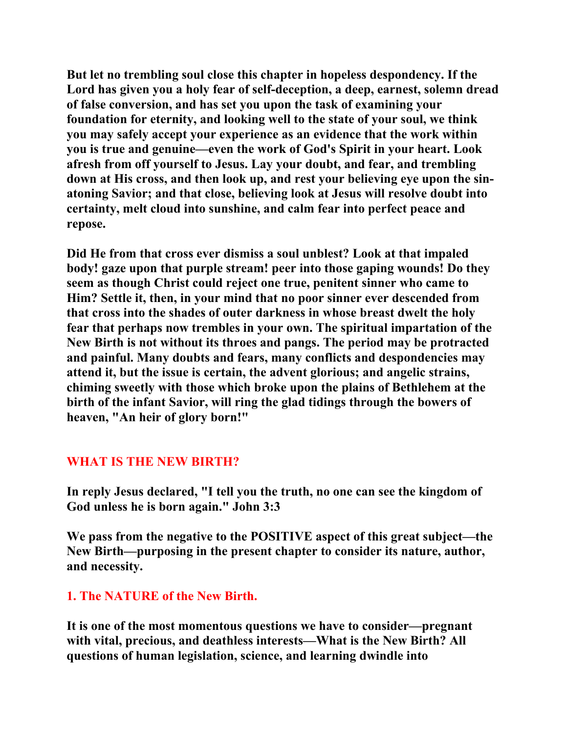**But let no trembling soul close this chapter in hopeless despondency. If the Lord has given you a holy fear of self-deception, a deep, earnest, solemn dread of false conversion, and has set you upon the task of examining your foundation for eternity, and looking well to the state of your soul, we think you may safely accept your experience as an evidence that the work within you is true and genuine—even the work of God's Spirit in your heart. Look afresh from off yourself to Jesus. Lay your doubt, and fear, and trembling down at His cross, and then look up, and rest your believing eye upon the sinatoning Savior; and that close, believing look at Jesus will resolve doubt into certainty, melt cloud into sunshine, and calm fear into perfect peace and repose.** 

**Did He from that cross ever dismiss a soul unblest? Look at that impaled body! gaze upon that purple stream! peer into those gaping wounds! Do they seem as though Christ could reject one true, penitent sinner who came to Him? Settle it, then, in your mind that no poor sinner ever descended from that cross into the shades of outer darkness in whose breast dwelt the holy fear that perhaps now trembles in your own. The spiritual impartation of the New Birth is not without its throes and pangs. The period may be protracted and painful. Many doubts and fears, many conflicts and despondencies may attend it, but the issue is certain, the advent glorious; and angelic strains, chiming sweetly with those which broke upon the plains of Bethlehem at the birth of the infant Savior, will ring the glad tidings through the bowers of heaven, "An heir of glory born!"** 

# **WHAT IS THE NEW BIRTH?**

**In reply Jesus declared, "I tell you the truth, no one can see the kingdom of God unless he is born again." John 3:3** 

**We pass from the negative to the POSITIVE aspect of this great subject—the New Birth—purposing in the present chapter to consider its nature, author, and necessity.** 

#### **1. The NATURE of the New Birth.**

**It is one of the most momentous questions we have to consider—pregnant with vital, precious, and deathless interests—What is the New Birth? All questions of human legislation, science, and learning dwindle into**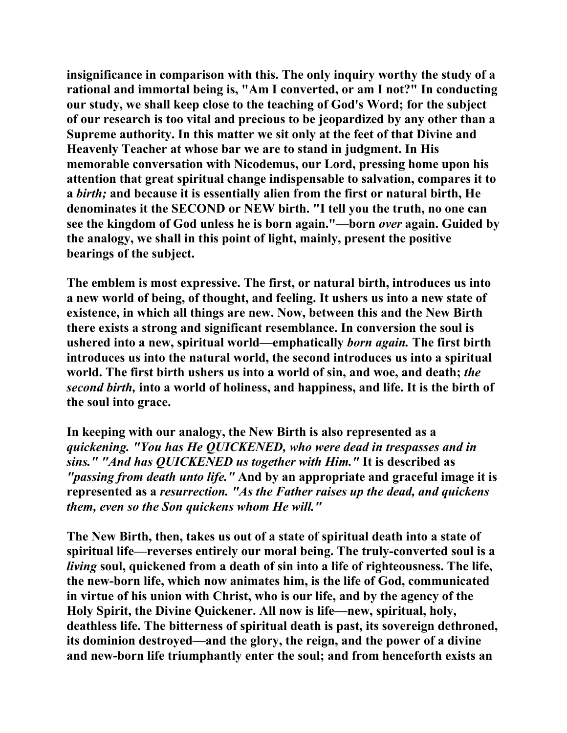**insignificance in comparison with this. The only inquiry worthy the study of a rational and immortal being is, "Am I converted, or am I not?" In conducting our study, we shall keep close to the teaching of God's Word; for the subject of our research is too vital and precious to be jeopardized by any other than a Supreme authority. In this matter we sit only at the feet of that Divine and Heavenly Teacher at whose bar we are to stand in judgment. In His memorable conversation with Nicodemus, our Lord, pressing home upon his attention that great spiritual change indispensable to salvation, compares it to a** *birth;* **and because it is essentially alien from the first or natural birth, He denominates it the SECOND or NEW birth. "I tell you the truth, no one can see the kingdom of God unless he is born again."—born** *over* **again. Guided by the analogy, we shall in this point of light, mainly, present the positive bearings of the subject.** 

**The emblem is most expressive. The first, or natural birth, introduces us into a new world of being, of thought, and feeling. It ushers us into a new state of existence, in which all things are new. Now, between this and the New Birth there exists a strong and significant resemblance. In conversion the soul is ushered into a new, spiritual world—emphatically** *born again.* **The first birth introduces us into the natural world, the second introduces us into a spiritual world. The first birth ushers us into a world of sin, and woe, and death;** *the second birth,* **into a world of holiness, and happiness, and life. It is the birth of the soul into grace.** 

**In keeping with our analogy, the New Birth is also represented as a** *quickening. "You has He QUICKENED, who were dead in trespasses and in sins." "And has QUICKENED us together with Him."* **It is described as**  *"passing from death unto life."* **And by an appropriate and graceful image it is represented as a** *resurrection. "As the Father raises up the dead, and quickens them, even so the Son quickens whom He will."* 

**The New Birth, then, takes us out of a state of spiritual death into a state of spiritual life—reverses entirely our moral being. The truly-converted soul is a**  *living* **soul, quickened from a death of sin into a life of righteousness. The life, the new-born life, which now animates him, is the life of God, communicated in virtue of his union with Christ, who is our life, and by the agency of the Holy Spirit, the Divine Quickener. All now is life—new, spiritual, holy, deathless life. The bitterness of spiritual death is past, its sovereign dethroned, its dominion destroyed—and the glory, the reign, and the power of a divine and new-born life triumphantly enter the soul; and from henceforth exists an**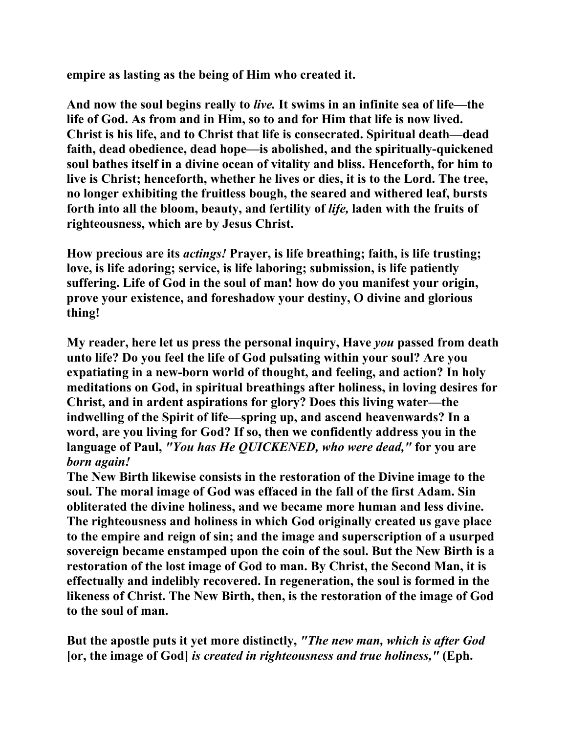**empire as lasting as the being of Him who created it.** 

**And now the soul begins really to** *live.* **It swims in an infinite sea of life—the life of God. As from and in Him, so to and for Him that life is now lived. Christ is his life, and to Christ that life is consecrated. Spiritual death—dead faith, dead obedience, dead hope—is abolished, and the spiritually-quickened soul bathes itself in a divine ocean of vitality and bliss. Henceforth, for him to live is Christ; henceforth, whether he lives or dies, it is to the Lord. The tree, no longer exhibiting the fruitless bough, the seared and withered leaf, bursts forth into all the bloom, beauty, and fertility of** *life,* **laden with the fruits of righteousness, which are by Jesus Christ.** 

**How precious are its** *actings!* **Prayer, is life breathing; faith, is life trusting; love, is life adoring; service, is life laboring; submission, is life patiently suffering. Life of God in the soul of man! how do you manifest your origin, prove your existence, and foreshadow your destiny, O divine and glorious thing!** 

**My reader, here let us press the personal inquiry, Have** *you* **passed from death unto life? Do you feel the life of God pulsating within your soul? Are you expatiating in a new-born world of thought, and feeling, and action? In holy meditations on God, in spiritual breathings after holiness, in loving desires for Christ, and in ardent aspirations for glory? Does this living water—the indwelling of the Spirit of life—spring up, and ascend heavenwards? In a word, are you living for God? If so, then we confidently address you in the language of Paul,** *"You has He QUICKENED, who were dead,"* **for you are**  *born again!* 

**The New Birth likewise consists in the restoration of the Divine image to the soul. The moral image of God was effaced in the fall of the first Adam. Sin obliterated the divine holiness, and we became more human and less divine. The righteousness and holiness in which God originally created us gave place to the empire and reign of sin; and the image and superscription of a usurped sovereign became enstamped upon the coin of the soul. But the New Birth is a restoration of the lost image of God to man. By Christ, the Second Man, it is effectually and indelibly recovered. In regeneration, the soul is formed in the likeness of Christ. The New Birth, then, is the restoration of the image of God to the soul of man.** 

**But the apostle puts it yet more distinctly,** *"The new man, which is after God*  **[or, the image of God]** *is created in righteousness and true holiness,"* **(Eph.**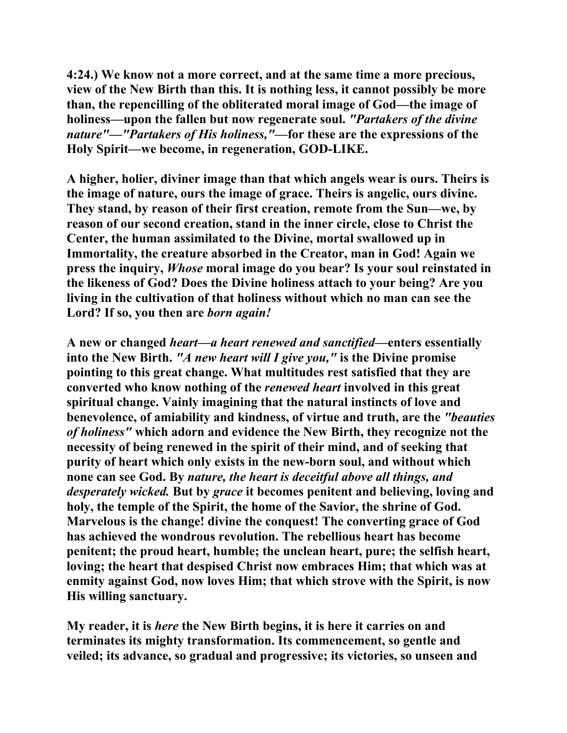**4:24.) We know not a more correct, and at the same time a more precious, view of the New Birth than this. It is nothing less, it cannot possibly be more than, the repencilling of the obliterated moral image of God—the image of holiness—upon the fallen but now regenerate soul.** *"Partakers of the divine nature"—"Partakers of His holiness,"***—for these are the expressions of the Holy Spirit—we become, in regeneration, GOD-LIKE.** 

**A higher, holier, diviner image than that which angels wear is ours. Theirs is the image of nature, ours the image of grace. Theirs is angelic, ours divine. They stand, by reason of their first creation, remote from the Sun—we, by reason of our second creation, stand in the inner circle, close to Christ the Center, the human assimilated to the Divine, mortal swallowed up in Immortality, the creature absorbed in the Creator, man in God! Again we press the inquiry,** *Whose* **moral image do you bear? Is your soul reinstated in the likeness of God? Does the Divine holiness attach to your being? Are you living in the cultivation of that holiness without which no man can see the Lord? If so, you then are** *born again!*

**A new or changed** *heart—a heart renewed and sanctified***—enters essentially into the New Birth.** *"A new heart will I give you,"* **is the Divine promise pointing to this great change. What multitudes rest satisfied that they are converted who know nothing of the** *renewed heart* **involved in this great spiritual change. Vainly imagining that the natural instincts of love and benevolence, of amiability and kindness, of virtue and truth, are the** *"beauties of holiness"* **which adorn and evidence the New Birth, they recognize not the necessity of being renewed in the spirit of their mind, and of seeking that purity of heart which only exists in the new-born soul, and without which none can see God. By** *nature, the heart is deceitful above all things, and desperately wicked.* **But by** *grace* **it becomes penitent and believing, loving and holy, the temple of the Spirit, the home of the Savior, the shrine of God. Marvelous is the change! divine the conquest! The converting grace of God has achieved the wondrous revolution. The rebellious heart has become penitent; the proud heart, humble; the unclean heart, pure; the selfish heart, loving; the heart that despised Christ now embraces Him; that which was at enmity against God, now loves Him; that which strove with the Spirit, is now His willing sanctuary.** 

**My reader, it is** *here* **the New Birth begins, it is here it carries on and terminates its mighty transformation. Its commencement, so gentle and veiled; its advance, so gradual and progressive; its victories, so unseen and**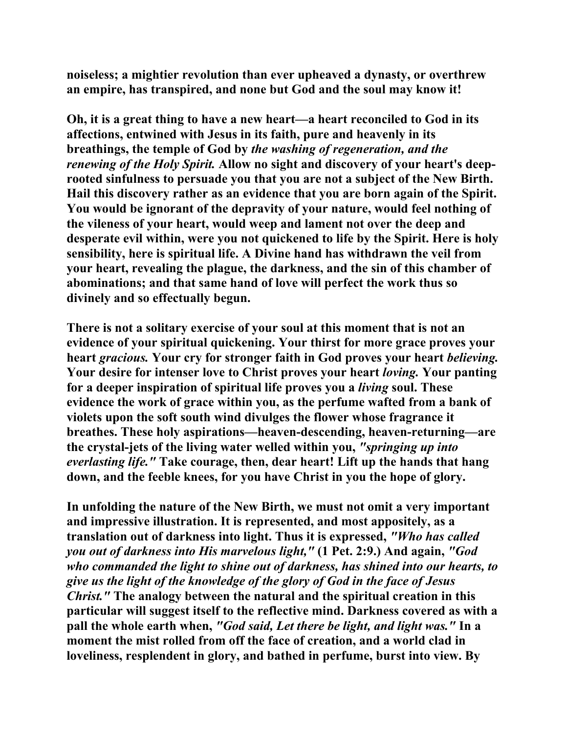**noiseless; a mightier revolution than ever upheaved a dynasty, or overthrew an empire, has transpired, and none but God and the soul may know it!** 

**Oh, it is a great thing to have a new heart—a heart reconciled to God in its affections, entwined with Jesus in its faith, pure and heavenly in its breathings, the temple of God by** *the washing of regeneration, and the renewing of the Holy Spirit.* **Allow no sight and discovery of your heart's deeprooted sinfulness to persuade you that you are not a subject of the New Birth. Hail this discovery rather as an evidence that you are born again of the Spirit. You would be ignorant of the depravity of your nature, would feel nothing of the vileness of your heart, would weep and lament not over the deep and desperate evil within, were you not quickened to life by the Spirit. Here is holy sensibility, here is spiritual life. A Divine hand has withdrawn the veil from your heart, revealing the plague, the darkness, and the sin of this chamber of abominations; and that same hand of love will perfect the work thus so divinely and so effectually begun.** 

**There is not a solitary exercise of your soul at this moment that is not an evidence of your spiritual quickening. Your thirst for more grace proves your heart** *gracious.* **Your cry for stronger faith in God proves your heart** *believing.*  **Your desire for intenser love to Christ proves your heart** *loving.* **Your panting for a deeper inspiration of spiritual life proves you a** *living* **soul. These evidence the work of grace within you, as the perfume wafted from a bank of violets upon the soft south wind divulges the flower whose fragrance it breathes. These holy aspirations—heaven-descending, heaven-returning—are the crystal-jets of the living water welled within you,** *"springing up into everlasting life."* **Take courage, then, dear heart! Lift up the hands that hang down, and the feeble knees, for you have Christ in you the hope of glory.** 

**In unfolding the nature of the New Birth, we must not omit a very important and impressive illustration. It is represented, and most appositely, as a translation out of darkness into light. Thus it is expressed,** *"Who has called you out of darkness into His marvelous light,"* **(1 Pet. 2:9.) And again,** *"God who commanded the light to shine out of darkness, has shined into our hearts, to give us the light of the knowledge of the glory of God in the face of Jesus Christ."* **The analogy between the natural and the spiritual creation in this particular will suggest itself to the reflective mind. Darkness covered as with a pall the whole earth when,** *"God said, Let there be light, and light was."* **In a moment the mist rolled from off the face of creation, and a world clad in loveliness, resplendent in glory, and bathed in perfume, burst into view. By**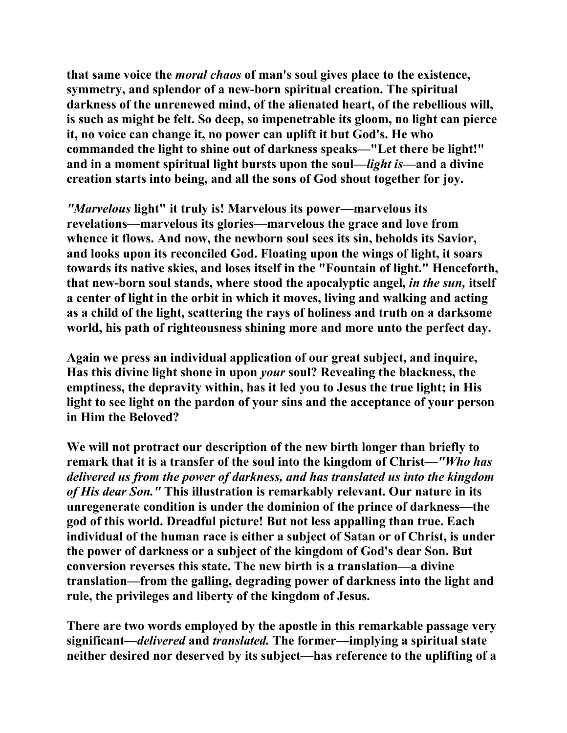**that same voice the** *moral chaos* **of man's soul gives place to the existence, symmetry, and splendor of a new-born spiritual creation. The spiritual darkness of the unrenewed mind, of the alienated heart, of the rebellious will, is such as might be felt. So deep, so impenetrable its gloom, no light can pierce it, no voice can change it, no power can uplift it but God's. He who commanded the light to shine out of darkness speaks—"Let there be light!" and in a moment spiritual light bursts upon the soul—***light is***—and a divine creation starts into being, and all the sons of God shout together for joy.** 

*"Marvelous* **light" it truly is! Marvelous its power—marvelous its revelations—marvelous its glories—marvelous the grace and love from whence it flows. And now, the newborn soul sees its sin, beholds its Savior, and looks upon its reconciled God. Floating upon the wings of light, it soars towards its native skies, and loses itself in the "Fountain of light." Henceforth, that new-born soul stands, where stood the apocalyptic angel,** *in the sun,* **itself a center of light in the orbit in which it moves, living and walking and acting as a child of the light, scattering the rays of holiness and truth on a darksome world, his path of righteousness shining more and more unto the perfect day.** 

**Again we press an individual application of our great subject, and inquire, Has this divine light shone in upon** *your* **soul? Revealing the blackness, the emptiness, the depravity within, has it led you to Jesus the true light; in His light to see light on the pardon of your sins and the acceptance of your person in Him the Beloved?** 

**We will not protract our description of the new birth longer than briefly to remark that it is a transfer of the soul into the kingdom of Christ—***"Who has delivered us from the power of darkness, and has translated us into the kingdom of His dear Son."* **This illustration is remarkably relevant. Our nature in its unregenerate condition is under the dominion of the prince of darkness—the god of this world. Dreadful picture! But not less appalling than true. Each individual of the human race is either a subject of Satan or of Christ, is under the power of darkness or a subject of the kingdom of God's dear Son. But conversion reverses this state. The new birth is a translation—a divine translation—from the galling, degrading power of darkness into the light and rule, the privileges and liberty of the kingdom of Jesus.** 

**There are two words employed by the apostle in this remarkable passage very significant—***delivered* **and** *translated.* **The former—implying a spiritual state neither desired nor deserved by its subject—has reference to the uplifting of a**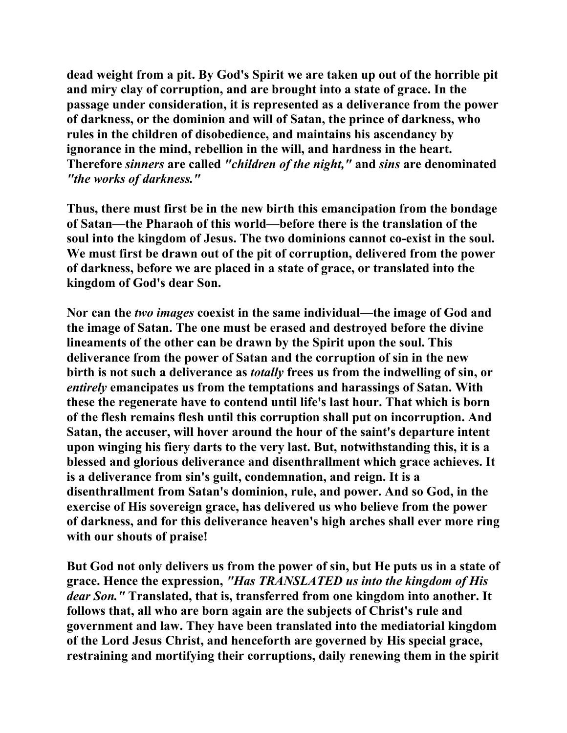**dead weight from a pit. By God's Spirit we are taken up out of the horrible pit and miry clay of corruption, and are brought into a state of grace. In the passage under consideration, it is represented as a deliverance from the power of darkness, or the dominion and will of Satan, the prince of darkness, who rules in the children of disobedience, and maintains his ascendancy by ignorance in the mind, rebellion in the will, and hardness in the heart. Therefore** *sinners* **are called** *"children of the night,"* **and** *sins* **are denominated**  *"the works of darkness."* 

**Thus, there must first be in the new birth this emancipation from the bondage of Satan—the Pharaoh of this world—before there is the translation of the soul into the kingdom of Jesus. The two dominions cannot co-exist in the soul. We must first be drawn out of the pit of corruption, delivered from the power of darkness, before we are placed in a state of grace, or translated into the kingdom of God's dear Son.** 

**Nor can the** *two images* **coexist in the same individual—the image of God and the image of Satan. The one must be erased and destroyed before the divine lineaments of the other can be drawn by the Spirit upon the soul. This deliverance from the power of Satan and the corruption of sin in the new birth is not such a deliverance as** *totally* **frees us from the indwelling of sin, or**  *entirely* **emancipates us from the temptations and harassings of Satan. With these the regenerate have to contend until life's last hour. That which is born of the flesh remains flesh until this corruption shall put on incorruption. And Satan, the accuser, will hover around the hour of the saint's departure intent upon winging his fiery darts to the very last. But, notwithstanding this, it is a blessed and glorious deliverance and disenthrallment which grace achieves. It is a deliverance from sin's guilt, condemnation, and reign. It is a disenthrallment from Satan's dominion, rule, and power. And so God, in the exercise of His sovereign grace, has delivered us who believe from the power of darkness, and for this deliverance heaven's high arches shall ever more ring with our shouts of praise!** 

**But God not only delivers us from the power of sin, but He puts us in a state of grace. Hence the expression,** *"Has TRANSLATED us into the kingdom of His dear Son."* **Translated, that is, transferred from one kingdom into another. It follows that, all who are born again are the subjects of Christ's rule and government and law. They have been translated into the mediatorial kingdom of the Lord Jesus Christ, and henceforth are governed by His special grace, restraining and mortifying their corruptions, daily renewing them in the spirit**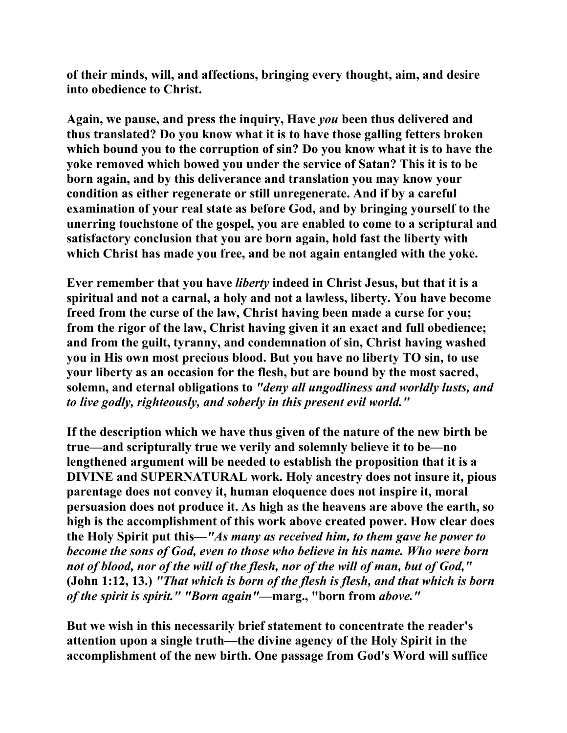**of their minds, will, and affections, bringing every thought, aim, and desire into obedience to Christ.** 

**Again, we pause, and press the inquiry, Have** *you* **been thus delivered and thus translated? Do you know what it is to have those galling fetters broken which bound you to the corruption of sin? Do you know what it is to have the yoke removed which bowed you under the service of Satan? This it is to be born again, and by this deliverance and translation you may know your condition as either regenerate or still unregenerate. And if by a careful examination of your real state as before God, and by bringing yourself to the unerring touchstone of the gospel, you are enabled to come to a scriptural and satisfactory conclusion that you are born again, hold fast the liberty with which Christ has made you free, and be not again entangled with the yoke.** 

**Ever remember that you have** *liberty* **indeed in Christ Jesus, but that it is a spiritual and not a carnal, a holy and not a lawless, liberty. You have become freed from the curse of the law, Christ having been made a curse for you; from the rigor of the law, Christ having given it an exact and full obedience; and from the guilt, tyranny, and condemnation of sin, Christ having washed you in His own most precious blood. But you have no liberty TO sin, to use your liberty as an occasion for the flesh, but are bound by the most sacred, solemn, and eternal obligations to** *"deny all ungodliness and worldly lusts, and to live godly, righteously, and soberly in this present evil world."* 

**If the description which we have thus given of the nature of the new birth be true—and scripturally true we verily and solemnly believe it to be—no lengthened argument will be needed to establish the proposition that it is a DIVINE and SUPERNATURAL work. Holy ancestry does not insure it, pious parentage does not convey it, human eloquence does not inspire it, moral persuasion does not produce it. As high as the heavens are above the earth, so high is the accomplishment of this work above created power. How clear does the Holy Spirit put this—***"As many as received him, to them gave he power to become the sons of God, even to those who believe in his name. Who were born not of blood, nor of the will of the flesh, nor of the will of man, but of God,"*  **(John 1:12, 13.)** *"That which is born of the flesh is flesh, and that which is born of the spirit is spirit." "Born again"***—marg., "born from** *above."* 

**But we wish in this necessarily brief statement to concentrate the reader's attention upon a single truth—the divine agency of the Holy Spirit in the accomplishment of the new birth. One passage from God's Word will suffice**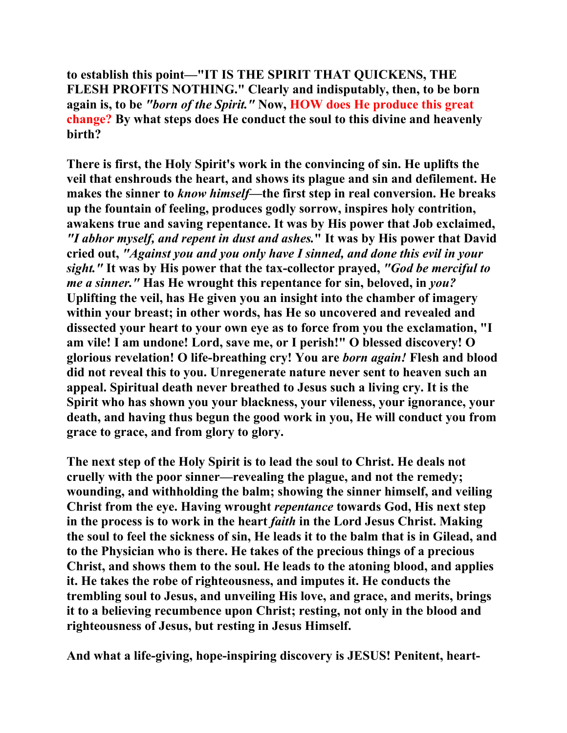**to establish this point—"IT IS THE SPIRIT THAT QUICKENS, THE FLESH PROFITS NOTHING." Clearly and indisputably, then, to be born again is, to be** *"born of the Spirit."* **Now, HOW does He produce this great change? By what steps does He conduct the soul to this divine and heavenly birth?** 

**There is first, the Holy Spirit's work in the convincing of sin. He uplifts the veil that enshrouds the heart, and shows its plague and sin and defilement. He makes the sinner to** *know himself***—the first step in real conversion. He breaks up the fountain of feeling, produces godly sorrow, inspires holy contrition, awakens true and saving repentance. It was by His power that Job exclaimed,**  *"I abhor myself, and repent in dust and ashes.***" It was by His power that David cried out,** *"Against you and you only have I sinned, and done this evil in your sight."* **It was by His power that the tax-collector prayed,** *"God be merciful to me a sinner."* **Has He wrought this repentance for sin, beloved, in** *you?*  **Uplifting the veil, has He given you an insight into the chamber of imagery within your breast; in other words, has He so uncovered and revealed and dissected your heart to your own eye as to force from you the exclamation, "I am vile! I am undone! Lord, save me, or I perish!" O blessed discovery! O glorious revelation! O life-breathing cry! You are** *born again!* **Flesh and blood did not reveal this to you. Unregenerate nature never sent to heaven such an appeal. Spiritual death never breathed to Jesus such a living cry. It is the Spirit who has shown you your blackness, your vileness, your ignorance, your death, and having thus begun the good work in you, He will conduct you from grace to grace, and from glory to glory.** 

**The next step of the Holy Spirit is to lead the soul to Christ. He deals not cruelly with the poor sinner—revealing the plague, and not the remedy; wounding, and withholding the balm; showing the sinner himself, and veiling Christ from the eye. Having wrought** *repentance* **towards God, His next step in the process is to work in the heart** *faith* **in the Lord Jesus Christ. Making the soul to feel the sickness of sin, He leads it to the balm that is in Gilead, and to the Physician who is there. He takes of the precious things of a precious Christ, and shows them to the soul. He leads to the atoning blood, and applies it. He takes the robe of righteousness, and imputes it. He conducts the trembling soul to Jesus, and unveiling His love, and grace, and merits, brings it to a believing recumbence upon Christ; resting, not only in the blood and righteousness of Jesus, but resting in Jesus Himself.** 

**And what a life-giving, hope-inspiring discovery is JESUS! Penitent, heart-**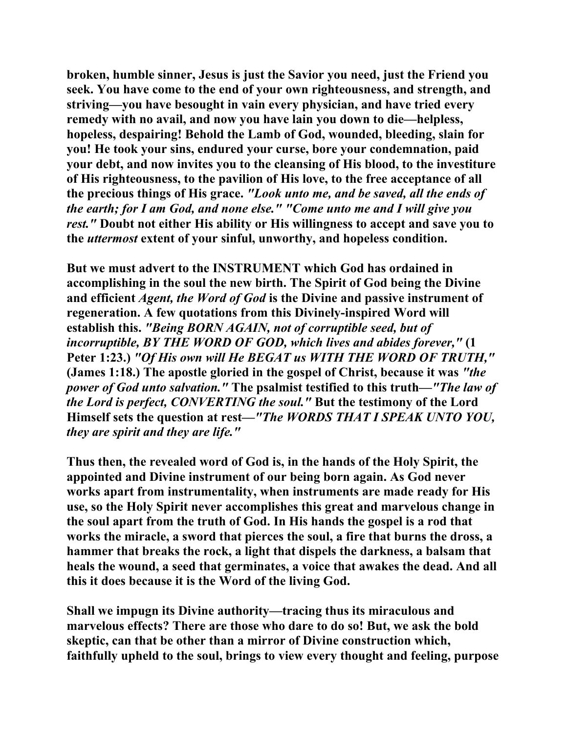**broken, humble sinner, Jesus is just the Savior you need, just the Friend you seek. You have come to the end of your own righteousness, and strength, and striving—you have besought in vain every physician, and have tried every remedy with no avail, and now you have lain you down to die—helpless, hopeless, despairing! Behold the Lamb of God, wounded, bleeding, slain for you! He took your sins, endured your curse, bore your condemnation, paid your debt, and now invites you to the cleansing of His blood, to the investiture of His righteousness, to the pavilion of His love, to the free acceptance of all the precious things of His grace.** *"Look unto me, and be saved, all the ends of the earth; for I am God, and none else." "Come unto me and I will give you rest."* **Doubt not either His ability or His willingness to accept and save you to the** *uttermost* **extent of your sinful, unworthy, and hopeless condition.** 

**But we must advert to the INSTRUMENT which God has ordained in accomplishing in the soul the new birth. The Spirit of God being the Divine and efficient** *Agent, the Word of God* **is the Divine and passive instrument of regeneration. A few quotations from this Divinely-inspired Word will establish this.** *"Being BORN AGAIN, not of corruptible seed, but of incorruptible, BY THE WORD OF GOD, which lives and abides forever,"* **(1 Peter 1:23.)** *"Of His own will He BEGAT us WITH THE WORD OF TRUTH,"*  **(James 1:18.) The apostle gloried in the gospel of Christ, because it was** *"the power of God unto salvation."* **The psalmist testified to this truth***—"The law of the Lord is perfect, CONVERTING the soul."* **But the testimony of the Lord Himself sets the question at rest—***"The WORDS THAT I SPEAK UNTO YOU, they are spirit and they are life."* 

**Thus then, the revealed word of God is, in the hands of the Holy Spirit, the appointed and Divine instrument of our being born again. As God never works apart from instrumentality, when instruments are made ready for His use, so the Holy Spirit never accomplishes this great and marvelous change in the soul apart from the truth of God. In His hands the gospel is a rod that works the miracle, a sword that pierces the soul, a fire that burns the dross, a hammer that breaks the rock, a light that dispels the darkness, a balsam that heals the wound, a seed that germinates, a voice that awakes the dead. And all this it does because it is the Word of the living God.** 

**Shall we impugn its Divine authority—tracing thus its miraculous and marvelous effects? There are those who dare to do so! But, we ask the bold skeptic, can that be other than a mirror of Divine construction which, faithfully upheld to the soul, brings to view every thought and feeling, purpose**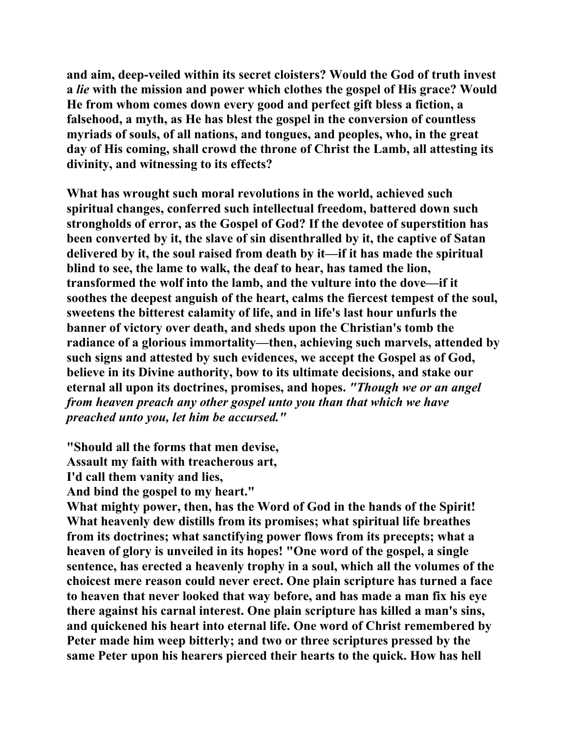**and aim, deep-veiled within its secret cloisters? Would the God of truth invest a** *lie* **with the mission and power which clothes the gospel of His grace? Would He from whom comes down every good and perfect gift bless a fiction, a falsehood, a myth, as He has blest the gospel in the conversion of countless myriads of souls, of all nations, and tongues, and peoples, who, in the great day of His coming, shall crowd the throne of Christ the Lamb, all attesting its divinity, and witnessing to its effects?** 

**What has wrought such moral revolutions in the world, achieved such spiritual changes, conferred such intellectual freedom, battered down such strongholds of error, as the Gospel of God? If the devotee of superstition has been converted by it, the slave of sin disenthralled by it, the captive of Satan delivered by it, the soul raised from death by it—if it has made the spiritual blind to see, the lame to walk, the deaf to hear, has tamed the lion, transformed the wolf into the lamb, and the vulture into the dove—if it soothes the deepest anguish of the heart, calms the fiercest tempest of the soul, sweetens the bitterest calamity of life, and in life's last hour unfurls the banner of victory over death, and sheds upon the Christian's tomb the radiance of a glorious immortality—then, achieving such marvels, attended by such signs and attested by such evidences, we accept the Gospel as of God, believe in its Divine authority, bow to its ultimate decisions, and stake our eternal all upon its doctrines, promises, and hopes.** *"Though we or an angel from heaven preach any other gospel unto you than that which we have preached unto you, let him be accursed."* 

**"Should all the forms that men devise,** 

**Assault my faith with treacherous art,** 

**I'd call them vanity and lies,** 

**And bind the gospel to my heart."** 

**What mighty power, then, has the Word of God in the hands of the Spirit! What heavenly dew distills from its promises; what spiritual life breathes from its doctrines; what sanctifying power flows from its precepts; what a heaven of glory is unveiled in its hopes! "One word of the gospel, a single sentence, has erected a heavenly trophy in a soul, which all the volumes of the choicest mere reason could never erect. One plain scripture has turned a face to heaven that never looked that way before, and has made a man fix his eye there against his carnal interest. One plain scripture has killed a man's sins, and quickened his heart into eternal life. One word of Christ remembered by Peter made him weep bitterly; and two or three scriptures pressed by the same Peter upon his hearers pierced their hearts to the quick. How has hell**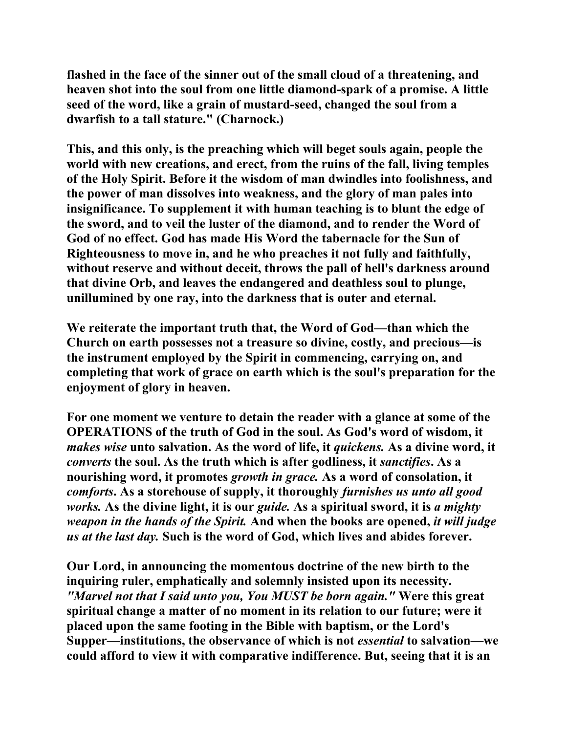**flashed in the face of the sinner out of the small cloud of a threatening, and heaven shot into the soul from one little diamond-spark of a promise. A little seed of the word, like a grain of mustard-seed, changed the soul from a dwarfish to a tall stature." (Charnock.)** 

**This, and this only, is the preaching which will beget souls again, people the world with new creations, and erect, from the ruins of the fall, living temples of the Holy Spirit. Before it the wisdom of man dwindles into foolishness, and the power of man dissolves into weakness, and the glory of man pales into insignificance. To supplement it with human teaching is to blunt the edge of the sword, and to veil the luster of the diamond, and to render the Word of God of no effect. God has made His Word the tabernacle for the Sun of Righteousness to move in, and he who preaches it not fully and faithfully, without reserve and without deceit, throws the pall of hell's darkness around that divine Orb, and leaves the endangered and deathless soul to plunge, unillumined by one ray, into the darkness that is outer and eternal.** 

**We reiterate the important truth that, the Word of God—than which the Church on earth possesses not a treasure so divine, costly, and precious—is the instrument employed by the Spirit in commencing, carrying on, and completing that work of grace on earth which is the soul's preparation for the enjoyment of glory in heaven.** 

**For one moment we venture to detain the reader with a glance at some of the OPERATIONS of the truth of God in the soul. As God's word of wisdom, it**  *makes wise* **unto salvation. As the word of life, it** *quickens.* **As a divine word, it**  *converts* **the soul. As the truth which is after godliness, it** *sanctifies***. As a nourishing word, it promotes** *growth in grace.* **As a word of consolation, it**  *comforts***. As a storehouse of supply, it thoroughly** *furnishes us unto all good works.* **As the divine light, it is our** *guide.* **As a spiritual sword, it is** *a mighty weapon in the hands of the Spirit.* **And when the books are opened,** *it will judge us at the last day.* **Such is the word of God, which lives and abides forever.** 

**Our Lord, in announcing the momentous doctrine of the new birth to the inquiring ruler, emphatically and solemnly insisted upon its necessity.**  *"Marvel not that I said unto you, You MUST be born again."* **Were this great spiritual change a matter of no moment in its relation to our future; were it placed upon the same footing in the Bible with baptism, or the Lord's Supper—institutions, the observance of which is not** *essential* **to salvation—we could afford to view it with comparative indifference. But, seeing that it is an**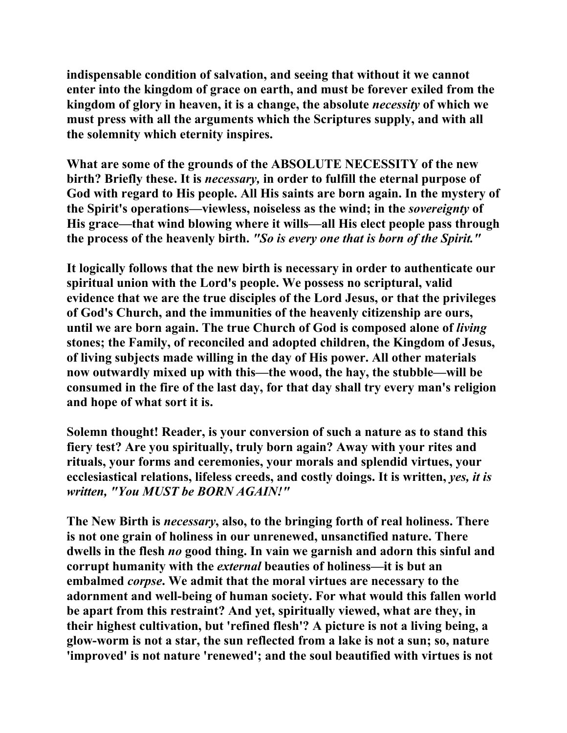**indispensable condition of salvation, and seeing that without it we cannot enter into the kingdom of grace on earth, and must be forever exiled from the kingdom of glory in heaven, it is a change, the absolute** *necessity* **of which we must press with all the arguments which the Scriptures supply, and with all the solemnity which eternity inspires.** 

**What are some of the grounds of the ABSOLUTE NECESSITY of the new birth? Briefly these. It is** *necessary,* **in order to fulfill the eternal purpose of God with regard to His people. All His saints are born again. In the mystery of the Spirit's operations—viewless, noiseless as the wind; in the** *sovereignty* **of His grace—that wind blowing where it wills—all His elect people pass through the process of the heavenly birth.** *"So is every one that is born of the Spirit."* 

**It logically follows that the new birth is necessary in order to authenticate our spiritual union with the Lord's people. We possess no scriptural, valid evidence that we are the true disciples of the Lord Jesus, or that the privileges of God's Church, and the immunities of the heavenly citizenship are ours, until we are born again. The true Church of God is composed alone of** *living*  **stones; the Family, of reconciled and adopted children, the Kingdom of Jesus, of living subjects made willing in the day of His power. All other materials now outwardly mixed up with this—the wood, the hay, the stubble—will be consumed in the fire of the last day, for that day shall try every man's religion and hope of what sort it is.** 

**Solemn thought! Reader, is your conversion of such a nature as to stand this fiery test? Are you spiritually, truly born again? Away with your rites and rituals, your forms and ceremonies, your morals and splendid virtues, your ecclesiastical relations, lifeless creeds, and costly doings. It is written,** *yes, it is written, "You MUST be BORN AGAIN!"* 

**The New Birth is** *necessary***, also, to the bringing forth of real holiness. There is not one grain of holiness in our unrenewed, unsanctified nature. There dwells in the flesh** *no* **good thing. In vain we garnish and adorn this sinful and corrupt humanity with the** *external* **beauties of holiness—it is but an embalmed** *corpse***. We admit that the moral virtues are necessary to the adornment and well-being of human society. For what would this fallen world be apart from this restraint? And yet, spiritually viewed, what are they, in their highest cultivation, but 'refined flesh'? A picture is not a living being, a glow-worm is not a star, the sun reflected from a lake is not a sun; so, nature 'improved' is not nature 'renewed'; and the soul beautified with virtues is not**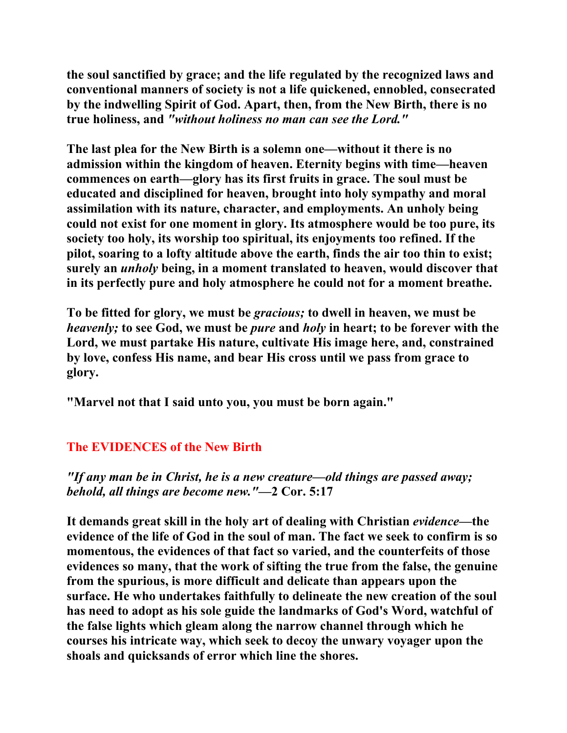**the soul sanctified by grace; and the life regulated by the recognized laws and conventional manners of society is not a life quickened, ennobled, consecrated by the indwelling Spirit of God. Apart, then, from the New Birth, there is no true holiness, and** *"without holiness no man can see the Lord."* 

**The last plea for the New Birth is a solemn one—without it there is no admission within the kingdom of heaven. Eternity begins with time—heaven commences on earth—glory has its first fruits in grace. The soul must be educated and disciplined for heaven, brought into holy sympathy and moral assimilation with its nature, character, and employments. An unholy being could not exist for one moment in glory. Its atmosphere would be too pure, its society too holy, its worship too spiritual, its enjoyments too refined. If the pilot, soaring to a lofty altitude above the earth, finds the air too thin to exist; surely an** *unholy* **being, in a moment translated to heaven, would discover that in its perfectly pure and holy atmosphere he could not for a moment breathe.** 

**To be fitted for glory, we must be** *gracious;* **to dwell in heaven, we must be**  *heavenly;* **to see God, we must be** *pure* **and** *holy* **in heart; to be forever with the Lord, we must partake His nature, cultivate His image here, and, constrained by love, confess His name, and bear His cross until we pass from grace to glory.** 

**"Marvel not that I said unto you, you must be born again."** 

# **The EVIDENCES of the New Birth**

#### *"If any man be in Christ, he is a new creature—old things are passed away; behold, all things are become new."***—2 Cor. 5:17**

**It demands great skill in the holy art of dealing with Christian** *evidence***—the evidence of the life of God in the soul of man. The fact we seek to confirm is so momentous, the evidences of that fact so varied, and the counterfeits of those evidences so many, that the work of sifting the true from the false, the genuine from the spurious, is more difficult and delicate than appears upon the surface. He who undertakes faithfully to delineate the new creation of the soul has need to adopt as his sole guide the landmarks of God's Word, watchful of the false lights which gleam along the narrow channel through which he courses his intricate way, which seek to decoy the unwary voyager upon the shoals and quicksands of error which line the shores.**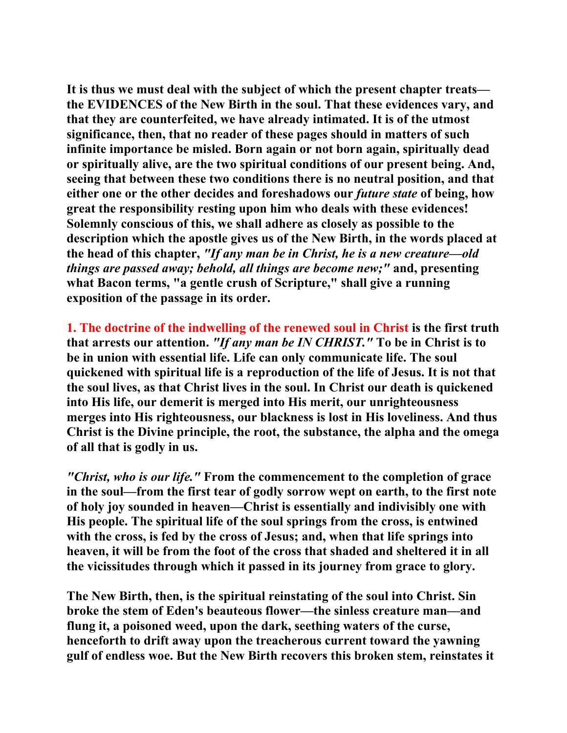**It is thus we must deal with the subject of which the present chapter treats the EVIDENCES of the New Birth in the soul. That these evidences vary, and that they are counterfeited, we have already intimated. It is of the utmost significance, then, that no reader of these pages should in matters of such infinite importance be misled. Born again or not born again, spiritually dead or spiritually alive, are the two spiritual conditions of our present being. And, seeing that between these two conditions there is no neutral position, and that either one or the other decides and foreshadows our** *future state* **of being, how great the responsibility resting upon him who deals with these evidences! Solemnly conscious of this, we shall adhere as closely as possible to the description which the apostle gives us of the New Birth, in the words placed at the head of this chapter,** *"If any man be in Christ, he is a new creature—old things are passed away; behold, all things are become new;"* **and, presenting what Bacon terms, "a gentle crush of Scripture," shall give a running exposition of the passage in its order.** 

**1. The doctrine of the indwelling of the renewed soul in Christ is the first truth that arrests our attention.** *"If any man be IN CHRIST."* **To be in Christ is to be in union with essential life. Life can only communicate life. The soul quickened with spiritual life is a reproduction of the life of Jesus. It is not that the soul lives, as that Christ lives in the soul. In Christ our death is quickened into His life, our demerit is merged into His merit, our unrighteousness merges into His righteousness, our blackness is lost in His loveliness. And thus Christ is the Divine principle, the root, the substance, the alpha and the omega of all that is godly in us.** 

*"Christ, who is our life."* **From the commencement to the completion of grace in the soul—from the first tear of godly sorrow wept on earth, to the first note of holy joy sounded in heaven—Christ is essentially and indivisibly one with His people. The spiritual life of the soul springs from the cross, is entwined with the cross, is fed by the cross of Jesus; and, when that life springs into heaven, it will be from the foot of the cross that shaded and sheltered it in all the vicissitudes through which it passed in its journey from grace to glory.** 

**The New Birth, then, is the spiritual reinstating of the soul into Christ. Sin broke the stem of Eden's beauteous flower—the sinless creature man—and flung it, a poisoned weed, upon the dark, seething waters of the curse, henceforth to drift away upon the treacherous current toward the yawning gulf of endless woe. But the New Birth recovers this broken stem, reinstates it**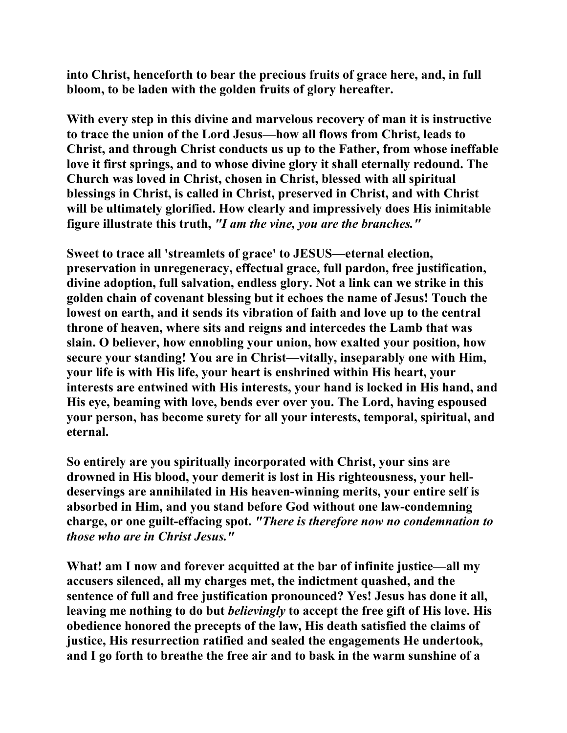**into Christ, henceforth to bear the precious fruits of grace here, and, in full bloom, to be laden with the golden fruits of glory hereafter.** 

**With every step in this divine and marvelous recovery of man it is instructive to trace the union of the Lord Jesus—how all flows from Christ, leads to Christ, and through Christ conducts us up to the Father, from whose ineffable love it first springs, and to whose divine glory it shall eternally redound. The Church was loved in Christ, chosen in Christ, blessed with all spiritual blessings in Christ, is called in Christ, preserved in Christ, and with Christ will be ultimately glorified. How clearly and impressively does His inimitable figure illustrate this truth,** *"I am the vine, you are the branches."* 

**Sweet to trace all 'streamlets of grace' to JESUS—eternal election, preservation in unregeneracy, effectual grace, full pardon, free justification, divine adoption, full salvation, endless glory. Not a link can we strike in this golden chain of covenant blessing but it echoes the name of Jesus! Touch the lowest on earth, and it sends its vibration of faith and love up to the central throne of heaven, where sits and reigns and intercedes the Lamb that was slain. O believer, how ennobling your union, how exalted your position, how secure your standing! You are in Christ—vitally, inseparably one with Him, your life is with His life, your heart is enshrined within His heart, your interests are entwined with His interests, your hand is locked in His hand, and His eye, beaming with love, bends ever over you. The Lord, having espoused your person, has become surety for all your interests, temporal, spiritual, and eternal.** 

**So entirely are you spiritually incorporated with Christ, your sins are drowned in His blood, your demerit is lost in His righteousness, your helldeservings are annihilated in His heaven-winning merits, your entire self is absorbed in Him, and you stand before God without one law-condemning charge, or one guilt-effacing spot.** *"There is therefore now no condemnation to those who are in Christ Jesus."* 

**What! am I now and forever acquitted at the bar of infinite justice—all my accusers silenced, all my charges met, the indictment quashed, and the sentence of full and free justification pronounced? Yes! Jesus has done it all, leaving me nothing to do but** *believingly* **to accept the free gift of His love. His obedience honored the precepts of the law, His death satisfied the claims of justice, His resurrection ratified and sealed the engagements He undertook, and I go forth to breathe the free air and to bask in the warm sunshine of a**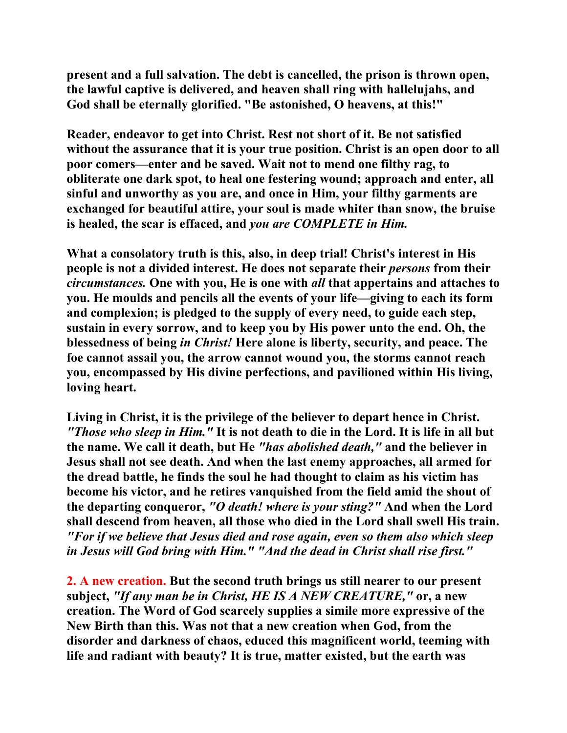**present and a full salvation. The debt is cancelled, the prison is thrown open, the lawful captive is delivered, and heaven shall ring with hallelujahs, and God shall be eternally glorified. "Be astonished, O heavens, at this!"** 

**Reader, endeavor to get into Christ. Rest not short of it. Be not satisfied without the assurance that it is your true position. Christ is an open door to all poor comers—enter and be saved. Wait not to mend one filthy rag, to obliterate one dark spot, to heal one festering wound; approach and enter, all sinful and unworthy as you are, and once in Him, your filthy garments are exchanged for beautiful attire, your soul is made whiter than snow, the bruise is healed, the scar is effaced, and** *you are COMPLETE in Him.* 

**What a consolatory truth is this, also, in deep trial! Christ's interest in His people is not a divided interest. He does not separate their** *persons* **from their**  *circumstances.* **One with you, He is one with** *all* **that appertains and attaches to you. He moulds and pencils all the events of your life—giving to each its form and complexion; is pledged to the supply of every need, to guide each step, sustain in every sorrow, and to keep you by His power unto the end. Oh, the blessedness of being** *in Christ!* **Here alone is liberty, security, and peace. The foe cannot assail you, the arrow cannot wound you, the storms cannot reach you, encompassed by His divine perfections, and pavilioned within His living, loving heart.** 

**Living in Christ, it is the privilege of the believer to depart hence in Christ.**  *"Those who sleep in Him."* **It is not death to die in the Lord. It is life in all but the name. We call it death, but He** *"has abolished death,"* **and the believer in Jesus shall not see death. And when the last enemy approaches, all armed for the dread battle, he finds the soul he had thought to claim as his victim has become his victor, and he retires vanquished from the field amid the shout of the departing conqueror,** *"O death! where is your sting?"* **And when the Lord shall descend from heaven, all those who died in the Lord shall swell His train.**  *"For if we believe that Jesus died and rose again, even so them also which sleep in Jesus will God bring with Him." "And the dead in Christ shall rise first."* 

**2. A new creation. But the second truth brings us still nearer to our present subject,** *"If any man be in Christ, HE IS A NEW CREATURE,"* **or, a new creation. The Word of God scarcely supplies a simile more expressive of the New Birth than this. Was not that a new creation when God, from the disorder and darkness of chaos, educed this magnificent world, teeming with life and radiant with beauty? It is true, matter existed, but the earth was**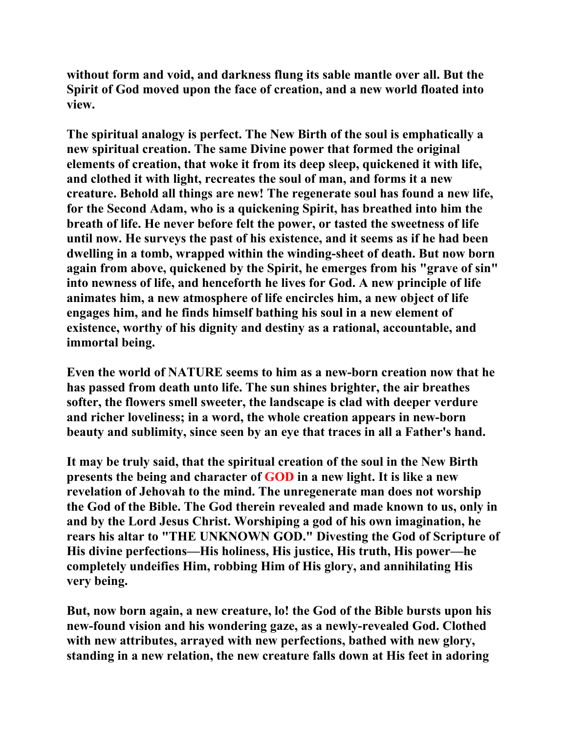**without form and void, and darkness flung its sable mantle over all. But the Spirit of God moved upon the face of creation, and a new world floated into view.** 

**The spiritual analogy is perfect. The New Birth of the soul is emphatically a new spiritual creation. The same Divine power that formed the original elements of creation, that woke it from its deep sleep, quickened it with life, and clothed it with light, recreates the soul of man, and forms it a new creature. Behold all things are new! The regenerate soul has found a new life, for the Second Adam, who is a quickening Spirit, has breathed into him the breath of life. He never before felt the power, or tasted the sweetness of life until now. He surveys the past of his existence, and it seems as if he had been dwelling in a tomb, wrapped within the winding-sheet of death. But now born again from above, quickened by the Spirit, he emerges from his "grave of sin" into newness of life, and henceforth he lives for God. A new principle of life animates him, a new atmosphere of life encircles him, a new object of life engages him, and he finds himself bathing his soul in a new element of existence, worthy of his dignity and destiny as a rational, accountable, and immortal being.** 

**Even the world of NATURE seems to him as a new-born creation now that he has passed from death unto life. The sun shines brighter, the air breathes softer, the flowers smell sweeter, the landscape is clad with deeper verdure and richer loveliness; in a word, the whole creation appears in new-born beauty and sublimity, since seen by an eye that traces in all a Father's hand.** 

**It may be truly said, that the spiritual creation of the soul in the New Birth presents the being and character of GOD in a new light. It is like a new revelation of Jehovah to the mind. The unregenerate man does not worship the God of the Bible. The God therein revealed and made known to us, only in and by the Lord Jesus Christ. Worshiping a god of his own imagination, he rears his altar to "THE UNKNOWN GOD." Divesting the God of Scripture of His divine perfections—His holiness, His justice, His truth, His power—he completely undeifies Him, robbing Him of His glory, and annihilating His very being.** 

**But, now born again, a new creature, lo! the God of the Bible bursts upon his new-found vision and his wondering gaze, as a newly-revealed God. Clothed with new attributes, arrayed with new perfections, bathed with new glory, standing in a new relation, the new creature falls down at His feet in adoring**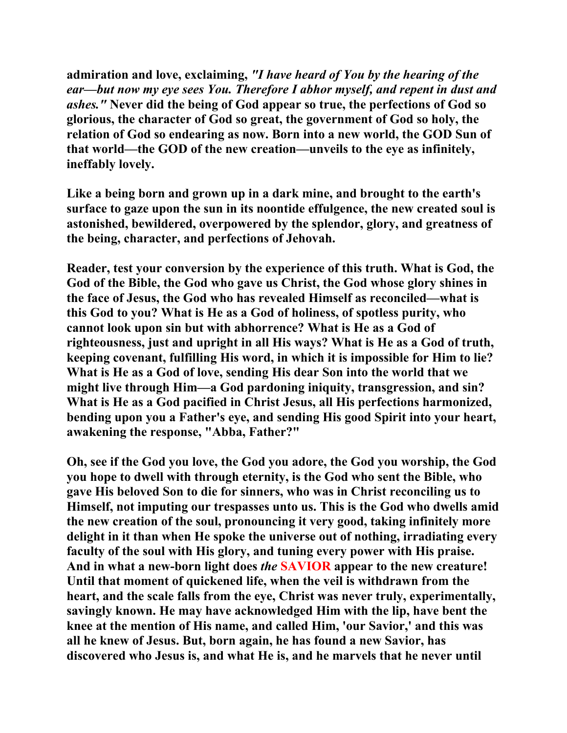**admiration and love, exclaiming,** *"I have heard of You by the hearing of the ear—but now my eye sees You. Therefore I abhor myself, and repent in dust and ashes."* **Never did the being of God appear so true, the perfections of God so glorious, the character of God so great, the government of God so holy, the relation of God so endearing as now. Born into a new world, the GOD Sun of that world—the GOD of the new creation—unveils to the eye as infinitely, ineffably lovely.** 

**Like a being born and grown up in a dark mine, and brought to the earth's surface to gaze upon the sun in its noontide effulgence, the new created soul is astonished, bewildered, overpowered by the splendor, glory, and greatness of the being, character, and perfections of Jehovah.** 

**Reader, test your conversion by the experience of this truth. What is God, the God of the Bible, the God who gave us Christ, the God whose glory shines in the face of Jesus, the God who has revealed Himself as reconciled—what is this God to you? What is He as a God of holiness, of spotless purity, who cannot look upon sin but with abhorrence? What is He as a God of righteousness, just and upright in all His ways? What is He as a God of truth, keeping covenant, fulfilling His word, in which it is impossible for Him to lie? What is He as a God of love, sending His dear Son into the world that we might live through Him—a God pardoning iniquity, transgression, and sin? What is He as a God pacified in Christ Jesus, all His perfections harmonized, bending upon you a Father's eye, and sending His good Spirit into your heart, awakening the response, "Abba, Father?"** 

**Oh, see if the God you love, the God you adore, the God you worship, the God you hope to dwell with through eternity, is the God who sent the Bible, who gave His beloved Son to die for sinners, who was in Christ reconciling us to Himself, not imputing our trespasses unto us. This is the God who dwells amid the new creation of the soul, pronouncing it very good, taking infinitely more delight in it than when He spoke the universe out of nothing, irradiating every faculty of the soul with His glory, and tuning every power with His praise. And in what a new-born light does** *the* **SAVIOR appear to the new creature! Until that moment of quickened life, when the veil is withdrawn from the heart, and the scale falls from the eye, Christ was never truly, experimentally, savingly known. He may have acknowledged Him with the lip, have bent the knee at the mention of His name, and called Him, 'our Savior,' and this was all he knew of Jesus. But, born again, he has found a new Savior, has discovered who Jesus is, and what He is, and he marvels that he never until**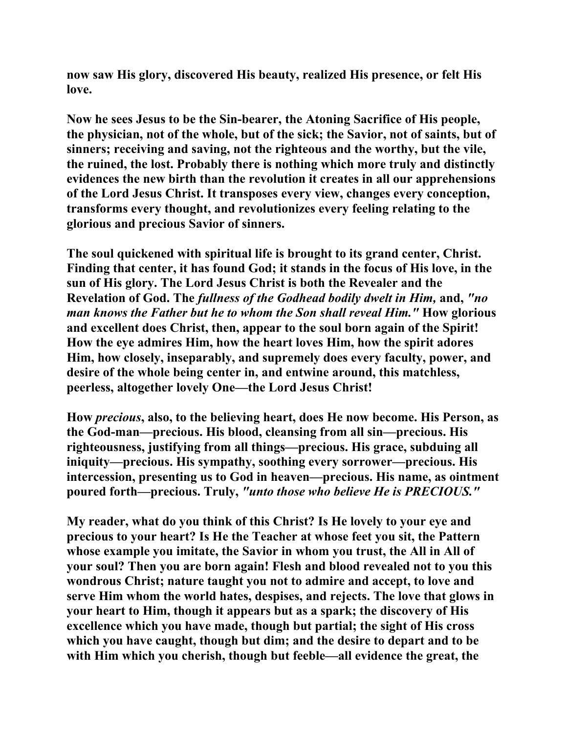**now saw His glory, discovered His beauty, realized His presence, or felt His love.** 

**Now he sees Jesus to be the Sin-bearer, the Atoning Sacrifice of His people, the physician, not of the whole, but of the sick; the Savior, not of saints, but of sinners; receiving and saving, not the righteous and the worthy, but the vile, the ruined, the lost. Probably there is nothing which more truly and distinctly evidences the new birth than the revolution it creates in all our apprehensions of the Lord Jesus Christ. It transposes every view, changes every conception, transforms every thought, and revolutionizes every feeling relating to the glorious and precious Savior of sinners.** 

**The soul quickened with spiritual life is brought to its grand center, Christ. Finding that center, it has found God; it stands in the focus of His love, in the sun of His glory. The Lord Jesus Christ is both the Revealer and the Revelation of God. The** *fullness of the Godhead bodily dwelt in Him,* **and,** *"no man knows the Father but he to whom the Son shall reveal Him."* **How glorious and excellent does Christ, then, appear to the soul born again of the Spirit! How the eye admires Him, how the heart loves Him, how the spirit adores Him, how closely, inseparably, and supremely does every faculty, power, and desire of the whole being center in, and entwine around, this matchless, peerless, altogether lovely One—the Lord Jesus Christ!** 

**How** *precious***, also, to the believing heart, does He now become. His Person, as the God-man—precious. His blood, cleansing from all sin—precious. His righteousness, justifying from all things—precious. His grace, subduing all iniquity—precious. His sympathy, soothing every sorrower—precious. His intercession, presenting us to God in heaven—precious. His name, as ointment poured forth—precious. Truly,** *"unto those who believe He is PRECIOUS."* 

**My reader, what do you think of this Christ? Is He lovely to your eye and precious to your heart? Is He the Teacher at whose feet you sit, the Pattern whose example you imitate, the Savior in whom you trust, the All in All of your soul? Then you are born again! Flesh and blood revealed not to you this wondrous Christ; nature taught you not to admire and accept, to love and serve Him whom the world hates, despises, and rejects. The love that glows in your heart to Him, though it appears but as a spark; the discovery of His excellence which you have made, though but partial; the sight of His cross which you have caught, though but dim; and the desire to depart and to be with Him which you cherish, though but feeble—all evidence the great, the**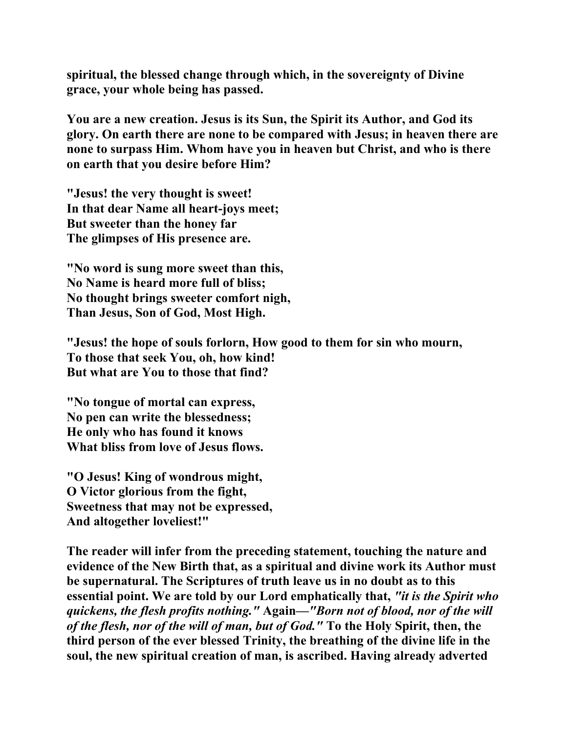**spiritual, the blessed change through which, in the sovereignty of Divine grace, your whole being has passed.** 

**You are a new creation. Jesus is its Sun, the Spirit its Author, and God its glory. On earth there are none to be compared with Jesus; in heaven there are none to surpass Him. Whom have you in heaven but Christ, and who is there on earth that you desire before Him?** 

**"Jesus! the very thought is sweet! In that dear Name all heart-joys meet; But sweeter than the honey far The glimpses of His presence are.** 

**"No word is sung more sweet than this, No Name is heard more full of bliss; No thought brings sweeter comfort nigh, Than Jesus, Son of God, Most High.** 

**"Jesus! the hope of souls forlorn, How good to them for sin who mourn, To those that seek You, oh, how kind! But what are You to those that find?** 

**"No tongue of mortal can express, No pen can write the blessedness; He only who has found it knows What bliss from love of Jesus flows.** 

**"O Jesus! King of wondrous might, O Victor glorious from the fight, Sweetness that may not be expressed, And altogether loveliest!"** 

**The reader will infer from the preceding statement, touching the nature and evidence of the New Birth that, as a spiritual and divine work its Author must be supernatural. The Scriptures of truth leave us in no doubt as to this essential point. We are told by our Lord emphatically that,** *"it is the Spirit who quickens, the flesh profits nothing."* **Again—***"Born not of blood, nor of the will of the flesh, nor of the will of man, but of God."* **To the Holy Spirit, then, the third person of the ever blessed Trinity, the breathing of the divine life in the soul, the new spiritual creation of man, is ascribed. Having already adverted**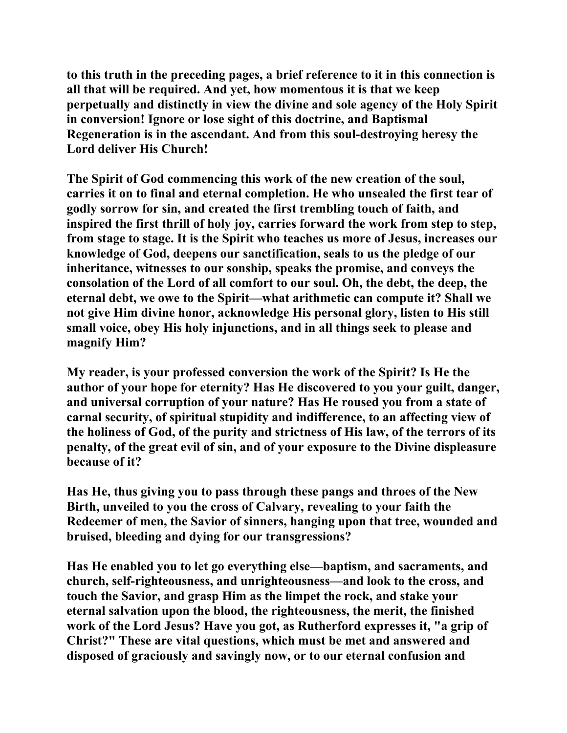**to this truth in the preceding pages, a brief reference to it in this connection is all that will be required. And yet, how momentous it is that we keep perpetually and distinctly in view the divine and sole agency of the Holy Spirit in conversion! Ignore or lose sight of this doctrine, and Baptismal Regeneration is in the ascendant. And from this soul-destroying heresy the Lord deliver His Church!** 

**The Spirit of God commencing this work of the new creation of the soul, carries it on to final and eternal completion. He who unsealed the first tear of godly sorrow for sin, and created the first trembling touch of faith, and inspired the first thrill of holy joy, carries forward the work from step to step, from stage to stage. It is the Spirit who teaches us more of Jesus, increases our knowledge of God, deepens our sanctification, seals to us the pledge of our inheritance, witnesses to our sonship, speaks the promise, and conveys the consolation of the Lord of all comfort to our soul. Oh, the debt, the deep, the eternal debt, we owe to the Spirit—what arithmetic can compute it? Shall we not give Him divine honor, acknowledge His personal glory, listen to His still small voice, obey His holy injunctions, and in all things seek to please and magnify Him?** 

**My reader, is your professed conversion the work of the Spirit? Is He the author of your hope for eternity? Has He discovered to you your guilt, danger, and universal corruption of your nature? Has He roused you from a state of carnal security, of spiritual stupidity and indifference, to an affecting view of the holiness of God, of the purity and strictness of His law, of the terrors of its penalty, of the great evil of sin, and of your exposure to the Divine displeasure because of it?** 

**Has He, thus giving you to pass through these pangs and throes of the New Birth, unveiled to you the cross of Calvary, revealing to your faith the Redeemer of men, the Savior of sinners, hanging upon that tree, wounded and bruised, bleeding and dying for our transgressions?** 

**Has He enabled you to let go everything else—baptism, and sacraments, and church, self-righteousness, and unrighteousness—and look to the cross, and touch the Savior, and grasp Him as the limpet the rock, and stake your eternal salvation upon the blood, the righteousness, the merit, the finished work of the Lord Jesus? Have you got, as Rutherford expresses it, "a grip of Christ?" These are vital questions, which must be met and answered and disposed of graciously and savingly now, or to our eternal confusion and**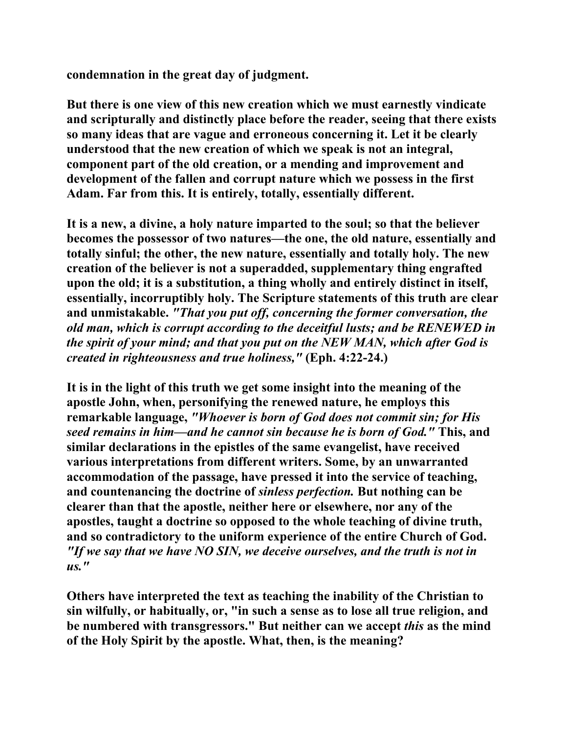**condemnation in the great day of judgment.** 

**But there is one view of this new creation which we must earnestly vindicate and scripturally and distinctly place before the reader, seeing that there exists so many ideas that are vague and erroneous concerning it. Let it be clearly understood that the new creation of which we speak is not an integral, component part of the old creation, or a mending and improvement and development of the fallen and corrupt nature which we possess in the first Adam. Far from this. It is entirely, totally, essentially different.** 

**It is a new, a divine, a holy nature imparted to the soul; so that the believer becomes the possessor of two natures—the one, the old nature, essentially and totally sinful; the other, the new nature, essentially and totally holy. The new creation of the believer is not a superadded, supplementary thing engrafted upon the old; it is a substitution, a thing wholly and entirely distinct in itself, essentially, incorruptibly holy. The Scripture statements of this truth are clear and unmistakable.** *"That you put off, concerning the former conversation, the old man, which is corrupt according to the deceitful lusts; and be RENEWED in the spirit of your mind; and that you put on the NEW MAN, which after God is created in righteousness and true holiness,"* **(Eph. 4:22-24.)** 

**It is in the light of this truth we get some insight into the meaning of the apostle John, when, personifying the renewed nature, he employs this remarkable language,** *"Whoever is born of God does not commit sin; for His seed remains in him—and he cannot sin because he is born of God."* **This, and similar declarations in the epistles of the same evangelist, have received various interpretations from different writers. Some, by an unwarranted accommodation of the passage, have pressed it into the service of teaching, and countenancing the doctrine of** *sinless perfection.* **But nothing can be clearer than that the apostle, neither here or elsewhere, nor any of the apostles, taught a doctrine so opposed to the whole teaching of divine truth, and so contradictory to the uniform experience of the entire Church of God.**  *"If we say that we have NO SIN, we deceive ourselves, and the truth is not in us."* 

**Others have interpreted the text as teaching the inability of the Christian to sin wilfully, or habitually, or, "in such a sense as to lose all true religion, and be numbered with transgressors." But neither can we accept** *this* **as the mind of the Holy Spirit by the apostle. What, then, is the meaning?**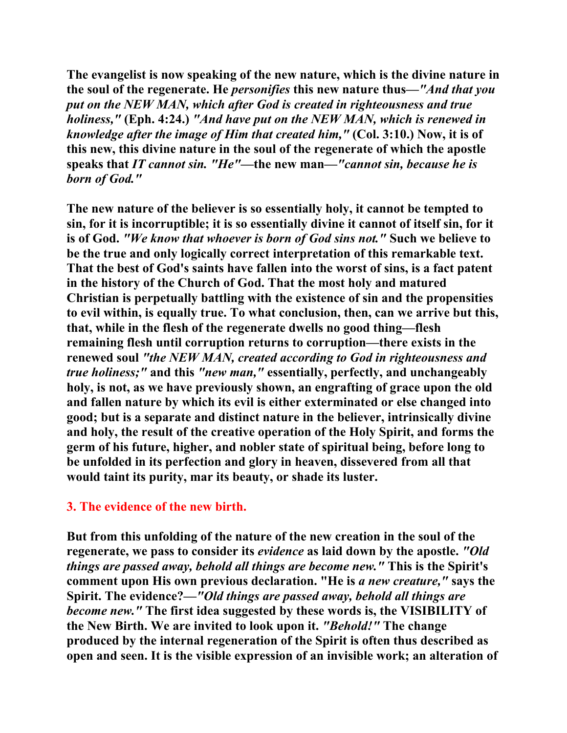**The evangelist is now speaking of the new nature, which is the divine nature in the soul of the regenerate. He** *personifies* **this new nature thus—***"And that you put on the NEW MAN, which after God is created in righteousness and true holiness,"* **(Eph. 4:24.)** *"And have put on the NEW MAN, which is renewed in knowledge after the image of Him that created him,"* **(Col. 3:10.) Now, it is of this new, this divine nature in the soul of the regenerate of which the apostle speaks that** *IT cannot sin. "He"***—the new man—***"cannot sin, because he is born of God."* 

**The new nature of the believer is so essentially holy, it cannot be tempted to sin, for it is incorruptible; it is so essentially divine it cannot of itself sin, for it is of God.** *"We know that whoever is born of God sins not."* **Such we believe to be the true and only logically correct interpretation of this remarkable text. That the best of God's saints have fallen into the worst of sins, is a fact patent in the history of the Church of God. That the most holy and matured Christian is perpetually battling with the existence of sin and the propensities to evil within, is equally true. To what conclusion, then, can we arrive but this, that, while in the flesh of the regenerate dwells no good thing—flesh remaining flesh until corruption returns to corruption—there exists in the renewed soul** *"the NEW MAN, created according to God in righteousness and true holiness;"* **and this** *"new man,"* **essentially, perfectly, and unchangeably holy, is not, as we have previously shown, an engrafting of grace upon the old and fallen nature by which its evil is either exterminated or else changed into good; but is a separate and distinct nature in the believer, intrinsically divine and holy, the result of the creative operation of the Holy Spirit, and forms the germ of his future, higher, and nobler state of spiritual being, before long to be unfolded in its perfection and glory in heaven, dissevered from all that would taint its purity, mar its beauty, or shade its luster.** 

## **3. The evidence of the new birth.**

**But from this unfolding of the nature of the new creation in the soul of the regenerate, we pass to consider its** *evidence* **as laid down by the apostle.** *"Old things are passed away, behold all things are become new."* **This is the Spirit's comment upon His own previous declaration. "He is** *a new creature,"* **says the Spirit. The evidence?—***"Old things are passed away, behold all things are become new."* **The first idea suggested by these words is, the VISIBILITY of the New Birth. We are invited to look upon it.** *"Behold!"* **The change produced by the internal regeneration of the Spirit is often thus described as open and seen. It is the visible expression of an invisible work; an alteration of**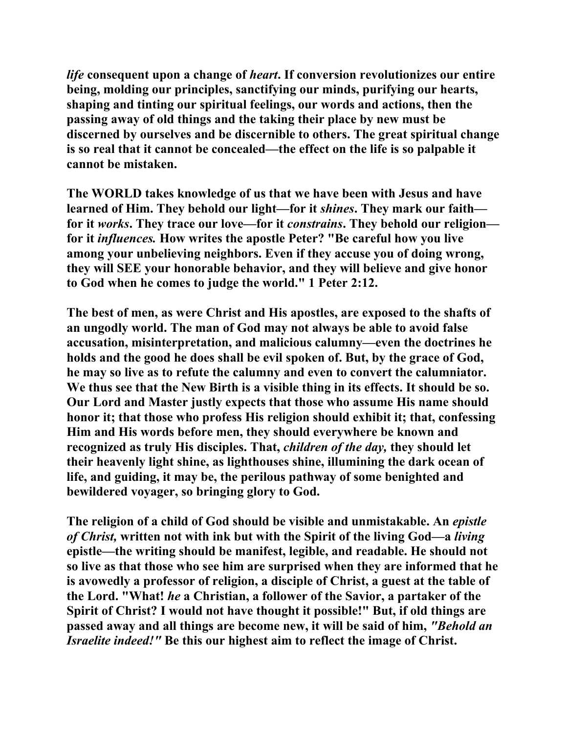*life* **consequent upon a change of** *heart***. If conversion revolutionizes our entire being, molding our principles, sanctifying our minds, purifying our hearts, shaping and tinting our spiritual feelings, our words and actions, then the passing away of old things and the taking their place by new must be discerned by ourselves and be discernible to others. The great spiritual change is so real that it cannot be concealed—the effect on the life is so palpable it cannot be mistaken.** 

**The WORLD takes knowledge of us that we have been with Jesus and have learned of Him. They behold our light—for it** *shines***. They mark our faith for it** *works***. They trace our love—for it** *constrains***. They behold our religion for it** *influences.* **How writes the apostle Peter? "Be careful how you live among your unbelieving neighbors. Even if they accuse you of doing wrong, they will SEE your honorable behavior, and they will believe and give honor to God when he comes to judge the world." 1 Peter 2:12.** 

**The best of men, as were Christ and His apostles, are exposed to the shafts of an ungodly world. The man of God may not always be able to avoid false accusation, misinterpretation, and malicious calumny—even the doctrines he holds and the good he does shall be evil spoken of. But, by the grace of God, he may so live as to refute the calumny and even to convert the calumniator. We thus see that the New Birth is a visible thing in its effects. It should be so. Our Lord and Master justly expects that those who assume His name should honor it; that those who profess His religion should exhibit it; that, confessing Him and His words before men, they should everywhere be known and recognized as truly His disciples. That,** *children of the day,* **they should let their heavenly light shine, as lighthouses shine, illumining the dark ocean of life, and guiding, it may be, the perilous pathway of some benighted and bewildered voyager, so bringing glory to God.** 

**The religion of a child of God should be visible and unmistakable. An** *epistle of Christ,* **written not with ink but with the Spirit of the living God—a** *living*  **epistle—the writing should be manifest, legible, and readable. He should not so live as that those who see him are surprised when they are informed that he is avowedly a professor of religion, a disciple of Christ, a guest at the table of the Lord. "What!** *he* **a Christian, a follower of the Savior, a partaker of the Spirit of Christ? I would not have thought it possible!" But, if old things are passed away and all things are become new, it will be said of him,** *"Behold an Israelite indeed!"* **Be this our highest aim to reflect the image of Christ.**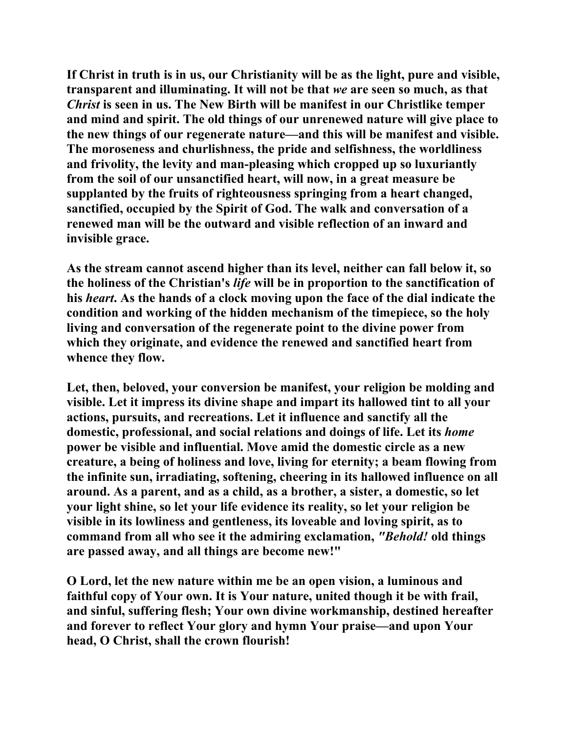**If Christ in truth is in us, our Christianity will be as the light, pure and visible, transparent and illuminating. It will not be that** *we* **are seen so much, as that**  *Christ* **is seen in us. The New Birth will be manifest in our Christlike temper and mind and spirit. The old things of our unrenewed nature will give place to the new things of our regenerate nature—and this will be manifest and visible. The moroseness and churlishness, the pride and selfishness, the worldliness and frivolity, the levity and man-pleasing which cropped up so luxuriantly from the soil of our unsanctified heart, will now, in a great measure be supplanted by the fruits of righteousness springing from a heart changed, sanctified, occupied by the Spirit of God. The walk and conversation of a renewed man will be the outward and visible reflection of an inward and invisible grace.** 

**As the stream cannot ascend higher than its level, neither can fall below it, so the holiness of the Christian's** *life* **will be in proportion to the sanctification of his** *heart***. As the hands of a clock moving upon the face of the dial indicate the condition and working of the hidden mechanism of the timepiece, so the holy living and conversation of the regenerate point to the divine power from which they originate, and evidence the renewed and sanctified heart from whence they flow.** 

**Let, then, beloved, your conversion be manifest, your religion be molding and visible. Let it impress its divine shape and impart its hallowed tint to all your actions, pursuits, and recreations. Let it influence and sanctify all the domestic, professional, and social relations and doings of life. Let its** *home*  **power be visible and influential. Move amid the domestic circle as a new creature, a being of holiness and love, living for eternity; a beam flowing from the infinite sun, irradiating, softening, cheering in its hallowed influence on all around. As a parent, and as a child, as a brother, a sister, a domestic, so let your light shine, so let your life evidence its reality, so let your religion be visible in its lowliness and gentleness, its loveable and loving spirit, as to command from all who see it the admiring exclamation,** *"Behold!* **old things are passed away, and all things are become new!"** 

**O Lord, let the new nature within me be an open vision, a luminous and faithful copy of Your own. It is Your nature, united though it be with frail, and sinful, suffering flesh; Your own divine workmanship, destined hereafter and forever to reflect Your glory and hymn Your praise—and upon Your head, O Christ, shall the crown flourish!**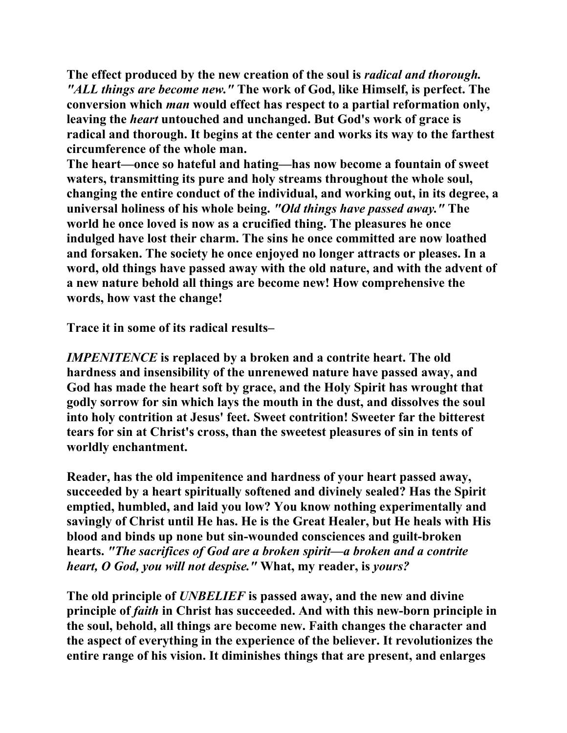**The effect produced by the new creation of the soul is** *radical and thorough. "ALL things are become new."* **The work of God, like Himself, is perfect. The conversion which** *man* **would effect has respect to a partial reformation only, leaving the** *heart* **untouched and unchanged. But God's work of grace is radical and thorough. It begins at the center and works its way to the farthest circumference of the whole man.** 

**The heart—once so hateful and hating—has now become a fountain of sweet waters, transmitting its pure and holy streams throughout the whole soul, changing the entire conduct of the individual, and working out, in its degree, a universal holiness of his whole being.** *"Old things have passed away."* **The world he once loved is now as a crucified thing. The pleasures he once indulged have lost their charm. The sins he once committed are now loathed and forsaken. The society he once enjoyed no longer attracts or pleases. In a word, old things have passed away with the old nature, and with the advent of a new nature behold all things are become new! How comprehensive the words, how vast the change!** 

**Trace it in some of its radical results–** 

*IMPENITENCE* **is replaced by a broken and a contrite heart. The old hardness and insensibility of the unrenewed nature have passed away, and God has made the heart soft by grace, and the Holy Spirit has wrought that godly sorrow for sin which lays the mouth in the dust, and dissolves the soul into holy contrition at Jesus' feet. Sweet contrition! Sweeter far the bitterest tears for sin at Christ's cross, than the sweetest pleasures of sin in tents of worldly enchantment.** 

**Reader, has the old impenitence and hardness of your heart passed away, succeeded by a heart spiritually softened and divinely sealed? Has the Spirit emptied, humbled, and laid you low? You know nothing experimentally and savingly of Christ until He has. He is the Great Healer, but He heals with His blood and binds up none but sin-wounded consciences and guilt-broken hearts.** *"The sacrifices of God are a broken spirit—a broken and a contrite heart, O God, you will not despise."* **What, my reader, is** *yours?* 

**The old principle of** *UNBELIEF* **is passed away, and the new and divine principle of** *faith* **in Christ has succeeded. And with this new-born principle in the soul, behold, all things are become new. Faith changes the character and the aspect of everything in the experience of the believer. It revolutionizes the entire range of his vision. It diminishes things that are present, and enlarges**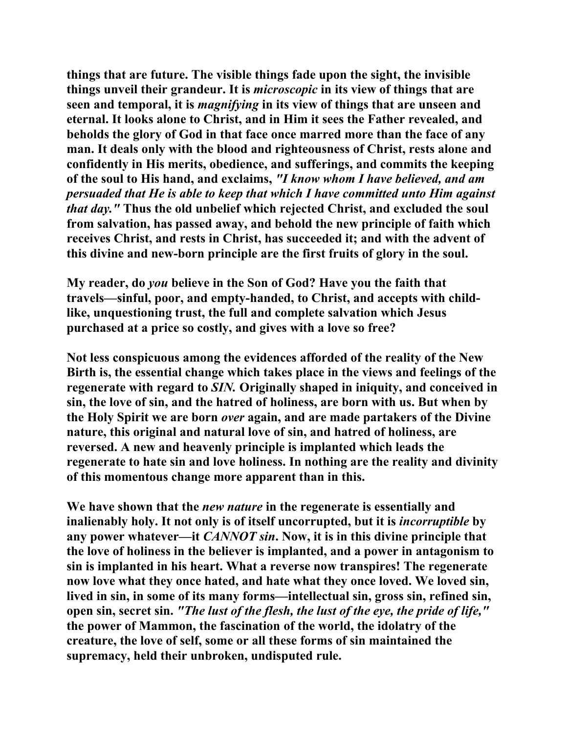**things that are future. The visible things fade upon the sight, the invisible things unveil their grandeur. It is** *microscopic* **in its view of things that are seen and temporal, it is** *magnifying* **in its view of things that are unseen and eternal. It looks alone to Christ, and in Him it sees the Father revealed, and beholds the glory of God in that face once marred more than the face of any man. It deals only with the blood and righteousness of Christ, rests alone and confidently in His merits, obedience, and sufferings, and commits the keeping of the soul to His hand, and exclaims,** *"I know whom I have believed, and am persuaded that He is able to keep that which I have committed unto Him against that day."* **Thus the old unbelief which rejected Christ, and excluded the soul from salvation, has passed away, and behold the new principle of faith which receives Christ, and rests in Christ, has succeeded it; and with the advent of this divine and new-born principle are the first fruits of glory in the soul.** 

**My reader, do** *you* **believe in the Son of God? Have you the faith that travels—sinful, poor, and empty-handed, to Christ, and accepts with childlike, unquestioning trust, the full and complete salvation which Jesus purchased at a price so costly, and gives with a love so free?** 

**Not less conspicuous among the evidences afforded of the reality of the New Birth is, the essential change which takes place in the views and feelings of the regenerate with regard to** *SIN.* **Originally shaped in iniquity, and conceived in sin, the love of sin, and the hatred of holiness, are born with us. But when by the Holy Spirit we are born** *over* **again, and are made partakers of the Divine nature, this original and natural love of sin, and hatred of holiness, are reversed. A new and heavenly principle is implanted which leads the regenerate to hate sin and love holiness. In nothing are the reality and divinity of this momentous change more apparent than in this.** 

**We have shown that the** *new nature* **in the regenerate is essentially and inalienably holy. It not only is of itself uncorrupted, but it is** *incorruptible* **by any power whatever—it** *CANNOT sin***. Now, it is in this divine principle that the love of holiness in the believer is implanted, and a power in antagonism to sin is implanted in his heart. What a reverse now transpires! The regenerate now love what they once hated, and hate what they once loved. We loved sin, lived in sin, in some of its many forms—intellectual sin, gross sin, refined sin, open sin, secret sin.** *"The lust of the flesh, the lust of the eye, the pride of life,"*  **the power of Mammon, the fascination of the world, the idolatry of the creature, the love of self, some or all these forms of sin maintained the supremacy, held their unbroken, undisputed rule.**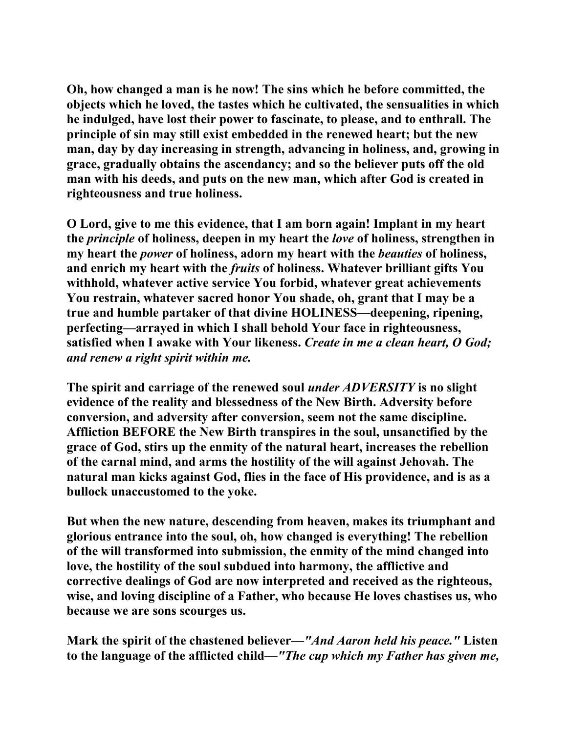**Oh, how changed a man is he now! The sins which he before committed, the objects which he loved, the tastes which he cultivated, the sensualities in which he indulged, have lost their power to fascinate, to please, and to enthrall. The principle of sin may still exist embedded in the renewed heart; but the new man, day by day increasing in strength, advancing in holiness, and, growing in grace, gradually obtains the ascendancy; and so the believer puts off the old man with his deeds, and puts on the new man, which after God is created in righteousness and true holiness.** 

**O Lord, give to me this evidence, that I am born again! Implant in my heart the** *principle* **of holiness, deepen in my heart the** *love* **of holiness, strengthen in my heart the** *power* **of holiness, adorn my heart with the** *beauties* **of holiness, and enrich my heart with the** *fruits* **of holiness. Whatever brilliant gifts You withhold, whatever active service You forbid, whatever great achievements You restrain, whatever sacred honor You shade, oh, grant that I may be a true and humble partaker of that divine HOLINESS—deepening, ripening, perfecting—arrayed in which I shall behold Your face in righteousness, satisfied when I awake with Your likeness.** *Create in me a clean heart, O God; and renew a right spirit within me.* 

**The spirit and carriage of the renewed soul** *under ADVERSITY* **is no slight evidence of the reality and blessedness of the New Birth. Adversity before conversion, and adversity after conversion, seem not the same discipline. Affliction BEFORE the New Birth transpires in the soul, unsanctified by the grace of God, stirs up the enmity of the natural heart, increases the rebellion of the carnal mind, and arms the hostility of the will against Jehovah. The natural man kicks against God, flies in the face of His providence, and is as a bullock unaccustomed to the yoke.** 

**But when the new nature, descending from heaven, makes its triumphant and glorious entrance into the soul, oh, how changed is everything! The rebellion of the will transformed into submission, the enmity of the mind changed into love, the hostility of the soul subdued into harmony, the afflictive and corrective dealings of God are now interpreted and received as the righteous, wise, and loving discipline of a Father, who because He loves chastises us, who because we are sons scourges us.** 

**Mark the spirit of the chastened believer—***"And Aaron held his peace."* **Listen to the language of the afflicted child—***"The cup which my Father has given me,*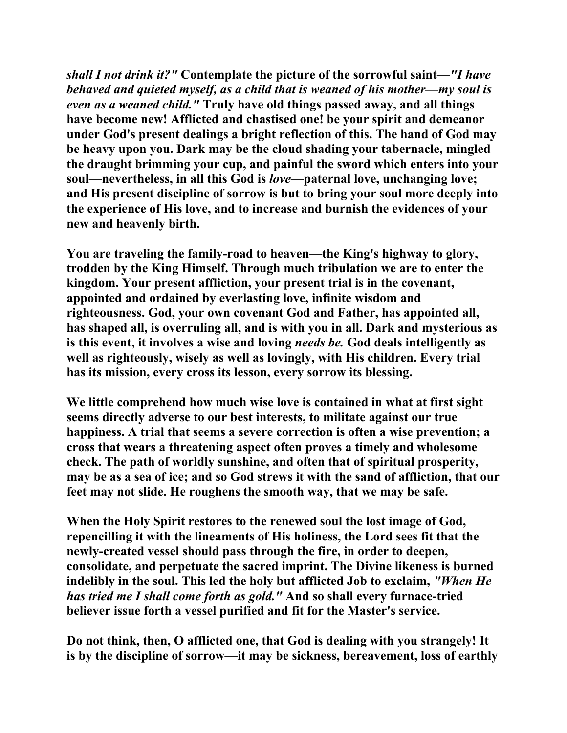*shall I not drink it?"* **Contemplate the picture of the sorrowful saint—***"I have behaved and quieted myself, as a child that is weaned of his mother—my soul is even as a weaned child."* **Truly have old things passed away, and all things have become new! Afflicted and chastised one! be your spirit and demeanor under God's present dealings a bright reflection of this. The hand of God may be heavy upon you. Dark may be the cloud shading your tabernacle, mingled the draught brimming your cup, and painful the sword which enters into your soul—nevertheless, in all this God is** *love***—paternal love, unchanging love; and His present discipline of sorrow is but to bring your soul more deeply into the experience of His love, and to increase and burnish the evidences of your new and heavenly birth.** 

**You are traveling the family-road to heaven—the King's highway to glory, trodden by the King Himself. Through much tribulation we are to enter the kingdom. Your present affliction, your present trial is in the covenant, appointed and ordained by everlasting love, infinite wisdom and righteousness. God, your own covenant God and Father, has appointed all, has shaped all, is overruling all, and is with you in all. Dark and mysterious as is this event, it involves a wise and loving** *needs be.* **God deals intelligently as well as righteously, wisely as well as lovingly, with His children. Every trial has its mission, every cross its lesson, every sorrow its blessing.** 

**We little comprehend how much wise love is contained in what at first sight seems directly adverse to our best interests, to militate against our true happiness. A trial that seems a severe correction is often a wise prevention; a cross that wears a threatening aspect often proves a timely and wholesome check. The path of worldly sunshine, and often that of spiritual prosperity, may be as a sea of ice; and so God strews it with the sand of affliction, that our feet may not slide. He roughens the smooth way, that we may be safe.** 

**When the Holy Spirit restores to the renewed soul the lost image of God, repencilling it with the lineaments of His holiness, the Lord sees fit that the newly-created vessel should pass through the fire, in order to deepen, consolidate, and perpetuate the sacred imprint. The Divine likeness is burned indelibly in the soul. This led the holy but afflicted Job to exclaim,** *"When He has tried me I shall come forth as gold."* **And so shall every furnace-tried believer issue forth a vessel purified and fit for the Master's service.** 

**Do not think, then, O afflicted one, that God is dealing with you strangely! It is by the discipline of sorrow—it may be sickness, bereavement, loss of earthly**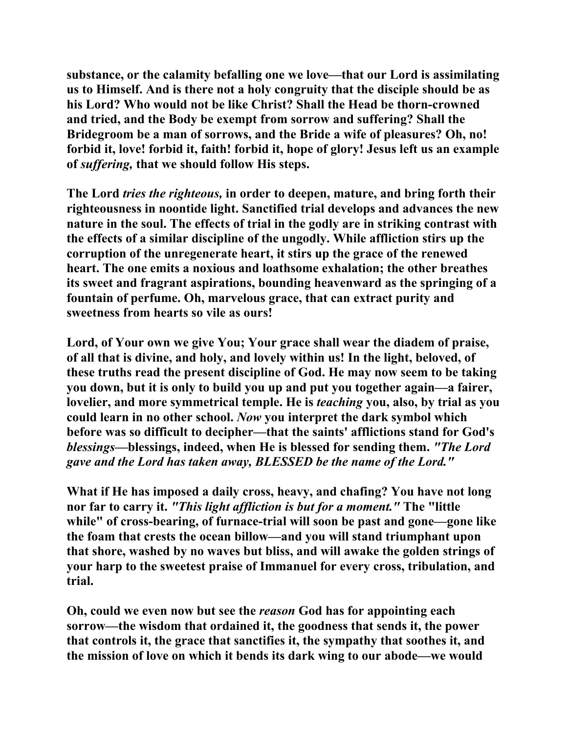**substance, or the calamity befalling one we love—that our Lord is assimilating us to Himself. And is there not a holy congruity that the disciple should be as his Lord? Who would not be like Christ? Shall the Head be thorn-crowned and tried, and the Body be exempt from sorrow and suffering? Shall the Bridegroom be a man of sorrows, and the Bride a wife of pleasures? Oh, no! forbid it, love! forbid it, faith! forbid it, hope of glory! Jesus left us an example of** *suffering,* **that we should follow His steps.** 

**The Lord** *tries the righteous,* **in order to deepen, mature, and bring forth their righteousness in noontide light. Sanctified trial develops and advances the new nature in the soul. The effects of trial in the godly are in striking contrast with the effects of a similar discipline of the ungodly. While affliction stirs up the corruption of the unregenerate heart, it stirs up the grace of the renewed heart. The one emits a noxious and loathsome exhalation; the other breathes its sweet and fragrant aspirations, bounding heavenward as the springing of a fountain of perfume. Oh, marvelous grace, that can extract purity and sweetness from hearts so vile as ours!** 

**Lord, of Your own we give You; Your grace shall wear the diadem of praise, of all that is divine, and holy, and lovely within us! In the light, beloved, of these truths read the present discipline of God. He may now seem to be taking you down, but it is only to build you up and put you together again—a fairer, lovelier, and more symmetrical temple. He is** *teaching* **you, also, by trial as you could learn in no other school.** *Now* **you interpret the dark symbol which before was so difficult to decipher—that the saints' afflictions stand for God's**  *blessings***—blessings, indeed, when He is blessed for sending them.** *"The Lord gave and the Lord has taken away, BLESSED be the name of the Lord."* 

**What if He has imposed a daily cross, heavy, and chafing? You have not long nor far to carry it.** *"This light affliction is but for a moment."* **The "little while" of cross-bearing, of furnace-trial will soon be past and gone—gone like the foam that crests the ocean billow—and you will stand triumphant upon that shore, washed by no waves but bliss, and will awake the golden strings of your harp to the sweetest praise of Immanuel for every cross, tribulation, and trial.** 

**Oh, could we even now but see the** *reason* **God has for appointing each sorrow—the wisdom that ordained it, the goodness that sends it, the power that controls it, the grace that sanctifies it, the sympathy that soothes it, and the mission of love on which it bends its dark wing to our abode—we would**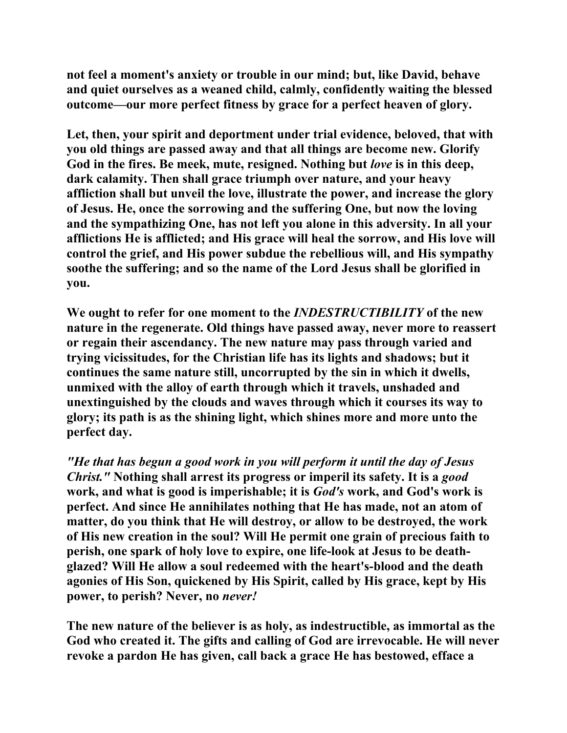**not feel a moment's anxiety or trouble in our mind; but, like David, behave and quiet ourselves as a weaned child, calmly, confidently waiting the blessed outcome—our more perfect fitness by grace for a perfect heaven of glory.** 

**Let, then, your spirit and deportment under trial evidence, beloved, that with you old things are passed away and that all things are become new. Glorify God in the fires. Be meek, mute, resigned. Nothing but** *love* **is in this deep, dark calamity. Then shall grace triumph over nature, and your heavy affliction shall but unveil the love, illustrate the power, and increase the glory of Jesus. He, once the sorrowing and the suffering One, but now the loving and the sympathizing One, has not left you alone in this adversity. In all your afflictions He is afflicted; and His grace will heal the sorrow, and His love will control the grief, and His power subdue the rebellious will, and His sympathy soothe the suffering; and so the name of the Lord Jesus shall be glorified in you.** 

**We ought to refer for one moment to the** *INDESTRUCTIBILITY* **of the new nature in the regenerate. Old things have passed away, never more to reassert or regain their ascendancy. The new nature may pass through varied and trying vicissitudes, for the Christian life has its lights and shadows; but it continues the same nature still, uncorrupted by the sin in which it dwells, unmixed with the alloy of earth through which it travels, unshaded and unextinguished by the clouds and waves through which it courses its way to glory; its path is as the shining light, which shines more and more unto the perfect day.** 

*"He that has begun a good work in you will perform it until the day of Jesus Christ."* **Nothing shall arrest its progress or imperil its safety. It is a** *good*  **work, and what is good is imperishable; it is** *God's* **work, and God's work is perfect. And since He annihilates nothing that He has made, not an atom of matter, do you think that He will destroy, or allow to be destroyed, the work of His new creation in the soul? Will He permit one grain of precious faith to perish, one spark of holy love to expire, one life-look at Jesus to be deathglazed? Will He allow a soul redeemed with the heart's-blood and the death agonies of His Son, quickened by His Spirit, called by His grace, kept by His power, to perish? Never, no** *never!* 

**The new nature of the believer is as holy, as indestructible, as immortal as the God who created it. The gifts and calling of God are irrevocable. He will never revoke a pardon He has given, call back a grace He has bestowed, efface a**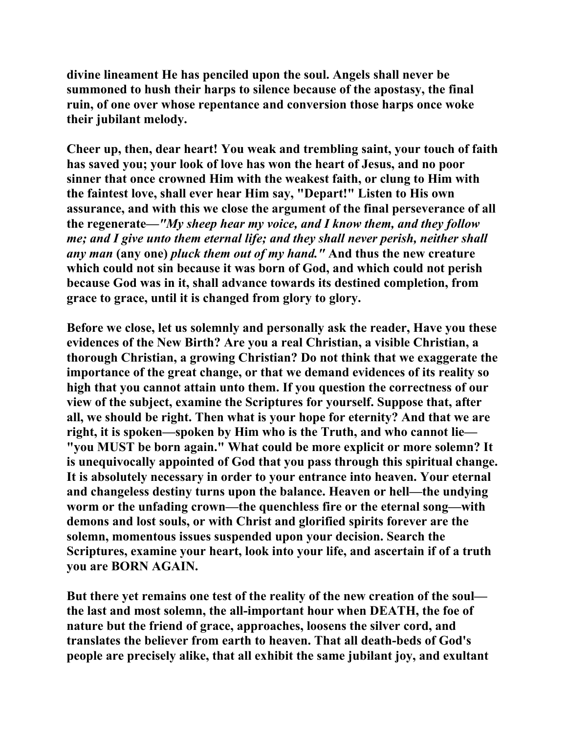**divine lineament He has penciled upon the soul. Angels shall never be summoned to hush their harps to silence because of the apostasy, the final ruin, of one over whose repentance and conversion those harps once woke their jubilant melody.** 

**Cheer up, then, dear heart! You weak and trembling saint, your touch of faith has saved you; your look of love has won the heart of Jesus, and no poor sinner that once crowned Him with the weakest faith, or clung to Him with the faintest love, shall ever hear Him say, "Depart!" Listen to His own assurance, and with this we close the argument of the final perseverance of all the regenerate—***"My sheep hear my voice, and I know them, and they follow me; and I give unto them eternal life; and they shall never perish, neither shall any man* **(any one)** *pluck them out of my hand."* **And thus the new creature which could not sin because it was born of God, and which could not perish because God was in it, shall advance towards its destined completion, from grace to grace, until it is changed from glory to glory.** 

**Before we close, let us solemnly and personally ask the reader, Have you these evidences of the New Birth? Are you a real Christian, a visible Christian, a thorough Christian, a growing Christian? Do not think that we exaggerate the importance of the great change, or that we demand evidences of its reality so high that you cannot attain unto them. If you question the correctness of our view of the subject, examine the Scriptures for yourself. Suppose that, after all, we should be right. Then what is your hope for eternity? And that we are right, it is spoken—spoken by Him who is the Truth, and who cannot lie— "you MUST be born again." What could be more explicit or more solemn? It is unequivocally appointed of God that you pass through this spiritual change. It is absolutely necessary in order to your entrance into heaven. Your eternal and changeless destiny turns upon the balance. Heaven or hell—the undying worm or the unfading crown—the quenchless fire or the eternal song—with demons and lost souls, or with Christ and glorified spirits forever are the solemn, momentous issues suspended upon your decision. Search the Scriptures, examine your heart, look into your life, and ascertain if of a truth you are BORN AGAIN.** 

**But there yet remains one test of the reality of the new creation of the soul the last and most solemn, the all-important hour when DEATH, the foe of nature but the friend of grace, approaches, loosens the silver cord, and translates the believer from earth to heaven. That all death-beds of God's people are precisely alike, that all exhibit the same jubilant joy, and exultant**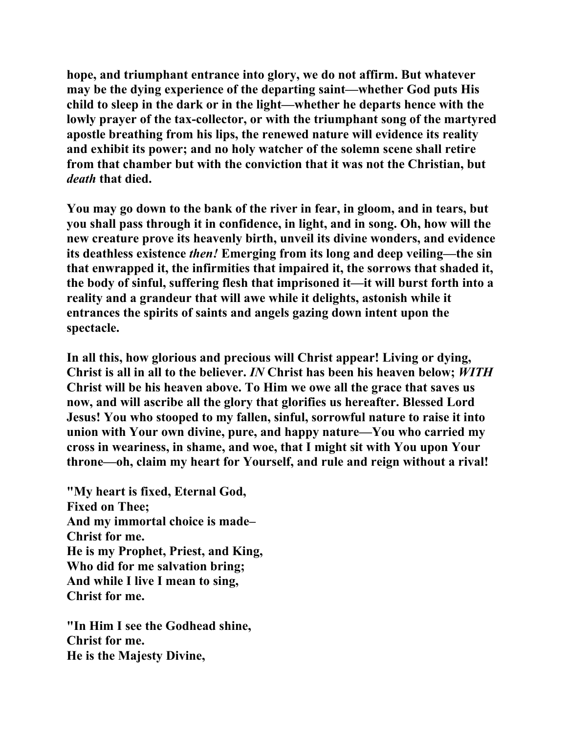**hope, and triumphant entrance into glory, we do not affirm. But whatever may be the dying experience of the departing saint—whether God puts His child to sleep in the dark or in the light—whether he departs hence with the lowly prayer of the tax-collector, or with the triumphant song of the martyred apostle breathing from his lips, the renewed nature will evidence its reality and exhibit its power; and no holy watcher of the solemn scene shall retire from that chamber but with the conviction that it was not the Christian, but**  *death* **that died.** 

**You may go down to the bank of the river in fear, in gloom, and in tears, but you shall pass through it in confidence, in light, and in song. Oh, how will the new creature prove its heavenly birth, unveil its divine wonders, and evidence its deathless existence** *then!* **Emerging from its long and deep veiling—the sin that enwrapped it, the infirmities that impaired it, the sorrows that shaded it, the body of sinful, suffering flesh that imprisoned it—it will burst forth into a reality and a grandeur that will awe while it delights, astonish while it entrances the spirits of saints and angels gazing down intent upon the spectacle.** 

**In all this, how glorious and precious will Christ appear! Living or dying, Christ is all in all to the believer.** *IN* **Christ has been his heaven below;** *WITH*  **Christ will be his heaven above. To Him we owe all the grace that saves us now, and will ascribe all the glory that glorifies us hereafter. Blessed Lord Jesus! You who stooped to my fallen, sinful, sorrowful nature to raise it into union with Your own divine, pure, and happy nature—You who carried my cross in weariness, in shame, and woe, that I might sit with You upon Your throne—oh, claim my heart for Yourself, and rule and reign without a rival!** 

**"My heart is fixed, Eternal God, Fixed on Thee; And my immortal choice is made– Christ for me. He is my Prophet, Priest, and King, Who did for me salvation bring; And while I live I mean to sing, Christ for me.** 

**"In Him I see the Godhead shine, Christ for me. He is the Majesty Divine,**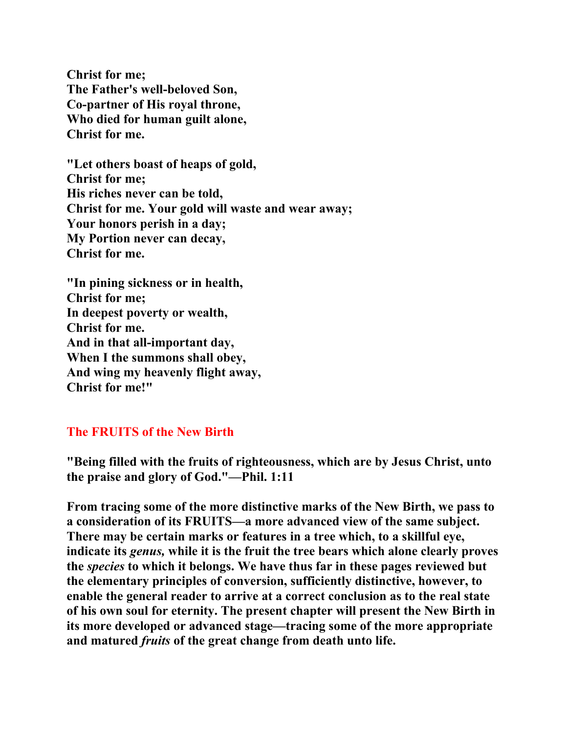**Christ for me; The Father's well-beloved Son, Co-partner of His royal throne, Who died for human guilt alone, Christ for me.** 

**"Let others boast of heaps of gold, Christ for me; His riches never can be told, Christ for me. Your gold will waste and wear away; Your honors perish in a day; My Portion never can decay, Christ for me.** 

**"In pining sickness or in health, Christ for me; In deepest poverty or wealth, Christ for me. And in that all-important day, When I the summons shall obey, And wing my heavenly flight away, Christ for me!"** 

## **The FRUITS of the New Birth**

**"Being filled with the fruits of righteousness, which are by Jesus Christ, unto the praise and glory of God."—Phil. 1:11** 

**From tracing some of the more distinctive marks of the New Birth, we pass to a consideration of its FRUITS—a more advanced view of the same subject. There may be certain marks or features in a tree which, to a skillful eye, indicate its** *genus,* **while it is the fruit the tree bears which alone clearly proves the** *species* **to which it belongs. We have thus far in these pages reviewed but the elementary principles of conversion, sufficiently distinctive, however, to enable the general reader to arrive at a correct conclusion as to the real state of his own soul for eternity. The present chapter will present the New Birth in its more developed or advanced stage—tracing some of the more appropriate and matured** *fruits* **of the great change from death unto life.**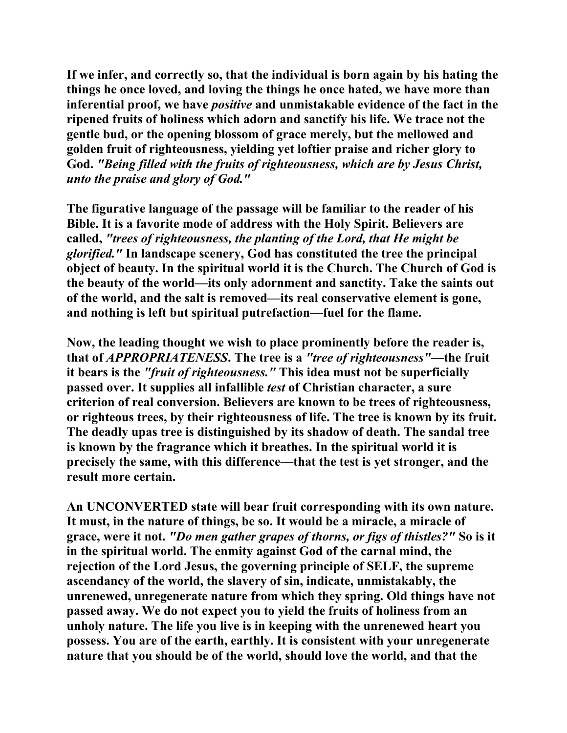**If we infer, and correctly so, that the individual is born again by his hating the things he once loved, and loving the things he once hated, we have more than inferential proof, we have** *positive* **and unmistakable evidence of the fact in the ripened fruits of holiness which adorn and sanctify his life. We trace not the gentle bud, or the opening blossom of grace merely, but the mellowed and golden fruit of righteousness, yielding yet loftier praise and richer glory to God.** *"Being filled with the fruits of righteousness, which are by Jesus Christ, unto the praise and glory of God."* 

**The figurative language of the passage will be familiar to the reader of his Bible. It is a favorite mode of address with the Holy Spirit. Believers are called,** *"trees of righteousness, the planting of the Lord, that He might be glorified."* **In landscape scenery, God has constituted the tree the principal object of beauty. In the spiritual world it is the Church. The Church of God is the beauty of the world—its only adornment and sanctity. Take the saints out of the world, and the salt is removed—its real conservative element is gone, and nothing is left but spiritual putrefaction—fuel for the flame.** 

**Now, the leading thought we wish to place prominently before the reader is, that of** *APPROPRIATENESS***. The tree is a** *"tree of righteousness"***—the fruit it bears is the** *"fruit of righteousness."* **This idea must not be superficially passed over. It supplies all infallible** *test* **of Christian character, a sure criterion of real conversion. Believers are known to be trees of righteousness, or righteous trees, by their righteousness of life. The tree is known by its fruit. The deadly upas tree is distinguished by its shadow of death. The sandal tree is known by the fragrance which it breathes. In the spiritual world it is precisely the same, with this difference—that the test is yet stronger, and the result more certain.** 

**An UNCONVERTED state will bear fruit corresponding with its own nature. It must, in the nature of things, be so. It would be a miracle, a miracle of grace, were it not.** *"Do men gather grapes of thorns, or figs of thistles?"* **So is it in the spiritual world. The enmity against God of the carnal mind, the rejection of the Lord Jesus, the governing principle of SELF, the supreme ascendancy of the world, the slavery of sin, indicate, unmistakably, the unrenewed, unregenerate nature from which they spring. Old things have not passed away. We do not expect you to yield the fruits of holiness from an unholy nature. The life you live is in keeping with the unrenewed heart you possess. You are of the earth, earthly. It is consistent with your unregenerate nature that you should be of the world, should love the world, and that the**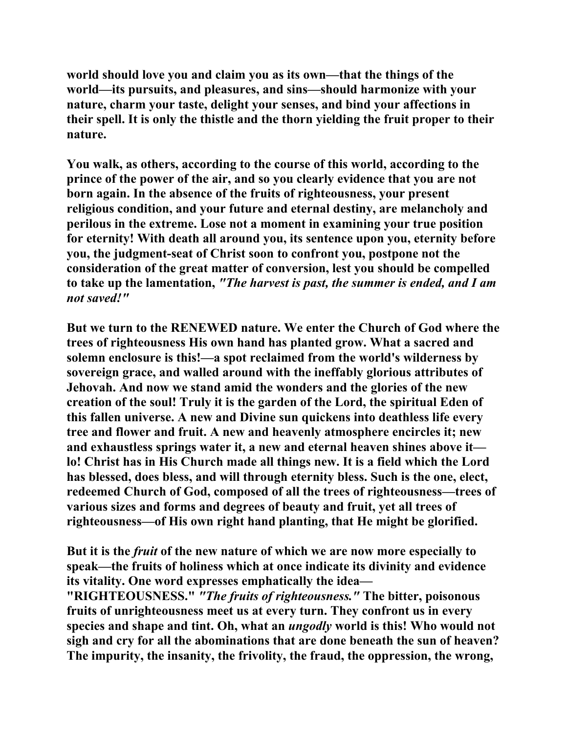**world should love you and claim you as its own—that the things of the world—its pursuits, and pleasures, and sins—should harmonize with your nature, charm your taste, delight your senses, and bind your affections in their spell. It is only the thistle and the thorn yielding the fruit proper to their nature.** 

**You walk, as others, according to the course of this world, according to the prince of the power of the air, and so you clearly evidence that you are not born again. In the absence of the fruits of righteousness, your present religious condition, and your future and eternal destiny, are melancholy and perilous in the extreme. Lose not a moment in examining your true position for eternity! With death all around you, its sentence upon you, eternity before you, the judgment-seat of Christ soon to confront you, postpone not the consideration of the great matter of conversion, lest you should be compelled to take up the lamentation,** *"The harvest is past, the summer is ended, and I am not saved!"* 

**But we turn to the RENEWED nature. We enter the Church of God where the trees of righteousness His own hand has planted grow. What a sacred and solemn enclosure is this!—a spot reclaimed from the world's wilderness by sovereign grace, and walled around with the ineffably glorious attributes of Jehovah. And now we stand amid the wonders and the glories of the new creation of the soul! Truly it is the garden of the Lord, the spiritual Eden of this fallen universe. A new and Divine sun quickens into deathless life every tree and flower and fruit. A new and heavenly atmosphere encircles it; new and exhaustless springs water it, a new and eternal heaven shines above it lo! Christ has in His Church made all things new. It is a field which the Lord has blessed, does bless, and will through eternity bless. Such is the one, elect, redeemed Church of God, composed of all the trees of righteousness—trees of various sizes and forms and degrees of beauty and fruit, yet all trees of righteousness—of His own right hand planting, that He might be glorified.** 

**But it is the** *fruit* **of the new nature of which we are now more especially to speak—the fruits of holiness which at once indicate its divinity and evidence its vitality. One word expresses emphatically the idea—**

**"RIGHTEOUSNESS."** *"The fruits of righteousness."* **The bitter, poisonous fruits of unrighteousness meet us at every turn. They confront us in every species and shape and tint. Oh, what an** *ungodly* **world is this! Who would not sigh and cry for all the abominations that are done beneath the sun of heaven? The impurity, the insanity, the frivolity, the fraud, the oppression, the wrong,**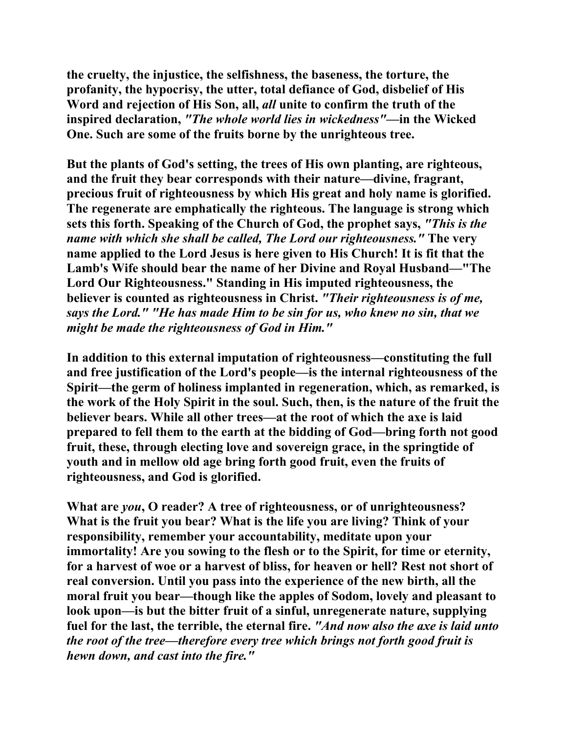**the cruelty, the injustice, the selfishness, the baseness, the torture, the profanity, the hypocrisy, the utter, total defiance of God, disbelief of His Word and rejection of His Son, all,** *all* **unite to confirm the truth of the inspired declaration,** *"The whole world lies in wickedness"***—in the Wicked One. Such are some of the fruits borne by the unrighteous tree.** 

**But the plants of God's setting, the trees of His own planting, are righteous, and the fruit they bear corresponds with their nature—divine, fragrant, precious fruit of righteousness by which His great and holy name is glorified. The regenerate are emphatically the righteous. The language is strong which sets this forth. Speaking of the Church of God, the prophet says,** *"This is the name with which she shall be called, The Lord our righteousness."* **The very name applied to the Lord Jesus is here given to His Church! It is fit that the Lamb's Wife should bear the name of her Divine and Royal Husband—"The Lord Our Righteousness." Standing in His imputed righteousness, the believer is counted as righteousness in Christ.** *"Their righteousness is of me, says the Lord." "He has made Him to be sin for us, who knew no sin, that we might be made the righteousness of God in Him."* 

**In addition to this external imputation of righteousness—constituting the full and free justification of the Lord's people—is the internal righteousness of the Spirit—the germ of holiness implanted in regeneration, which, as remarked, is the work of the Holy Spirit in the soul. Such, then, is the nature of the fruit the believer bears. While all other trees—at the root of which the axe is laid prepared to fell them to the earth at the bidding of God—bring forth not good fruit, these, through electing love and sovereign grace, in the springtide of youth and in mellow old age bring forth good fruit, even the fruits of righteousness, and God is glorified.** 

**What are** *you***, O reader? A tree of righteousness, or of unrighteousness? What is the fruit you bear? What is the life you are living? Think of your responsibility, remember your accountability, meditate upon your immortality! Are you sowing to the flesh or to the Spirit, for time or eternity, for a harvest of woe or a harvest of bliss, for heaven or hell? Rest not short of real conversion. Until you pass into the experience of the new birth, all the moral fruit you bear—though like the apples of Sodom, lovely and pleasant to look upon—is but the bitter fruit of a sinful, unregenerate nature, supplying fuel for the last, the terrible, the eternal fire.** *"And now also the axe is laid unto the root of the tree—therefore every tree which brings not forth good fruit is hewn down, and cast into the fire."*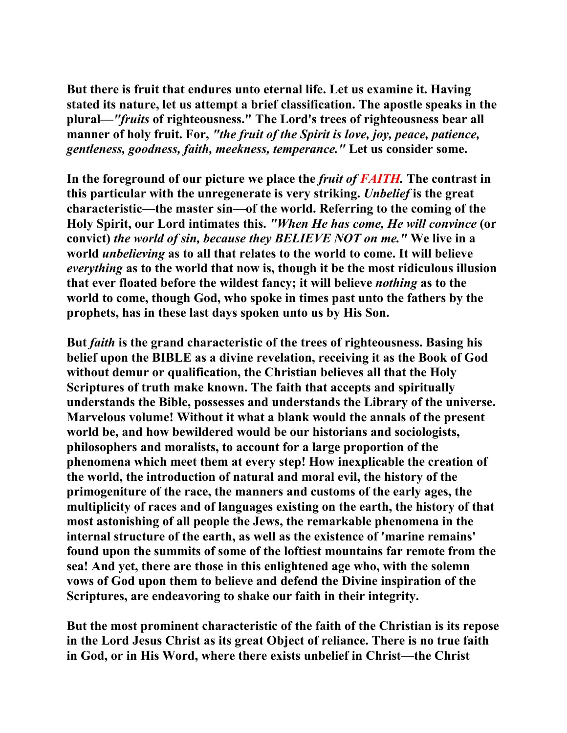**But there is fruit that endures unto eternal life. Let us examine it. Having stated its nature, let us attempt a brief classification. The apostle speaks in the plural—***"fruits* **of righteousness." The Lord's trees of righteousness bear all manner of holy fruit. For,** *"the fruit of the Spirit is love, joy, peace, patience, gentleness, goodness, faith, meekness, temperance."* **Let us consider some.** 

**In the foreground of our picture we place the** *fruit of FAITH.* **The contrast in this particular with the unregenerate is very striking.** *Unbelief* **is the great characteristic—the master sin—of the world. Referring to the coming of the Holy Spirit, our Lord intimates this.** *"When He has come, He will convince* **(or convict)** *the world of sin, because they BELIEVE NOT on me."* **We live in a world** *unbelieving* **as to all that relates to the world to come. It will believe**  *everything* **as to the world that now is, though it be the most ridiculous illusion that ever floated before the wildest fancy; it will believe** *nothing* **as to the world to come, though God, who spoke in times past unto the fathers by the prophets, has in these last days spoken unto us by His Son.** 

**But** *faith* **is the grand characteristic of the trees of righteousness. Basing his belief upon the BIBLE as a divine revelation, receiving it as the Book of God without demur or qualification, the Christian believes all that the Holy Scriptures of truth make known. The faith that accepts and spiritually understands the Bible, possesses and understands the Library of the universe. Marvelous volume! Without it what a blank would the annals of the present world be, and how bewildered would be our historians and sociologists, philosophers and moralists, to account for a large proportion of the phenomena which meet them at every step! How inexplicable the creation of the world, the introduction of natural and moral evil, the history of the primogeniture of the race, the manners and customs of the early ages, the multiplicity of races and of languages existing on the earth, the history of that most astonishing of all people the Jews, the remarkable phenomena in the internal structure of the earth, as well as the existence of 'marine remains' found upon the summits of some of the loftiest mountains far remote from the sea! And yet, there are those in this enlightened age who, with the solemn vows of God upon them to believe and defend the Divine inspiration of the Scriptures, are endeavoring to shake our faith in their integrity.** 

**But the most prominent characteristic of the faith of the Christian is its repose in the Lord Jesus Christ as its great Object of reliance. There is no true faith in God, or in His Word, where there exists unbelief in Christ—the Christ**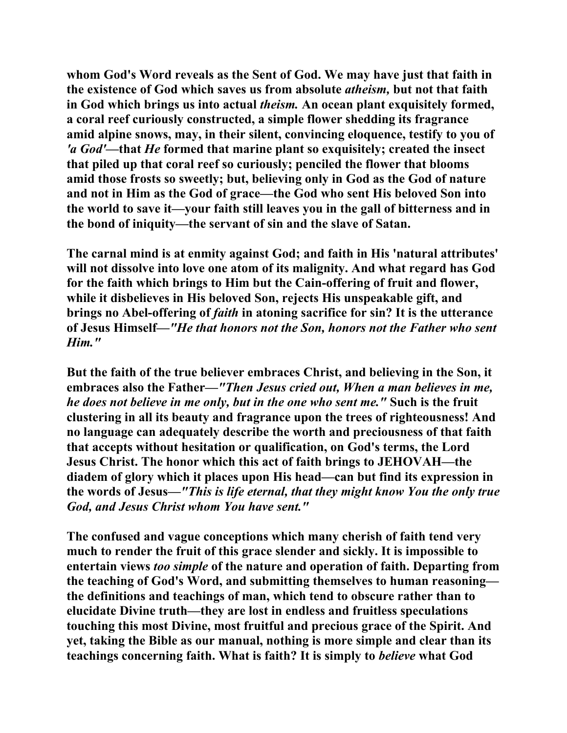**whom God's Word reveals as the Sent of God. We may have just that faith in the existence of God which saves us from absolute** *atheism,* **but not that faith in God which brings us into actual** *theism.* **An ocean plant exquisitely formed, a coral reef curiously constructed, a simple flower shedding its fragrance amid alpine snows, may, in their silent, convincing eloquence, testify to you of**  *'a God'***—that** *He* **formed that marine plant so exquisitely; created the insect that piled up that coral reef so curiously; penciled the flower that blooms amid those frosts so sweetly; but, believing only in God as the God of nature and not in Him as the God of grace—the God who sent His beloved Son into the world to save it—your faith still leaves you in the gall of bitterness and in the bond of iniquity—the servant of sin and the slave of Satan.** 

**The carnal mind is at enmity against God; and faith in His 'natural attributes' will not dissolve into love one atom of its malignity. And what regard has God for the faith which brings to Him but the Cain-offering of fruit and flower, while it disbelieves in His beloved Son, rejects His unspeakable gift, and brings no Abel-offering of** *faith* **in atoning sacrifice for sin? It is the utterance of Jesus Himself—***"He that honors not the Son, honors not the Father who sent Him."* 

**But the faith of the true believer embraces Christ, and believing in the Son, it embraces also the Father—***"Then Jesus cried out, When a man believes in me, he does not believe in me only, but in the one who sent me."* **Such is the fruit clustering in all its beauty and fragrance upon the trees of righteousness! And no language can adequately describe the worth and preciousness of that faith that accepts without hesitation or qualification, on God's terms, the Lord Jesus Christ. The honor which this act of faith brings to JEHOVAH—the diadem of glory which it places upon His head—can but find its expression in the words of Jesus—***"This is life eternal, that they might know You the only true God, and Jesus Christ whom You have sent."* 

**The confused and vague conceptions which many cherish of faith tend very much to render the fruit of this grace slender and sickly. It is impossible to entertain views** *too simple* **of the nature and operation of faith. Departing from the teaching of God's Word, and submitting themselves to human reasoning the definitions and teachings of man, which tend to obscure rather than to elucidate Divine truth—they are lost in endless and fruitless speculations touching this most Divine, most fruitful and precious grace of the Spirit. And yet, taking the Bible as our manual, nothing is more simple and clear than its teachings concerning faith. What is faith? It is simply to** *believe* **what God**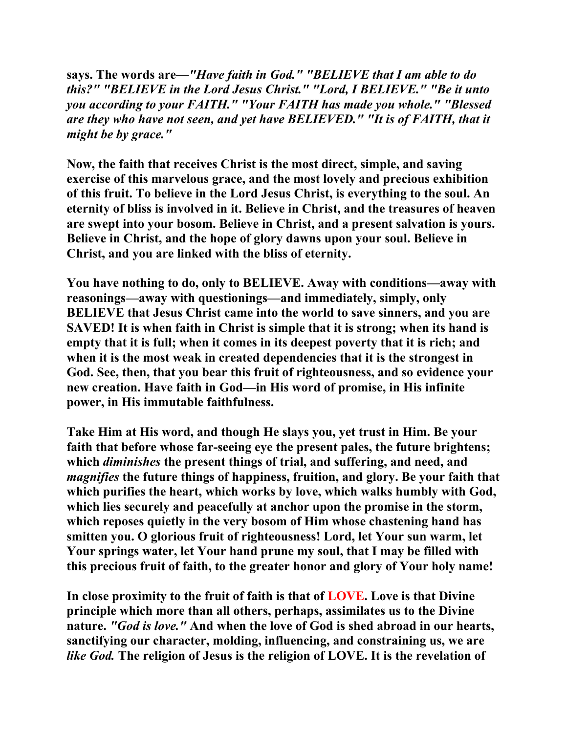**says. The words are—***"Have faith in God." "BELIEVE that I am able to do this?" "BELIEVE in the Lord Jesus Christ." "Lord, I BELIEVE." "Be it unto you according to your FAITH." "Your FAITH has made you whole." "Blessed are they who have not seen, and yet have BELIEVED." "It is of FAITH, that it might be by grace."* 

**Now, the faith that receives Christ is the most direct, simple, and saving exercise of this marvelous grace, and the most lovely and precious exhibition of this fruit. To believe in the Lord Jesus Christ, is everything to the soul. An eternity of bliss is involved in it. Believe in Christ, and the treasures of heaven are swept into your bosom. Believe in Christ, and a present salvation is yours. Believe in Christ, and the hope of glory dawns upon your soul. Believe in Christ, and you are linked with the bliss of eternity.** 

**You have nothing to do, only to BELIEVE. Away with conditions—away with reasonings—away with questionings—and immediately, simply, only BELIEVE that Jesus Christ came into the world to save sinners, and you are SAVED! It is when faith in Christ is simple that it is strong; when its hand is empty that it is full; when it comes in its deepest poverty that it is rich; and when it is the most weak in created dependencies that it is the strongest in God. See, then, that you bear this fruit of righteousness, and so evidence your new creation. Have faith in God—in His word of promise, in His infinite power, in His immutable faithfulness.** 

**Take Him at His word, and though He slays you, yet trust in Him. Be your faith that before whose far-seeing eye the present pales, the future brightens; which** *diminishes* **the present things of trial, and suffering, and need, and**  *magnifies* **the future things of happiness, fruition, and glory. Be your faith that which purifies the heart, which works by love, which walks humbly with God, which lies securely and peacefully at anchor upon the promise in the storm, which reposes quietly in the very bosom of Him whose chastening hand has smitten you. O glorious fruit of righteousness! Lord, let Your sun warm, let Your springs water, let Your hand prune my soul, that I may be filled with this precious fruit of faith, to the greater honor and glory of Your holy name!** 

**In close proximity to the fruit of faith is that of LOVE. Love is that Divine principle which more than all others, perhaps, assimilates us to the Divine nature.** *"God is love."* **And when the love of God is shed abroad in our hearts, sanctifying our character, molding, influencing, and constraining us, we are**  *like God.* **The religion of Jesus is the religion of LOVE. It is the revelation of**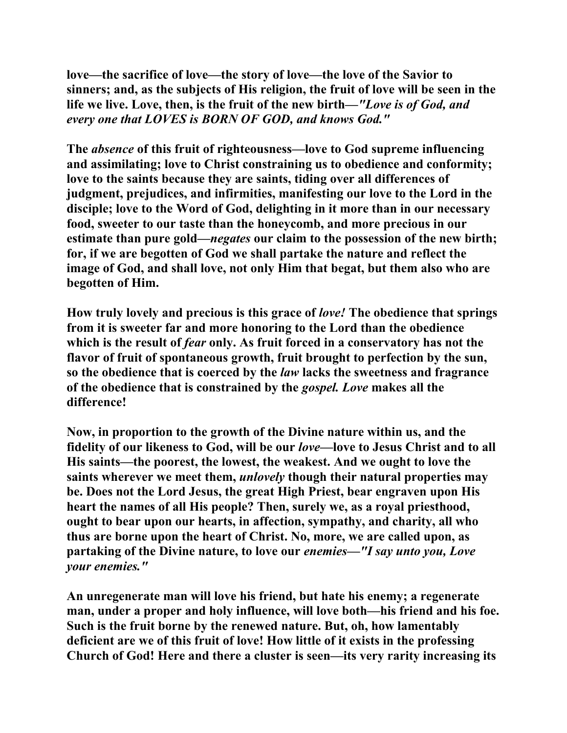**love—the sacrifice of love—the story of love—the love of the Savior to sinners; and, as the subjects of His religion, the fruit of love will be seen in the life we live. Love, then, is the fruit of the new birth—***"Love is of God, and every one that LOVES is BORN OF GOD, and knows God."* 

**The** *absence* **of this fruit of righteousness—love to God supreme influencing and assimilating; love to Christ constraining us to obedience and conformity; love to the saints because they are saints, tiding over all differences of judgment, prejudices, and infirmities, manifesting our love to the Lord in the disciple; love to the Word of God, delighting in it more than in our necessary food, sweeter to our taste than the honeycomb, and more precious in our estimate than pure gold—***negates* **our claim to the possession of the new birth; for, if we are begotten of God we shall partake the nature and reflect the image of God, and shall love, not only Him that begat, but them also who are begotten of Him.** 

**How truly lovely and precious is this grace of** *love!* **The obedience that springs from it is sweeter far and more honoring to the Lord than the obedience which is the result of** *fear* **only. As fruit forced in a conservatory has not the flavor of fruit of spontaneous growth, fruit brought to perfection by the sun, so the obedience that is coerced by the** *law* **lacks the sweetness and fragrance of the obedience that is constrained by the** *gospel. Love* **makes all the difference!** 

**Now, in proportion to the growth of the Divine nature within us, and the fidelity of our likeness to God, will be our** *love***—love to Jesus Christ and to all His saints—the poorest, the lowest, the weakest. And we ought to love the saints wherever we meet them,** *unlovely* **though their natural properties may be. Does not the Lord Jesus, the great High Priest, bear engraven upon His heart the names of all His people? Then, surely we, as a royal priesthood, ought to bear upon our hearts, in affection, sympathy, and charity, all who thus are borne upon the heart of Christ. No, more, we are called upon, as partaking of the Divine nature, to love our** *enemies—"I say unto you, Love your enemies."* 

**An unregenerate man will love his friend, but hate his enemy; a regenerate man, under a proper and holy influence, will love both—his friend and his foe. Such is the fruit borne by the renewed nature. But, oh, how lamentably deficient are we of this fruit of love! How little of it exists in the professing Church of God! Here and there a cluster is seen—its very rarity increasing its**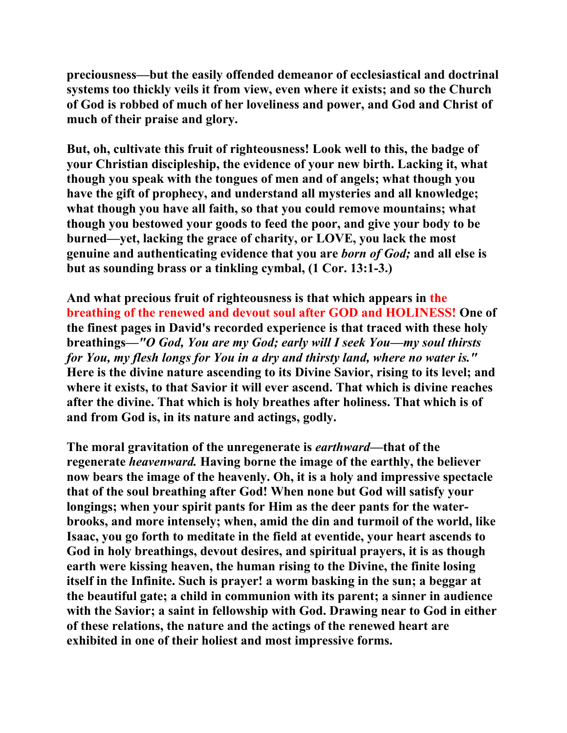**preciousness—but the easily offended demeanor of ecclesiastical and doctrinal systems too thickly veils it from view, even where it exists; and so the Church of God is robbed of much of her loveliness and power, and God and Christ of much of their praise and glory.** 

**But, oh, cultivate this fruit of righteousness! Look well to this, the badge of your Christian discipleship, the evidence of your new birth. Lacking it, what though you speak with the tongues of men and of angels; what though you have the gift of prophecy, and understand all mysteries and all knowledge; what though you have all faith, so that you could remove mountains; what though you bestowed your goods to feed the poor, and give your body to be burned—yet, lacking the grace of charity, or LOVE, you lack the most genuine and authenticating evidence that you are** *born of God;* **and all else is but as sounding brass or a tinkling cymbal, (1 Cor. 13:1-3.)** 

**And what precious fruit of righteousness is that which appears in the breathing of the renewed and devout soul after GOD and HOLINESS! One of the finest pages in David's recorded experience is that traced with these holy breathings—***"O God, You are my God; early will I seek You—my soul thirsts for You, my flesh longs for You in a dry and thirsty land, where no water is."*  **Here is the divine nature ascending to its Divine Savior, rising to its level; and where it exists, to that Savior it will ever ascend. That which is divine reaches after the divine. That which is holy breathes after holiness. That which is of and from God is, in its nature and actings, godly.** 

**The moral gravitation of the unregenerate is** *earthward***—that of the regenerate** *heavenward.* **Having borne the image of the earthly, the believer now bears the image of the heavenly. Oh, it is a holy and impressive spectacle that of the soul breathing after God! When none but God will satisfy your longings; when your spirit pants for Him as the deer pants for the waterbrooks, and more intensely; when, amid the din and turmoil of the world, like Isaac, you go forth to meditate in the field at eventide, your heart ascends to God in holy breathings, devout desires, and spiritual prayers, it is as though earth were kissing heaven, the human rising to the Divine, the finite losing itself in the Infinite. Such is prayer! a worm basking in the sun; a beggar at the beautiful gate; a child in communion with its parent; a sinner in audience with the Savior; a saint in fellowship with God. Drawing near to God in either of these relations, the nature and the actings of the renewed heart are exhibited in one of their holiest and most impressive forms.**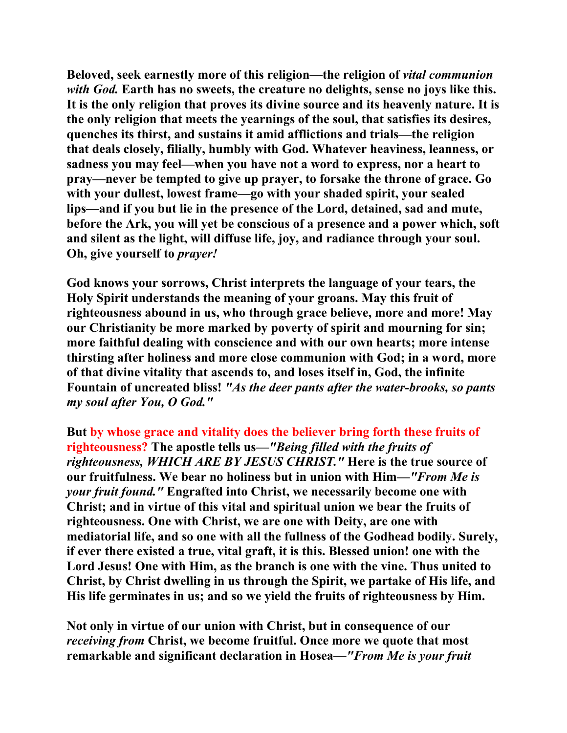**Beloved, seek earnestly more of this religion—the religion of** *vital communion with God.* **Earth has no sweets, the creature no delights, sense no joys like this. It is the only religion that proves its divine source and its heavenly nature. It is the only religion that meets the yearnings of the soul, that satisfies its desires, quenches its thirst, and sustains it amid afflictions and trials—the religion that deals closely, filially, humbly with God. Whatever heaviness, leanness, or sadness you may feel—when you have not a word to express, nor a heart to pray—never be tempted to give up prayer, to forsake the throne of grace. Go with your dullest, lowest frame—go with your shaded spirit, your sealed lips—and if you but lie in the presence of the Lord, detained, sad and mute, before the Ark, you will yet be conscious of a presence and a power which, soft and silent as the light, will diffuse life, joy, and radiance through your soul. Oh, give yourself to** *prayer!* 

**God knows your sorrows, Christ interprets the language of your tears, the Holy Spirit understands the meaning of your groans. May this fruit of righteousness abound in us, who through grace believe, more and more! May our Christianity be more marked by poverty of spirit and mourning for sin; more faithful dealing with conscience and with our own hearts; more intense thirsting after holiness and more close communion with God; in a word, more of that divine vitality that ascends to, and loses itself in, God, the infinite Fountain of uncreated bliss!** *"As the deer pants after the water-brooks, so pants my soul after You, O God."* 

**But by whose grace and vitality does the believer bring forth these fruits of righteousness? The apostle tells us—***"Being filled with the fruits of righteousness, WHICH ARE BY JESUS CHRIST."* **Here is the true source of our fruitfulness. We bear no holiness but in union with Him—***"From Me is your fruit found."* **Engrafted into Christ, we necessarily become one with Christ; and in virtue of this vital and spiritual union we bear the fruits of righteousness. One with Christ, we are one with Deity, are one with mediatorial life, and so one with all the fullness of the Godhead bodily. Surely, if ever there existed a true, vital graft, it is this. Blessed union! one with the Lord Jesus! One with Him, as the branch is one with the vine. Thus united to Christ, by Christ dwelling in us through the Spirit, we partake of His life, and His life germinates in us; and so we yield the fruits of righteousness by Him.** 

**Not only in virtue of our union with Christ, but in consequence of our**  *receiving from* **Christ, we become fruitful. Once more we quote that most remarkable and significant declaration in Hosea—***"From Me is your fruit*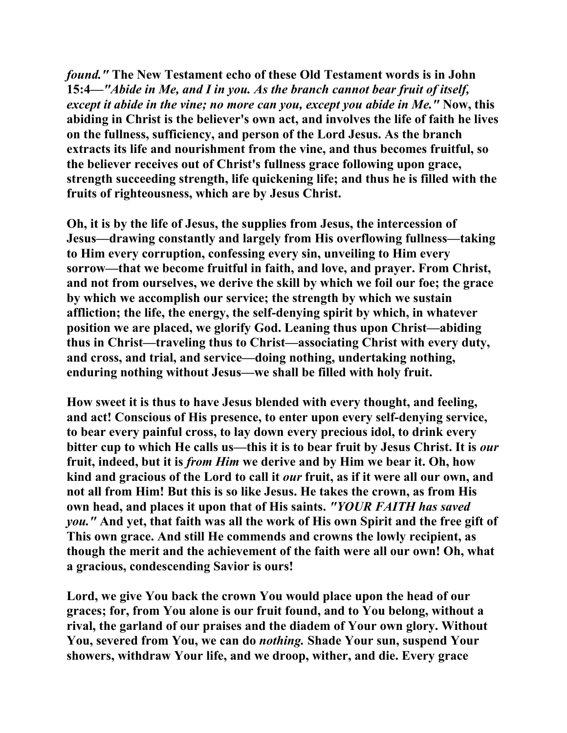*found."* **The New Testament echo of these Old Testament words is in John 15:4—***"Abide in Me, and I in you. As the branch cannot bear fruit of itself, except it abide in the vine; no more can you, except you abide in Me.* " Now, this **abiding in Christ is the believer's own act, and involves the life of faith he lives on the fullness, sufficiency, and person of the Lord Jesus. As the branch extracts its life and nourishment from the vine, and thus becomes fruitful, so the believer receives out of Christ's fullness grace following upon grace, strength succeeding strength, life quickening life; and thus he is filled with the fruits of righteousness, which are by Jesus Christ.** 

**Oh, it is by the life of Jesus, the supplies from Jesus, the intercession of Jesus—drawing constantly and largely from His overflowing fullness—taking to Him every corruption, confessing every sin, unveiling to Him every sorrow—that we become fruitful in faith, and love, and prayer. From Christ, and not from ourselves, we derive the skill by which we foil our foe; the grace by which we accomplish our service; the strength by which we sustain affliction; the life, the energy, the self-denying spirit by which, in whatever position we are placed, we glorify God. Leaning thus upon Christ—abiding thus in Christ—traveling thus to Christ—associating Christ with every duty, and cross, and trial, and service—doing nothing, undertaking nothing, enduring nothing without Jesus—we shall be filled with holy fruit.** 

**How sweet it is thus to have Jesus blended with every thought, and feeling, and act! Conscious of His presence, to enter upon every self-denying service, to bear every painful cross, to lay down every precious idol, to drink every bitter cup to which He calls us—this it is to bear fruit by Jesus Christ. It is** *our*  **fruit, indeed, but it is** *from Him* **we derive and by Him we bear it. Oh, how kind and gracious of the Lord to call it** *our* **fruit, as if it were all our own, and not all from Him! But this is so like Jesus. He takes the crown, as from His own head, and places it upon that of His saints.** *"YOUR FAITH has saved you."* **And yet, that faith was all the work of His own Spirit and the free gift of This own grace. And still He commends and crowns the lowly recipient, as though the merit and the achievement of the faith were all our own! Oh, what a gracious, condescending Savior is ours!** 

**Lord, we give You back the crown You would place upon the head of our graces; for, from You alone is our fruit found, and to You belong, without a rival, the garland of our praises and the diadem of Your own glory. Without You, severed from You, we can do** *nothing.* **Shade Your sun, suspend Your showers, withdraw Your life, and we droop, wither, and die. Every grace**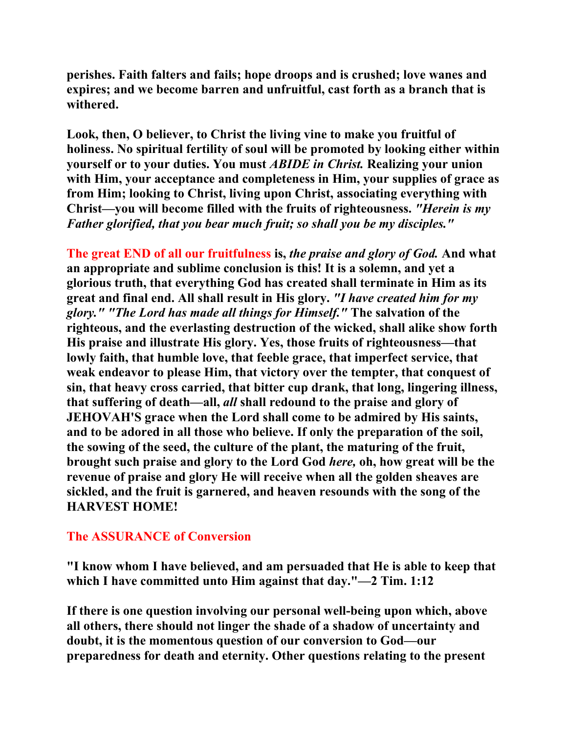**perishes. Faith falters and fails; hope droops and is crushed; love wanes and expires; and we become barren and unfruitful, cast forth as a branch that is withered.** 

**Look, then, O believer, to Christ the living vine to make you fruitful of holiness. No spiritual fertility of soul will be promoted by looking either within yourself or to your duties. You must** *ABIDE in Christ.* **Realizing your union with Him, your acceptance and completeness in Him, your supplies of grace as from Him; looking to Christ, living upon Christ, associating everything with Christ—you will become filled with the fruits of righteousness.** *"Herein is my Father glorified, that you bear much fruit; so shall you be my disciples."* 

**The great END of all our fruitfulness is,** *the praise and glory of God.* **And what an appropriate and sublime conclusion is this! It is a solemn, and yet a glorious truth, that everything God has created shall terminate in Him as its great and final end. All shall result in His glory.** *"I have created him for my glory." "The Lord has made all things for Himself."* **The salvation of the righteous, and the everlasting destruction of the wicked, shall alike show forth His praise and illustrate His glory. Yes, those fruits of righteousness—that lowly faith, that humble love, that feeble grace, that imperfect service, that weak endeavor to please Him, that victory over the tempter, that conquest of sin, that heavy cross carried, that bitter cup drank, that long, lingering illness, that suffering of death—all,** *all* **shall redound to the praise and glory of JEHOVAH'S grace when the Lord shall come to be admired by His saints, and to be adored in all those who believe. If only the preparation of the soil, the sowing of the seed, the culture of the plant, the maturing of the fruit, brought such praise and glory to the Lord God** *here,* **oh, how great will be the revenue of praise and glory He will receive when all the golden sheaves are sickled, and the fruit is garnered, and heaven resounds with the song of the HARVEST HOME!** 

## **The ASSURANCE of Conversion**

**"I know whom I have believed, and am persuaded that He is able to keep that which I have committed unto Him against that day."—2 Tim. 1:12** 

**If there is one question involving our personal well-being upon which, above all others, there should not linger the shade of a shadow of uncertainty and doubt, it is the momentous question of our conversion to God—our preparedness for death and eternity. Other questions relating to the present**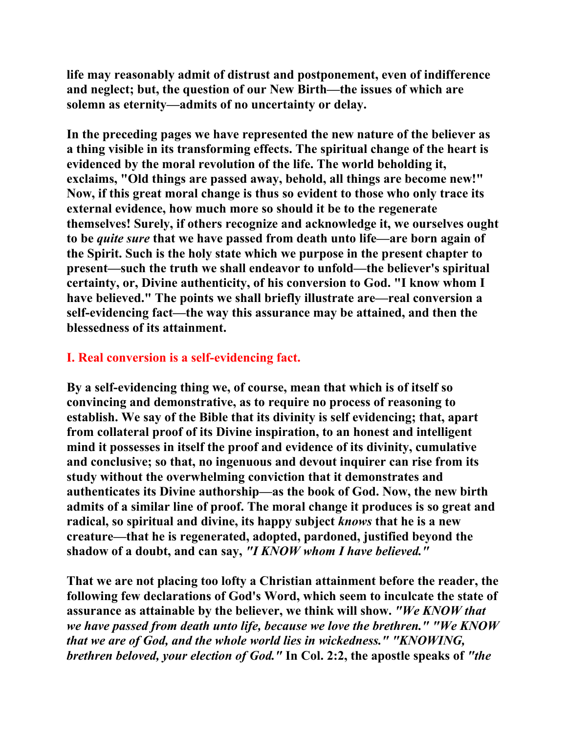**life may reasonably admit of distrust and postponement, even of indifference and neglect; but, the question of our New Birth—the issues of which are solemn as eternity—admits of no uncertainty or delay.** 

**In the preceding pages we have represented the new nature of the believer as a thing visible in its transforming effects. The spiritual change of the heart is evidenced by the moral revolution of the life. The world beholding it, exclaims, "Old things are passed away, behold, all things are become new!" Now, if this great moral change is thus so evident to those who only trace its external evidence, how much more so should it be to the regenerate themselves! Surely, if others recognize and acknowledge it, we ourselves ought to be** *quite sure* **that we have passed from death unto life—are born again of the Spirit. Such is the holy state which we purpose in the present chapter to present—such the truth we shall endeavor to unfold—the believer's spiritual certainty, or, Divine authenticity, of his conversion to God. "I know whom I have believed." The points we shall briefly illustrate are—real conversion a self-evidencing fact—the way this assurance may be attained, and then the blessedness of its attainment.** 

# **I. Real conversion is a self-evidencing fact.**

**By a self-evidencing thing we, of course, mean that which is of itself so convincing and demonstrative, as to require no process of reasoning to establish. We say of the Bible that its divinity is self evidencing; that, apart from collateral proof of its Divine inspiration, to an honest and intelligent mind it possesses in itself the proof and evidence of its divinity, cumulative and conclusive; so that, no ingenuous and devout inquirer can rise from its study without the overwhelming conviction that it demonstrates and authenticates its Divine authorship—as the book of God. Now, the new birth admits of a similar line of proof. The moral change it produces is so great and radical, so spiritual and divine, its happy subject** *knows* **that he is a new creature—that he is regenerated, adopted, pardoned, justified beyond the shadow of a doubt, and can say,** *"I KNOW whom I have believed."* 

**That we are not placing too lofty a Christian attainment before the reader, the following few declarations of God's Word, which seem to inculcate the state of assurance as attainable by the believer, we think will show.** *"We KNOW that we have passed from death unto life, because we love the brethren." "We KNOW that we are of God, and the whole world lies in wickedness." "KNOWING, brethren beloved, your election of God."* **In Col. 2:2, the apostle speaks of** *"the*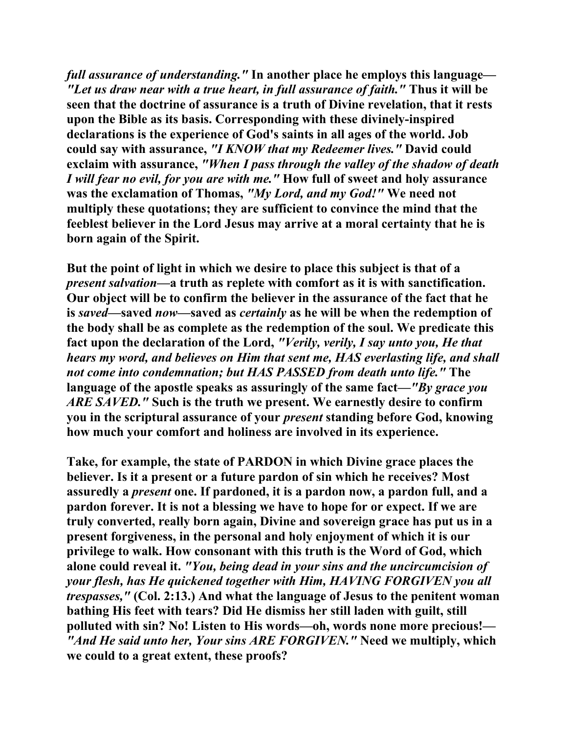*full assurance of understanding."* **In another place he employs this language—** *"Let us draw near with a true heart, in full assurance of faith."* **Thus it will be seen that the doctrine of assurance is a truth of Divine revelation, that it rests upon the Bible as its basis. Corresponding with these divinely-inspired declarations is the experience of God's saints in all ages of the world. Job could say with assurance,** *"I KNOW that my Redeemer lives."* **David could exclaim with assurance,** *"When I pass through the valley of the shadow of death I will fear no evil, for you are with me."* **How full of sweet and holy assurance was the exclamation of Thomas,** *"My Lord, and my God!"* **We need not multiply these quotations; they are sufficient to convince the mind that the feeblest believer in the Lord Jesus may arrive at a moral certainty that he is born again of the Spirit.** 

**But the point of light in which we desire to place this subject is that of a**  *present salvation***—a truth as replete with comfort as it is with sanctification. Our object will be to confirm the believer in the assurance of the fact that he is** *saved***—saved** *now***—saved as** *certainly* **as he will be when the redemption of the body shall be as complete as the redemption of the soul. We predicate this fact upon the declaration of the Lord,** *"Verily, verily, I say unto you, He that hears my word, and believes on Him that sent me, HAS everlasting life, and shall not come into condemnation; but HAS PASSED from death unto life."* **The language of the apostle speaks as assuringly of the same fact***—"By grace you ARE SAVED."* **Such is the truth we present. We earnestly desire to confirm you in the scriptural assurance of your** *present* **standing before God, knowing how much your comfort and holiness are involved in its experience.** 

**Take, for example, the state of PARDON in which Divine grace places the believer. Is it a present or a future pardon of sin which he receives? Most assuredly a** *present* **one. If pardoned, it is a pardon now, a pardon full, and a pardon forever. It is not a blessing we have to hope for or expect. If we are truly converted, really born again, Divine and sovereign grace has put us in a present forgiveness, in the personal and holy enjoyment of which it is our privilege to walk. How consonant with this truth is the Word of God, which alone could reveal it.** *"You, being dead in your sins and the uncircumcision of your flesh, has He quickened together with Him, HAVING FORGIVEN you all trespasses,"* **(Col. 2:13.) And what the language of Jesus to the penitent woman bathing His feet with tears? Did He dismiss her still laden with guilt, still polluted with sin? No! Listen to His words—oh, words none more precious!—** *"And He said unto her, Your sins ARE FORGIVEN."* **Need we multiply, which we could to a great extent, these proofs?**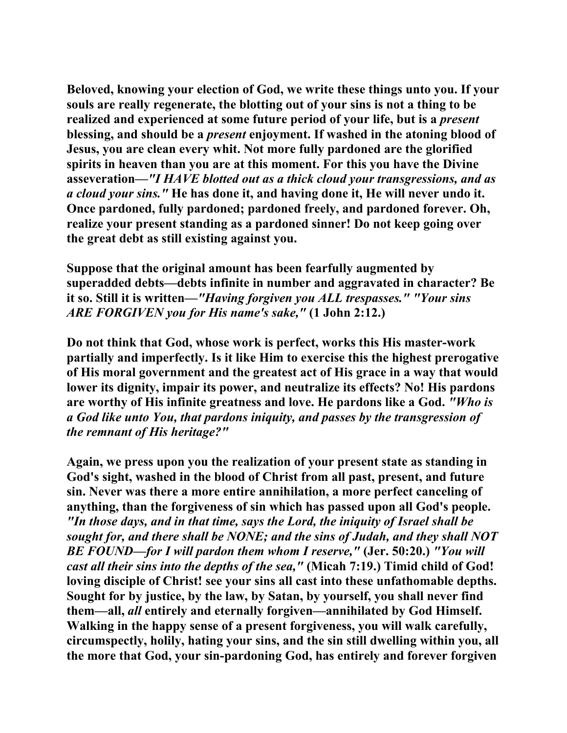**Beloved, knowing your election of God, we write these things unto you. If your souls are really regenerate, the blotting out of your sins is not a thing to be realized and experienced at some future period of your life, but is a** *present*  **blessing, and should be a** *present* **enjoyment. If washed in the atoning blood of Jesus, you are clean every whit. Not more fully pardoned are the glorified spirits in heaven than you are at this moment. For this you have the Divine asseveration—***"I HAVE blotted out as a thick cloud your transgressions, and as a cloud your sins."* **He has done it, and having done it, He will never undo it. Once pardoned, fully pardoned; pardoned freely, and pardoned forever. Oh, realize your present standing as a pardoned sinner! Do not keep going over the great debt as still existing against you.** 

**Suppose that the original amount has been fearfully augmented by superadded debts—debts infinite in number and aggravated in character? Be it so. Still it is written—***"Having forgiven you ALL trespasses." "Your sins ARE FORGIVEN you for His name's sake,"* **(1 John 2:12.)** 

**Do not think that God, whose work is perfect, works this His master-work partially and imperfectly. Is it like Him to exercise this the highest prerogative of His moral government and the greatest act of His grace in a way that would lower its dignity, impair its power, and neutralize its effects? No! His pardons are worthy of His infinite greatness and love. He pardons like a God.** *"Who is a God like unto You, that pardons iniquity, and passes by the transgression of the remnant of His heritage?"* 

**Again, we press upon you the realization of your present state as standing in God's sight, washed in the blood of Christ from all past, present, and future sin. Never was there a more entire annihilation, a more perfect canceling of anything, than the forgiveness of sin which has passed upon all God's people.** *"In those days, and in that time, says the Lord, the iniquity of Israel shall be sought for, and there shall be NONE; and the sins of Judah, and they shall NOT BE FOUND—for I will pardon them whom I reserve,"* **(Jer. 50:20.)** *"You will cast all their sins into the depths of the sea,"* **(Micah 7:19.) Timid child of God! loving disciple of Christ! see your sins all cast into these unfathomable depths. Sought for by justice, by the law, by Satan, by yourself, you shall never find them—all,** *all* **entirely and eternally forgiven—annihilated by God Himself. Walking in the happy sense of a present forgiveness, you will walk carefully, circumspectly, holily, hating your sins, and the sin still dwelling within you, all the more that God, your sin-pardoning God, has entirely and forever forgiven**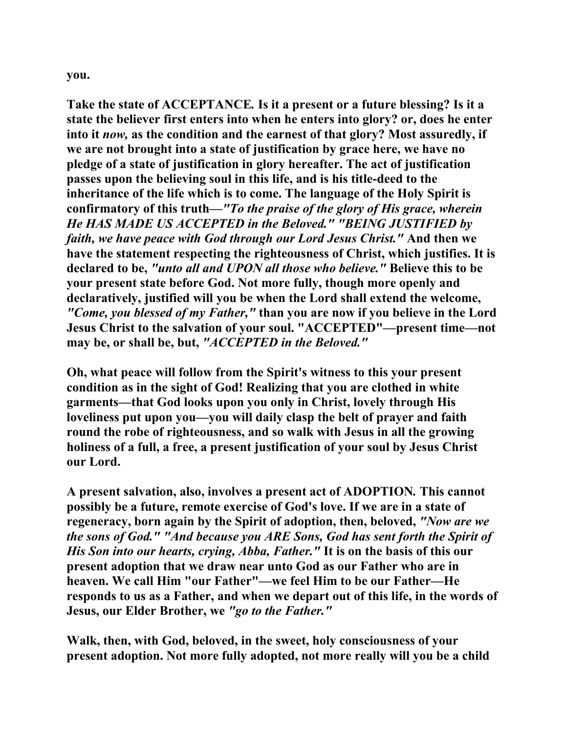**you.** 

**Take the state of ACCEPTANCE***.* **Is it a present or a future blessing? Is it a state the believer first enters into when he enters into glory? or, does he enter into it** *now,* **as the condition and the earnest of that glory? Most assuredly, if we are not brought into a state of justification by grace here, we have no pledge of a state of justification in glory hereafter. The act of justification passes upon the believing soul in this life, and is his title-deed to the inheritance of the life which is to come. The language of the Holy Spirit is confirmatory of this truth—***"To the praise of the glory of His grace, wherein He HAS MADE US ACCEPTED in the Beloved." "BEING JUSTIFIED by faith, we have peace with God through our Lord Jesus Christ."* **And then we have the statement respecting the righteousness of Christ, which justifies. It is declared to be,** *"unto all and UPON all those who believe."* **Believe this to be your present state before God. Not more fully, though more openly and declaratively, justified will you be when the Lord shall extend the welcome,**  *"Come, you blessed of my Father,"* **than you are now if you believe in the Lord Jesus Christ to the salvation of your soul. "ACCEPTED"—present time—not may be, or shall be, but,** *"ACCEPTED in the Beloved."*

**Oh, what peace will follow from the Spirit's witness to this your present condition as in the sight of God! Realizing that you are clothed in white garments—that God looks upon you only in Christ, lovely through His loveliness put upon you—you will daily clasp the belt of prayer and faith round the robe of righteousness, and so walk with Jesus in all the growing holiness of a full, a free, a present justification of your soul by Jesus Christ our Lord.** 

**A present salvation, also, involves a present act of ADOPTION***.* **This cannot possibly be a future, remote exercise of God's love. If we are in a state of regeneracy, born again by the Spirit of adoption, then, beloved,** *"Now are we the sons of God." "And because you ARE Sons, God has sent forth the Spirit of His Son into our hearts, crying, Abba, Father."* **It is on the basis of this our present adoption that we draw near unto God as our Father who are in heaven. We call Him "our Father"—we feel Him to be our Father—He responds to us as a Father, and when we depart out of this life, in the words of Jesus, our Elder Brother, we** *"go to the Father."* 

**Walk, then, with God, beloved, in the sweet, holy consciousness of your present adoption. Not more fully adopted, not more really will you be a child**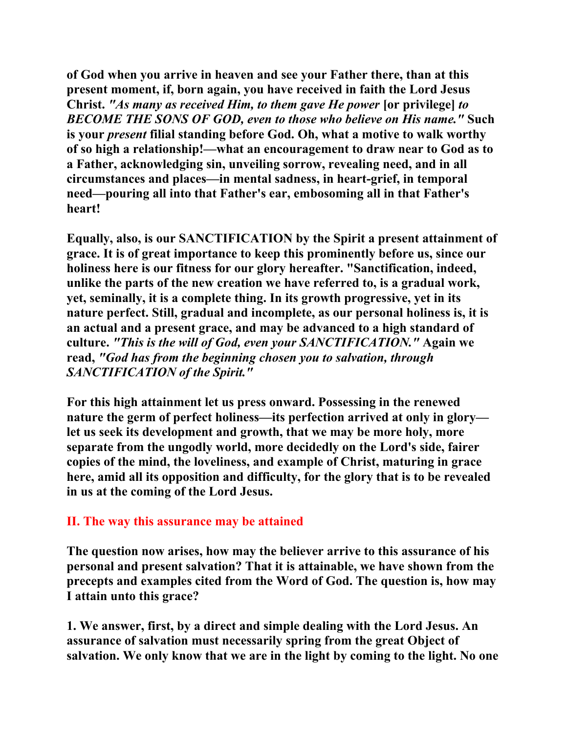**of God when you arrive in heaven and see your Father there, than at this present moment, if, born again, you have received in faith the Lord Jesus Christ.** *"As many as received Him, to them gave He power* **[or privilege]** *to BECOME THE SONS OF GOD, even to those who believe on His name."* **Such is your** *present* **filial standing before God. Oh, what a motive to walk worthy of so high a relationship!—what an encouragement to draw near to God as to a Father, acknowledging sin, unveiling sorrow, revealing need, and in all circumstances and places—in mental sadness, in heart-grief, in temporal need—pouring all into that Father's ear, embosoming all in that Father's heart!** 

**Equally, also, is our SANCTIFICATION by the Spirit a present attainment of grace. It is of great importance to keep this prominently before us, since our holiness here is our fitness for our glory hereafter. "Sanctification, indeed, unlike the parts of the new creation we have referred to, is a gradual work, yet, seminally, it is a complete thing. In its growth progressive, yet in its nature perfect. Still, gradual and incomplete, as our personal holiness is, it is an actual and a present grace, and may be advanced to a high standard of culture.** *"This is the will of God, even your SANCTIFICATION."* **Again we read,** *"God has from the beginning chosen you to salvation, through SANCTIFICATION of the Spirit."* 

**For this high attainment let us press onward. Possessing in the renewed nature the germ of perfect holiness—its perfection arrived at only in glory let us seek its development and growth, that we may be more holy, more separate from the ungodly world, more decidedly on the Lord's side, fairer copies of the mind, the loveliness, and example of Christ, maturing in grace here, amid all its opposition and difficulty, for the glory that is to be revealed in us at the coming of the Lord Jesus.** 

## **II. The way this assurance may be attained**

**The question now arises, how may the believer arrive to this assurance of his personal and present salvation? That it is attainable, we have shown from the precepts and examples cited from the Word of God. The question is, how may I attain unto this grace?** 

**1. We answer, first, by a direct and simple dealing with the Lord Jesus. An assurance of salvation must necessarily spring from the great Object of salvation. We only know that we are in the light by coming to the light. No one**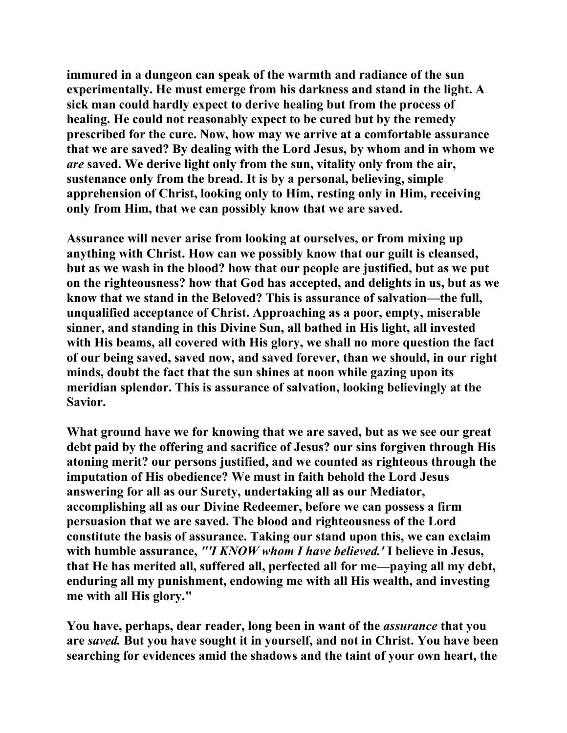**immured in a dungeon can speak of the warmth and radiance of the sun experimentally. He must emerge from his darkness and stand in the light. A sick man could hardly expect to derive healing but from the process of healing. He could not reasonably expect to be cured but by the remedy prescribed for the cure. Now, how may we arrive at a comfortable assurance that we are saved? By dealing with the Lord Jesus, by whom and in whom we**  *are* **saved. We derive light only from the sun, vitality only from the air, sustenance only from the bread. It is by a personal, believing, simple apprehension of Christ, looking only to Him, resting only in Him, receiving only from Him, that we can possibly know that we are saved.** 

**Assurance will never arise from looking at ourselves, or from mixing up anything with Christ. How can we possibly know that our guilt is cleansed, but as we wash in the blood? how that our people are justified, but as we put on the righteousness? how that God has accepted, and delights in us, but as we know that we stand in the Beloved? This is assurance of salvation—the full, unqualified acceptance of Christ. Approaching as a poor, empty, miserable sinner, and standing in this Divine Sun, all bathed in His light, all invested with His beams, all covered with His glory, we shall no more question the fact of our being saved, saved now, and saved forever, than we should, in our right minds, doubt the fact that the sun shines at noon while gazing upon its meridian splendor. This is assurance of salvation, looking believingly at the Savior.** 

**What ground have we for knowing that we are saved, but as we see our great debt paid by the offering and sacrifice of Jesus? our sins forgiven through His atoning merit? our persons justified, and we counted as righteous through the imputation of His obedience? We must in faith behold the Lord Jesus answering for all as our Surety, undertaking all as our Mediator, accomplishing all as our Divine Redeemer, before we can possess a firm persuasion that we are saved. The blood and righteousness of the Lord constitute the basis of assurance. Taking our stand upon this, we can exclaim with humble assurance,** *"'I KNOW whom I have believed.'* **I believe in Jesus, that He has merited all, suffered all, perfected all for me—paying all my debt, enduring all my punishment, endowing me with all His wealth, and investing me with all His glory."** 

**You have, perhaps, dear reader, long been in want of the** *assurance* **that you are** *saved.* **But you have sought it in yourself, and not in Christ. You have been searching for evidences amid the shadows and the taint of your own heart, the**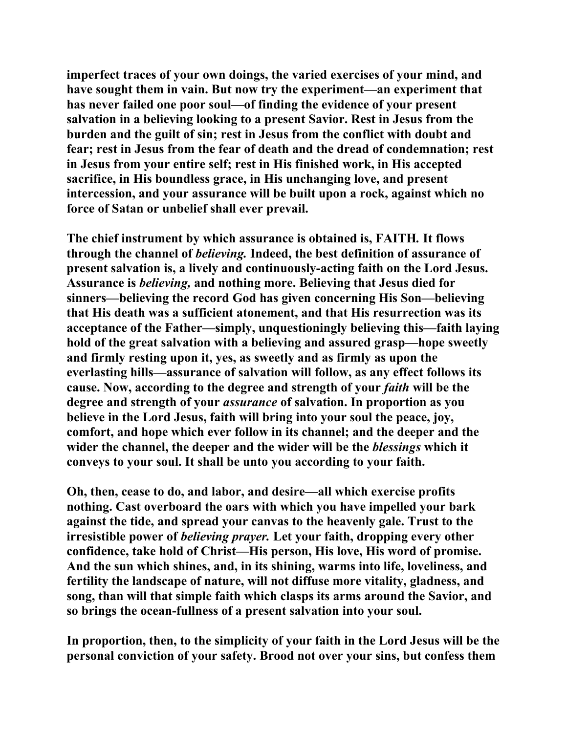**imperfect traces of your own doings, the varied exercises of your mind, and have sought them in vain. But now try the experiment—an experiment that has never failed one poor soul—of finding the evidence of your present salvation in a believing looking to a present Savior. Rest in Jesus from the burden and the guilt of sin; rest in Jesus from the conflict with doubt and fear; rest in Jesus from the fear of death and the dread of condemnation; rest in Jesus from your entire self; rest in His finished work, in His accepted sacrifice, in His boundless grace, in His unchanging love, and present intercession, and your assurance will be built upon a rock, against which no force of Satan or unbelief shall ever prevail.** 

**The chief instrument by which assurance is obtained is, FAITH***.* **It flows through the channel of** *believing.* **Indeed, the best definition of assurance of present salvation is, a lively and continuously-acting faith on the Lord Jesus. Assurance is** *believing,* **and nothing more. Believing that Jesus died for sinners—believing the record God has given concerning His Son—believing that His death was a sufficient atonement, and that His resurrection was its acceptance of the Father—simply, unquestioningly believing this—faith laying hold of the great salvation with a believing and assured grasp—hope sweetly and firmly resting upon it, yes, as sweetly and as firmly as upon the everlasting hills—assurance of salvation will follow, as any effect follows its cause. Now, according to the degree and strength of your** *faith* **will be the degree and strength of your** *assurance* **of salvation. In proportion as you believe in the Lord Jesus, faith will bring into your soul the peace, joy, comfort, and hope which ever follow in its channel; and the deeper and the wider the channel, the deeper and the wider will be the** *blessings* **which it conveys to your soul. It shall be unto you according to your faith.** 

**Oh, then, cease to do, and labor, and desire—all which exercise profits nothing. Cast overboard the oars with which you have impelled your bark against the tide, and spread your canvas to the heavenly gale. Trust to the irresistible power of** *believing prayer.* **Let your faith, dropping every other confidence, take hold of Christ—His person, His love, His word of promise. And the sun which shines, and, in its shining, warms into life, loveliness, and fertility the landscape of nature, will not diffuse more vitality, gladness, and song, than will that simple faith which clasps its arms around the Savior, and so brings the ocean-fullness of a present salvation into your soul.** 

**In proportion, then, to the simplicity of your faith in the Lord Jesus will be the personal conviction of your safety. Brood not over your sins, but confess them**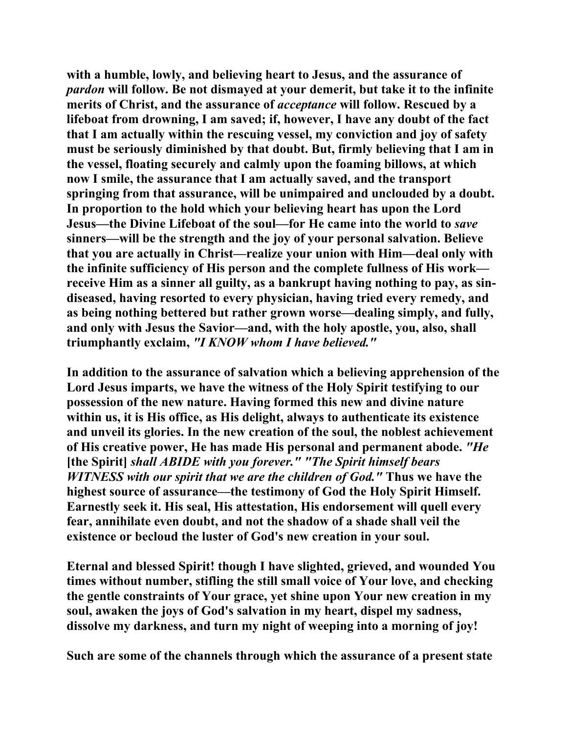**with a humble, lowly, and believing heart to Jesus, and the assurance of**  *pardon* **will follow. Be not dismayed at your demerit, but take it to the infinite merits of Christ, and the assurance of** *acceptance* **will follow. Rescued by a lifeboat from drowning, I am saved; if, however, I have any doubt of the fact that I am actually within the rescuing vessel, my conviction and joy of safety must be seriously diminished by that doubt. But, firmly believing that I am in the vessel, floating securely and calmly upon the foaming billows, at which now I smile, the assurance that I am actually saved, and the transport springing from that assurance, will be unimpaired and unclouded by a doubt. In proportion to the hold which your believing heart has upon the Lord Jesus—the Divine Lifeboat of the soul—for He came into the world to** *save*  **sinners—will be the strength and the joy of your personal salvation. Believe that you are actually in Christ—realize your union with Him—deal only with the infinite sufficiency of His person and the complete fullness of His work receive Him as a sinner all guilty, as a bankrupt having nothing to pay, as sindiseased, having resorted to every physician, having tried every remedy, and as being nothing bettered but rather grown worse—dealing simply, and fully, and only with Jesus the Savior—and, with the holy apostle, you, also, shall triumphantly exclaim,** *"I KNOW whom I have believed."* 

**In addition to the assurance of salvation which a believing apprehension of the Lord Jesus imparts, we have the witness of the Holy Spirit testifying to our possession of the new nature. Having formed this new and divine nature within us, it is His office, as His delight, always to authenticate its existence and unveil its glories. In the new creation of the soul, the noblest achievement of His creative power, He has made His personal and permanent abode.** *"He*  **[the Spirit]** *shall ABIDE with you forever." "The Spirit himself bears WITNESS with our spirit that we are the children of God."* **Thus we have the highest source of assurance—the testimony of God the Holy Spirit Himself. Earnestly seek it. His seal, His attestation, His endorsement will quell every fear, annihilate even doubt, and not the shadow of a shade shall veil the existence or becloud the luster of God's new creation in your soul.** 

**Eternal and blessed Spirit! though I have slighted, grieved, and wounded You times without number, stifling the still small voice of Your love, and checking the gentle constraints of Your grace, yet shine upon Your new creation in my soul, awaken the joys of God's salvation in my heart, dispel my sadness, dissolve my darkness, and turn my night of weeping into a morning of joy!** 

**Such are some of the channels through which the assurance of a present state**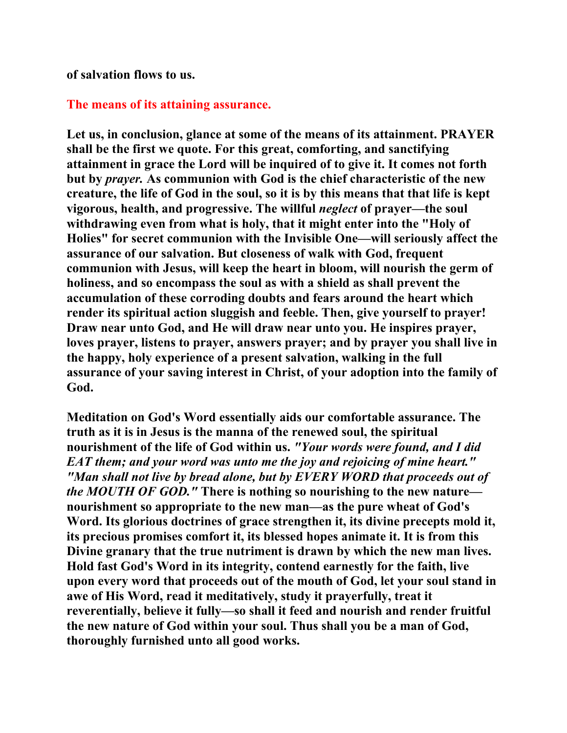### **of salvation flows to us.**

### **The means of its attaining assurance.**

**Let us, in conclusion, glance at some of the means of its attainment. PRAYER shall be the first we quote. For this great, comforting, and sanctifying attainment in grace the Lord will be inquired of to give it. It comes not forth but by** *prayer.* **As communion with God is the chief characteristic of the new creature, the life of God in the soul, so it is by this means that that life is kept vigorous, health, and progressive. The willful** *neglect* **of prayer—the soul withdrawing even from what is holy, that it might enter into the "Holy of Holies" for secret communion with the Invisible One—will seriously affect the assurance of our salvation. But closeness of walk with God, frequent communion with Jesus, will keep the heart in bloom, will nourish the germ of holiness, and so encompass the soul as with a shield as shall prevent the accumulation of these corroding doubts and fears around the heart which render its spiritual action sluggish and feeble. Then, give yourself to prayer! Draw near unto God, and He will draw near unto you. He inspires prayer, loves prayer, listens to prayer, answers prayer; and by prayer you shall live in the happy, holy experience of a present salvation, walking in the full assurance of your saving interest in Christ, of your adoption into the family of God.** 

**Meditation on God's Word essentially aids our comfortable assurance. The truth as it is in Jesus is the manna of the renewed soul, the spiritual nourishment of the life of God within us.** *"Your words were found, and I did EAT them; and your word was unto me the joy and rejoicing of mine heart." "Man shall not live by bread alone, but by EVERY WORD that proceeds out of the MOUTH OF GOD."* **There is nothing so nourishing to the new nature nourishment so appropriate to the new man—as the pure wheat of God's Word. Its glorious doctrines of grace strengthen it, its divine precepts mold it, its precious promises comfort it, its blessed hopes animate it. It is from this Divine granary that the true nutriment is drawn by which the new man lives. Hold fast God's Word in its integrity, contend earnestly for the faith, live upon every word that proceeds out of the mouth of God, let your soul stand in awe of His Word, read it meditatively, study it prayerfully, treat it reverentially, believe it fully—so shall it feed and nourish and render fruitful the new nature of God within your soul. Thus shall you be a man of God, thoroughly furnished unto all good works.**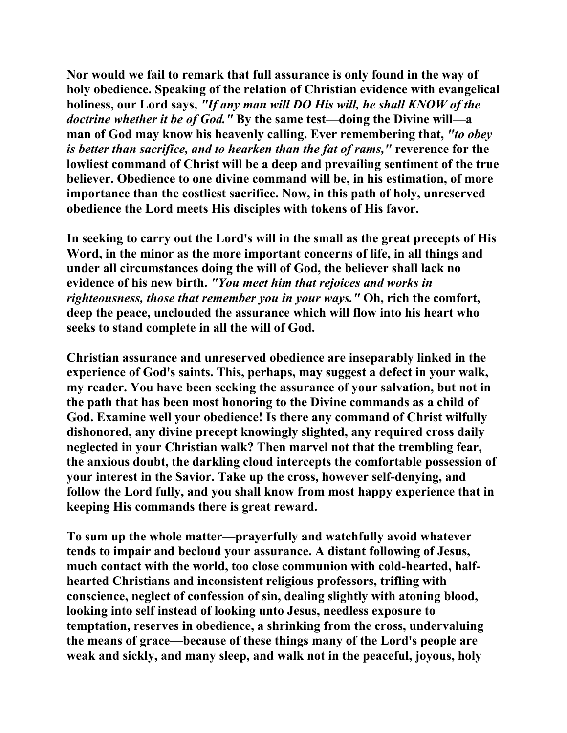**Nor would we fail to remark that full assurance is only found in the way of holy obedience. Speaking of the relation of Christian evidence with evangelical holiness, our Lord says,** *"If any man will DO His will, he shall KNOW of the doctrine whether it be of God."* **By the same test—doing the Divine will—a man of God may know his heavenly calling. Ever remembering that,** *"to obey is better than sacrifice, and to hearken than the fat of rams,"* **reverence for the lowliest command of Christ will be a deep and prevailing sentiment of the true believer. Obedience to one divine command will be, in his estimation, of more importance than the costliest sacrifice. Now, in this path of holy, unreserved obedience the Lord meets His disciples with tokens of His favor.** 

**In seeking to carry out the Lord's will in the small as the great precepts of His Word, in the minor as the more important concerns of life, in all things and under all circumstances doing the will of God, the believer shall lack no evidence of his new birth.** *"You meet him that rejoices and works in righteousness, those that remember you in your ways."* **Oh, rich the comfort, deep the peace, unclouded the assurance which will flow into his heart who seeks to stand complete in all the will of God.** 

**Christian assurance and unreserved obedience are inseparably linked in the experience of God's saints. This, perhaps, may suggest a defect in your walk, my reader. You have been seeking the assurance of your salvation, but not in the path that has been most honoring to the Divine commands as a child of God. Examine well your obedience! Is there any command of Christ wilfully dishonored, any divine precept knowingly slighted, any required cross daily neglected in your Christian walk? Then marvel not that the trembling fear, the anxious doubt, the darkling cloud intercepts the comfortable possession of your interest in the Savior. Take up the cross, however self-denying, and follow the Lord fully, and you shall know from most happy experience that in keeping His commands there is great reward.** 

**To sum up the whole matter—prayerfully and watchfully avoid whatever tends to impair and becloud your assurance. A distant following of Jesus, much contact with the world, too close communion with cold-hearted, halfhearted Christians and inconsistent religious professors, trifling with conscience, neglect of confession of sin, dealing slightly with atoning blood, looking into self instead of looking unto Jesus, needless exposure to temptation, reserves in obedience, a shrinking from the cross, undervaluing the means of grace—because of these things many of the Lord's people are weak and sickly, and many sleep, and walk not in the peaceful, joyous, holy**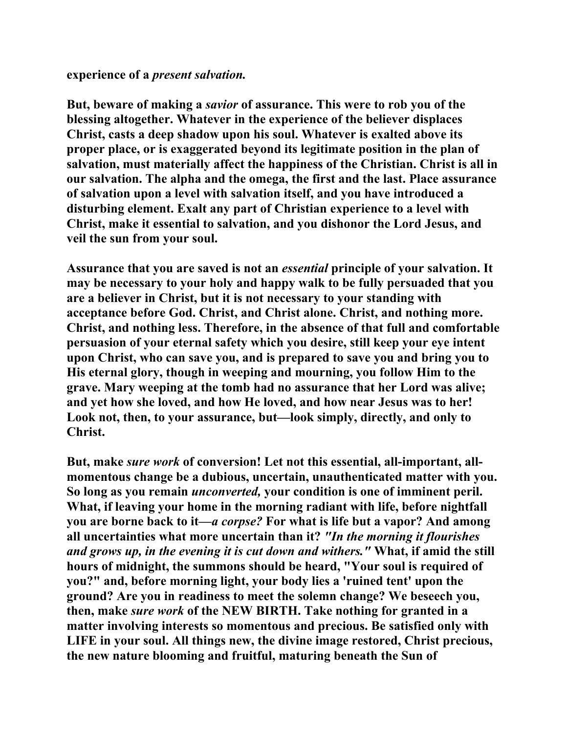#### **experience of a** *present salvation.*

**But, beware of making a** *savior* **of assurance. This were to rob you of the blessing altogether. Whatever in the experience of the believer displaces Christ, casts a deep shadow upon his soul. Whatever is exalted above its proper place, or is exaggerated beyond its legitimate position in the plan of salvation, must materially affect the happiness of the Christian. Christ is all in our salvation. The alpha and the omega, the first and the last. Place assurance of salvation upon a level with salvation itself, and you have introduced a disturbing element. Exalt any part of Christian experience to a level with Christ, make it essential to salvation, and you dishonor the Lord Jesus, and veil the sun from your soul.** 

**Assurance that you are saved is not an** *essential* **principle of your salvation. It may be necessary to your holy and happy walk to be fully persuaded that you are a believer in Christ, but it is not necessary to your standing with acceptance before God. Christ, and Christ alone. Christ, and nothing more. Christ, and nothing less. Therefore, in the absence of that full and comfortable persuasion of your eternal safety which you desire, still keep your eye intent upon Christ, who can save you, and is prepared to save you and bring you to His eternal glory, though in weeping and mourning, you follow Him to the grave. Mary weeping at the tomb had no assurance that her Lord was alive; and yet how she loved, and how He loved, and how near Jesus was to her! Look not, then, to your assurance, but—look simply, directly, and only to Christ.** 

**But, make** *sure work* **of conversion! Let not this essential, all-important, allmomentous change be a dubious, uncertain, unauthenticated matter with you. So long as you remain** *unconverted,* **your condition is one of imminent peril. What, if leaving your home in the morning radiant with life, before nightfall you are borne back to it—***a corpse?* **For what is life but a vapor? And among all uncertainties what more uncertain than it?** *"In the morning it flourishes and grows up, in the evening it is cut down and withers."* **What, if amid the still hours of midnight, the summons should be heard, "Your soul is required of you?" and, before morning light, your body lies a 'ruined tent' upon the ground? Are you in readiness to meet the solemn change? We beseech you, then, make** *sure work* **of the NEW BIRTH. Take nothing for granted in a matter involving interests so momentous and precious. Be satisfied only with LIFE in your soul. All things new, the divine image restored, Christ precious, the new nature blooming and fruitful, maturing beneath the Sun of**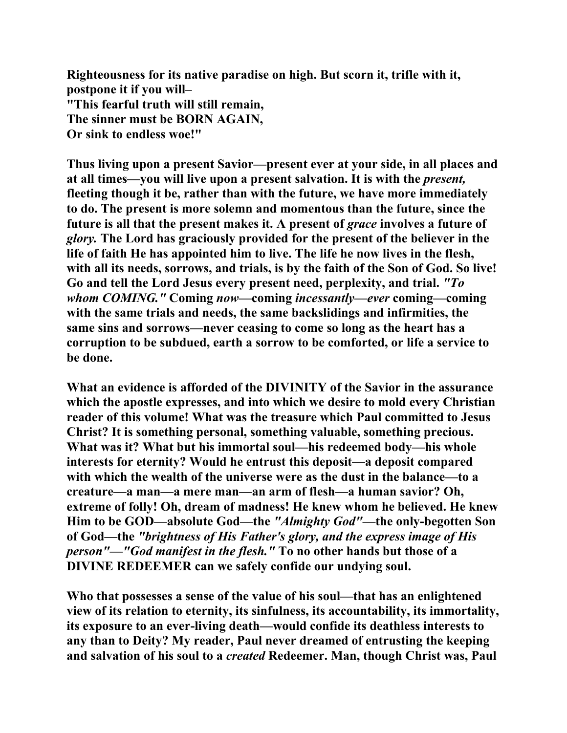**Righteousness for its native paradise on high. But scorn it, trifle with it, postpone it if you will– "This fearful truth will still remain, The sinner must be BORN AGAIN, Or sink to endless woe!"** 

**Thus living upon a present Savior—present ever at your side, in all places and at all times—you will live upon a present salvation. It is with the** *present,*  **fleeting though it be, rather than with the future, we have more immediately to do. The present is more solemn and momentous than the future, since the future is all that the present makes it. A present of** *grace* **involves a future of** *glory.* **The Lord has graciously provided for the present of the believer in the life of faith He has appointed him to live. The life he now lives in the flesh, with all its needs, sorrows, and trials, is by the faith of the Son of God. So live! Go and tell the Lord Jesus every present need, perplexity, and trial.** *"To whom COMING."* **Coming** *now***—coming** *incessantly***—***ever* **coming—coming with the same trials and needs, the same backslidings and infirmities, the same sins and sorrows—never ceasing to come so long as the heart has a corruption to be subdued, earth a sorrow to be comforted, or life a service to be done.** 

**What an evidence is afforded of the DIVINITY of the Savior in the assurance which the apostle expresses, and into which we desire to mold every Christian reader of this volume! What was the treasure which Paul committed to Jesus Christ? It is something personal, something valuable, something precious. What was it? What but his immortal soul—his redeemed body—his whole interests for eternity? Would he entrust this deposit—a deposit compared with which the wealth of the universe were as the dust in the balance—to a creature—a man—a mere man—an arm of flesh—a human savior? Oh, extreme of folly! Oh, dream of madness! He knew whom he believed. He knew Him to be GOD—absolute God—the** *"Almighty God"***—the only-begotten Son of God—the** *"brightness of His Father's glory, and the express image of His person"—"God manifest in the flesh."* **To no other hands but those of a DIVINE REDEEMER can we safely confide our undying soul.** 

**Who that possesses a sense of the value of his soul—that has an enlightened view of its relation to eternity, its sinfulness, its accountability, its immortality, its exposure to an ever-living death—would confide its deathless interests to any than to Deity? My reader, Paul never dreamed of entrusting the keeping and salvation of his soul to a** *created* **Redeemer. Man, though Christ was, Paul**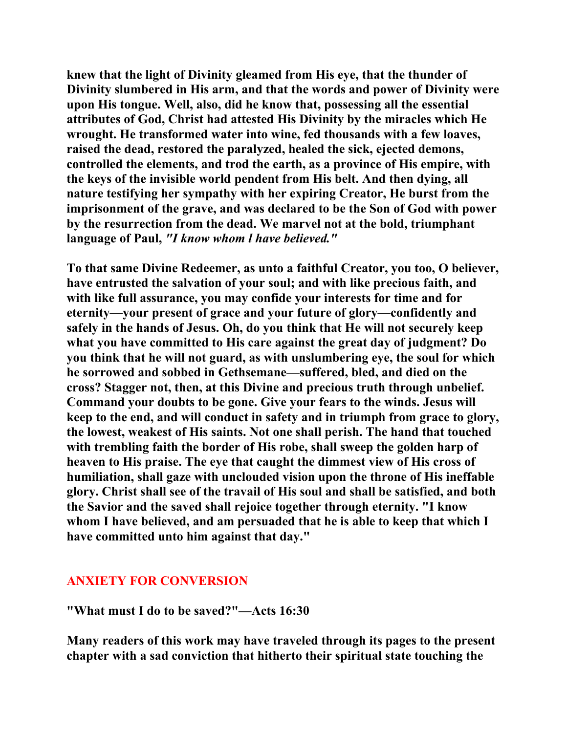**knew that the light of Divinity gleamed from His eye, that the thunder of Divinity slumbered in His arm, and that the words and power of Divinity were upon His tongue. Well, also, did he know that, possessing all the essential attributes of God, Christ had attested His Divinity by the miracles which He wrought. He transformed water into wine, fed thousands with a few loaves, raised the dead, restored the paralyzed, healed the sick, ejected demons, controlled the elements, and trod the earth, as a province of His empire, with the keys of the invisible world pendent from His belt. And then dying, all nature testifying her sympathy with her expiring Creator, He burst from the imprisonment of the grave, and was declared to be the Son of God with power by the resurrection from the dead. We marvel not at the bold, triumphant language of Paul,** *"I know whom l have believed."* 

**To that same Divine Redeemer, as unto a faithful Creator, you too, O believer, have entrusted the salvation of your soul; and with like precious faith, and with like full assurance, you may confide your interests for time and for eternity—your present of grace and your future of glory—confidently and safely in the hands of Jesus. Oh, do you think that He will not securely keep what you have committed to His care against the great day of judgment? Do you think that he will not guard, as with unslumbering eye, the soul for which he sorrowed and sobbed in Gethsemane—suffered, bled, and died on the cross? Stagger not, then, at this Divine and precious truth through unbelief. Command your doubts to be gone. Give your fears to the winds. Jesus will keep to the end, and will conduct in safety and in triumph from grace to glory, the lowest, weakest of His saints. Not one shall perish. The hand that touched with trembling faith the border of His robe, shall sweep the golden harp of heaven to His praise. The eye that caught the dimmest view of His cross of humiliation, shall gaze with unclouded vision upon the throne of His ineffable glory. Christ shall see of the travail of His soul and shall be satisfied, and both the Savior and the saved shall rejoice together through eternity. "I know whom I have believed, and am persuaded that he is able to keep that which I have committed unto him against that day."** 

### **ANXIETY FOR CONVERSION**

**"What must I do to be saved?"—Acts 16:30** 

**Many readers of this work may have traveled through its pages to the present chapter with a sad conviction that hitherto their spiritual state touching the**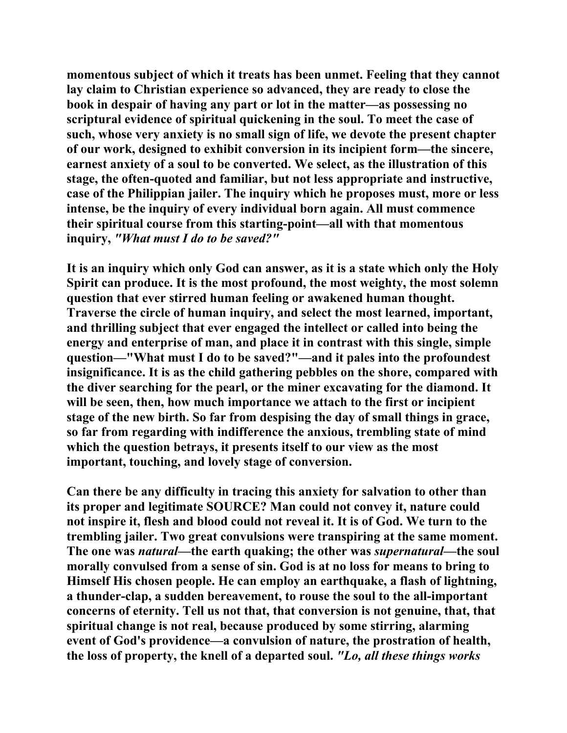**momentous subject of which it treats has been unmet. Feeling that they cannot lay claim to Christian experience so advanced, they are ready to close the book in despair of having any part or lot in the matter—as possessing no scriptural evidence of spiritual quickening in the soul. To meet the case of such, whose very anxiety is no small sign of life, we devote the present chapter of our work, designed to exhibit conversion in its incipient form—the sincere, earnest anxiety of a soul to be converted. We select, as the illustration of this stage, the often-quoted and familiar, but not less appropriate and instructive, case of the Philippian jailer. The inquiry which he proposes must, more or less intense, be the inquiry of every individual born again. All must commence their spiritual course from this starting-point—all with that momentous inquiry,** *"What must I do to be saved?"* 

**It is an inquiry which only God can answer, as it is a state which only the Holy Spirit can produce. It is the most profound, the most weighty, the most solemn question that ever stirred human feeling or awakened human thought. Traverse the circle of human inquiry, and select the most learned, important, and thrilling subject that ever engaged the intellect or called into being the energy and enterprise of man, and place it in contrast with this single, simple question—"What must I do to be saved?"—and it pales into the profoundest insignificance. It is as the child gathering pebbles on the shore, compared with the diver searching for the pearl, or the miner excavating for the diamond. It will be seen, then, how much importance we attach to the first or incipient stage of the new birth. So far from despising the day of small things in grace, so far from regarding with indifference the anxious, trembling state of mind which the question betrays, it presents itself to our view as the most important, touching, and lovely stage of conversion.** 

**Can there be any difficulty in tracing this anxiety for salvation to other than its proper and legitimate SOURCE? Man could not convey it, nature could not inspire it, flesh and blood could not reveal it. It is of God. We turn to the trembling jailer. Two great convulsions were transpiring at the same moment. The one was** *natural***—the earth quaking; the other was** *supernatural***—the soul morally convulsed from a sense of sin. God is at no loss for means to bring to Himself His chosen people. He can employ an earthquake, a flash of lightning, a thunder-clap, a sudden bereavement, to rouse the soul to the all-important concerns of eternity. Tell us not that, that conversion is not genuine, that, that spiritual change is not real, because produced by some stirring, alarming event of God's providence—a convulsion of nature, the prostration of health, the loss of property, the knell of a departed soul.** *"Lo, all these things works*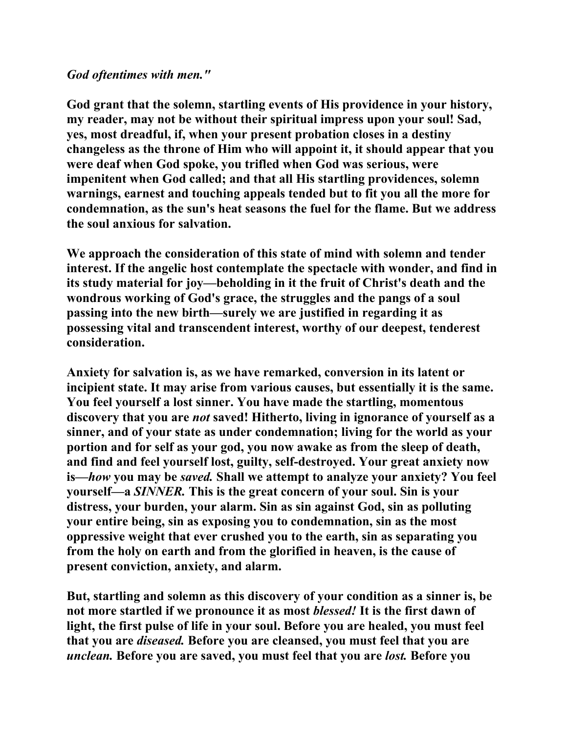#### *God oftentimes with men."*

**God grant that the solemn, startling events of His providence in your history, my reader, may not be without their spiritual impress upon your soul! Sad, yes, most dreadful, if, when your present probation closes in a destiny changeless as the throne of Him who will appoint it, it should appear that you were deaf when God spoke, you trifled when God was serious, were impenitent when God called; and that all His startling providences, solemn warnings, earnest and touching appeals tended but to fit you all the more for condemnation, as the sun's heat seasons the fuel for the flame. But we address the soul anxious for salvation.** 

**We approach the consideration of this state of mind with solemn and tender interest. If the angelic host contemplate the spectacle with wonder, and find in its study material for joy—beholding in it the fruit of Christ's death and the wondrous working of God's grace, the struggles and the pangs of a soul passing into the new birth—surely we are justified in regarding it as possessing vital and transcendent interest, worthy of our deepest, tenderest consideration.** 

**Anxiety for salvation is, as we have remarked, conversion in its latent or incipient state. It may arise from various causes, but essentially it is the same. You feel yourself a lost sinner. You have made the startling, momentous discovery that you are** *not* **saved! Hitherto, living in ignorance of yourself as a sinner, and of your state as under condemnation; living for the world as your portion and for self as your god, you now awake as from the sleep of death, and find and feel yourself lost, guilty, self-destroyed. Your great anxiety now is—***how* **you may be** *saved.* **Shall we attempt to analyze your anxiety? You feel yourself—a** *SINNER.* **This is the great concern of your soul. Sin is your distress, your burden, your alarm. Sin as sin against God, sin as polluting your entire being, sin as exposing you to condemnation, sin as the most oppressive weight that ever crushed you to the earth, sin as separating you from the holy on earth and from the glorified in heaven, is the cause of present conviction, anxiety, and alarm.** 

**But, startling and solemn as this discovery of your condition as a sinner is, be not more startled if we pronounce it as most** *blessed!* **It is the first dawn of light, the first pulse of life in your soul. Before you are healed, you must feel that you are** *diseased.* **Before you are cleansed, you must feel that you are**  *unclean.* **Before you are saved, you must feel that you are** *lost.* **Before you**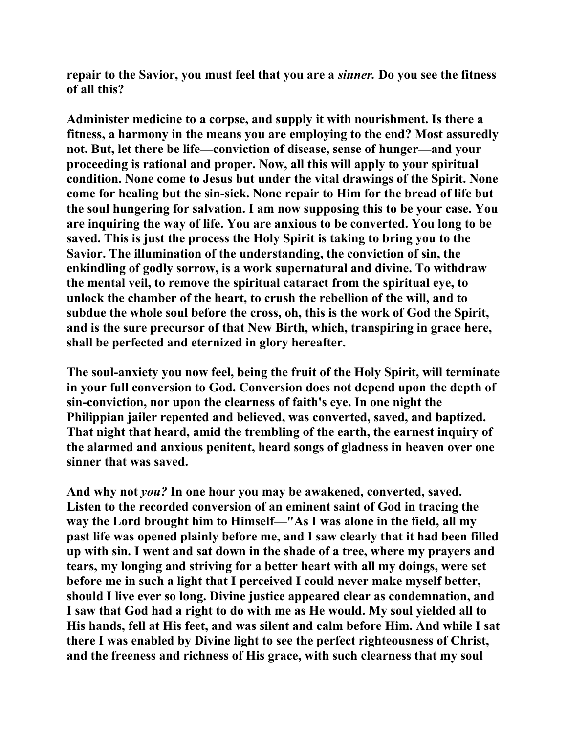**repair to the Savior, you must feel that you are a** *sinner.* **Do you see the fitness of all this?** 

**Administer medicine to a corpse, and supply it with nourishment. Is there a fitness, a harmony in the means you are employing to the end? Most assuredly not. But, let there be life—conviction of disease, sense of hunger—and your proceeding is rational and proper. Now, all this will apply to your spiritual condition. None come to Jesus but under the vital drawings of the Spirit. None come for healing but the sin-sick. None repair to Him for the bread of life but the soul hungering for salvation. I am now supposing this to be your case. You are inquiring the way of life. You are anxious to be converted. You long to be saved. This is just the process the Holy Spirit is taking to bring you to the Savior. The illumination of the understanding, the conviction of sin, the enkindling of godly sorrow, is a work supernatural and divine. To withdraw the mental veil, to remove the spiritual cataract from the spiritual eye, to unlock the chamber of the heart, to crush the rebellion of the will, and to subdue the whole soul before the cross, oh, this is the work of God the Spirit, and is the sure precursor of that New Birth, which, transpiring in grace here, shall be perfected and eternized in glory hereafter.** 

**The soul-anxiety you now feel, being the fruit of the Holy Spirit, will terminate in your full conversion to God. Conversion does not depend upon the depth of sin-conviction, nor upon the clearness of faith's eye. In one night the Philippian jailer repented and believed, was converted, saved, and baptized. That night that heard, amid the trembling of the earth, the earnest inquiry of the alarmed and anxious penitent, heard songs of gladness in heaven over one sinner that was saved.** 

**And why not** *you?* **In one hour you may be awakened, converted, saved. Listen to the recorded conversion of an eminent saint of God in tracing the way the Lord brought him to Himself—"As I was alone in the field, all my past life was opened plainly before me, and I saw clearly that it had been filled up with sin. I went and sat down in the shade of a tree, where my prayers and tears, my longing and striving for a better heart with all my doings, were set before me in such a light that I perceived I could never make myself better, should I live ever so long. Divine justice appeared clear as condemnation, and I saw that God had a right to do with me as He would. My soul yielded all to His hands, fell at His feet, and was silent and calm before Him. And while I sat there I was enabled by Divine light to see the perfect righteousness of Christ, and the freeness and richness of His grace, with such clearness that my soul**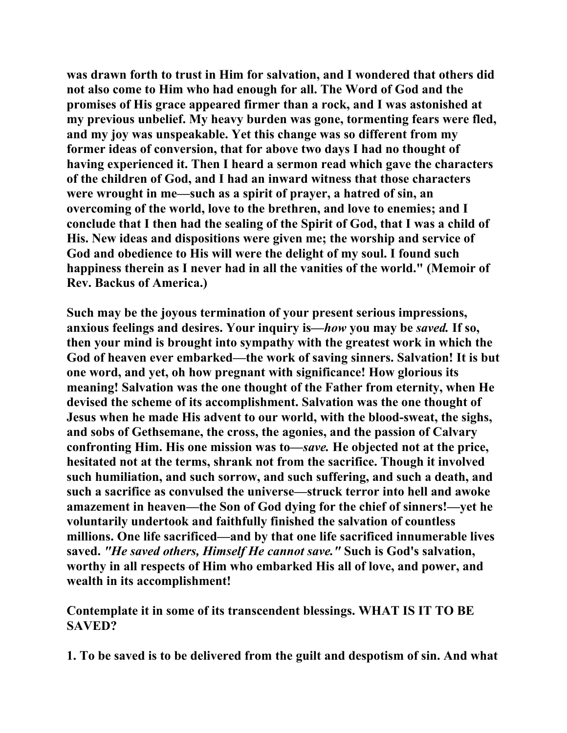**was drawn forth to trust in Him for salvation, and I wondered that others did not also come to Him who had enough for all. The Word of God and the promises of His grace appeared firmer than a rock, and I was astonished at my previous unbelief. My heavy burden was gone, tormenting fears were fled, and my joy was unspeakable. Yet this change was so different from my former ideas of conversion, that for above two days I had no thought of having experienced it. Then I heard a sermon read which gave the characters of the children of God, and I had an inward witness that those characters were wrought in me—such as a spirit of prayer, a hatred of sin, an overcoming of the world, love to the brethren, and love to enemies; and I conclude that I then had the sealing of the Spirit of God, that I was a child of His. New ideas and dispositions were given me; the worship and service of God and obedience to His will were the delight of my soul. I found such happiness therein as I never had in all the vanities of the world." (Memoir of Rev. Backus of America.)** 

**Such may be the joyous termination of your present serious impressions, anxious feelings and desires. Your inquiry is—***how* **you may be** *saved.* **If so, then your mind is brought into sympathy with the greatest work in which the God of heaven ever embarked—the work of saving sinners. Salvation! It is but one word, and yet, oh how pregnant with significance! How glorious its meaning! Salvation was the one thought of the Father from eternity, when He devised the scheme of its accomplishment. Salvation was the one thought of Jesus when he made His advent to our world, with the blood-sweat, the sighs, and sobs of Gethsemane, the cross, the agonies, and the passion of Calvary confronting Him. His one mission was to—***save.* **He objected not at the price, hesitated not at the terms, shrank not from the sacrifice. Though it involved such humiliation, and such sorrow, and such suffering, and such a death, and such a sacrifice as convulsed the universe—struck terror into hell and awoke amazement in heaven—the Son of God dying for the chief of sinners!—yet he voluntarily undertook and faithfully finished the salvation of countless millions. One life sacrificed—and by that one life sacrificed innumerable lives saved.** *"He saved others, Himself He cannot save."* **Such is God's salvation, worthy in all respects of Him who embarked His all of love, and power, and wealth in its accomplishment!** 

**Contemplate it in some of its transcendent blessings. WHAT IS IT TO BE SAVED?** 

**1. To be saved is to be delivered from the guilt and despotism of sin. And what**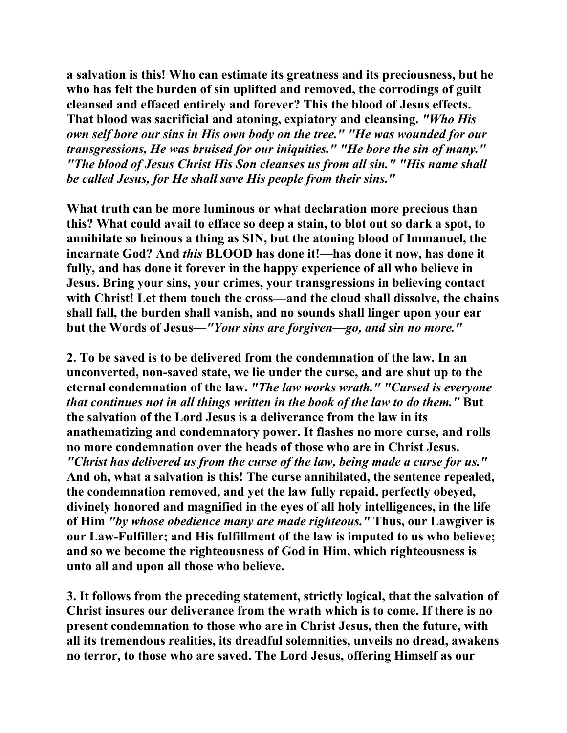**a salvation is this! Who can estimate its greatness and its preciousness, but he who has felt the burden of sin uplifted and removed, the corrodings of guilt cleansed and effaced entirely and forever? This the blood of Jesus effects. That blood was sacrificial and atoning, expiatory and cleansing.** *"Who His own self bore our sins in His own body on the tree." "He was wounded for our transgressions, He was bruised for our iniquities." "He bore the sin of many." "The blood of Jesus Christ His Son cleanses us from all sin." "His name shall be called Jesus, for He shall save His people from their sins."*

**What truth can be more luminous or what declaration more precious than this? What could avail to efface so deep a stain, to blot out so dark a spot, to annihilate so heinous a thing as SIN, but the atoning blood of Immanuel, the incarnate God? And** *this* **BLOOD has done it!—has done it now, has done it fully, and has done it forever in the happy experience of all who believe in Jesus. Bring your sins, your crimes, your transgressions in believing contact with Christ! Let them touch the cross—and the cloud shall dissolve, the chains shall fall, the burden shall vanish, and no sounds shall linger upon your ear but the Words of Jesus—***"Your sins are forgiven—go, and sin no more."* 

**2. To be saved is to be delivered from the condemnation of the law. In an unconverted, non-saved state, we lie under the curse, and are shut up to the eternal condemnation of the law.** *"The law works wrath." "Cursed is everyone that continues not in all things written in the book of the law to do them."* **But the salvation of the Lord Jesus is a deliverance from the law in its anathematizing and condemnatory power. It flashes no more curse, and rolls no more condemnation over the heads of those who are in Christ Jesus.**  *"Christ has delivered us from the curse of the law, being made a curse for us."*  **And oh, what a salvation is this! The curse annihilated, the sentence repealed, the condemnation removed, and yet the law fully repaid, perfectly obeyed, divinely honored and magnified in the eyes of all holy intelligences, in the life of Him** *"by whose obedience many are made righteous."* **Thus, our Lawgiver is our Law-Fulfiller; and His fulfillment of the law is imputed to us who believe; and so we become the righteousness of God in Him, which righteousness is unto all and upon all those who believe.** 

**3. It follows from the preceding statement, strictly logical, that the salvation of Christ insures our deliverance from the wrath which is to come. If there is no present condemnation to those who are in Christ Jesus, then the future, with all its tremendous realities, its dreadful solemnities, unveils no dread, awakens no terror, to those who are saved. The Lord Jesus, offering Himself as our**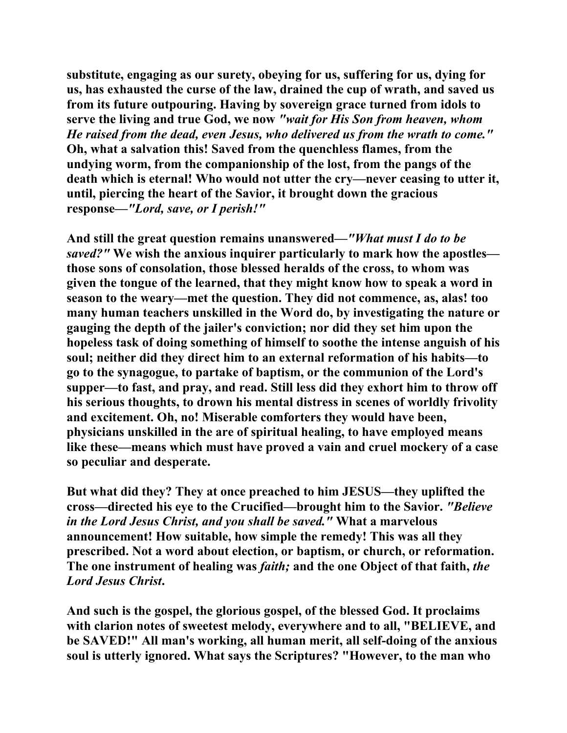**substitute, engaging as our surety, obeying for us, suffering for us, dying for us, has exhausted the curse of the law, drained the cup of wrath, and saved us from its future outpouring. Having by sovereign grace turned from idols to serve the living and true God, we now** *"wait for His Son from heaven, whom He raised from the dead, even Jesus, who delivered us from the wrath to come."* **Oh, what a salvation this! Saved from the quenchless flames, from the undying worm, from the companionship of the lost, from the pangs of the death which is eternal! Who would not utter the cry—never ceasing to utter it, until, piercing the heart of the Savior, it brought down the gracious response—***"Lord, save, or I perish!"* 

**And still the great question remains unanswered—***"What must I do to be saved?"* **We wish the anxious inquirer particularly to mark how the apostles those sons of consolation, those blessed heralds of the cross, to whom was given the tongue of the learned, that they might know how to speak a word in season to the weary—met the question. They did not commence, as, alas! too many human teachers unskilled in the Word do, by investigating the nature or gauging the depth of the jailer's conviction; nor did they set him upon the hopeless task of doing something of himself to soothe the intense anguish of his soul; neither did they direct him to an external reformation of his habits—to go to the synagogue, to partake of baptism, or the communion of the Lord's supper—to fast, and pray, and read. Still less did they exhort him to throw off his serious thoughts, to drown his mental distress in scenes of worldly frivolity and excitement. Oh, no! Miserable comforters they would have been, physicians unskilled in the are of spiritual healing, to have employed means like these—means which must have proved a vain and cruel mockery of a case so peculiar and desperate.** 

**But what did they? They at once preached to him JESUS—they uplifted the cross—directed his eye to the Crucified—brought him to the Savior.** *"Believe in the Lord Jesus Christ, and you shall be saved."* **What a marvelous announcement! How suitable, how simple the remedy! This was all they prescribed. Not a word about election, or baptism, or church, or reformation. The one instrument of healing was** *faith;* **and the one Object of that faith,** *the Lord Jesus Christ***.** 

**And such is the gospel, the glorious gospel, of the blessed God. It proclaims with clarion notes of sweetest melody, everywhere and to all, "BELIEVE, and be SAVED!" All man's working, all human merit, all self-doing of the anxious soul is utterly ignored. What says the Scriptures? "However, to the man who**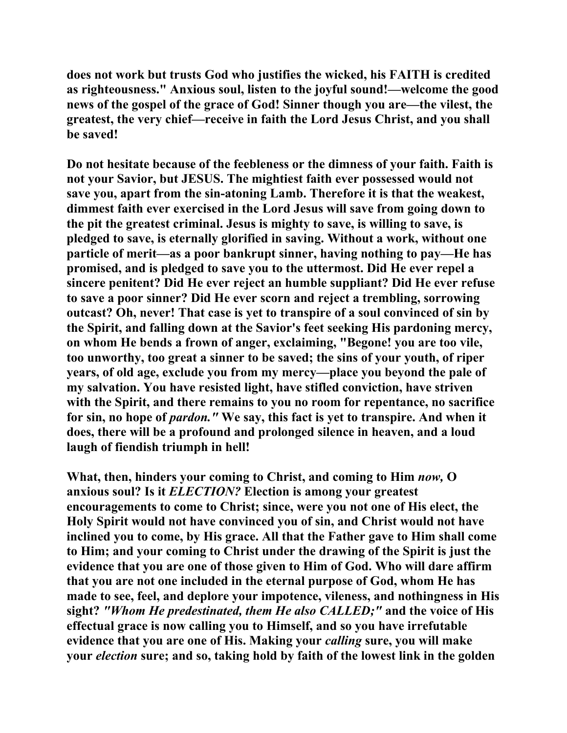**does not work but trusts God who justifies the wicked, his FAITH is credited as righteousness." Anxious soul, listen to the joyful sound!—welcome the good news of the gospel of the grace of God! Sinner though you are—the vilest, the greatest, the very chief—receive in faith the Lord Jesus Christ, and you shall be saved!** 

**Do not hesitate because of the feebleness or the dimness of your faith. Faith is not your Savior, but JESUS. The mightiest faith ever possessed would not save you, apart from the sin-atoning Lamb. Therefore it is that the weakest, dimmest faith ever exercised in the Lord Jesus will save from going down to the pit the greatest criminal. Jesus is mighty to save, is willing to save, is pledged to save, is eternally glorified in saving. Without a work, without one particle of merit—as a poor bankrupt sinner, having nothing to pay—He has promised, and is pledged to save you to the uttermost. Did He ever repel a sincere penitent? Did He ever reject an humble suppliant? Did He ever refuse to save a poor sinner? Did He ever scorn and reject a trembling, sorrowing outcast? Oh, never! That case is yet to transpire of a soul convinced of sin by the Spirit, and falling down at the Savior's feet seeking His pardoning mercy, on whom He bends a frown of anger, exclaiming, "Begone! you are too vile, too unworthy, too great a sinner to be saved; the sins of your youth, of riper years, of old age, exclude you from my mercy—place you beyond the pale of my salvation. You have resisted light, have stifled conviction, have striven with the Spirit, and there remains to you no room for repentance, no sacrifice for sin, no hope of** *pardon."* **We say, this fact is yet to transpire. And when it does, there will be a profound and prolonged silence in heaven, and a loud laugh of fiendish triumph in hell!** 

**What, then, hinders your coming to Christ, and coming to Him** *now,* **O anxious soul? Is it** *ELECTION?* **Election is among your greatest encouragements to come to Christ; since, were you not one of His elect, the Holy Spirit would not have convinced you of sin, and Christ would not have inclined you to come, by His grace. All that the Father gave to Him shall come to Him; and your coming to Christ under the drawing of the Spirit is just the evidence that you are one of those given to Him of God. Who will dare affirm that you are not one included in the eternal purpose of God, whom He has made to see, feel, and deplore your impotence, vileness, and nothingness in His sight?** *"Whom He predestinated, them He also CALLED;"* **and the voice of His effectual grace is now calling you to Himself, and so you have irrefutable evidence that you are one of His. Making your** *calling* **sure, you will make your** *election* **sure; and so, taking hold by faith of the lowest link in the golden**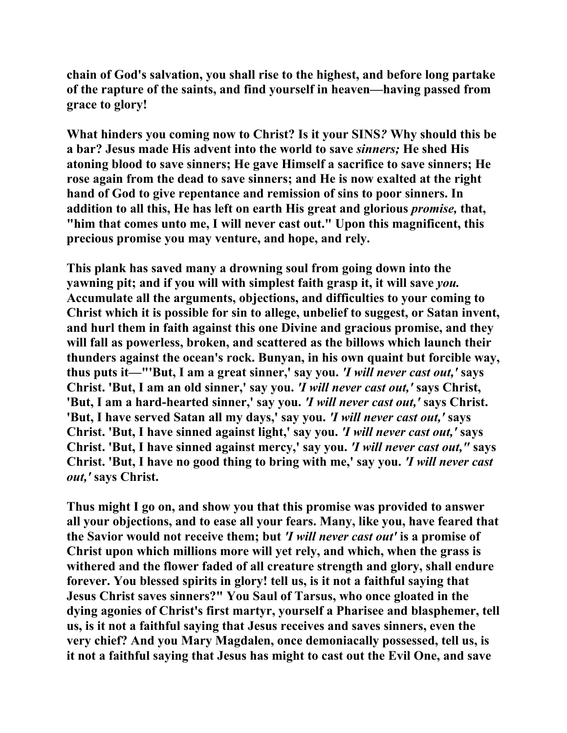**chain of God's salvation, you shall rise to the highest, and before long partake of the rapture of the saints, and find yourself in heaven—having passed from grace to glory!** 

**What hinders you coming now to Christ? Is it your SINS***?* **Why should this be a bar? Jesus made His advent into the world to save** *sinners;* **He shed His atoning blood to save sinners; He gave Himself a sacrifice to save sinners; He rose again from the dead to save sinners; and He is now exalted at the right hand of God to give repentance and remission of sins to poor sinners. In addition to all this, He has left on earth His great and glorious** *promise,* **that, "him that comes unto me, I will never cast out." Upon this magnificent, this precious promise you may venture, and hope, and rely.** 

**This plank has saved many a drowning soul from going down into the yawning pit; and if you will with simplest faith grasp it, it will save** *you.*  **Accumulate all the arguments, objections, and difficulties to your coming to Christ which it is possible for sin to allege, unbelief to suggest, or Satan invent, and hurl them in faith against this one Divine and gracious promise, and they will fall as powerless, broken, and scattered as the billows which launch their thunders against the ocean's rock. Bunyan, in his own quaint but forcible way, thus puts it—"'But, I am a great sinner,' say you.** *'I will never cast out,'* **says Christ. 'But, I am an old sinner,' say you.** *'I will never cast out,'* **says Christ, 'But, I am a hard-hearted sinner,' say you.** *'I will never cast out,'* **says Christ. 'But, I have served Satan all my days,' say you.** *'I will never cast out,'* **says Christ. 'But, I have sinned against light,' say you.** *'I will never cast out,'* **says Christ. 'But, I have sinned against mercy,' say you.** *'I will never cast out,"* **says Christ. 'But, I have no good thing to bring with me,' say you.** *'I will never cast out,'* **says Christ.** 

**Thus might I go on, and show you that this promise was provided to answer all your objections, and to ease all your fears. Many, like you, have feared that the Savior would not receive them; but** *'I will never cast out'* **is a promise of Christ upon which millions more will yet rely, and which, when the grass is withered and the flower faded of all creature strength and glory, shall endure forever. You blessed spirits in glory! tell us, is it not a faithful saying that Jesus Christ saves sinners?" You Saul of Tarsus, who once gloated in the dying agonies of Christ's first martyr, yourself a Pharisee and blasphemer, tell us, is it not a faithful saying that Jesus receives and saves sinners, even the very chief? And you Mary Magdalen, once demoniacally possessed, tell us, is it not a faithful saying that Jesus has might to cast out the Evil One, and save**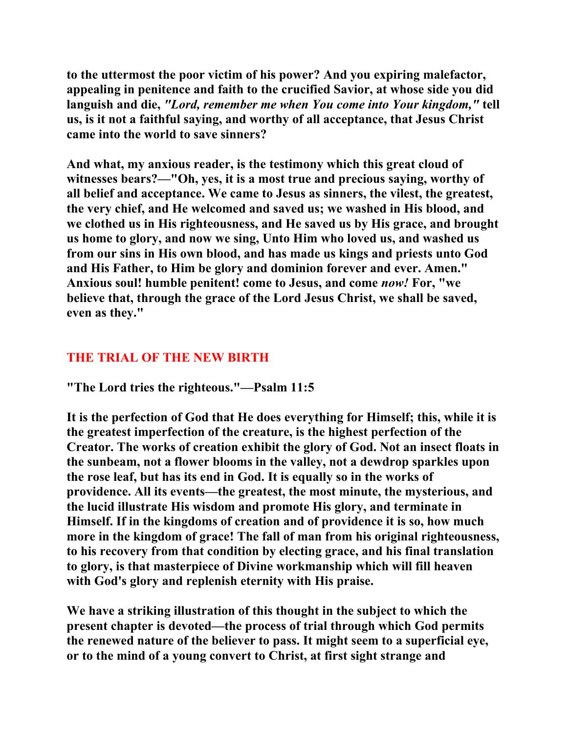**to the uttermost the poor victim of his power? And you expiring malefactor, appealing in penitence and faith to the crucified Savior, at whose side you did languish and die,** *"Lord, remember me when You come into Your kingdom,"* **tell us, is it not a faithful saying, and worthy of all acceptance, that Jesus Christ came into the world to save sinners?** 

**And what, my anxious reader, is the testimony which this great cloud of witnesses bears?—"Oh, yes, it is a most true and precious saying, worthy of all belief and acceptance. We came to Jesus as sinners, the vilest, the greatest, the very chief, and He welcomed and saved us; we washed in His blood, and we clothed us in His righteousness, and He saved us by His grace, and brought us home to glory, and now we sing, Unto Him who loved us, and washed us from our sins in His own blood, and has made us kings and priests unto God and His Father, to Him be glory and dominion forever and ever. Amen." Anxious soul! humble penitent! come to Jesus, and come** *now!* **For, "we believe that, through the grace of the Lord Jesus Christ, we shall be saved, even as they."** 

# **THE TRIAL OF THE NEW BIRTH**

**"The Lord tries the righteous."—Psalm 11:5** 

**It is the perfection of God that He does everything for Himself; this, while it is the greatest imperfection of the creature, is the highest perfection of the Creator. The works of creation exhibit the glory of God. Not an insect floats in the sunbeam, not a flower blooms in the valley, not a dewdrop sparkles upon the rose leaf, but has its end in God. It is equally so in the works of providence. All its events—the greatest, the most minute, the mysterious, and the lucid illustrate His wisdom and promote His glory, and terminate in Himself. If in the kingdoms of creation and of providence it is so, how much more in the kingdom of grace! The fall of man from his original righteousness, to his recovery from that condition by electing grace, and his final translation to glory, is that masterpiece of Divine workmanship which will fill heaven with God's glory and replenish eternity with His praise.** 

**We have a striking illustration of this thought in the subject to which the present chapter is devoted—the process of trial through which God permits the renewed nature of the believer to pass. It might seem to a superficial eye, or to the mind of a young convert to Christ, at first sight strange and**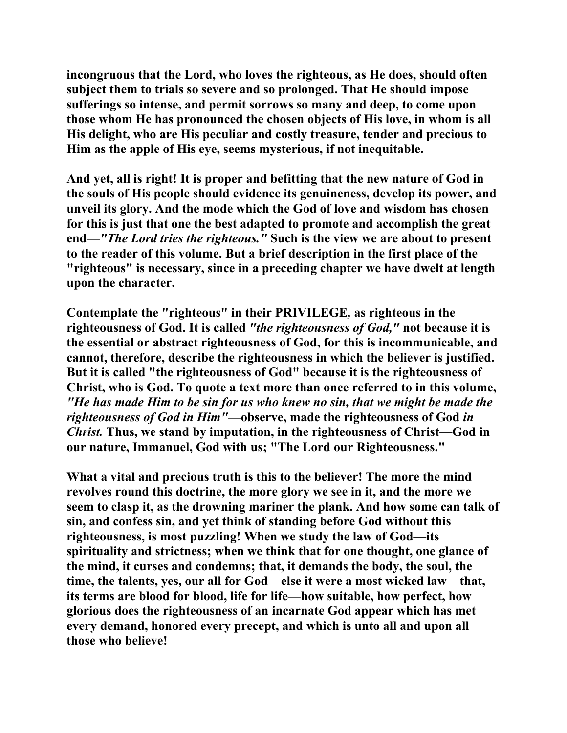**incongruous that the Lord, who loves the righteous, as He does, should often subject them to trials so severe and so prolonged. That He should impose sufferings so intense, and permit sorrows so many and deep, to come upon those whom He has pronounced the chosen objects of His love, in whom is all His delight, who are His peculiar and costly treasure, tender and precious to Him as the apple of His eye, seems mysterious, if not inequitable.** 

**And yet, all is right! It is proper and befitting that the new nature of God in the souls of His people should evidence its genuineness, develop its power, and unveil its glory. And the mode which the God of love and wisdom has chosen for this is just that one the best adapted to promote and accomplish the great end—***"The Lord tries the righteous."* **Such is the view we are about to present to the reader of this volume. But a brief description in the first place of the "righteous" is necessary, since in a preceding chapter we have dwelt at length upon the character.** 

**Contemplate the "righteous" in their PRIVILEGE***,* **as righteous in the righteousness of God. It is called** *"the righteousness of God,"* **not because it is the essential or abstract righteousness of God, for this is incommunicable, and cannot, therefore, describe the righteousness in which the believer is justified. But it is called "the righteousness of God" because it is the righteousness of Christ, who is God. To quote a text more than once referred to in this volume,** *"He has made Him to be sin for us who knew no sin, that we might be made the righteousness of God in Him"***—observe, made the righteousness of God** *in Christ.* **Thus, we stand by imputation, in the righteousness of Christ—God in our nature, Immanuel, God with us; "The Lord our Righteousness."** 

**What a vital and precious truth is this to the believer! The more the mind revolves round this doctrine, the more glory we see in it, and the more we seem to clasp it, as the drowning mariner the plank. And how some can talk of sin, and confess sin, and yet think of standing before God without this righteousness, is most puzzling! When we study the law of God—its spirituality and strictness; when we think that for one thought, one glance of the mind, it curses and condemns; that, it demands the body, the soul, the time, the talents, yes, our all for God—else it were a most wicked law—that, its terms are blood for blood, life for life—how suitable, how perfect, how glorious does the righteousness of an incarnate God appear which has met every demand, honored every precept, and which is unto all and upon all those who believe!**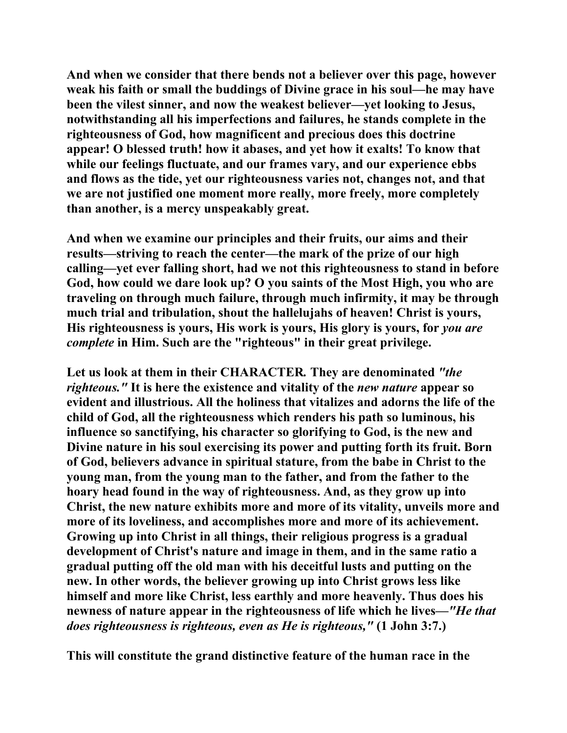**And when we consider that there bends not a believer over this page, however weak his faith or small the buddings of Divine grace in his soul—he may have been the vilest sinner, and now the weakest believer—yet looking to Jesus, notwithstanding all his imperfections and failures, he stands complete in the righteousness of God, how magnificent and precious does this doctrine appear! O blessed truth! how it abases, and yet how it exalts! To know that while our feelings fluctuate, and our frames vary, and our experience ebbs and flows as the tide, yet our righteousness varies not, changes not, and that we are not justified one moment more really, more freely, more completely than another, is a mercy unspeakably great.** 

**And when we examine our principles and their fruits, our aims and their results—striving to reach the center—the mark of the prize of our high calling—yet ever falling short, had we not this righteousness to stand in before God, how could we dare look up? O you saints of the Most High, you who are traveling on through much failure, through much infirmity, it may be through much trial and tribulation, shout the hallelujahs of heaven! Christ is yours, His righteousness is yours, His work is yours, His glory is yours, for** *you are complete* **in Him. Such are the "righteous" in their great privilege.** 

**Let us look at them in their CHARACTER***.* **They are denominated** *"the righteous."* **It is here the existence and vitality of the** *new nature* **appear so evident and illustrious. All the holiness that vitalizes and adorns the life of the child of God, all the righteousness which renders his path so luminous, his influence so sanctifying, his character so glorifying to God, is the new and Divine nature in his soul exercising its power and putting forth its fruit. Born of God, believers advance in spiritual stature, from the babe in Christ to the young man, from the young man to the father, and from the father to the hoary head found in the way of righteousness. And, as they grow up into Christ, the new nature exhibits more and more of its vitality, unveils more and more of its loveliness, and accomplishes more and more of its achievement. Growing up into Christ in all things, their religious progress is a gradual development of Christ's nature and image in them, and in the same ratio a gradual putting off the old man with his deceitful lusts and putting on the new. In other words, the believer growing up into Christ grows less like himself and more like Christ, less earthly and more heavenly. Thus does his newness of nature appear in the righteousness of life which he lives—***"He that does righteousness is righteous, even as He is righteous,"* **(1 John 3:7.)** 

**This will constitute the grand distinctive feature of the human race in the**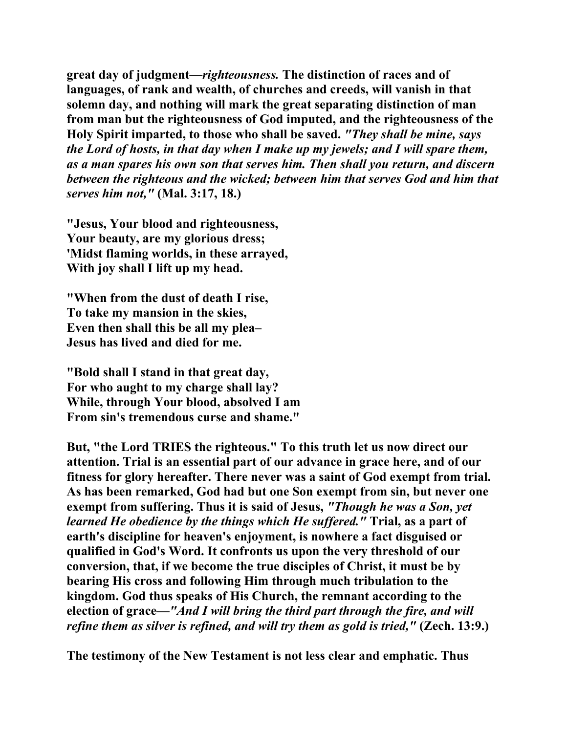**great day of judgment—***righteousness.* **The distinction of races and of languages, of rank and wealth, of churches and creeds, will vanish in that solemn day, and nothing will mark the great separating distinction of man from man but the righteousness of God imputed, and the righteousness of the Holy Spirit imparted, to those who shall be saved.** *"They shall be mine, says the Lord of hosts, in that day when I make up my jewels; and I will spare them, as a man spares his own son that serves him. Then shall you return, and discern between the righteous and the wicked; between him that serves God and him that serves him not,"* **(Mal. 3:17, 18.)** 

**"Jesus, Your blood and righteousness, Your beauty, are my glorious dress; 'Midst flaming worlds, in these arrayed, With joy shall I lift up my head.** 

**"When from the dust of death I rise, To take my mansion in the skies, Even then shall this be all my plea– Jesus has lived and died for me.** 

**"Bold shall I stand in that great day, For who aught to my charge shall lay? While, through Your blood, absolved I am From sin's tremendous curse and shame."** 

**But, "the Lord TRIES the righteous." To this truth let us now direct our attention. Trial is an essential part of our advance in grace here, and of our fitness for glory hereafter. There never was a saint of God exempt from trial. As has been remarked, God had but one Son exempt from sin, but never one exempt from suffering. Thus it is said of Jesus,** *"Though he was a Son, yet learned He obedience by the things which He suffered."* **Trial, as a part of earth's discipline for heaven's enjoyment, is nowhere a fact disguised or qualified in God's Word. It confronts us upon the very threshold of our conversion, that, if we become the true disciples of Christ, it must be by bearing His cross and following Him through much tribulation to the kingdom. God thus speaks of His Church, the remnant according to the election of grace—***"And I will bring the third part through the fire, and will refine them as silver is refined, and will try them as gold is tried," (Zech. 13:9.)* 

**The testimony of the New Testament is not less clear and emphatic. Thus**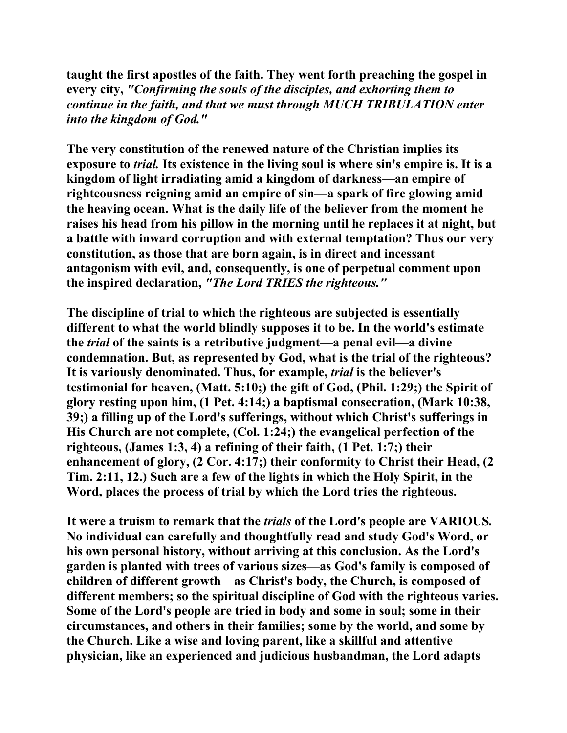**taught the first apostles of the faith. They went forth preaching the gospel in every city,** *"Confirming the souls of the disciples, and exhorting them to continue in the faith, and that we must through MUCH TRIBULATION enter into the kingdom of God."* 

**The very constitution of the renewed nature of the Christian implies its exposure to** *trial.* **Its existence in the living soul is where sin's empire is. It is a kingdom of light irradiating amid a kingdom of darkness—an empire of righteousness reigning amid an empire of sin—a spark of fire glowing amid the heaving ocean. What is the daily life of the believer from the moment he raises his head from his pillow in the morning until he replaces it at night, but a battle with inward corruption and with external temptation? Thus our very constitution, as those that are born again, is in direct and incessant antagonism with evil, and, consequently, is one of perpetual comment upon the inspired declaration,** *"The Lord TRIES the righteous."* 

**The discipline of trial to which the righteous are subjected is essentially different to what the world blindly supposes it to be. In the world's estimate the** *trial* **of the saints is a retributive judgment—a penal evil—a divine condemnation. But, as represented by God, what is the trial of the righteous? It is variously denominated. Thus, for example,** *trial* **is the believer's testimonial for heaven, (Matt. 5:10;) the gift of God, (Phil. 1:29;) the Spirit of glory resting upon him, (1 Pet. 4:14;) a baptismal consecration, (Mark 10:38, 39;) a filling up of the Lord's sufferings, without which Christ's sufferings in His Church are not complete, (Col. 1:24;) the evangelical perfection of the righteous, (James 1:3, 4) a refining of their faith, (1 Pet. 1:7;) their enhancement of glory, (2 Cor. 4:17;) their conformity to Christ their Head, (2 Tim. 2:11, 12.) Such are a few of the lights in which the Holy Spirit, in the Word, places the process of trial by which the Lord tries the righteous.** 

**It were a truism to remark that the** *trials* **of the Lord's people are VARIOUS***.*  **No individual can carefully and thoughtfully read and study God's Word, or his own personal history, without arriving at this conclusion. As the Lord's garden is planted with trees of various sizes—as God's family is composed of children of different growth—as Christ's body, the Church, is composed of different members; so the spiritual discipline of God with the righteous varies. Some of the Lord's people are tried in body and some in soul; some in their circumstances, and others in their families; some by the world, and some by the Church. Like a wise and loving parent, like a skillful and attentive physician, like an experienced and judicious husbandman, the Lord adapts**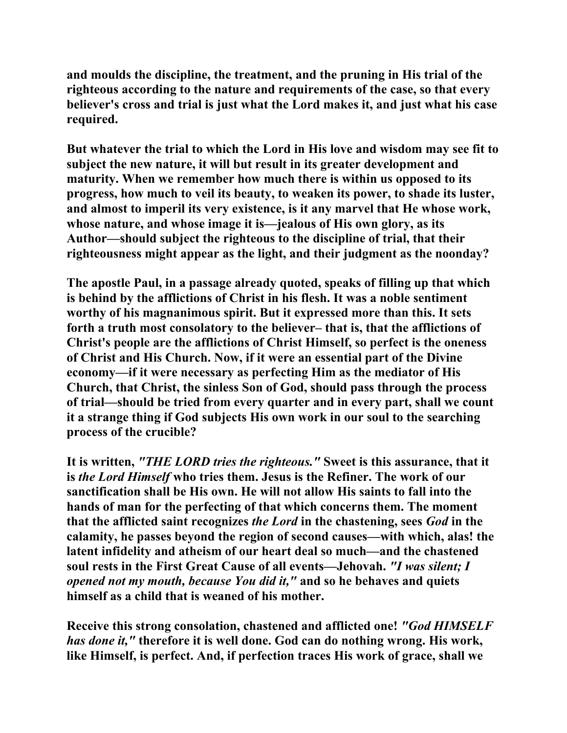**and moulds the discipline, the treatment, and the pruning in His trial of the righteous according to the nature and requirements of the case, so that every believer's cross and trial is just what the Lord makes it, and just what his case required.** 

**But whatever the trial to which the Lord in His love and wisdom may see fit to subject the new nature, it will but result in its greater development and maturity. When we remember how much there is within us opposed to its progress, how much to veil its beauty, to weaken its power, to shade its luster, and almost to imperil its very existence, is it any marvel that He whose work, whose nature, and whose image it is—jealous of His own glory, as its Author—should subject the righteous to the discipline of trial, that their righteousness might appear as the light, and their judgment as the noonday?** 

**The apostle Paul, in a passage already quoted, speaks of filling up that which is behind by the afflictions of Christ in his flesh. It was a noble sentiment worthy of his magnanimous spirit. But it expressed more than this. It sets forth a truth most consolatory to the believer– that is, that the afflictions of Christ's people are the afflictions of Christ Himself, so perfect is the oneness of Christ and His Church. Now, if it were an essential part of the Divine economy—if it were necessary as perfecting Him as the mediator of His Church, that Christ, the sinless Son of God, should pass through the process of trial—should be tried from every quarter and in every part, shall we count it a strange thing if God subjects His own work in our soul to the searching process of the crucible?** 

**It is written,** *"THE LORD tries the righteous."* **Sweet is this assurance, that it is** *the Lord Himself* **who tries them. Jesus is the Refiner. The work of our sanctification shall be His own. He will not allow His saints to fall into the hands of man for the perfecting of that which concerns them. The moment that the afflicted saint recognizes** *the Lord* **in the chastening, sees** *God* **in the calamity, he passes beyond the region of second causes—with which, alas! the latent infidelity and atheism of our heart deal so much—and the chastened soul rests in the First Great Cause of all events—Jehovah.** *"I was silent; I opened not my mouth, because You did it,"* **and so he behaves and quiets himself as a child that is weaned of his mother.** 

**Receive this strong consolation, chastened and afflicted one!** *"God HIMSELF has done it,"* **therefore it is well done. God can do nothing wrong. His work, like Himself, is perfect. And, if perfection traces His work of grace, shall we**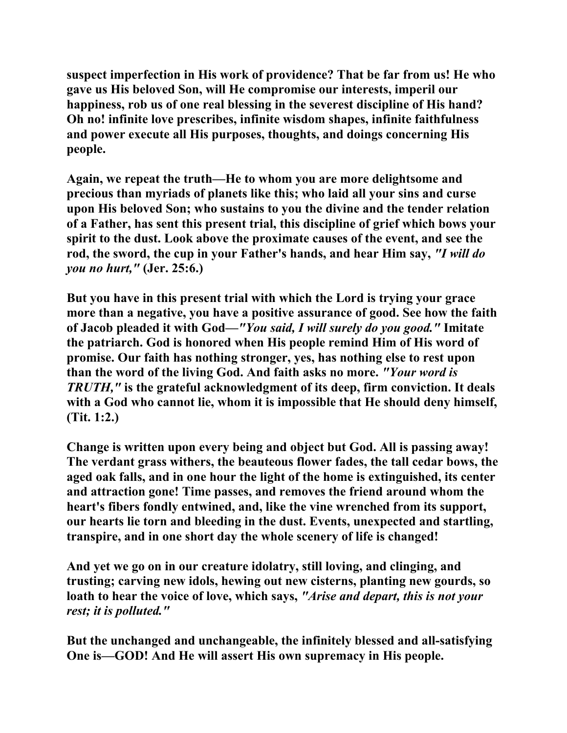**suspect imperfection in His work of providence? That be far from us! He who gave us His beloved Son, will He compromise our interests, imperil our happiness, rob us of one real blessing in the severest discipline of His hand? Oh no! infinite love prescribes, infinite wisdom shapes, infinite faithfulness and power execute all His purposes, thoughts, and doings concerning His people.** 

**Again, we repeat the truth—He to whom you are more delightsome and precious than myriads of planets like this; who laid all your sins and curse upon His beloved Son; who sustains to you the divine and the tender relation of a Father, has sent this present trial, this discipline of grief which bows your spirit to the dust. Look above the proximate causes of the event, and see the rod, the sword, the cup in your Father's hands, and hear Him say,** *"I will do you no hurt,"* **(Jer. 25:6.)** 

**But you have in this present trial with which the Lord is trying your grace more than a negative, you have a positive assurance of good. See how the faith of Jacob pleaded it with God—***"You said, I will surely do you good."* **Imitate the patriarch. God is honored when His people remind Him of His word of promise. Our faith has nothing stronger, yes, has nothing else to rest upon than the word of the living God. And faith asks no more.** *"Your word is TRUTH,"* **is the grateful acknowledgment of its deep, firm conviction. It deals with a God who cannot lie, whom it is impossible that He should deny himself, (Tit. 1:2.)** 

**Change is written upon every being and object but God. All is passing away! The verdant grass withers, the beauteous flower fades, the tall cedar bows, the aged oak falls, and in one hour the light of the home is extinguished, its center and attraction gone! Time passes, and removes the friend around whom the heart's fibers fondly entwined, and, like the vine wrenched from its support, our hearts lie torn and bleeding in the dust. Events, unexpected and startling, transpire, and in one short day the whole scenery of life is changed!** 

**And yet we go on in our creature idolatry, still loving, and clinging, and trusting; carving new idols, hewing out new cisterns, planting new gourds, so loath to hear the voice of love, which says,** *"Arise and depart, this is not your rest; it is polluted."* 

**But the unchanged and unchangeable, the infinitely blessed and all-satisfying One is—GOD! And He will assert His own supremacy in His people.**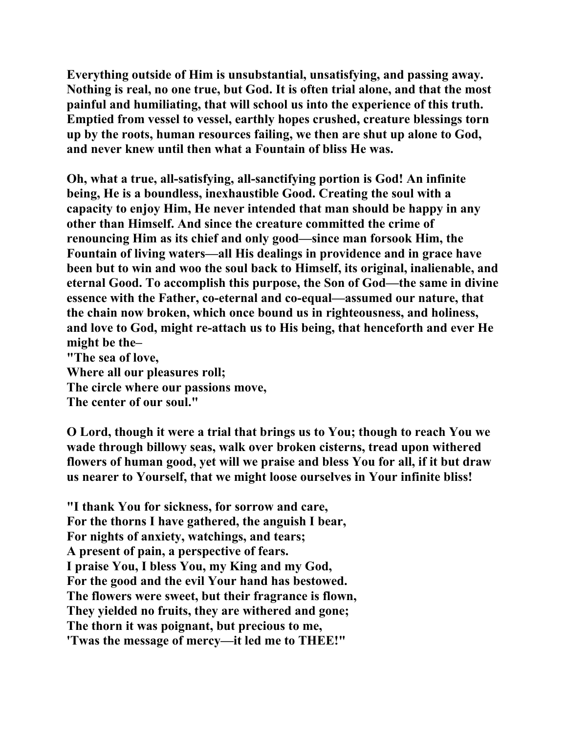**Everything outside of Him is unsubstantial, unsatisfying, and passing away. Nothing is real, no one true, but God. It is often trial alone, and that the most painful and humiliating, that will school us into the experience of this truth. Emptied from vessel to vessel, earthly hopes crushed, creature blessings torn up by the roots, human resources failing, we then are shut up alone to God, and never knew until then what a Fountain of bliss He was.** 

**Oh, what a true, all-satisfying, all-sanctifying portion is God! An infinite being, He is a boundless, inexhaustible Good. Creating the soul with a capacity to enjoy Him, He never intended that man should be happy in any other than Himself. And since the creature committed the crime of renouncing Him as its chief and only good—since man forsook Him, the Fountain of living waters—all His dealings in providence and in grace have been but to win and woo the soul back to Himself, its original, inalienable, and eternal Good. To accomplish this purpose, the Son of God—the same in divine essence with the Father, co-eternal and co-equal—assumed our nature, that the chain now broken, which once bound us in righteousness, and holiness, and love to God, might re-attach us to His being, that henceforth and ever He might be the– "The sea of love,** 

**Where all our pleasures roll; The circle where our passions move, The center of our soul."** 

**O Lord, though it were a trial that brings us to You; though to reach You we wade through billowy seas, walk over broken cisterns, tread upon withered flowers of human good, yet will we praise and bless You for all, if it but draw us nearer to Yourself, that we might loose ourselves in Your infinite bliss!** 

**"I thank You for sickness, for sorrow and care, For the thorns I have gathered, the anguish I bear, For nights of anxiety, watchings, and tears; A present of pain, a perspective of fears. I praise You, I bless You, my King and my God, For the good and the evil Your hand has bestowed. The flowers were sweet, but their fragrance is flown, They yielded no fruits, they are withered and gone; The thorn it was poignant, but precious to me, 'Twas the message of mercy—it led me to THEE!"**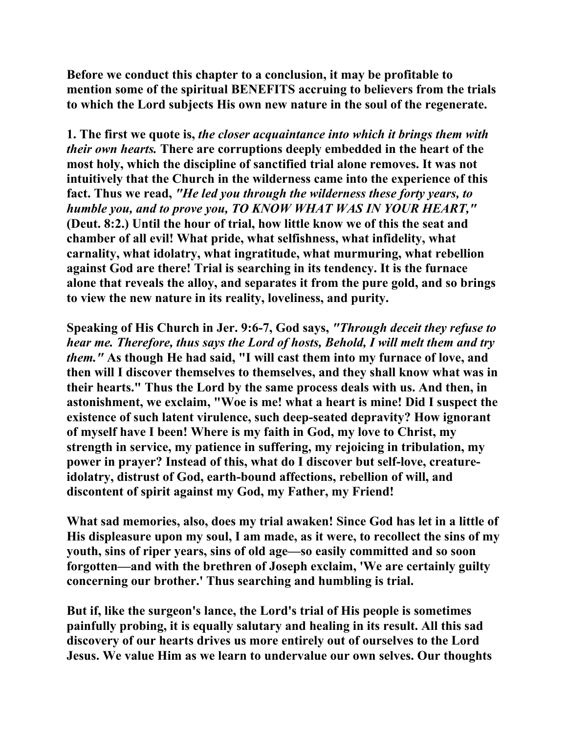**Before we conduct this chapter to a conclusion, it may be profitable to mention some of the spiritual BENEFITS accruing to believers from the trials to which the Lord subjects His own new nature in the soul of the regenerate.** 

**1. The first we quote is,** *the closer acquaintance into which it brings them with their own hearts.* **There are corruptions deeply embedded in the heart of the most holy, which the discipline of sanctified trial alone removes. It was not intuitively that the Church in the wilderness came into the experience of this fact. Thus we read,** *"He led you through the wilderness these forty years, to humble you, and to prove you, TO KNOW WHAT WAS IN YOUR HEART,"*  **(Deut. 8:2.) Until the hour of trial, how little know we of this the seat and chamber of all evil! What pride, what selfishness, what infidelity, what carnality, what idolatry, what ingratitude, what murmuring, what rebellion against God are there! Trial is searching in its tendency. It is the furnace alone that reveals the alloy, and separates it from the pure gold, and so brings to view the new nature in its reality, loveliness, and purity.** 

**Speaking of His Church in Jer. 9:6-7, God says,** *"Through deceit they refuse to hear me. Therefore, thus says the Lord of hosts, Behold, I will melt them and try them."* **As though He had said, "I will cast them into my furnace of love, and then will I discover themselves to themselves, and they shall know what was in their hearts." Thus the Lord by the same process deals with us. And then, in astonishment, we exclaim, "Woe is me! what a heart is mine! Did I suspect the existence of such latent virulence, such deep-seated depravity? How ignorant of myself have I been! Where is my faith in God, my love to Christ, my strength in service, my patience in suffering, my rejoicing in tribulation, my power in prayer? Instead of this, what do I discover but self-love, creatureidolatry, distrust of God, earth-bound affections, rebellion of will, and discontent of spirit against my God, my Father, my Friend!** 

**What sad memories, also, does my trial awaken! Since God has let in a little of His displeasure upon my soul, I am made, as it were, to recollect the sins of my youth, sins of riper years, sins of old age—so easily committed and so soon forgotten—and with the brethren of Joseph exclaim, 'We are certainly guilty concerning our brother.' Thus searching and humbling is trial.** 

**But if, like the surgeon's lance, the Lord's trial of His people is sometimes painfully probing, it is equally salutary and healing in its result. All this sad discovery of our hearts drives us more entirely out of ourselves to the Lord Jesus. We value Him as we learn to undervalue our own selves. Our thoughts**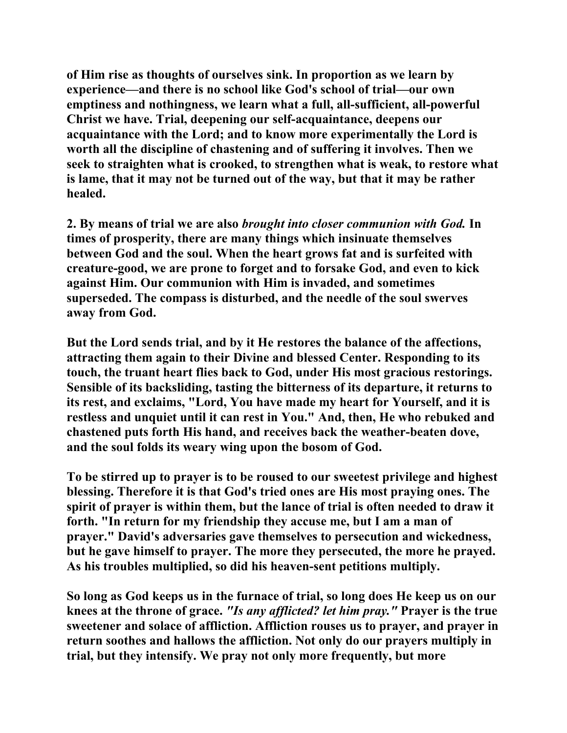**of Him rise as thoughts of ourselves sink. In proportion as we learn by experience—and there is no school like God's school of trial—our own emptiness and nothingness, we learn what a full, all-sufficient, all-powerful Christ we have. Trial, deepening our self-acquaintance, deepens our acquaintance with the Lord; and to know more experimentally the Lord is worth all the discipline of chastening and of suffering it involves. Then we seek to straighten what is crooked, to strengthen what is weak, to restore what is lame, that it may not be turned out of the way, but that it may be rather healed.** 

**2. By means of trial we are also** *brought into closer communion with God.* **In times of prosperity, there are many things which insinuate themselves between God and the soul. When the heart grows fat and is surfeited with creature-good, we are prone to forget and to forsake God, and even to kick against Him. Our communion with Him is invaded, and sometimes superseded. The compass is disturbed, and the needle of the soul swerves away from God.** 

**But the Lord sends trial, and by it He restores the balance of the affections, attracting them again to their Divine and blessed Center. Responding to its touch, the truant heart flies back to God, under His most gracious restorings. Sensible of its backsliding, tasting the bitterness of its departure, it returns to its rest, and exclaims, "Lord, You have made my heart for Yourself, and it is restless and unquiet until it can rest in You." And, then, He who rebuked and chastened puts forth His hand, and receives back the weather-beaten dove, and the soul folds its weary wing upon the bosom of God.** 

**To be stirred up to prayer is to be roused to our sweetest privilege and highest blessing. Therefore it is that God's tried ones are His most praying ones. The spirit of prayer is within them, but the lance of trial is often needed to draw it forth. "In return for my friendship they accuse me, but I am a man of prayer." David's adversaries gave themselves to persecution and wickedness, but he gave himself to prayer. The more they persecuted, the more he prayed. As his troubles multiplied, so did his heaven-sent petitions multiply.** 

**So long as God keeps us in the furnace of trial, so long does He keep us on our knees at the throne of grace.** *"Is any afflicted? let him pray."* **Prayer is the true sweetener and solace of affliction. Affliction rouses us to prayer, and prayer in return soothes and hallows the affliction. Not only do our prayers multiply in trial, but they intensify. We pray not only more frequently, but more**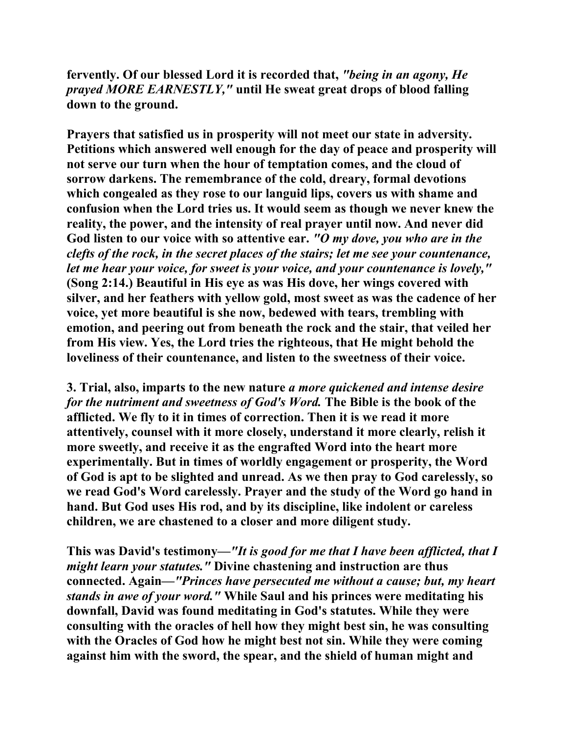**fervently. Of our blessed Lord it is recorded that,** *"being in an agony, He prayed MORE EARNESTLY,"* **until He sweat great drops of blood falling down to the ground.** 

**Prayers that satisfied us in prosperity will not meet our state in adversity. Petitions which answered well enough for the day of peace and prosperity will not serve our turn when the hour of temptation comes, and the cloud of sorrow darkens. The remembrance of the cold, dreary, formal devotions which congealed as they rose to our languid lips, covers us with shame and confusion when the Lord tries us. It would seem as though we never knew the reality, the power, and the intensity of real prayer until now. And never did God listen to our voice with so attentive ear.** *"O my dove, you who are in the clefts of the rock, in the secret places of the stairs; let me see your countenance, let me hear your voice, for sweet is your voice, and your countenance is lovely,"*  **(Song 2:14.) Beautiful in His eye as was His dove, her wings covered with silver, and her feathers with yellow gold, most sweet as was the cadence of her voice, yet more beautiful is she now, bedewed with tears, trembling with emotion, and peering out from beneath the rock and the stair, that veiled her from His view. Yes, the Lord tries the righteous, that He might behold the loveliness of their countenance, and listen to the sweetness of their voice.** 

**3. Trial, also, imparts to the new nature** *a more quickened and intense desire for the nutriment and sweetness of God's Word.* **The Bible is the book of the afflicted. We fly to it in times of correction. Then it is we read it more attentively, counsel with it more closely, understand it more clearly, relish it more sweetly, and receive it as the engrafted Word into the heart more experimentally. But in times of worldly engagement or prosperity, the Word of God is apt to be slighted and unread. As we then pray to God carelessly, so we read God's Word carelessly. Prayer and the study of the Word go hand in hand. But God uses His rod, and by its discipline, like indolent or careless children, we are chastened to a closer and more diligent study.** 

**This was David's testimony—***"It is good for me that I have been afflicted, that I might learn your statutes."* **Divine chastening and instruction are thus connected. Again—***"Princes have persecuted me without a cause; but, my heart stands in awe of your word."* **While Saul and his princes were meditating his downfall, David was found meditating in God's statutes. While they were consulting with the oracles of hell how they might best sin, he was consulting with the Oracles of God how he might best not sin. While they were coming against him with the sword, the spear, and the shield of human might and**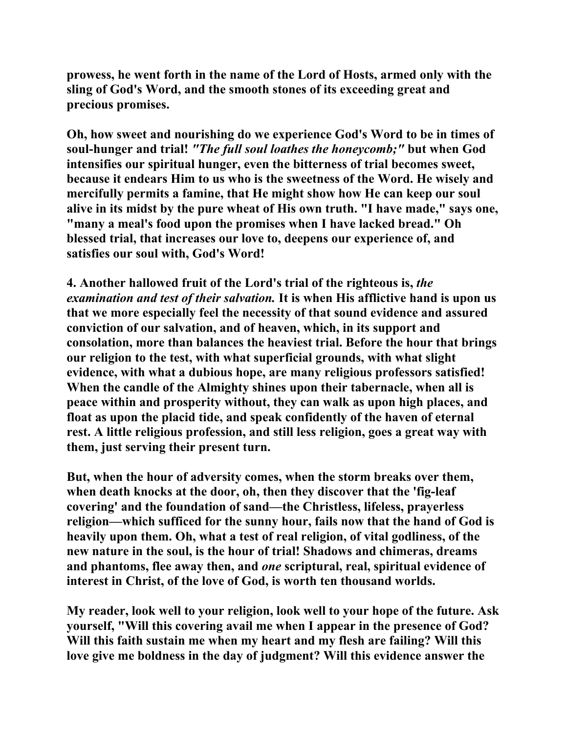**prowess, he went forth in the name of the Lord of Hosts, armed only with the sling of God's Word, and the smooth stones of its exceeding great and precious promises.** 

**Oh, how sweet and nourishing do we experience God's Word to be in times of soul-hunger and trial!** *"The full soul loathes the honeycomb;"* **but when God intensifies our spiritual hunger, even the bitterness of trial becomes sweet, because it endears Him to us who is the sweetness of the Word. He wisely and mercifully permits a famine, that He might show how He can keep our soul alive in its midst by the pure wheat of His own truth. "I have made," says one, "many a meal's food upon the promises when I have lacked bread." Oh blessed trial, that increases our love to, deepens our experience of, and satisfies our soul with, God's Word!** 

**4. Another hallowed fruit of the Lord's trial of the righteous is,** *the examination and test of their salvation.* **It is when His afflictive hand is upon us that we more especially feel the necessity of that sound evidence and assured conviction of our salvation, and of heaven, which, in its support and consolation, more than balances the heaviest trial. Before the hour that brings our religion to the test, with what superficial grounds, with what slight evidence, with what a dubious hope, are many religious professors satisfied! When the candle of the Almighty shines upon their tabernacle, when all is peace within and prosperity without, they can walk as upon high places, and float as upon the placid tide, and speak confidently of the haven of eternal rest. A little religious profession, and still less religion, goes a great way with them, just serving their present turn.** 

**But, when the hour of adversity comes, when the storm breaks over them, when death knocks at the door, oh, then they discover that the 'fig-leaf covering' and the foundation of sand—the Christless, lifeless, prayerless religion—which sufficed for the sunny hour, fails now that the hand of God is heavily upon them. Oh, what a test of real religion, of vital godliness, of the new nature in the soul, is the hour of trial! Shadows and chimeras, dreams and phantoms, flee away then, and** *one* **scriptural, real, spiritual evidence of interest in Christ, of the love of God, is worth ten thousand worlds.** 

**My reader, look well to your religion, look well to your hope of the future. Ask yourself, "Will this covering avail me when I appear in the presence of God? Will this faith sustain me when my heart and my flesh are failing? Will this love give me boldness in the day of judgment? Will this evidence answer the**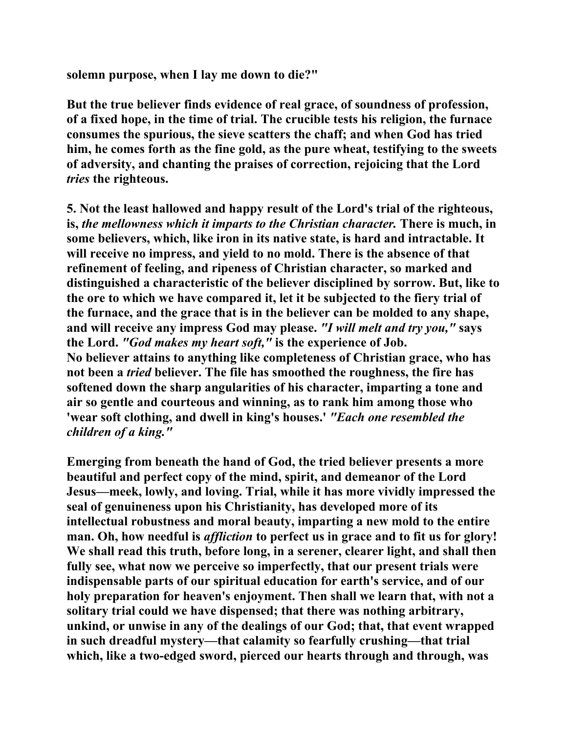**solemn purpose, when I lay me down to die?"** 

**But the true believer finds evidence of real grace, of soundness of profession, of a fixed hope, in the time of trial. The crucible tests his religion, the furnace consumes the spurious, the sieve scatters the chaff; and when God has tried him, he comes forth as the fine gold, as the pure wheat, testifying to the sweets of adversity, and chanting the praises of correction, rejoicing that the Lord**  *tries* **the righteous.** 

**5. Not the least hallowed and happy result of the Lord's trial of the righteous, is,** *the mellowness which it imparts to the Christian character.* **There is much, in some believers, which, like iron in its native state, is hard and intractable. It will receive no impress, and yield to no mold. There is the absence of that refinement of feeling, and ripeness of Christian character, so marked and distinguished a characteristic of the believer disciplined by sorrow. But, like to the ore to which we have compared it, let it be subjected to the fiery trial of the furnace, and the grace that is in the believer can be molded to any shape, and will receive any impress God may please.** *"I will melt and try you,"* **says the Lord.** *"God makes my heart soft,"* **is the experience of Job. No believer attains to anything like completeness of Christian grace, who has not been a** *tried* **believer. The file has smoothed the roughness, the fire has softened down the sharp angularities of his character, imparting a tone and air so gentle and courteous and winning, as to rank him among those who 'wear soft clothing, and dwell in king's houses.'** *"Each one resembled the children of a king."* 

**Emerging from beneath the hand of God, the tried believer presents a more beautiful and perfect copy of the mind, spirit, and demeanor of the Lord Jesus—meek, lowly, and loving. Trial, while it has more vividly impressed the seal of genuineness upon his Christianity, has developed more of its intellectual robustness and moral beauty, imparting a new mold to the entire man. Oh, how needful is** *affliction* **to perfect us in grace and to fit us for glory! We shall read this truth, before long, in a serener, clearer light, and shall then fully see, what now we perceive so imperfectly, that our present trials were indispensable parts of our spiritual education for earth's service, and of our holy preparation for heaven's enjoyment. Then shall we learn that, with not a solitary trial could we have dispensed; that there was nothing arbitrary, unkind, or unwise in any of the dealings of our God; that, that event wrapped in such dreadful mystery—that calamity so fearfully crushing—that trial which, like a two-edged sword, pierced our hearts through and through, was**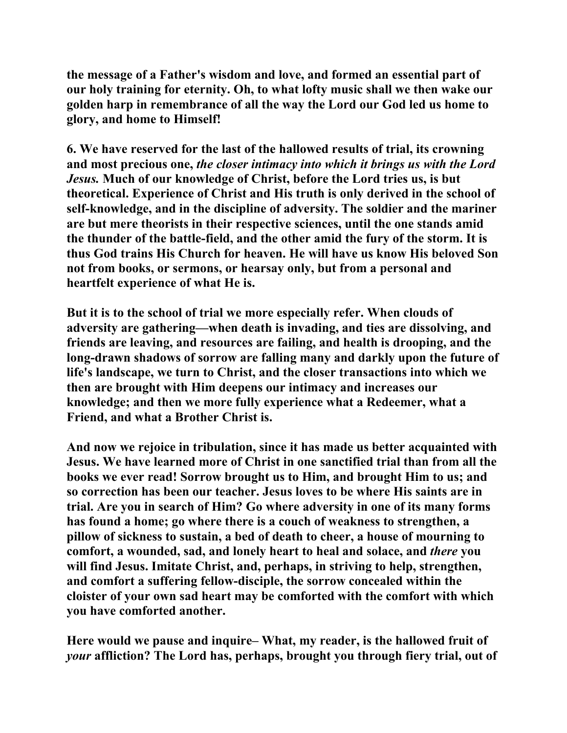**the message of a Father's wisdom and love, and formed an essential part of our holy training for eternity. Oh, to what lofty music shall we then wake our golden harp in remembrance of all the way the Lord our God led us home to glory, and home to Himself!** 

**6. We have reserved for the last of the hallowed results of trial, its crowning and most precious one,** *the closer intimacy into which it brings us with the Lord Jesus.* **Much of our knowledge of Christ, before the Lord tries us, is but theoretical. Experience of Christ and His truth is only derived in the school of self-knowledge, and in the discipline of adversity. The soldier and the mariner are but mere theorists in their respective sciences, until the one stands amid the thunder of the battle-field, and the other amid the fury of the storm. It is thus God trains His Church for heaven. He will have us know His beloved Son not from books, or sermons, or hearsay only, but from a personal and heartfelt experience of what He is.** 

**But it is to the school of trial we more especially refer. When clouds of adversity are gathering—when death is invading, and ties are dissolving, and friends are leaving, and resources are failing, and health is drooping, and the long-drawn shadows of sorrow are falling many and darkly upon the future of life's landscape, we turn to Christ, and the closer transactions into which we then are brought with Him deepens our intimacy and increases our knowledge; and then we more fully experience what a Redeemer, what a Friend, and what a Brother Christ is.** 

**And now we rejoice in tribulation, since it has made us better acquainted with Jesus. We have learned more of Christ in one sanctified trial than from all the books we ever read! Sorrow brought us to Him, and brought Him to us; and so correction has been our teacher. Jesus loves to be where His saints are in trial. Are you in search of Him? Go where adversity in one of its many forms has found a home; go where there is a couch of weakness to strengthen, a pillow of sickness to sustain, a bed of death to cheer, a house of mourning to comfort, a wounded, sad, and lonely heart to heal and solace, and** *there* **you will find Jesus. Imitate Christ, and, perhaps, in striving to help, strengthen, and comfort a suffering fellow-disciple, the sorrow concealed within the cloister of your own sad heart may be comforted with the comfort with which you have comforted another.** 

**Here would we pause and inquire– What, my reader, is the hallowed fruit of**  *your* **affliction? The Lord has, perhaps, brought you through fiery trial, out of**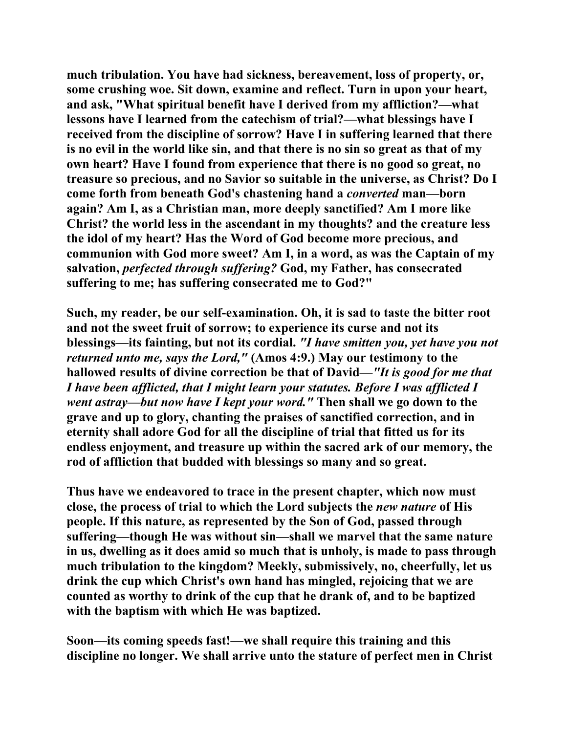**much tribulation. You have had sickness, bereavement, loss of property, or, some crushing woe. Sit down, examine and reflect. Turn in upon your heart, and ask, "What spiritual benefit have I derived from my affliction?—what lessons have I learned from the catechism of trial?—what blessings have I received from the discipline of sorrow? Have I in suffering learned that there is no evil in the world like sin, and that there is no sin so great as that of my own heart? Have I found from experience that there is no good so great, no treasure so precious, and no Savior so suitable in the universe, as Christ? Do I come forth from beneath God's chastening hand a** *converted* **man—born again? Am I, as a Christian man, more deeply sanctified? Am I more like Christ? the world less in the ascendant in my thoughts? and the creature less the idol of my heart? Has the Word of God become more precious, and communion with God more sweet? Am I, in a word, as was the Captain of my salvation,** *perfected through suffering?* **God, my Father, has consecrated suffering to me; has suffering consecrated me to God?"** 

**Such, my reader, be our self-examination. Oh, it is sad to taste the bitter root and not the sweet fruit of sorrow; to experience its curse and not its blessings—its fainting, but not its cordial.** *"I have smitten you, yet have you not returned unto me, says the Lord,"* **(Amos 4:9.) May our testimony to the hallowed results of divine correction be that of David—***"It is good for me that I have been afflicted, that I might learn your statutes. Before I was afflicted I went astray—but now have I kept your word."* **Then shall we go down to the grave and up to glory, chanting the praises of sanctified correction, and in eternity shall adore God for all the discipline of trial that fitted us for its endless enjoyment, and treasure up within the sacred ark of our memory, the rod of affliction that budded with blessings so many and so great.** 

**Thus have we endeavored to trace in the present chapter, which now must close, the process of trial to which the Lord subjects the** *new nature* **of His people. If this nature, as represented by the Son of God, passed through suffering—though He was without sin—shall we marvel that the same nature in us, dwelling as it does amid so much that is unholy, is made to pass through much tribulation to the kingdom? Meekly, submissively, no, cheerfully, let us drink the cup which Christ's own hand has mingled, rejoicing that we are counted as worthy to drink of the cup that he drank of, and to be baptized with the baptism with which He was baptized.** 

**Soon—its coming speeds fast!—we shall require this training and this discipline no longer. We shall arrive unto the stature of perfect men in Christ**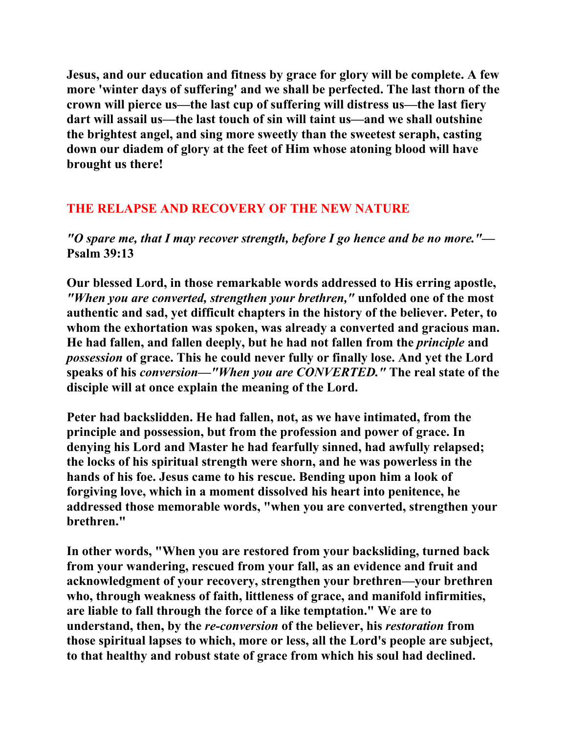**Jesus, and our education and fitness by grace for glory will be complete. A few more 'winter days of suffering' and we shall be perfected. The last thorn of the crown will pierce us—the last cup of suffering will distress us—the last fiery dart will assail us—the last touch of sin will taint us—and we shall outshine the brightest angel, and sing more sweetly than the sweetest seraph, casting down our diadem of glory at the feet of Him whose atoning blood will have brought us there!** 

## **THE RELAPSE AND RECOVERY OF THE NEW NATURE**

*"O spare me, that I may recover strength, before I go hence and be no more."***— Psalm 39:13** 

**Our blessed Lord, in those remarkable words addressed to His erring apostle,**  *"When you are converted, strengthen your brethren,"* **unfolded one of the most authentic and sad, yet difficult chapters in the history of the believer. Peter, to whom the exhortation was spoken, was already a converted and gracious man. He had fallen, and fallen deeply, but he had not fallen from the** *principle* **and**  *possession* **of grace. This he could never fully or finally lose. And yet the Lord speaks of his** *conversion—"When you are CONVERTED."* **The real state of the disciple will at once explain the meaning of the Lord.** 

**Peter had backslidden. He had fallen, not, as we have intimated, from the principle and possession, but from the profession and power of grace. In denying his Lord and Master he had fearfully sinned, had awfully relapsed; the locks of his spiritual strength were shorn, and he was powerless in the hands of his foe. Jesus came to his rescue. Bending upon him a look of forgiving love, which in a moment dissolved his heart into penitence, he addressed those memorable words, "when you are converted, strengthen your brethren."** 

**In other words, "When you are restored from your backsliding, turned back from your wandering, rescued from your fall, as an evidence and fruit and acknowledgment of your recovery, strengthen your brethren—your brethren who, through weakness of faith, littleness of grace, and manifold infirmities, are liable to fall through the force of a like temptation." We are to understand, then, by the** *re-conversion* **of the believer, his** *restoration* **from those spiritual lapses to which, more or less, all the Lord's people are subject, to that healthy and robust state of grace from which his soul had declined.**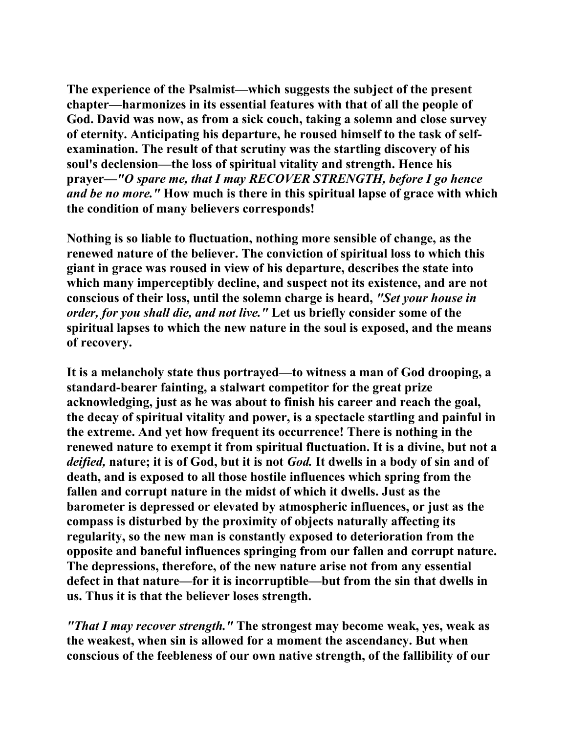**The experience of the Psalmist—which suggests the subject of the present chapter—harmonizes in its essential features with that of all the people of God. David was now, as from a sick couch, taking a solemn and close survey of eternity. Anticipating his departure, he roused himself to the task of selfexamination. The result of that scrutiny was the startling discovery of his soul's declension—the loss of spiritual vitality and strength. Hence his prayer—***"O spare me, that I may RECOVER STRENGTH, before I go hence and be no more."* **How much is there in this spiritual lapse of grace with which the condition of many believers corresponds!** 

**Nothing is so liable to fluctuation, nothing more sensible of change, as the renewed nature of the believer. The conviction of spiritual loss to which this giant in grace was roused in view of his departure, describes the state into which many imperceptibly decline, and suspect not its existence, and are not conscious of their loss, until the solemn charge is heard,** *"Set your house in order, for you shall die, and not live."* **Let us briefly consider some of the spiritual lapses to which the new nature in the soul is exposed, and the means of recovery.** 

**It is a melancholy state thus portrayed—to witness a man of God drooping, a standard-bearer fainting, a stalwart competitor for the great prize acknowledging, just as he was about to finish his career and reach the goal, the decay of spiritual vitality and power, is a spectacle startling and painful in the extreme. And yet how frequent its occurrence! There is nothing in the renewed nature to exempt it from spiritual fluctuation. It is a divine, but not a**  *deified,* **nature; it is of God, but it is not** *God.* **It dwells in a body of sin and of death, and is exposed to all those hostile influences which spring from the fallen and corrupt nature in the midst of which it dwells. Just as the barometer is depressed or elevated by atmospheric influences, or just as the compass is disturbed by the proximity of objects naturally affecting its regularity, so the new man is constantly exposed to deterioration from the opposite and baneful influences springing from our fallen and corrupt nature. The depressions, therefore, of the new nature arise not from any essential defect in that nature—for it is incorruptible—but from the sin that dwells in us. Thus it is that the believer loses strength.** 

*"That I may recover strength."* **The strongest may become weak, yes, weak as the weakest, when sin is allowed for a moment the ascendancy. But when conscious of the feebleness of our own native strength, of the fallibility of our**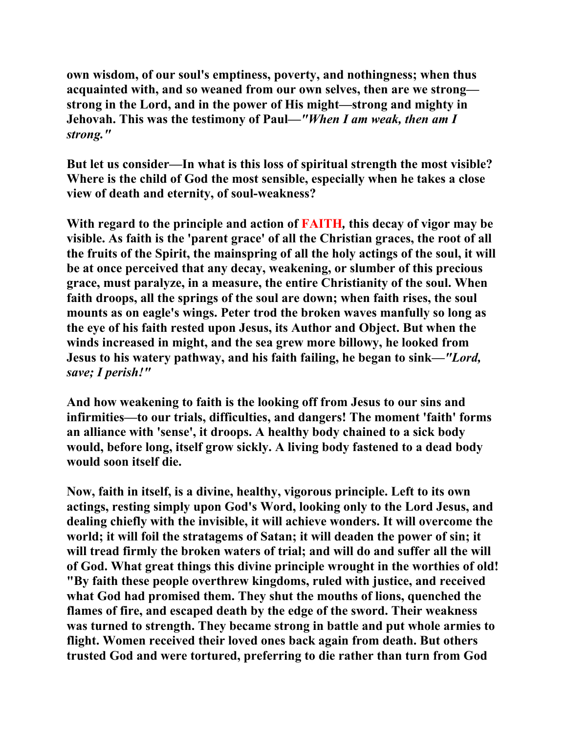**own wisdom, of our soul's emptiness, poverty, and nothingness; when thus acquainted with, and so weaned from our own selves, then are we strong strong in the Lord, and in the power of His might—strong and mighty in Jehovah. This was the testimony of Paul—***"When I am weak, then am I strong."* 

**But let us consider—In what is this loss of spiritual strength the most visible? Where is the child of God the most sensible, especially when he takes a close view of death and eternity, of soul-weakness?** 

**With regard to the principle and action of FAITH***,* **this decay of vigor may be visible. As faith is the 'parent grace' of all the Christian graces, the root of all the fruits of the Spirit, the mainspring of all the holy actings of the soul, it will be at once perceived that any decay, weakening, or slumber of this precious grace, must paralyze, in a measure, the entire Christianity of the soul. When faith droops, all the springs of the soul are down; when faith rises, the soul mounts as on eagle's wings. Peter trod the broken waves manfully so long as the eye of his faith rested upon Jesus, its Author and Object. But when the winds increased in might, and the sea grew more billowy, he looked from Jesus to his watery pathway, and his faith failing, he began to sink***—"Lord, save; I perish!"* 

**And how weakening to faith is the looking off from Jesus to our sins and infirmities—to our trials, difficulties, and dangers! The moment 'faith' forms an alliance with 'sense', it droops. A healthy body chained to a sick body would, before long, itself grow sickly. A living body fastened to a dead body would soon itself die.** 

**Now, faith in itself, is a divine, healthy, vigorous principle. Left to its own actings, resting simply upon God's Word, looking only to the Lord Jesus, and dealing chiefly with the invisible, it will achieve wonders. It will overcome the world; it will foil the stratagems of Satan; it will deaden the power of sin; it will tread firmly the broken waters of trial; and will do and suffer all the will of God. What great things this divine principle wrought in the worthies of old! "By faith these people overthrew kingdoms, ruled with justice, and received what God had promised them. They shut the mouths of lions, quenched the flames of fire, and escaped death by the edge of the sword. Their weakness was turned to strength. They became strong in battle and put whole armies to flight. Women received their loved ones back again from death. But others trusted God and were tortured, preferring to die rather than turn from God**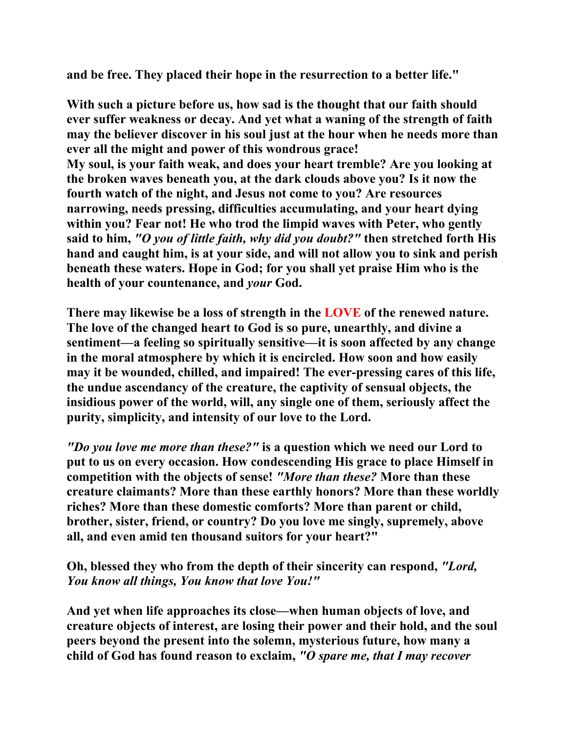**and be free. They placed their hope in the resurrection to a better life."** 

**With such a picture before us, how sad is the thought that our faith should ever suffer weakness or decay. And yet what a waning of the strength of faith may the believer discover in his soul just at the hour when he needs more than ever all the might and power of this wondrous grace! My soul, is your faith weak, and does your heart tremble? Are you looking at the broken waves beneath you, at the dark clouds above you? Is it now the fourth watch of the night, and Jesus not come to you? Are resources narrowing, needs pressing, difficulties accumulating, and your heart dying within you? Fear not! He who trod the limpid waves with Peter, who gently said to him,** *"O you of little faith, why did you doubt?"* **then stretched forth His hand and caught him, is at your side, and will not allow you to sink and perish beneath these waters. Hope in God; for you shall yet praise Him who is the health of your countenance, and** *your* **God.** 

**There may likewise be a loss of strength in the LOVE of the renewed nature. The love of the changed heart to God is so pure, unearthly, and divine a sentiment—a feeling so spiritually sensitive—it is soon affected by any change in the moral atmosphere by which it is encircled. How soon and how easily may it be wounded, chilled, and impaired! The ever-pressing cares of this life, the undue ascendancy of the creature, the captivity of sensual objects, the insidious power of the world, will, any single one of them, seriously affect the purity, simplicity, and intensity of our love to the Lord.**

*"Do you love me more than these?"* **is a question which we need our Lord to put to us on every occasion. How condescending His grace to place Himself in competition with the objects of sense!** *"More than these?* **More than these creature claimants? More than these earthly honors? More than these worldly riches? More than these domestic comforts? More than parent or child, brother, sister, friend, or country? Do you love me singly, supremely, above all, and even amid ten thousand suitors for your heart?"** 

**Oh, blessed they who from the depth of their sincerity can respond,** *"Lord, You know all things, You know that love You!"* 

**And yet when life approaches its close—when human objects of love, and creature objects of interest, are losing their power and their hold, and the soul peers beyond the present into the solemn, mysterious future, how many a child of God has found reason to exclaim,** *"O spare me, that I may recover*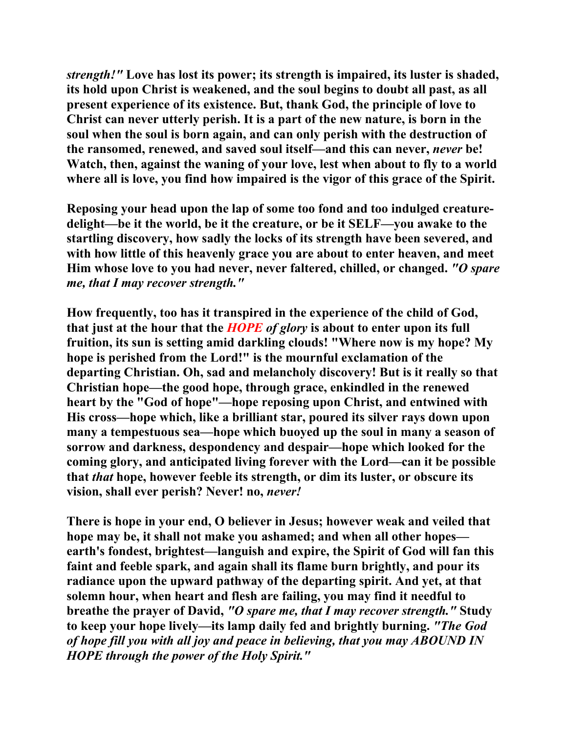*strength!"* **Love has lost its power; its strength is impaired, its luster is shaded, its hold upon Christ is weakened, and the soul begins to doubt all past, as all present experience of its existence. But, thank God, the principle of love to Christ can never utterly perish. It is a part of the new nature, is born in the soul when the soul is born again, and can only perish with the destruction of the ransomed, renewed, and saved soul itself—and this can never,** *never* **be! Watch, then, against the waning of your love, lest when about to fly to a world where all is love, you find how impaired is the vigor of this grace of the Spirit.** 

**Reposing your head upon the lap of some too fond and too indulged creaturedelight—be it the world, be it the creature, or be it SELF—you awake to the startling discovery, how sadly the locks of its strength have been severed, and with how little of this heavenly grace you are about to enter heaven, and meet Him whose love to you had never, never faltered, chilled, or changed.** *"O spare me, that I may recover strength."* 

**How frequently, too has it transpired in the experience of the child of God, that just at the hour that the** *HOPE of glory* **is about to enter upon its full fruition, its sun is setting amid darkling clouds! "Where now is my hope? My hope is perished from the Lord!" is the mournful exclamation of the departing Christian. Oh, sad and melancholy discovery! But is it really so that Christian hope—the good hope, through grace, enkindled in the renewed heart by the "God of hope"—hope reposing upon Christ, and entwined with His cross—hope which, like a brilliant star, poured its silver rays down upon many a tempestuous sea—hope which buoyed up the soul in many a season of sorrow and darkness, despondency and despair—hope which looked for the coming glory, and anticipated living forever with the Lord—can it be possible that** *that* **hope, however feeble its strength, or dim its luster, or obscure its vision, shall ever perish? Never! no,** *never!*

**There is hope in your end, O believer in Jesus; however weak and veiled that hope may be, it shall not make you ashamed; and when all other hopes earth's fondest, brightest—languish and expire, the Spirit of God will fan this faint and feeble spark, and again shall its flame burn brightly, and pour its radiance upon the upward pathway of the departing spirit. And yet, at that solemn hour, when heart and flesh are failing, you may find it needful to breathe the prayer of David,** *"O spare me, that I may recover strength."* **Study to keep your hope lively—its lamp daily fed and brightly burning.** *"The God of hope fill you with all joy and peace in believing, that you may ABOUND IN HOPE through the power of the Holy Spirit."*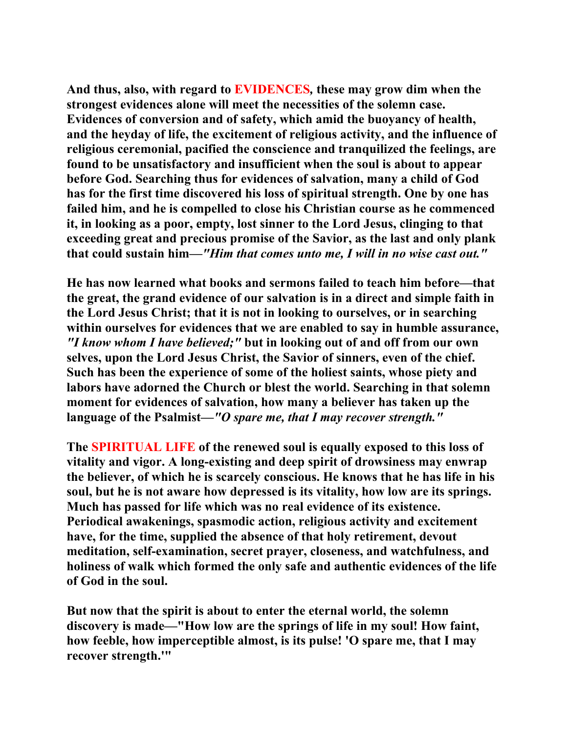**And thus, also, with regard to EVIDENCES***,* **these may grow dim when the strongest evidences alone will meet the necessities of the solemn case. Evidences of conversion and of safety, which amid the buoyancy of health, and the heyday of life, the excitement of religious activity, and the influence of religious ceremonial, pacified the conscience and tranquilized the feelings, are found to be unsatisfactory and insufficient when the soul is about to appear before God. Searching thus for evidences of salvation, many a child of God has for the first time discovered his loss of spiritual strength. One by one has failed him, and he is compelled to close his Christian course as he commenced it, in looking as a poor, empty, lost sinner to the Lord Jesus, clinging to that exceeding great and precious promise of the Savior, as the last and only plank that could sustain him—***"Him that comes unto me, I will in no wise cast out."* 

**He has now learned what books and sermons failed to teach him before—that the great, the grand evidence of our salvation is in a direct and simple faith in the Lord Jesus Christ; that it is not in looking to ourselves, or in searching within ourselves for evidences that we are enabled to say in humble assurance,**  *"I know whom I have believed;"* **but in looking out of and off from our own selves, upon the Lord Jesus Christ, the Savior of sinners, even of the chief. Such has been the experience of some of the holiest saints, whose piety and labors have adorned the Church or blest the world. Searching in that solemn moment for evidences of salvation, how many a believer has taken up the language of the Psalmist—***"O spare me, that I may recover strength."*

**The SPIRITUAL LIFE of the renewed soul is equally exposed to this loss of vitality and vigor. A long-existing and deep spirit of drowsiness may enwrap the believer, of which he is scarcely conscious. He knows that he has life in his soul, but he is not aware how depressed is its vitality, how low are its springs. Much has passed for life which was no real evidence of its existence. Periodical awakenings, spasmodic action, religious activity and excitement have, for the time, supplied the absence of that holy retirement, devout meditation, self-examination, secret prayer, closeness, and watchfulness, and holiness of walk which formed the only safe and authentic evidences of the life of God in the soul.** 

**But now that the spirit is about to enter the eternal world, the solemn discovery is made—"How low are the springs of life in my soul! How faint, how feeble, how imperceptible almost, is its pulse! 'O spare me, that I may recover strength.'"**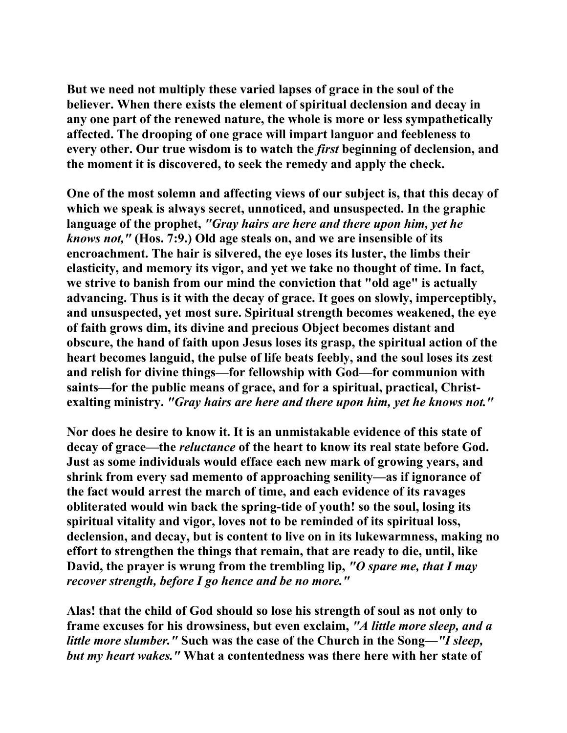**But we need not multiply these varied lapses of grace in the soul of the believer. When there exists the element of spiritual declension and decay in any one part of the renewed nature, the whole is more or less sympathetically affected. The drooping of one grace will impart languor and feebleness to every other. Our true wisdom is to watch the** *first* **beginning of declension, and the moment it is discovered, to seek the remedy and apply the check.** 

**One of the most solemn and affecting views of our subject is, that this decay of which we speak is always secret, unnoticed, and unsuspected. In the graphic language of the prophet,** *"Gray hairs are here and there upon him, yet he knows not,"* **(Hos. 7:9.) Old age steals on, and we are insensible of its encroachment. The hair is silvered, the eye loses its luster, the limbs their elasticity, and memory its vigor, and yet we take no thought of time. In fact, we strive to banish from our mind the conviction that "old age" is actually advancing. Thus is it with the decay of grace. It goes on slowly, imperceptibly, and unsuspected, yet most sure. Spiritual strength becomes weakened, the eye of faith grows dim, its divine and precious Object becomes distant and obscure, the hand of faith upon Jesus loses its grasp, the spiritual action of the heart becomes languid, the pulse of life beats feebly, and the soul loses its zest and relish for divine things—for fellowship with God—for communion with saints—for the public means of grace, and for a spiritual, practical, Christexalting ministry.** *"Gray hairs are here and there upon him, yet he knows not."* 

**Nor does he desire to know it. It is an unmistakable evidence of this state of decay of grace—the** *reluctance* **of the heart to know its real state before God. Just as some individuals would efface each new mark of growing years, and shrink from every sad memento of approaching senility—as if ignorance of the fact would arrest the march of time, and each evidence of its ravages obliterated would win back the spring-tide of youth! so the soul, losing its spiritual vitality and vigor, loves not to be reminded of its spiritual loss, declension, and decay, but is content to live on in its lukewarmness, making no effort to strengthen the things that remain, that are ready to die, until, like David, the prayer is wrung from the trembling lip,** *"O spare me, that I may recover strength, before I go hence and be no more."* 

**Alas! that the child of God should so lose his strength of soul as not only to frame excuses for his drowsiness, but even exclaim,** *"A little more sleep, and a little more slumber."* **Such was the case of the Church in the Song—***"I sleep, but my heart wakes."* **What a contentedness was there here with her state of**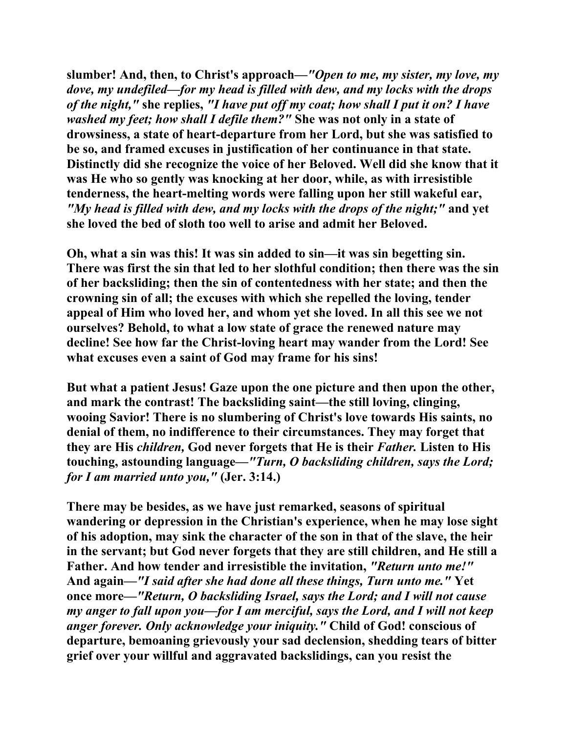**slumber! And, then, to Christ's approach***—"Open to me, my sister, my love, my dove, my undefiled—for my head is filled with dew, and my locks with the drops of the night,"* **she replies,** *"I have put off my coat; how shall I put it on? I have washed my feet; how shall I defile them?"* **She was not only in a state of drowsiness, a state of heart-departure from her Lord, but she was satisfied to be so, and framed excuses in justification of her continuance in that state. Distinctly did she recognize the voice of her Beloved. Well did she know that it was He who so gently was knocking at her door, while, as with irresistible tenderness, the heart-melting words were falling upon her still wakeful ear,**  *"My head is filled with dew, and my locks with the drops of the night;"* **and yet she loved the bed of sloth too well to arise and admit her Beloved.** 

**Oh, what a sin was this! It was sin added to sin—it was sin begetting sin. There was first the sin that led to her slothful condition; then there was the sin of her backsliding; then the sin of contentedness with her state; and then the crowning sin of all; the excuses with which she repelled the loving, tender appeal of Him who loved her, and whom yet she loved. In all this see we not ourselves? Behold, to what a low state of grace the renewed nature may decline! See how far the Christ-loving heart may wander from the Lord! See what excuses even a saint of God may frame for his sins!** 

**But what a patient Jesus! Gaze upon the one picture and then upon the other, and mark the contrast! The backsliding saint—the still loving, clinging, wooing Savior! There is no slumbering of Christ's love towards His saints, no denial of them, no indifference to their circumstances. They may forget that they are His** *children,* **God never forgets that He is their** *Father.* **Listen to His touching, astounding language—***"Turn, O backsliding children, says the Lord; for I am married unto you,"* **(Jer. 3:14.)** 

**There may be besides, as we have just remarked, seasons of spiritual wandering or depression in the Christian's experience, when he may lose sight of his adoption, may sink the character of the son in that of the slave, the heir in the servant; but God never forgets that they are still children, and He still a Father. And how tender and irresistible the invitation,** *"Return unto me!"*  **And again—***"I said after she had done all these things, Turn unto me."* **Yet once more—***"Return, O backsliding Israel, says the Lord; and I will not cause my anger to fall upon you—for I am merciful, says the Lord, and I will not keep anger forever. Only acknowledge your iniquity."* **Child of God! conscious of departure, bemoaning grievously your sad declension, shedding tears of bitter grief over your willful and aggravated backslidings, can you resist the**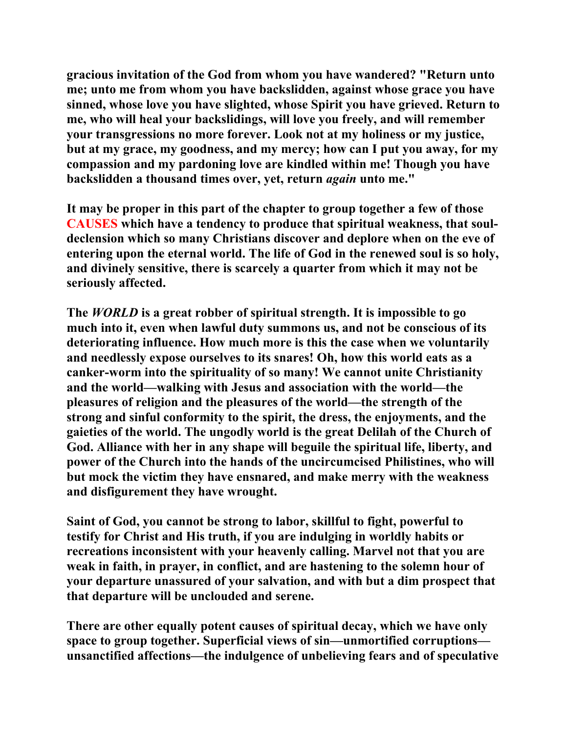**gracious invitation of the God from whom you have wandered? "Return unto me; unto me from whom you have backslidden, against whose grace you have sinned, whose love you have slighted, whose Spirit you have grieved. Return to me, who will heal your backslidings, will love you freely, and will remember your transgressions no more forever. Look not at my holiness or my justice, but at my grace, my goodness, and my mercy; how can I put you away, for my compassion and my pardoning love are kindled within me! Though you have backslidden a thousand times over, yet, return** *again* **unto me."** 

**It may be proper in this part of the chapter to group together a few of those CAUSES which have a tendency to produce that spiritual weakness, that souldeclension which so many Christians discover and deplore when on the eve of entering upon the eternal world. The life of God in the renewed soul is so holy, and divinely sensitive, there is scarcely a quarter from which it may not be seriously affected.** 

**The** *WORLD* **is a great robber of spiritual strength. It is impossible to go much into it, even when lawful duty summons us, and not be conscious of its deteriorating influence. How much more is this the case when we voluntarily and needlessly expose ourselves to its snares! Oh, how this world eats as a canker-worm into the spirituality of so many! We cannot unite Christianity and the world—walking with Jesus and association with the world—the pleasures of religion and the pleasures of the world—the strength of the strong and sinful conformity to the spirit, the dress, the enjoyments, and the gaieties of the world. The ungodly world is the great Delilah of the Church of God. Alliance with her in any shape will beguile the spiritual life, liberty, and power of the Church into the hands of the uncircumcised Philistines, who will but mock the victim they have ensnared, and make merry with the weakness and disfigurement they have wrought.** 

**Saint of God, you cannot be strong to labor, skillful to fight, powerful to testify for Christ and His truth, if you are indulging in worldly habits or recreations inconsistent with your heavenly calling. Marvel not that you are weak in faith, in prayer, in conflict, and are hastening to the solemn hour of your departure unassured of your salvation, and with but a dim prospect that that departure will be unclouded and serene.** 

**There are other equally potent causes of spiritual decay, which we have only space to group together. Superficial views of sin—unmortified corruptions unsanctified affections—the indulgence of unbelieving fears and of speculative**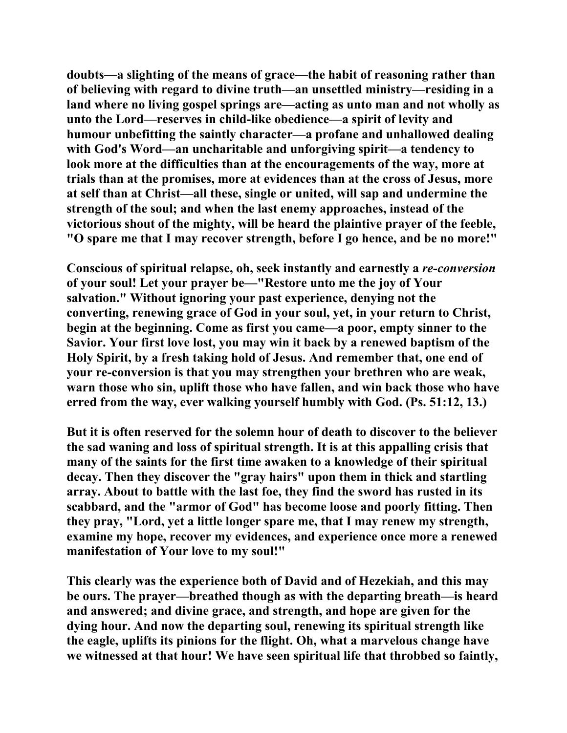**doubts—a slighting of the means of grace—the habit of reasoning rather than of believing with regard to divine truth—an unsettled ministry—residing in a land where no living gospel springs are—acting as unto man and not wholly as unto the Lord—reserves in child-like obedience—a spirit of levity and humour unbefitting the saintly character—a profane and unhallowed dealing with God's Word—an uncharitable and unforgiving spirit—a tendency to look more at the difficulties than at the encouragements of the way, more at trials than at the promises, more at evidences than at the cross of Jesus, more at self than at Christ—all these, single or united, will sap and undermine the strength of the soul; and when the last enemy approaches, instead of the victorious shout of the mighty, will be heard the plaintive prayer of the feeble, "O spare me that I may recover strength, before I go hence, and be no more!"** 

**Conscious of spiritual relapse, oh, seek instantly and earnestly a** *re-conversion* **of your soul! Let your prayer be—"Restore unto me the joy of Your salvation." Without ignoring your past experience, denying not the converting, renewing grace of God in your soul, yet, in your return to Christ, begin at the beginning. Come as first you came—a poor, empty sinner to the Savior. Your first love lost, you may win it back by a renewed baptism of the Holy Spirit, by a fresh taking hold of Jesus. And remember that, one end of your re-conversion is that you may strengthen your brethren who are weak, warn those who sin, uplift those who have fallen, and win back those who have erred from the way, ever walking yourself humbly with God. (Ps. 51:12, 13.)** 

**But it is often reserved for the solemn hour of death to discover to the believer the sad waning and loss of spiritual strength. It is at this appalling crisis that many of the saints for the first time awaken to a knowledge of their spiritual decay. Then they discover the "gray hairs" upon them in thick and startling array. About to battle with the last foe, they find the sword has rusted in its scabbard, and the "armor of God" has become loose and poorly fitting. Then they pray, "Lord, yet a little longer spare me, that I may renew my strength, examine my hope, recover my evidences, and experience once more a renewed manifestation of Your love to my soul!"** 

**This clearly was the experience both of David and of Hezekiah, and this may be ours. The prayer—breathed though as with the departing breath—is heard and answered; and divine grace, and strength, and hope are given for the dying hour. And now the departing soul, renewing its spiritual strength like the eagle, uplifts its pinions for the flight. Oh, what a marvelous change have we witnessed at that hour! We have seen spiritual life that throbbed so faintly,**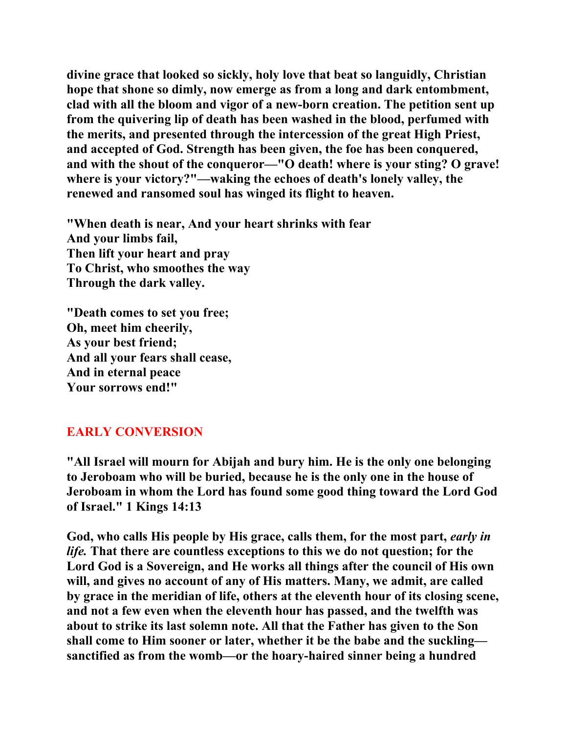**divine grace that looked so sickly, holy love that beat so languidly, Christian hope that shone so dimly, now emerge as from a long and dark entombment, clad with all the bloom and vigor of a new-born creation. The petition sent up from the quivering lip of death has been washed in the blood, perfumed with the merits, and presented through the intercession of the great High Priest, and accepted of God. Strength has been given, the foe has been conquered, and with the shout of the conqueror—"O death! where is your sting? O grave! where is your victory?"—waking the echoes of death's lonely valley, the renewed and ransomed soul has winged its flight to heaven.** 

**"When death is near, And your heart shrinks with fear And your limbs fail, Then lift your heart and pray To Christ, who smoothes the way Through the dark valley.** 

**"Death comes to set you free; Oh, meet him cheerily, As your best friend; And all your fears shall cease, And in eternal peace Your sorrows end!"** 

## **EARLY CONVERSION**

**"All Israel will mourn for Abijah and bury him. He is the only one belonging to Jeroboam who will be buried, because he is the only one in the house of Jeroboam in whom the Lord has found some good thing toward the Lord God of Israel." 1 Kings 14:13** 

**God, who calls His people by His grace, calls them, for the most part,** *early in life.* **That there are countless exceptions to this we do not question; for the Lord God is a Sovereign, and He works all things after the council of His own will, and gives no account of any of His matters. Many, we admit, are called by grace in the meridian of life, others at the eleventh hour of its closing scene, and not a few even when the eleventh hour has passed, and the twelfth was about to strike its last solemn note. All that the Father has given to the Son shall come to Him sooner or later, whether it be the babe and the suckling sanctified as from the womb—or the hoary-haired sinner being a hundred**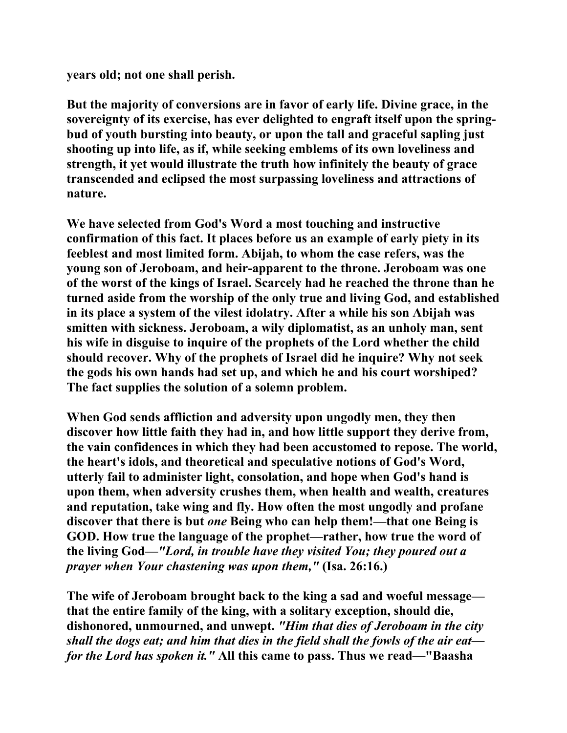**years old; not one shall perish.** 

**But the majority of conversions are in favor of early life. Divine grace, in the sovereignty of its exercise, has ever delighted to engraft itself upon the springbud of youth bursting into beauty, or upon the tall and graceful sapling just shooting up into life, as if, while seeking emblems of its own loveliness and strength, it yet would illustrate the truth how infinitely the beauty of grace transcended and eclipsed the most surpassing loveliness and attractions of nature.** 

**We have selected from God's Word a most touching and instructive confirmation of this fact. It places before us an example of early piety in its feeblest and most limited form. Abijah, to whom the case refers, was the young son of Jeroboam, and heir-apparent to the throne. Jeroboam was one of the worst of the kings of Israel. Scarcely had he reached the throne than he turned aside from the worship of the only true and living God, and established in its place a system of the vilest idolatry. After a while his son Abijah was smitten with sickness. Jeroboam, a wily diplomatist, as an unholy man, sent his wife in disguise to inquire of the prophets of the Lord whether the child should recover. Why of the prophets of Israel did he inquire? Why not seek the gods his own hands had set up, and which he and his court worshiped? The fact supplies the solution of a solemn problem.** 

**When God sends affliction and adversity upon ungodly men, they then discover how little faith they had in, and how little support they derive from, the vain confidences in which they had been accustomed to repose. The world, the heart's idols, and theoretical and speculative notions of God's Word, utterly fail to administer light, consolation, and hope when God's hand is upon them, when adversity crushes them, when health and wealth, creatures and reputation, take wing and fly. How often the most ungodly and profane discover that there is but** *one* **Being who can help them!—that one Being is GOD. How true the language of the prophet—rather, how true the word of the living God***—"Lord, in trouble have they visited You; they poured out a prayer when Your chastening was upon them,"* **(Isa. 26:16.)** 

**The wife of Jeroboam brought back to the king a sad and woeful message that the entire family of the king, with a solitary exception, should die, dishonored, unmourned, and unwept.** *"Him that dies of Jeroboam in the city shall the dogs eat; and him that dies in the field shall the fowls of the air eat for the Lord has spoken it."* **All this came to pass. Thus we read—"Baasha**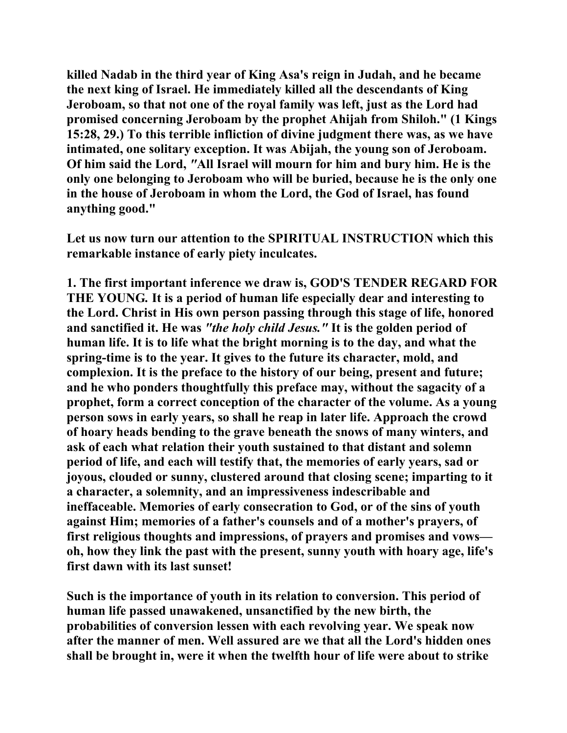**killed Nadab in the third year of King Asa's reign in Judah, and he became the next king of Israel. He immediately killed all the descendants of King Jeroboam, so that not one of the royal family was left, just as the Lord had promised concerning Jeroboam by the prophet Ahijah from Shiloh." (1 Kings 15:28, 29.) To this terrible infliction of divine judgment there was, as we have intimated, one solitary exception. It was Abijah, the young son of Jeroboam. Of him said the Lord,** *"***All Israel will mourn for him and bury him. He is the only one belonging to Jeroboam who will be buried, because he is the only one in the house of Jeroboam in whom the Lord, the God of Israel, has found anything good."** 

**Let us now turn our attention to the SPIRITUAL INSTRUCTION which this remarkable instance of early piety inculcates.** 

**1. The first important inference we draw is, GOD'S TENDER REGARD FOR THE YOUNG***.* **It is a period of human life especially dear and interesting to the Lord. Christ in His own person passing through this stage of life, honored and sanctified it. He was** *"the holy child Jesus."* **It is the golden period of human life. It is to life what the bright morning is to the day, and what the spring-time is to the year. It gives to the future its character, mold, and complexion. It is the preface to the history of our being, present and future; and he who ponders thoughtfully this preface may, without the sagacity of a prophet, form a correct conception of the character of the volume. As a young person sows in early years, so shall he reap in later life. Approach the crowd of hoary heads bending to the grave beneath the snows of many winters, and ask of each what relation their youth sustained to that distant and solemn period of life, and each will testify that, the memories of early years, sad or joyous, clouded or sunny, clustered around that closing scene; imparting to it a character, a solemnity, and an impressiveness indescribable and ineffaceable. Memories of early consecration to God, or of the sins of youth against Him; memories of a father's counsels and of a mother's prayers, of first religious thoughts and impressions, of prayers and promises and vows oh, how they link the past with the present, sunny youth with hoary age, life's first dawn with its last sunset!** 

**Such is the importance of youth in its relation to conversion. This period of human life passed unawakened, unsanctified by the new birth, the probabilities of conversion lessen with each revolving year. We speak now after the manner of men. Well assured are we that all the Lord's hidden ones shall be brought in, were it when the twelfth hour of life were about to strike**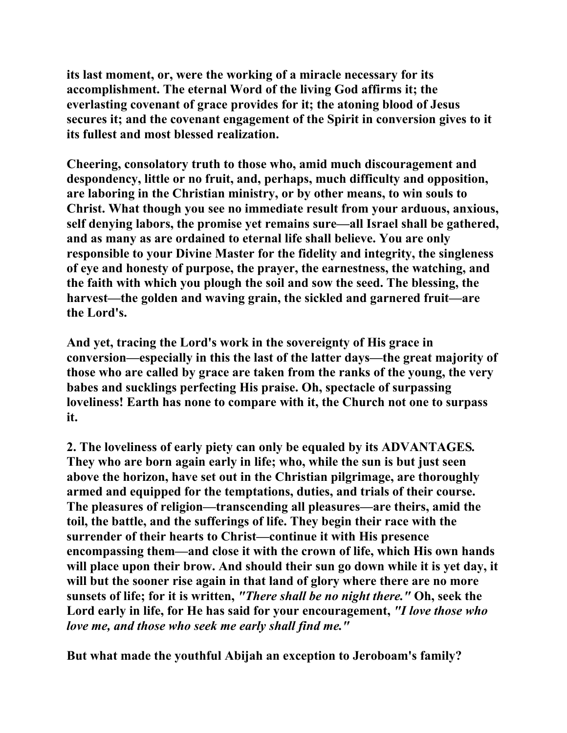**its last moment, or, were the working of a miracle necessary for its accomplishment. The eternal Word of the living God affirms it; the everlasting covenant of grace provides for it; the atoning blood of Jesus secures it; and the covenant engagement of the Spirit in conversion gives to it its fullest and most blessed realization.** 

**Cheering, consolatory truth to those who, amid much discouragement and despondency, little or no fruit, and, perhaps, much difficulty and opposition, are laboring in the Christian ministry, or by other means, to win souls to Christ. What though you see no immediate result from your arduous, anxious, self denying labors, the promise yet remains sure—all Israel shall be gathered, and as many as are ordained to eternal life shall believe. You are only responsible to your Divine Master for the fidelity and integrity, the singleness of eye and honesty of purpose, the prayer, the earnestness, the watching, and the faith with which you plough the soil and sow the seed. The blessing, the harvest—the golden and waving grain, the sickled and garnered fruit—are the Lord's.** 

**And yet, tracing the Lord's work in the sovereignty of His grace in conversion—especially in this the last of the latter days—the great majority of those who are called by grace are taken from the ranks of the young, the very babes and sucklings perfecting His praise. Oh, spectacle of surpassing loveliness! Earth has none to compare with it, the Church not one to surpass it.** 

**2. The loveliness of early piety can only be equaled by its ADVANTAGES***.* **They who are born again early in life; who, while the sun is but just seen above the horizon, have set out in the Christian pilgrimage, are thoroughly armed and equipped for the temptations, duties, and trials of their course. The pleasures of religion—transcending all pleasures—are theirs, amid the toil, the battle, and the sufferings of life. They begin their race with the surrender of their hearts to Christ—continue it with His presence encompassing them—and close it with the crown of life, which His own hands will place upon their brow. And should their sun go down while it is yet day, it will but the sooner rise again in that land of glory where there are no more sunsets of life; for it is written,** *"There shall be no night there."* **Oh, seek the Lord early in life, for He has said for your encouragement,** *"I love those who love me, and those who seek me early shall find me."* 

**But what made the youthful Abijah an exception to Jeroboam's family?**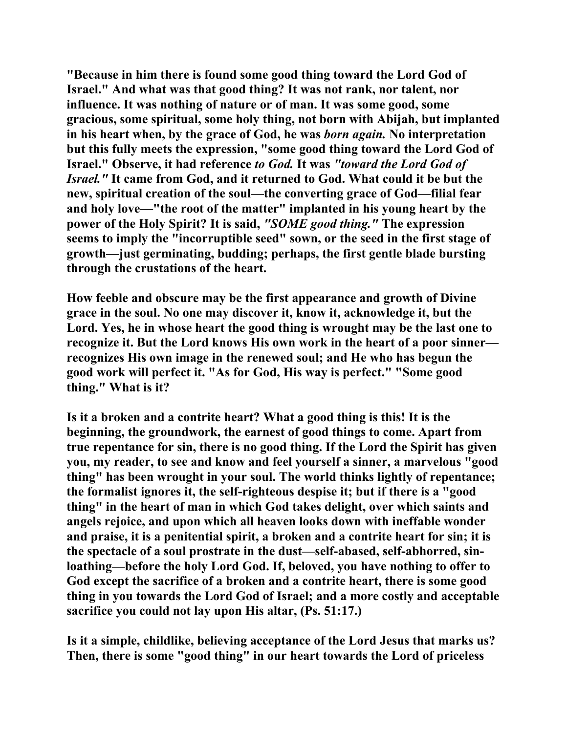**"Because in him there is found some good thing toward the Lord God of Israel." And what was that good thing? It was not rank, nor talent, nor influence. It was nothing of nature or of man. It was some good, some gracious, some spiritual, some holy thing, not born with Abijah, but implanted in his heart when, by the grace of God, he was** *born again.* **No interpretation but this fully meets the expression, "some good thing toward the Lord God of Israel." Observe, it had reference** *to God.* **It was** *"toward the Lord God of Israel."* **It came from God, and it returned to God. What could it be but the new, spiritual creation of the soul—the converting grace of God—filial fear and holy love—"the root of the matter" implanted in his young heart by the power of the Holy Spirit? It is said,** *"SOME good thing."* **The expression seems to imply the "incorruptible seed" sown, or the seed in the first stage of growth—just germinating, budding; perhaps, the first gentle blade bursting through the crustations of the heart.** 

**How feeble and obscure may be the first appearance and growth of Divine grace in the soul. No one may discover it, know it, acknowledge it, but the Lord. Yes, he in whose heart the good thing is wrought may be the last one to recognize it. But the Lord knows His own work in the heart of a poor sinner recognizes His own image in the renewed soul; and He who has begun the good work will perfect it. "As for God, His way is perfect." "Some good thing." What is it?** 

**Is it a broken and a contrite heart? What a good thing is this! It is the beginning, the groundwork, the earnest of good things to come. Apart from true repentance for sin, there is no good thing. If the Lord the Spirit has given you, my reader, to see and know and feel yourself a sinner, a marvelous "good thing" has been wrought in your soul. The world thinks lightly of repentance; the formalist ignores it, the self-righteous despise it; but if there is a "good thing" in the heart of man in which God takes delight, over which saints and angels rejoice, and upon which all heaven looks down with ineffable wonder and praise, it is a penitential spirit, a broken and a contrite heart for sin; it is the spectacle of a soul prostrate in the dust—self-abased, self-abhorred, sinloathing—before the holy Lord God. If, beloved, you have nothing to offer to God except the sacrifice of a broken and a contrite heart, there is some good thing in you towards the Lord God of Israel; and a more costly and acceptable sacrifice you could not lay upon His altar, (Ps. 51:17.)** 

**Is it a simple, childlike, believing acceptance of the Lord Jesus that marks us? Then, there is some "good thing" in our heart towards the Lord of priceless**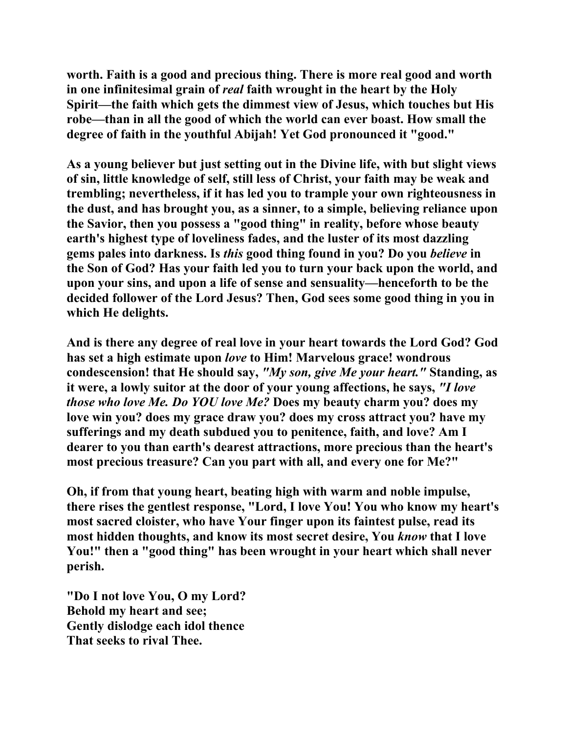**worth. Faith is a good and precious thing. There is more real good and worth in one infinitesimal grain of** *real* **faith wrought in the heart by the Holy Spirit—the faith which gets the dimmest view of Jesus, which touches but His robe—than in all the good of which the world can ever boast. How small the degree of faith in the youthful Abijah! Yet God pronounced it "good."** 

**As a young believer but just setting out in the Divine life, with but slight views of sin, little knowledge of self, still less of Christ, your faith may be weak and trembling; nevertheless, if it has led you to trample your own righteousness in the dust, and has brought you, as a sinner, to a simple, believing reliance upon the Savior, then you possess a "good thing" in reality, before whose beauty earth's highest type of loveliness fades, and the luster of its most dazzling gems pales into darkness. Is** *this* **good thing found in you? Do you** *believe* **in the Son of God? Has your faith led you to turn your back upon the world, and upon your sins, and upon a life of sense and sensuality—henceforth to be the decided follower of the Lord Jesus? Then, God sees some good thing in you in which He delights.** 

**And is there any degree of real love in your heart towards the Lord God? God has set a high estimate upon** *love* **to Him! Marvelous grace! wondrous condescension! that He should say,** *"My son, give Me your heart."* **Standing, as it were, a lowly suitor at the door of your young affections, he says,** *"I love those who love Me. Do YOU love Me?* **Does my beauty charm you? does my love win you? does my grace draw you? does my cross attract you? have my sufferings and my death subdued you to penitence, faith, and love? Am I dearer to you than earth's dearest attractions, more precious than the heart's most precious treasure? Can you part with all, and every one for Me?"** 

**Oh, if from that young heart, beating high with warm and noble impulse, there rises the gentlest response, "Lord, I love You! You who know my heart's most sacred cloister, who have Your finger upon its faintest pulse, read its most hidden thoughts, and know its most secret desire, You** *know* **that I love You!" then a "good thing" has been wrought in your heart which shall never perish.** 

**"Do I not love You, O my Lord? Behold my heart and see; Gently dislodge each idol thence That seeks to rival Thee.**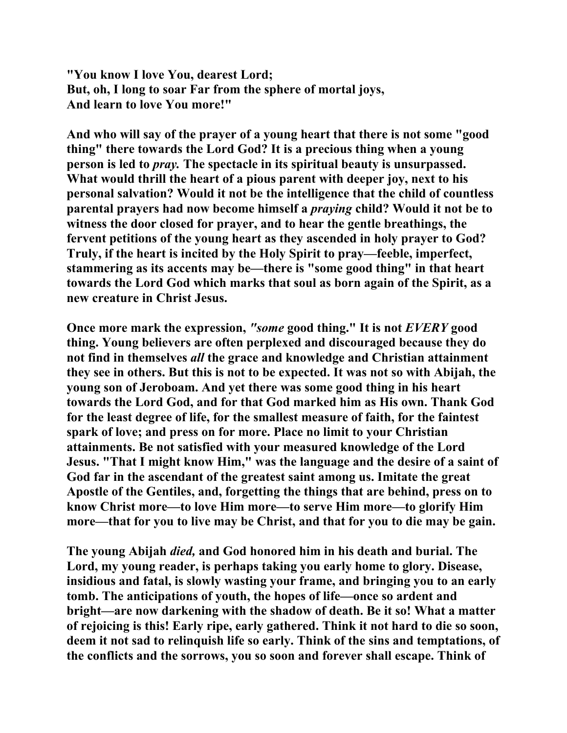**"You know I love You, dearest Lord; But, oh, I long to soar Far from the sphere of mortal joys, And learn to love You more!"** 

**And who will say of the prayer of a young heart that there is not some "good thing" there towards the Lord God? It is a precious thing when a young person is led to** *pray.* **The spectacle in its spiritual beauty is unsurpassed. What would thrill the heart of a pious parent with deeper joy, next to his personal salvation? Would it not be the intelligence that the child of countless parental prayers had now become himself a** *praying* **child? Would it not be to witness the door closed for prayer, and to hear the gentle breathings, the fervent petitions of the young heart as they ascended in holy prayer to God? Truly, if the heart is incited by the Holy Spirit to pray—feeble, imperfect, stammering as its accents may be—there is "some good thing" in that heart towards the Lord God which marks that soul as born again of the Spirit, as a new creature in Christ Jesus.** 

**Once more mark the expression,** *"some* **good thing." It is not** *EVERY* **good thing. Young believers are often perplexed and discouraged because they do not find in themselves** *all* **the grace and knowledge and Christian attainment they see in others. But this is not to be expected. It was not so with Abijah, the young son of Jeroboam. And yet there was some good thing in his heart towards the Lord God, and for that God marked him as His own. Thank God for the least degree of life, for the smallest measure of faith, for the faintest spark of love; and press on for more. Place no limit to your Christian attainments. Be not satisfied with your measured knowledge of the Lord Jesus. "That I might know Him," was the language and the desire of a saint of God far in the ascendant of the greatest saint among us. Imitate the great Apostle of the Gentiles, and, forgetting the things that are behind, press on to know Christ more—to love Him more—to serve Him more—to glorify Him more—that for you to live may be Christ, and that for you to die may be gain.** 

**The young Abijah** *died,* **and God honored him in his death and burial. The Lord, my young reader, is perhaps taking you early home to glory. Disease, insidious and fatal, is slowly wasting your frame, and bringing you to an early tomb. The anticipations of youth, the hopes of life—once so ardent and bright—are now darkening with the shadow of death. Be it so! What a matter of rejoicing is this! Early ripe, early gathered. Think it not hard to die so soon, deem it not sad to relinquish life so early. Think of the sins and temptations, of the conflicts and the sorrows, you so soon and forever shall escape. Think of**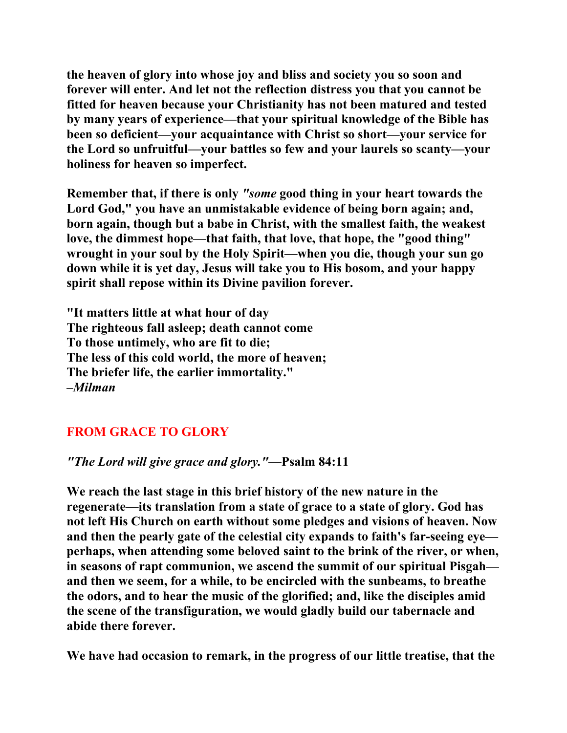**the heaven of glory into whose joy and bliss and society you so soon and forever will enter. And let not the reflection distress you that you cannot be fitted for heaven because your Christianity has not been matured and tested by many years of experience—that your spiritual knowledge of the Bible has been so deficient—your acquaintance with Christ so short—your service for the Lord so unfruitful—your battles so few and your laurels so scanty—your holiness for heaven so imperfect.** 

**Remember that, if there is only** *"some* **good thing in your heart towards the Lord God," you have an unmistakable evidence of being born again; and, born again, though but a babe in Christ, with the smallest faith, the weakest love, the dimmest hope—that faith, that love, that hope, the "good thing" wrought in your soul by the Holy Spirit—when you die, though your sun go down while it is yet day, Jesus will take you to His bosom, and your happy spirit shall repose within its Divine pavilion forever.** 

**"It matters little at what hour of day The righteous fall asleep; death cannot come To those untimely, who are fit to die; The less of this cold world, the more of heaven; The briefer life, the earlier immortality." –***Milman* 

## **FROM GRACE TO GLORY**

*"The Lord will give grace and glory."***—Psalm 84:11** 

**We reach the last stage in this brief history of the new nature in the regenerate—its translation from a state of grace to a state of glory. God has not left His Church on earth without some pledges and visions of heaven. Now and then the pearly gate of the celestial city expands to faith's far-seeing eye perhaps, when attending some beloved saint to the brink of the river, or when, in seasons of rapt communion, we ascend the summit of our spiritual Pisgah and then we seem, for a while, to be encircled with the sunbeams, to breathe the odors, and to hear the music of the glorified; and, like the disciples amid the scene of the transfiguration, we would gladly build our tabernacle and abide there forever.** 

**We have had occasion to remark, in the progress of our little treatise, that the**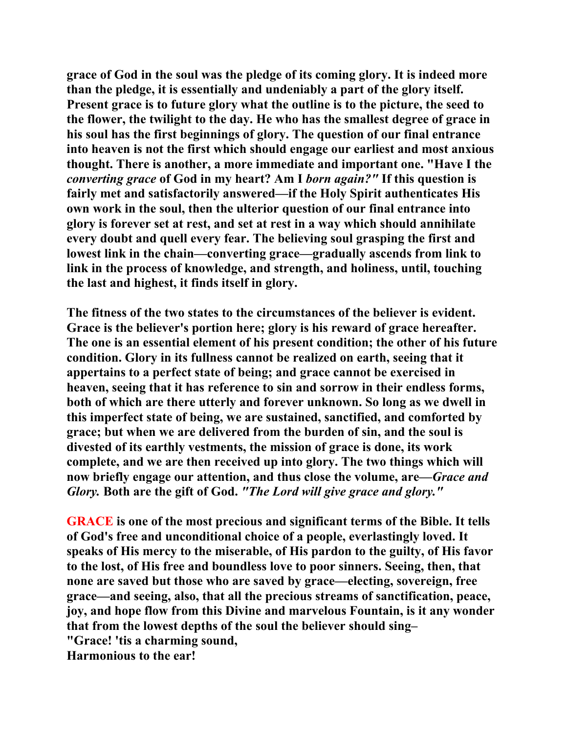**grace of God in the soul was the pledge of its coming glory. It is indeed more than the pledge, it is essentially and undeniably a part of the glory itself. Present grace is to future glory what the outline is to the picture, the seed to the flower, the twilight to the day. He who has the smallest degree of grace in his soul has the first beginnings of glory. The question of our final entrance into heaven is not the first which should engage our earliest and most anxious thought. There is another, a more immediate and important one. "Have I the**  *converting grace* **of God in my heart? Am I** *born again?"* **If this question is fairly met and satisfactorily answered—if the Holy Spirit authenticates His own work in the soul, then the ulterior question of our final entrance into glory is forever set at rest, and set at rest in a way which should annihilate every doubt and quell every fear. The believing soul grasping the first and lowest link in the chain—converting grace—gradually ascends from link to link in the process of knowledge, and strength, and holiness, until, touching the last and highest, it finds itself in glory.** 

**The fitness of the two states to the circumstances of the believer is evident. Grace is the believer's portion here; glory is his reward of grace hereafter. The one is an essential element of his present condition; the other of his future condition. Glory in its fullness cannot be realized on earth, seeing that it appertains to a perfect state of being; and grace cannot be exercised in heaven, seeing that it has reference to sin and sorrow in their endless forms, both of which are there utterly and forever unknown. So long as we dwell in this imperfect state of being, we are sustained, sanctified, and comforted by grace; but when we are delivered from the burden of sin, and the soul is divested of its earthly vestments, the mission of grace is done, its work complete, and we are then received up into glory. The two things which will now briefly engage our attention, and thus close the volume, are—***Grace and Glory.* **Both are the gift of God.** *"The Lord will give grace and glory."* 

**GRACE is one of the most precious and significant terms of the Bible. It tells of God's free and unconditional choice of a people, everlastingly loved. It speaks of His mercy to the miserable, of His pardon to the guilty, of His favor to the lost, of His free and boundless love to poor sinners. Seeing, then, that none are saved but those who are saved by grace—electing, sovereign, free grace—and seeing, also, that all the precious streams of sanctification, peace, joy, and hope flow from this Divine and marvelous Fountain, is it any wonder that from the lowest depths of the soul the believer should sing– "Grace! 'tis a charming sound, Harmonious to the ear!**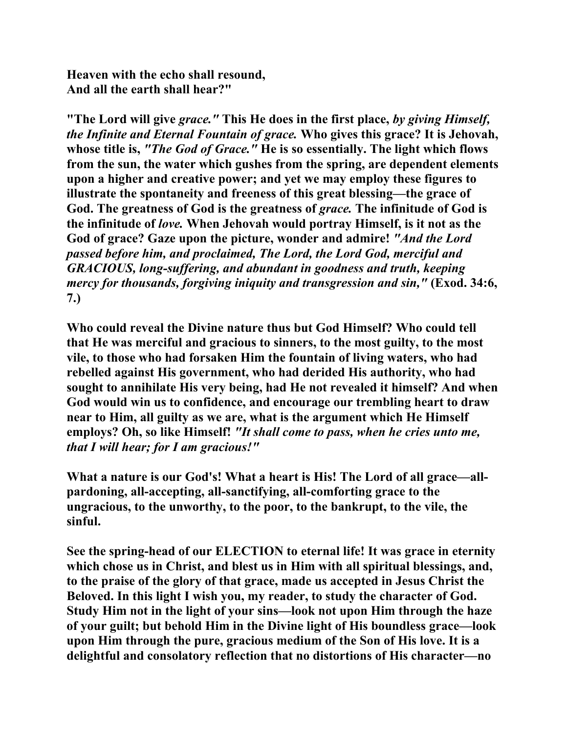**Heaven with the echo shall resound, And all the earth shall hear?"** 

**"The Lord will give** *grace."* **This He does in the first place,** *by giving Himself, the Infinite and Eternal Fountain of grace.* **Who gives this grace? It is Jehovah, whose title is,** *"The God of Grace."* **He is so essentially. The light which flows from the sun, the water which gushes from the spring, are dependent elements upon a higher and creative power; and yet we may employ these figures to illustrate the spontaneity and freeness of this great blessing—the grace of God. The greatness of God is the greatness of** *grace.* **The infinitude of God is the infinitude of** *love.* **When Jehovah would portray Himself, is it not as the God of grace? Gaze upon the picture, wonder and admire!** *"And the Lord passed before him, and proclaimed, The Lord, the Lord God, merciful and GRACIOUS, long-suffering, and abundant in goodness and truth, keeping mercy for thousands, forgiving iniquity and transgression and sin,"* **(Exod. 34:6, 7.)** 

**Who could reveal the Divine nature thus but God Himself? Who could tell that He was merciful and gracious to sinners, to the most guilty, to the most vile, to those who had forsaken Him the fountain of living waters, who had rebelled against His government, who had derided His authority, who had sought to annihilate His very being, had He not revealed it himself? And when God would win us to confidence, and encourage our trembling heart to draw near to Him, all guilty as we are, what is the argument which He Himself employs? Oh, so like Himself!** *"It shall come to pass, when he cries unto me, that I will hear; for I am gracious!"* 

**What a nature is our God's! What a heart is His! The Lord of all grace—allpardoning, all-accepting, all-sanctifying, all-comforting grace to the ungracious, to the unworthy, to the poor, to the bankrupt, to the vile, the sinful.** 

**See the spring-head of our ELECTION to eternal life! It was grace in eternity which chose us in Christ, and blest us in Him with all spiritual blessings, and, to the praise of the glory of that grace, made us accepted in Jesus Christ the Beloved. In this light I wish you, my reader, to study the character of God. Study Him not in the light of your sins—look not upon Him through the haze of your guilt; but behold Him in the Divine light of His boundless grace—look upon Him through the pure, gracious medium of the Son of His love. It is a delightful and consolatory reflection that no distortions of His character—no**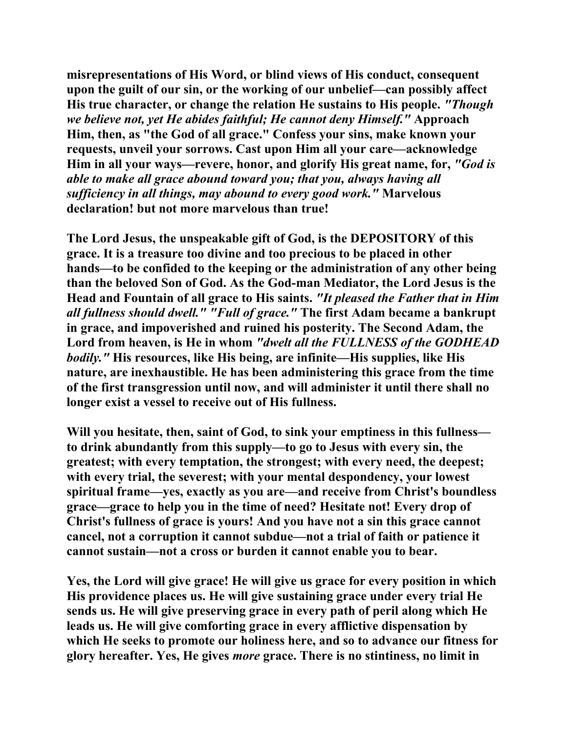**misrepresentations of His Word, or blind views of His conduct, consequent upon the guilt of our sin, or the working of our unbelief—can possibly affect His true character, or change the relation He sustains to His people.** *"Though we believe not, yet He abides faithful; He cannot deny Himself."* **Approach Him, then, as "the God of all grace." Confess your sins, make known your requests, unveil your sorrows. Cast upon Him all your care—acknowledge Him in all your ways—revere, honor, and glorify His great name, for,** *"God is able to make all grace abound toward you; that you, always having all sufficiency in all things, may abound to every good work."* **Marvelous declaration! but not more marvelous than true!** 

**The Lord Jesus, the unspeakable gift of God, is the DEPOSITORY of this grace. It is a treasure too divine and too precious to be placed in other hands—to be confided to the keeping or the administration of any other being than the beloved Son of God. As the God-man Mediator, the Lord Jesus is the Head and Fountain of all grace to His saints.** *"It pleased the Father that in Him all fullness should dwell." "Full of grace."* **The first Adam became a bankrupt in grace, and impoverished and ruined his posterity. The Second Adam, the Lord from heaven, is He in whom** *"dwelt all the FULLNESS of the GODHEAD bodily."* **His resources, like His being, are infinite—His supplies, like His nature, are inexhaustible. He has been administering this grace from the time of the first transgression until now, and will administer it until there shall no longer exist a vessel to receive out of His fullness.** 

**Will you hesitate, then, saint of God, to sink your emptiness in this fullness to drink abundantly from this supply—to go to Jesus with every sin, the greatest; with every temptation, the strongest; with every need, the deepest; with every trial, the severest; with your mental despondency, your lowest spiritual frame—yes, exactly as you are—and receive from Christ's boundless grace—grace to help you in the time of need? Hesitate not! Every drop of Christ's fullness of grace is yours! And you have not a sin this grace cannot cancel, not a corruption it cannot subdue—not a trial of faith or patience it cannot sustain—not a cross or burden it cannot enable you to bear.** 

**Yes, the Lord will give grace! He will give us grace for every position in which His providence places us. He will give sustaining grace under every trial He sends us. He will give preserving grace in every path of peril along which He leads us. He will give comforting grace in every afflictive dispensation by which He seeks to promote our holiness here, and so to advance our fitness for glory hereafter. Yes, He gives** *more* **grace. There is no stintiness, no limit in**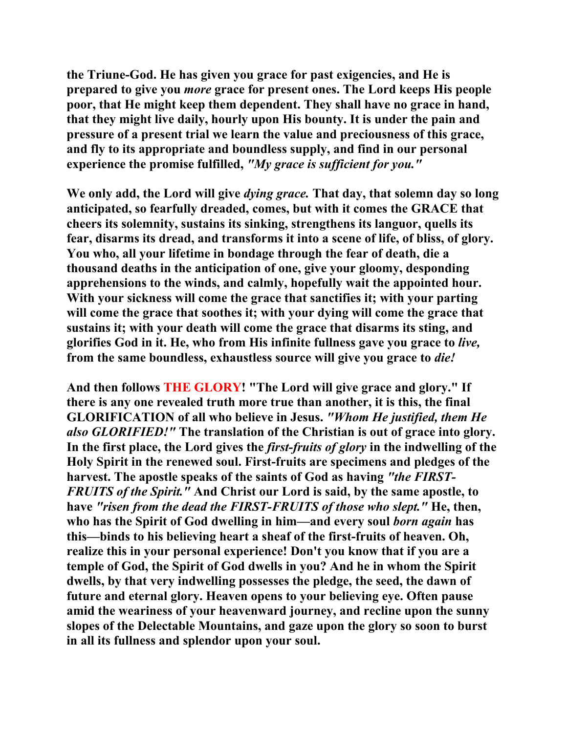**the Triune-God. He has given you grace for past exigencies, and He is prepared to give you** *more* **grace for present ones. The Lord keeps His people poor, that He might keep them dependent. They shall have no grace in hand, that they might live daily, hourly upon His bounty. It is under the pain and pressure of a present trial we learn the value and preciousness of this grace, and fly to its appropriate and boundless supply, and find in our personal experience the promise fulfilled,** *"My grace is sufficient for you."* 

**We only add, the Lord will give** *dying grace.* **That day, that solemn day so long anticipated, so fearfully dreaded, comes, but with it comes the GRACE that cheers its solemnity, sustains its sinking, strengthens its languor, quells its fear, disarms its dread, and transforms it into a scene of life, of bliss, of glory. You who, all your lifetime in bondage through the fear of death, die a thousand deaths in the anticipation of one, give your gloomy, desponding apprehensions to the winds, and calmly, hopefully wait the appointed hour. With your sickness will come the grace that sanctifies it; with your parting will come the grace that soothes it; with your dying will come the grace that sustains it; with your death will come the grace that disarms its sting, and glorifies God in it. He, who from His infinite fullness gave you grace to** *live,*  **from the same boundless, exhaustless source will give you grace to** *die!* 

**And then follows THE GLORY! "The Lord will give grace and glory." If there is any one revealed truth more true than another, it is this, the final GLORIFICATION of all who believe in Jesus.** *"Whom He justified, them He also GLORIFIED!"* **The translation of the Christian is out of grace into glory. In the first place, the Lord gives the** *first-fruits of glory* **in the indwelling of the Holy Spirit in the renewed soul. First-fruits are specimens and pledges of the harvest. The apostle speaks of the saints of God as having** *"the FIRST-FRUITS of the Spirit."* **And Christ our Lord is said, by the same apostle, to have** *"risen from the dead the FIRST-FRUITS of those who slept."* **He, then, who has the Spirit of God dwelling in him—and every soul** *born again* **has this—binds to his believing heart a sheaf of the first-fruits of heaven. Oh, realize this in your personal experience! Don't you know that if you are a temple of God, the Spirit of God dwells in you? And he in whom the Spirit dwells, by that very indwelling possesses the pledge, the seed, the dawn of future and eternal glory. Heaven opens to your believing eye. Often pause amid the weariness of your heavenward journey, and recline upon the sunny slopes of the Delectable Mountains, and gaze upon the glory so soon to burst in all its fullness and splendor upon your soul.**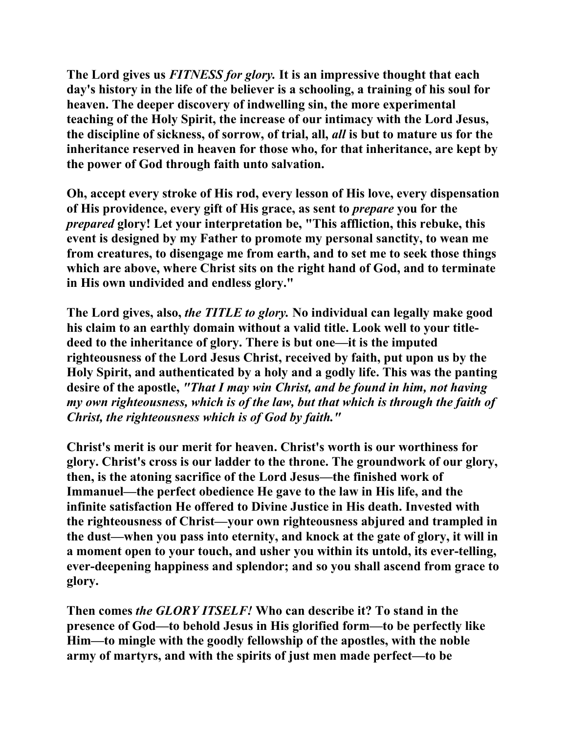**The Lord gives us** *FITNESS for glory.* **It is an impressive thought that each day's history in the life of the believer is a schooling, a training of his soul for heaven. The deeper discovery of indwelling sin, the more experimental teaching of the Holy Spirit, the increase of our intimacy with the Lord Jesus, the discipline of sickness, of sorrow, of trial, all,** *all* **is but to mature us for the inheritance reserved in heaven for those who, for that inheritance, are kept by the power of God through faith unto salvation.** 

**Oh, accept every stroke of His rod, every lesson of His love, every dispensation of His providence, every gift of His grace, as sent to** *prepare* **you for the**  *prepared* **glory! Let your interpretation be, "This affliction, this rebuke, this event is designed by my Father to promote my personal sanctity, to wean me from creatures, to disengage me from earth, and to set me to seek those things which are above, where Christ sits on the right hand of God, and to terminate in His own undivided and endless glory."** 

**The Lord gives, also,** *the TITLE to glory.* **No individual can legally make good his claim to an earthly domain without a valid title. Look well to your titledeed to the inheritance of glory. There is but one—it is the imputed righteousness of the Lord Jesus Christ, received by faith, put upon us by the Holy Spirit, and authenticated by a holy and a godly life. This was the panting desire of the apostle,** *"That I may win Christ, and be found in him, not having my own righteousness, which is of the law, but that which is through the faith of Christ, the righteousness which is of God by faith."* 

**Christ's merit is our merit for heaven. Christ's worth is our worthiness for glory. Christ's cross is our ladder to the throne. The groundwork of our glory, then, is the atoning sacrifice of the Lord Jesus—the finished work of Immanuel—the perfect obedience He gave to the law in His life, and the infinite satisfaction He offered to Divine Justice in His death. Invested with the righteousness of Christ—your own righteousness abjured and trampled in the dust—when you pass into eternity, and knock at the gate of glory, it will in a moment open to your touch, and usher you within its untold, its ever-telling, ever-deepening happiness and splendor; and so you shall ascend from grace to glory.** 

**Then comes** *the GLORY ITSELF!* **Who can describe it? To stand in the presence of God—to behold Jesus in His glorified form—to be perfectly like Him—to mingle with the goodly fellowship of the apostles, with the noble army of martyrs, and with the spirits of just men made perfect—to be**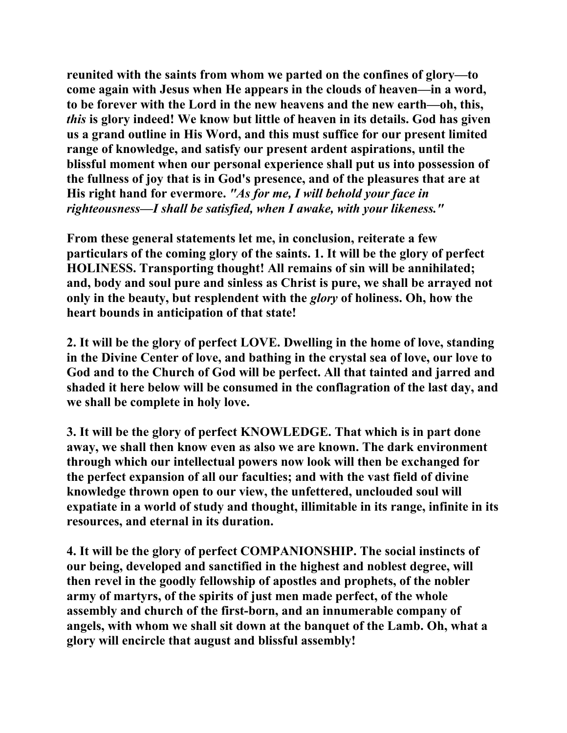**reunited with the saints from whom we parted on the confines of glory—to come again with Jesus when He appears in the clouds of heaven—in a word, to be forever with the Lord in the new heavens and the new earth—oh, this,**  *this* **is glory indeed! We know but little of heaven in its details. God has given us a grand outline in His Word, and this must suffice for our present limited range of knowledge, and satisfy our present ardent aspirations, until the blissful moment when our personal experience shall put us into possession of the fullness of joy that is in God's presence, and of the pleasures that are at His right hand for evermore.** *"As for me, I will behold your face in righteousness—I shall be satisfied, when I awake, with your likeness."* 

**From these general statements let me, in conclusion, reiterate a few particulars of the coming glory of the saints. 1. It will be the glory of perfect HOLINESS. Transporting thought! All remains of sin will be annihilated; and, body and soul pure and sinless as Christ is pure, we shall be arrayed not only in the beauty, but resplendent with the** *glory* **of holiness. Oh, how the heart bounds in anticipation of that state!** 

**2. It will be the glory of perfect LOVE. Dwelling in the home of love, standing in the Divine Center of love, and bathing in the crystal sea of love, our love to God and to the Church of God will be perfect. All that tainted and jarred and shaded it here below will be consumed in the conflagration of the last day, and we shall be complete in holy love.** 

**3. It will be the glory of perfect KNOWLEDGE. That which is in part done away, we shall then know even as also we are known. The dark environment through which our intellectual powers now look will then be exchanged for the perfect expansion of all our faculties; and with the vast field of divine knowledge thrown open to our view, the unfettered, unclouded soul will expatiate in a world of study and thought, illimitable in its range, infinite in its resources, and eternal in its duration.** 

**4. It will be the glory of perfect COMPANIONSHIP. The social instincts of our being, developed and sanctified in the highest and noblest degree, will then revel in the goodly fellowship of apostles and prophets, of the nobler army of martyrs, of the spirits of just men made perfect, of the whole assembly and church of the first-born, and an innumerable company of angels, with whom we shall sit down at the banquet of the Lamb. Oh, what a glory will encircle that august and blissful assembly!**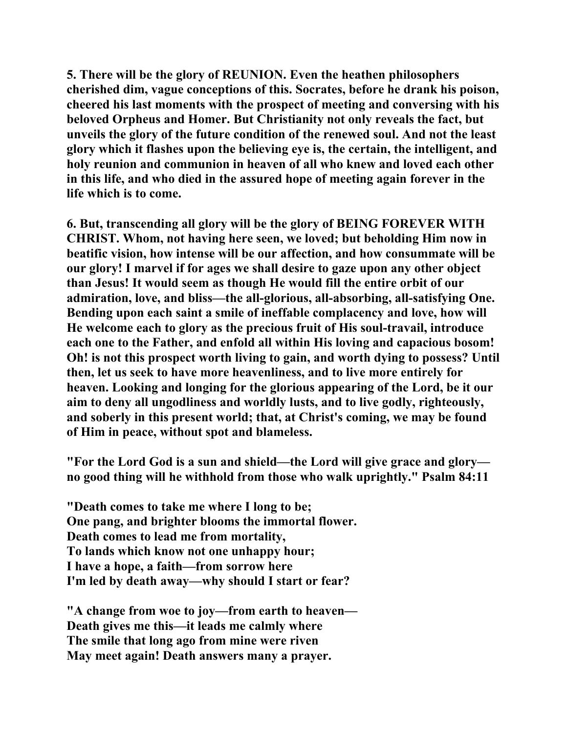**5. There will be the glory of REUNION. Even the heathen philosophers cherished dim, vague conceptions of this. Socrates, before he drank his poison, cheered his last moments with the prospect of meeting and conversing with his beloved Orpheus and Homer. But Christianity not only reveals the fact, but unveils the glory of the future condition of the renewed soul. And not the least glory which it flashes upon the believing eye is, the certain, the intelligent, and holy reunion and communion in heaven of all who knew and loved each other in this life, and who died in the assured hope of meeting again forever in the life which is to come.** 

**6. But, transcending all glory will be the glory of BEING FOREVER WITH CHRIST. Whom, not having here seen, we loved; but beholding Him now in beatific vision, how intense will be our affection, and how consummate will be our glory! I marvel if for ages we shall desire to gaze upon any other object than Jesus! It would seem as though He would fill the entire orbit of our admiration, love, and bliss—the all-glorious, all-absorbing, all-satisfying One. Bending upon each saint a smile of ineffable complacency and love, how will He welcome each to glory as the precious fruit of His soul-travail, introduce each one to the Father, and enfold all within His loving and capacious bosom! Oh! is not this prospect worth living to gain, and worth dying to possess? Until then, let us seek to have more heavenliness, and to live more entirely for heaven. Looking and longing for the glorious appearing of the Lord, be it our aim to deny all ungodliness and worldly lusts, and to live godly, righteously, and soberly in this present world; that, at Christ's coming, we may be found of Him in peace, without spot and blameless.** 

**"For the Lord God is a sun and shield—the Lord will give grace and glory no good thing will he withhold from those who walk uprightly." Psalm 84:11** 

**"Death comes to take me where I long to be; One pang, and brighter blooms the immortal flower. Death comes to lead me from mortality, To lands which know not one unhappy hour; I have a hope, a faith—from sorrow here I'm led by death away—why should I start or fear?** 

**"A change from woe to joy—from earth to heaven— Death gives me this—it leads me calmly where The smile that long ago from mine were riven May meet again! Death answers many a prayer.**